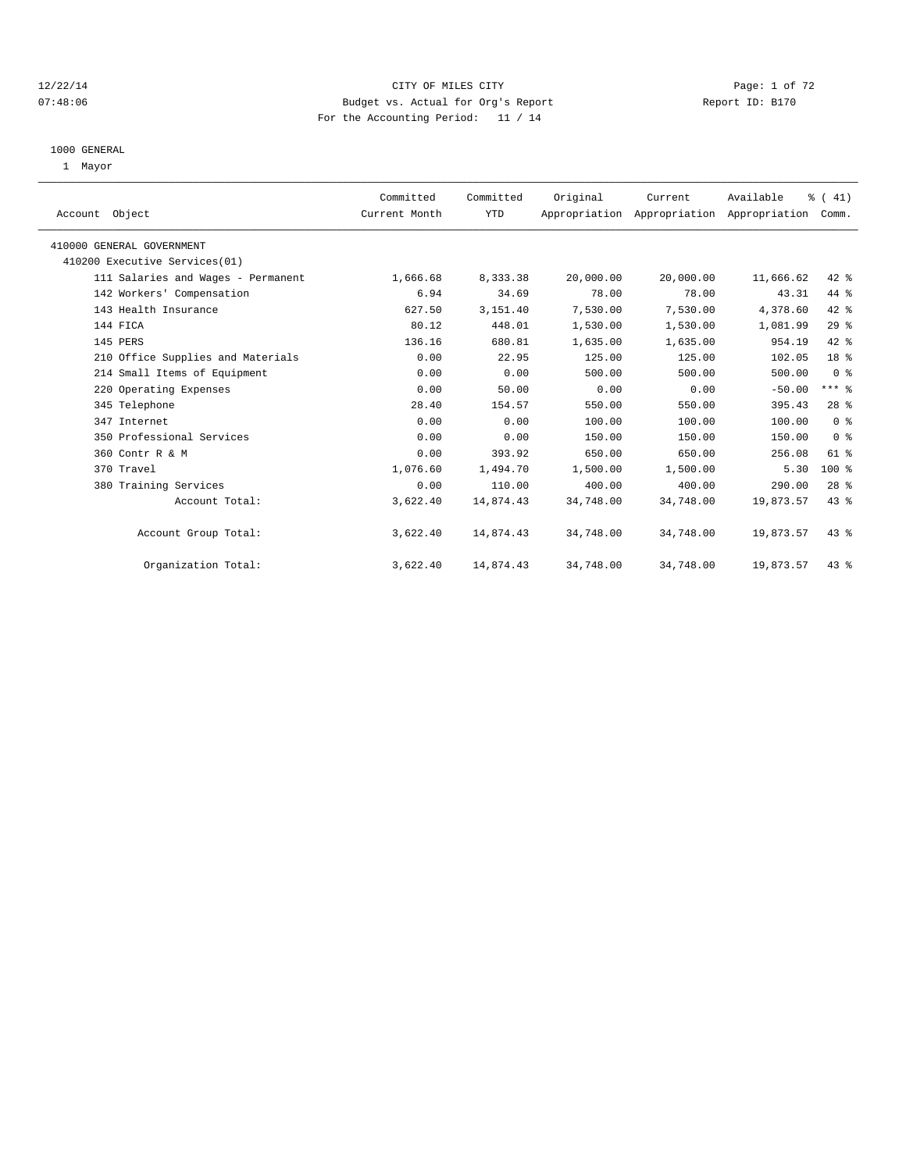#### 12/22/14 CITY OF MILES CITY Page: 1 of 72 07:48:06 Budget vs. Actual for Org's Report Report ID: B170 For the Accounting Period: 11 / 14

#### 1000 GENERAL

1 Mayor

| Account Object                     | Committed<br>Current Month | Committed<br><b>YTD</b> | Original  | Current<br>Appropriation Appropriation Appropriation Comm. | Available | % (41)          |  |
|------------------------------------|----------------------------|-------------------------|-----------|------------------------------------------------------------|-----------|-----------------|--|
| 410000 GENERAL GOVERNMENT          |                            |                         |           |                                                            |           |                 |  |
| 410200 Executive Services(01)      |                            |                         |           |                                                            |           |                 |  |
| 111 Salaries and Wages - Permanent | 1,666.68                   | 8,333.38                | 20,000.00 | 20,000.00                                                  | 11,666.62 | 42 %            |  |
| 142 Workers' Compensation          | 6.94                       | 34.69                   | 78.00     | 78.00                                                      | 43.31     | 44 %            |  |
| 143 Health Insurance               | 627.50                     | 3,151.40                | 7,530.00  | 7,530.00                                                   | 4,378.60  | 42 %            |  |
| 144 FICA                           | 80.12                      | 448.01                  | 1,530.00  | 1,530.00                                                   | 1,081.99  | 29%             |  |
| 145 PERS                           | 136.16                     | 680.81                  | 1,635.00  | 1,635.00                                                   | 954.19    | 42 %            |  |
| 210 Office Supplies and Materials  | 0.00                       | 22.95                   | 125.00    | 125.00                                                     | 102.05    | 18 <sup>8</sup> |  |
| 214 Small Items of Equipment       | 0.00                       | 0.00                    | 500.00    | 500.00                                                     | 500.00    | 0 <sup>8</sup>  |  |
| 220 Operating Expenses             | 0.00                       | 50.00                   | 0.00      | 0.00                                                       | $-50.00$  | $***$ $-$       |  |
| 345 Telephone                      | 28.40                      | 154.57                  | 550.00    | 550.00                                                     | 395.43    | 28 <sup>8</sup> |  |
| 347 Internet                       | 0.00                       | 0.00                    | 100.00    | 100.00                                                     | 100.00    | 0 <sup>8</sup>  |  |
| 350 Professional Services          | 0.00                       | 0.00                    | 150.00    | 150.00                                                     | 150.00    | 0 <sup>8</sup>  |  |
| 360 Contr R & M                    | 0.00                       | 393.92                  | 650.00    | 650.00                                                     | 256.08    | 61 %            |  |
| 370 Travel                         | 1,076.60                   | 1,494.70                | 1,500.00  | 1,500.00                                                   | 5.30      | $100*$          |  |
| 380 Training Services              | 0.00                       | 110.00                  | 400.00    | 400.00                                                     | 290.00    | 28 <sup>8</sup> |  |
| Account Total:                     | 3,622.40                   | 14,874.43               | 34,748.00 | 34,748.00                                                  | 19,873.57 | 43 %            |  |
| Account Group Total:               | 3,622.40                   | 14,874.43               | 34,748.00 | 34,748.00                                                  | 19,873.57 | $43*$           |  |
| Organization Total:                | 3,622.40                   | 14,874.43               | 34,748.00 | 34,748.00                                                  | 19,873.57 | 43 %            |  |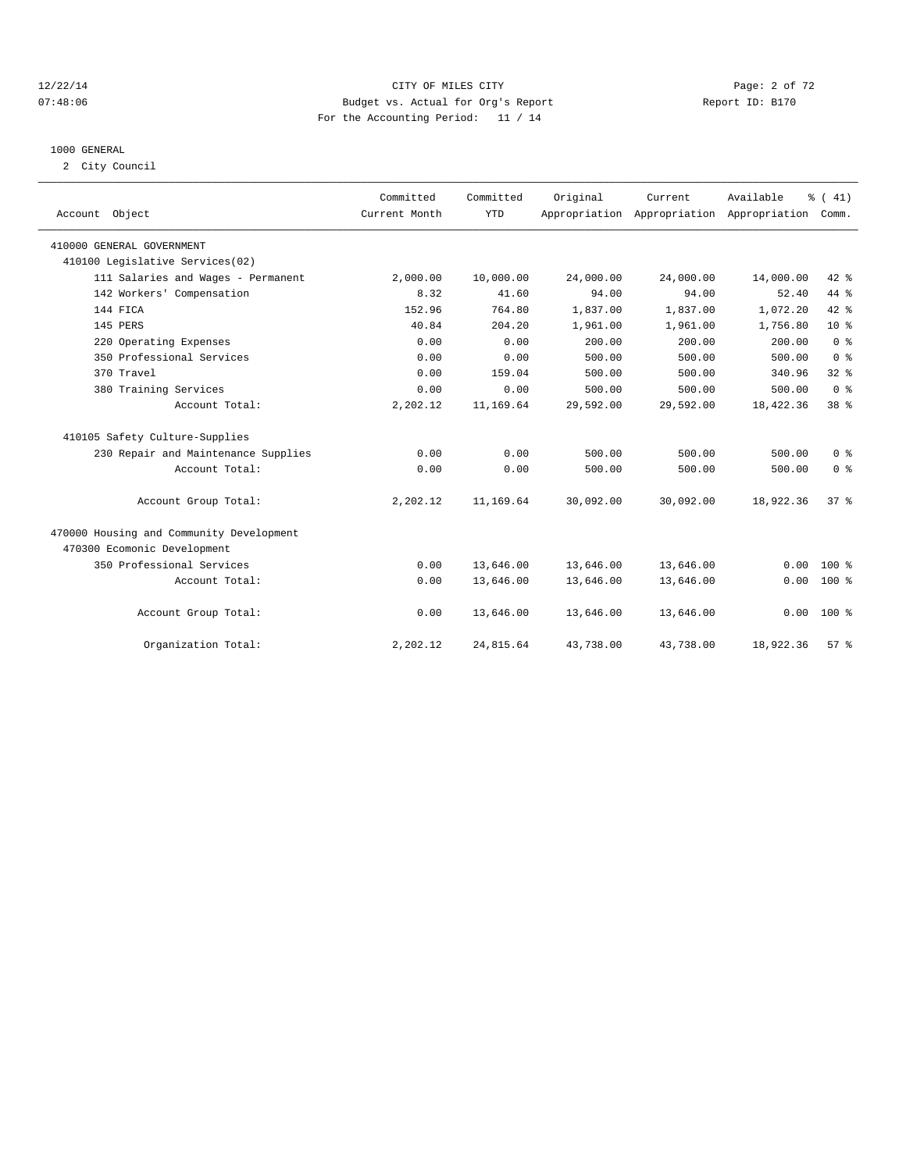#### 12/22/14 CITY OF MILES CITY Page: 2 of 72 07:48:06 Budget vs. Actual for Org's Report Report ID: B170 For the Accounting Period: 11 / 14

#### 1000 GENERAL

2 City Council

| Account Object                           | Committed<br>Current Month | Committed<br><b>YTD</b> | Original  | Current   | Available<br>Appropriation Appropriation Appropriation | % (41)<br>Comm. |  |
|------------------------------------------|----------------------------|-------------------------|-----------|-----------|--------------------------------------------------------|-----------------|--|
| 410000 GENERAL GOVERNMENT                |                            |                         |           |           |                                                        |                 |  |
| 410100 Legislative Services(02)          |                            |                         |           |           |                                                        |                 |  |
| 111 Salaries and Wages - Permanent       | 2,000.00                   | 10,000.00               | 24,000.00 | 24,000.00 | 14,000.00                                              | $42*$           |  |
| 142 Workers' Compensation                | 8.32                       | 41.60                   | 94.00     | 94.00     | 52.40                                                  | 44 %            |  |
| 144 FICA                                 | 152.96                     | 764.80                  | 1,837.00  | 1,837.00  | 1,072.20                                               | $42*$           |  |
| 145 PERS                                 | 40.84                      | 204.20                  | 1,961.00  | 1,961.00  | 1,756.80                                               | 10 <sup>°</sup> |  |
| 220 Operating Expenses                   | 0.00                       | 0.00                    | 200.00    | 200.00    | 200.00                                                 | 0 <sup>8</sup>  |  |
| 350 Professional Services                | 0.00                       | 0.00                    | 500.00    | 500.00    | 500.00                                                 | 0 <sup>8</sup>  |  |
| 370 Travel                               | 0.00                       | 159.04                  | 500.00    | 500.00    | 340.96                                                 | 32 <sup>8</sup> |  |
| 380 Training Services                    | 0.00                       | 0.00                    | 500.00    | 500.00    | 500.00                                                 | 0 <sup>8</sup>  |  |
| Account Total:                           | 2,202.12                   | 11,169.64               | 29,592.00 | 29,592.00 | 18,422.36                                              | 38 <sup>8</sup> |  |
| 410105 Safety Culture-Supplies           |                            |                         |           |           |                                                        |                 |  |
| 230 Repair and Maintenance Supplies      | 0.00                       | 0.00                    | 500.00    | 500.00    | 500.00                                                 | 0 <sup>8</sup>  |  |
| Account Total:                           | 0.00                       | 0.00                    | 500.00    | 500.00    | 500.00                                                 | 0 <sup>8</sup>  |  |
| Account Group Total:                     | 2,202.12                   | 11,169.64               | 30,092.00 | 30,092.00 | 18,922.36                                              | 37.8            |  |
| 470000 Housing and Community Development |                            |                         |           |           |                                                        |                 |  |
| 470300 Ecomonic Development              |                            |                         |           |           |                                                        |                 |  |
| 350 Professional Services                | 0.00                       | 13,646.00               | 13,646.00 | 13,646.00 | 0.00                                                   | $100*$          |  |
| Account Total:                           | 0.00                       | 13,646.00               | 13,646.00 | 13,646.00 | 0.00                                                   | $100*$          |  |
| Account Group Total:                     | 0.00                       | 13,646.00               | 13,646.00 | 13,646.00 | 0.00                                                   | $100*$          |  |
| Organization Total:                      | 2,202.12                   | 24,815.64               | 43,738.00 | 43,738.00 | 18,922.36                                              | 57 <sup>8</sup> |  |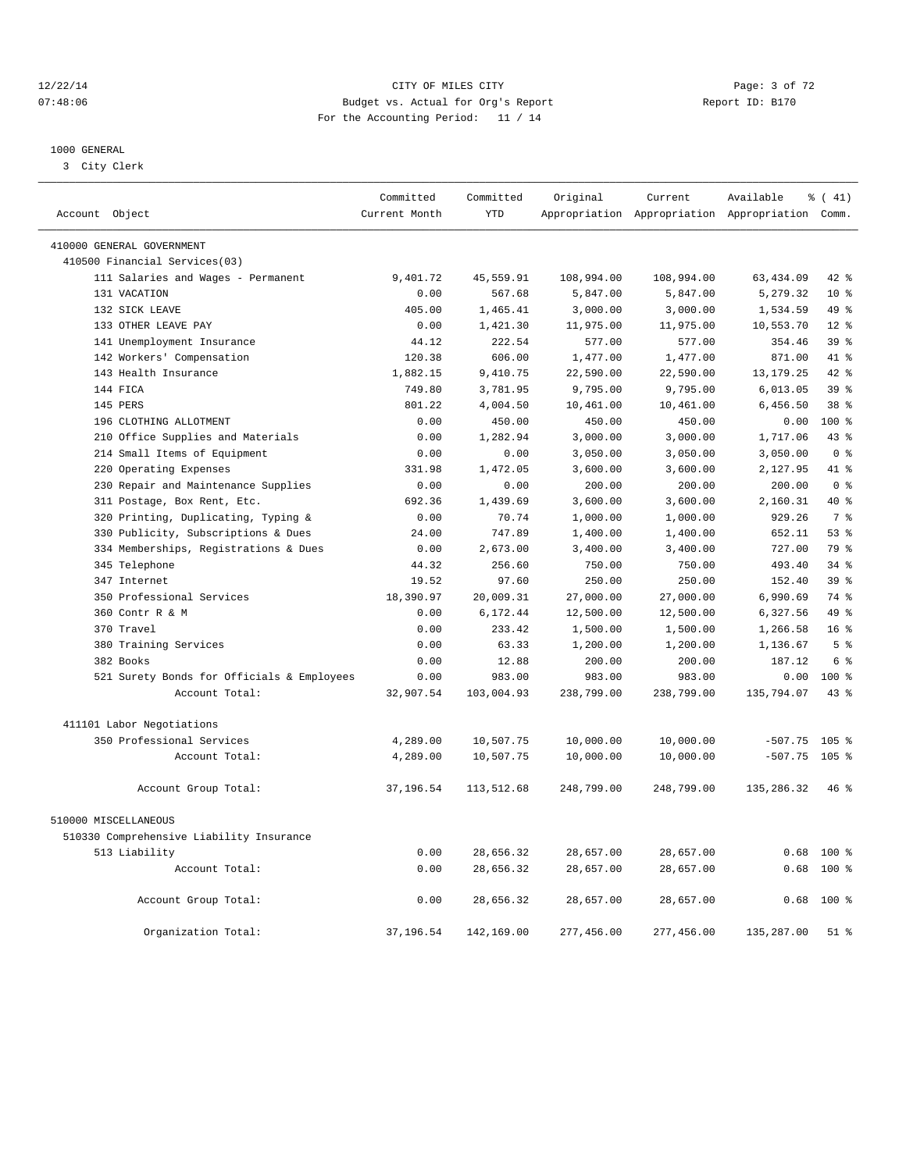#### 12/22/14 CITY OF MILES CITY Page: 3 of 72 07:48:06 Budget vs. Actual for Org's Report Report ID: B170 For the Accounting Period: 11 / 14

————————————————————————————————————————————————————————————————————————————————————————————————————————————————————————————————————

#### 1000 GENERAL

3 City Clerk

|                |                                            | Committed     | Committed  | Original   | Current    | Available                                       | % (41)          |
|----------------|--------------------------------------------|---------------|------------|------------|------------|-------------------------------------------------|-----------------|
| Account Object |                                            | Current Month | <b>YTD</b> |            |            | Appropriation Appropriation Appropriation Comm. |                 |
|                | 410000 GENERAL GOVERNMENT                  |               |            |            |            |                                                 |                 |
|                | 410500 Financial Services(03)              |               |            |            |            |                                                 |                 |
|                | 111 Salaries and Wages - Permanent         | 9,401.72      | 45,559.91  | 108,994.00 | 108,994.00 | 63, 434.09                                      | 42 %            |
|                | 131 VACATION                               | 0.00          | 567.68     | 5,847.00   | 5,847.00   | 5,279.32                                        | $10*$           |
|                | 132 SICK LEAVE                             | 405.00        | 1,465.41   | 3,000.00   | 3,000.00   | 1,534.59                                        | 49 %            |
|                | 133 OTHER LEAVE PAY                        | 0.00          | 1,421.30   | 11,975.00  | 11,975.00  | 10,553.70                                       | $12*$           |
|                | 141 Unemployment Insurance                 | 44.12         | 222.54     | 577.00     | 577.00     | 354.46                                          | 39 <sup>8</sup> |
|                | 142 Workers' Compensation                  | 120.38        | 606.00     | 1,477.00   | 1,477.00   | 871.00                                          | 41 %            |
|                | 143 Health Insurance                       | 1,882.15      | 9,410.75   | 22,590.00  | 22,590.00  | 13, 179. 25                                     | $42*$           |
|                | 144 FICA                                   | 749.80        | 3,781.95   | 9,795.00   | 9,795.00   | 6,013.05                                        | 39 <sup>8</sup> |
|                | 145 PERS                                   | 801.22        | 4,004.50   | 10,461.00  | 10,461.00  | 6,456.50                                        | 38 <sup>8</sup> |
|                | 196 CLOTHING ALLOTMENT                     | 0.00          | 450.00     | 450.00     | 450.00     | 0.00                                            | 100 %           |
|                | 210 Office Supplies and Materials          | 0.00          | 1,282.94   | 3,000.00   | 3,000.00   | 1,717.06                                        | 43 %            |
|                | 214 Small Items of Equipment               | 0.00          | 0.00       | 3,050.00   | 3,050.00   | 3,050.00                                        | 0 <sup>8</sup>  |
|                | 220 Operating Expenses                     | 331.98        | 1,472.05   | 3,600.00   | 3,600.00   | 2,127.95                                        | 41 %            |
|                | 230 Repair and Maintenance Supplies        | 0.00          | 0.00       | 200.00     | 200.00     | 200.00                                          | 0 <sup>8</sup>  |
|                | 311 Postage, Box Rent, Etc.                | 692.36        | 1,439.69   | 3,600.00   | 3,600.00   | 2,160.31                                        | $40*$           |
|                | 320 Printing, Duplicating, Typing &        | 0.00          | 70.74      | 1,000.00   | 1,000.00   | 929.26                                          | 7 <sup>8</sup>  |
|                | 330 Publicity, Subscriptions & Dues        | 24.00         | 747.89     | 1,400.00   | 1,400.00   | 652.11                                          | 53%             |
|                | 334 Memberships, Registrations & Dues      | 0.00          | 2,673.00   | 3,400.00   | 3,400.00   | 727.00                                          | 79 %            |
|                | 345 Telephone                              | 44.32         | 256.60     | 750.00     | 750.00     | 493.40                                          | $34*$           |
|                | 347 Internet                               | 19.52         | 97.60      | 250.00     | 250.00     | 152.40                                          | 39 <sup>8</sup> |
|                | 350 Professional Services                  | 18,390.97     | 20,009.31  | 27,000.00  | 27,000.00  | 6,990.69                                        | 74 %            |
|                | 360 Contr R & M                            | 0.00          | 6,172.44   | 12,500.00  | 12,500.00  | 6,327.56                                        | 49 %            |
|                | 370 Travel                                 | 0.00          | 233.42     | 1,500.00   | 1,500.00   | 1,266.58                                        | 16 <sup>8</sup> |
|                | 380 Training Services                      | 0.00          | 63.33      | 1,200.00   | 1,200.00   | 1,136.67                                        | 5 <sup>°</sup>  |
|                | 382 Books                                  | 0.00          | 12.88      | 200.00     | 200.00     | 187.12                                          | 6 %             |
|                | 521 Surety Bonds for Officials & Employees | 0.00          | 983.00     | 983.00     | 983.00     | 0.00                                            | $100*$          |
|                | Account Total:                             | 32,907.54     | 103,004.93 | 238,799.00 | 238,799.00 | 135,794.07                                      | $43*$           |
|                | 411101 Labor Negotiations                  |               |            |            |            |                                                 |                 |
|                | 350 Professional Services                  | 4,289.00      | 10,507.75  | 10,000.00  | 10,000.00  | $-507.75$ 105 %                                 |                 |
|                | Account Total:                             | 4,289.00      | 10,507.75  | 10,000.00  | 10,000.00  | $-507.75$ 105 %                                 |                 |
|                | Account Group Total:                       | 37,196.54     | 113,512.68 | 248,799.00 | 248,799.00 | 135,286.32                                      | 46%             |
|                | 510000 MISCELLANEOUS                       |               |            |            |            |                                                 |                 |
|                | 510330 Comprehensive Liability Insurance   |               |            |            |            |                                                 |                 |
|                | 513 Liability                              | 0.00          | 28,656.32  | 28,657.00  | 28,657.00  | 0.68                                            | 100 %           |
|                | Account Total:                             | 0.00          | 28,656.32  | 28,657.00  | 28,657.00  | 0.68                                            | 100 %           |
|                | Account Group Total:                       | 0.00          | 28,656.32  | 28,657.00  | 28,657.00  | 0.68                                            | $100*$          |
|                | Organization Total:                        | 37,196.54     | 142,169.00 | 277,456.00 | 277,456.00 | 135,287.00                                      | $51$ %          |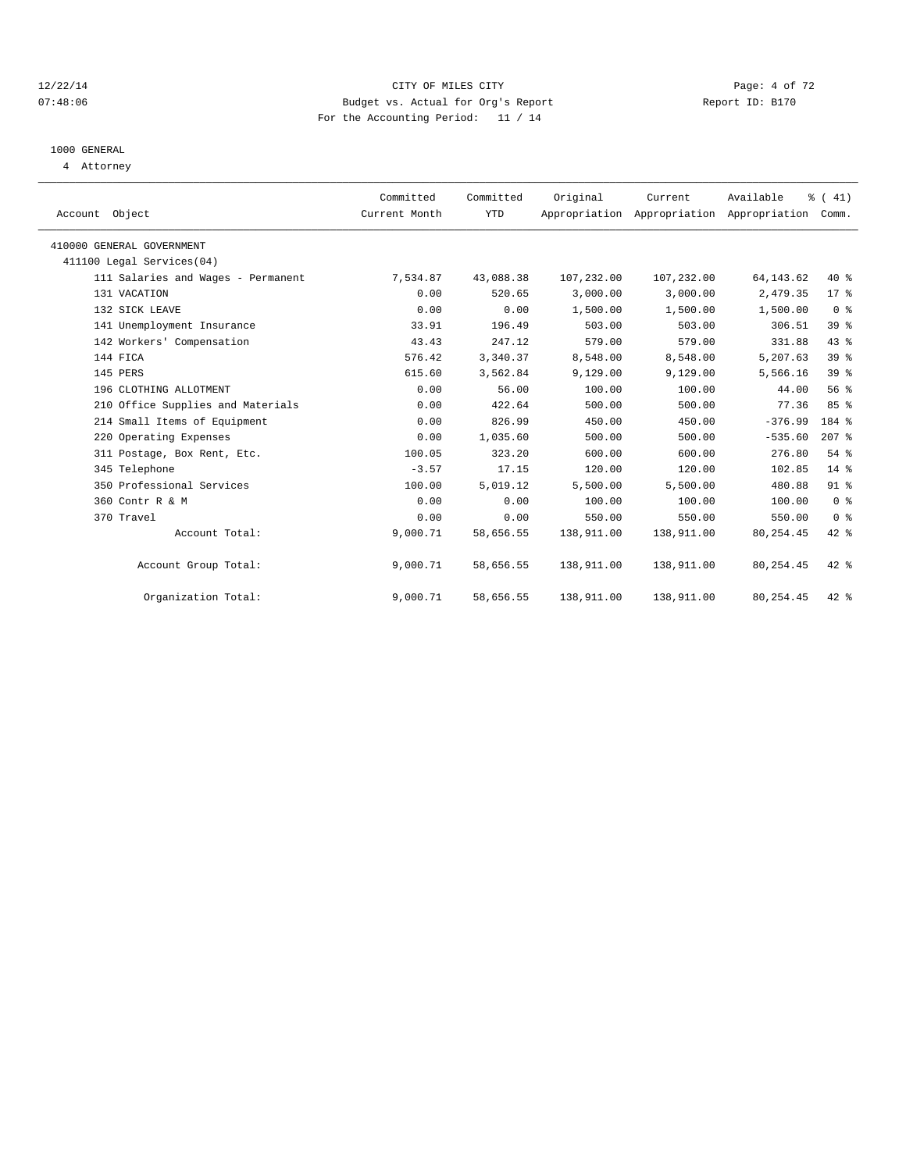#### 12/22/14 CITY OF MILES CITY Page: 4 of 72 07:48:06 Budget vs. Actual for Org's Report Report ID: B170 For the Accounting Period: 11 / 14

# 1000 GENERAL

4 Attorney

| Account Object                     | Committed<br>Current Month | Committed<br><b>YTD</b> | Original   | Current<br>Appropriation Appropriation Appropriation | Available   | $\frac{1}{6}$ ( 41)<br>Comm. |  |
|------------------------------------|----------------------------|-------------------------|------------|------------------------------------------------------|-------------|------------------------------|--|
| 410000 GENERAL GOVERNMENT          |                            |                         |            |                                                      |             |                              |  |
| 411100 Legal Services(04)          |                            |                         |            |                                                      |             |                              |  |
| 111 Salaries and Wages - Permanent | 7,534.87                   | 43,088.38               | 107,232.00 | 107,232.00                                           | 64, 143. 62 | $40*$                        |  |
| 131 VACATION                       | 0.00                       | 520.65                  | 3.000.00   | 3,000.00                                             | 2,479.35    | 17.8                         |  |
| 132 SICK LEAVE                     | 0.00                       | 0.00                    | 1,500.00   | 1,500.00                                             | 1,500.00    | 0 <sup>8</sup>               |  |
| 141 Unemployment Insurance         | 33.91                      | 196.49                  | 503.00     | 503.00                                               | 306.51      | 39 <sup>8</sup>              |  |
| 142 Workers' Compensation          | 43.43                      | 247.12                  | 579.00     | 579.00                                               | 331.88      | 43 %                         |  |
| 144 FICA                           | 576.42                     | 3,340.37                | 8,548.00   | 8,548.00                                             | 5,207.63    | 39 <sup>8</sup>              |  |
| 145 PERS                           | 615.60                     | 3,562.84                | 9,129.00   | 9,129.00                                             | 5,566.16    | 39 %                         |  |
| 196 CLOTHING ALLOTMENT             | 0.00                       | 56.00                   | 100.00     | 100.00                                               | 44.00       | 56%                          |  |
| 210 Office Supplies and Materials  | 0.00                       | 422.64                  | 500.00     | 500.00                                               | 77.36       | 85%                          |  |
| 214 Small Items of Equipment       | 0.00                       | 826.99                  | 450.00     | 450.00                                               | $-376.99$   | 184 %                        |  |
| 220 Operating Expenses             | 0.00                       | 1,035.60                | 500.00     | 500.00                                               | $-535.60$   | $207$ $%$                    |  |
| 311 Postage, Box Rent, Etc.        | 100.05                     | 323.20                  | 600.00     | 600.00                                               | 276.80      | 54 %                         |  |
| 345 Telephone                      | $-3.57$                    | 17.15                   | 120.00     | 120.00                                               | 102.85      | $14*$                        |  |
| 350 Professional Services          | 100.00                     | 5,019.12                | 5,500.00   | 5,500.00                                             | 480.88      | 91.8                         |  |
| 360 Contr R & M                    | 0.00                       | 0.00                    | 100.00     | 100.00                                               | 100.00      | 0 <sup>8</sup>               |  |
| 370 Travel                         | 0.00                       | 0.00                    | 550.00     | 550.00                                               | 550.00      | 0 <sup>8</sup>               |  |
| Account Total:                     | 9,000.71                   | 58,656.55               | 138,911.00 | 138,911.00                                           | 80, 254.45  | 42 %                         |  |
| Account Group Total:               | 9,000.71                   | 58,656.55               | 138,911.00 | 138,911.00                                           | 80, 254.45  | $42$ $%$                     |  |
| Organization Total:                | 9,000.71                   | 58,656.55               | 138,911.00 | 138,911.00                                           | 80, 254.45  | 42 %                         |  |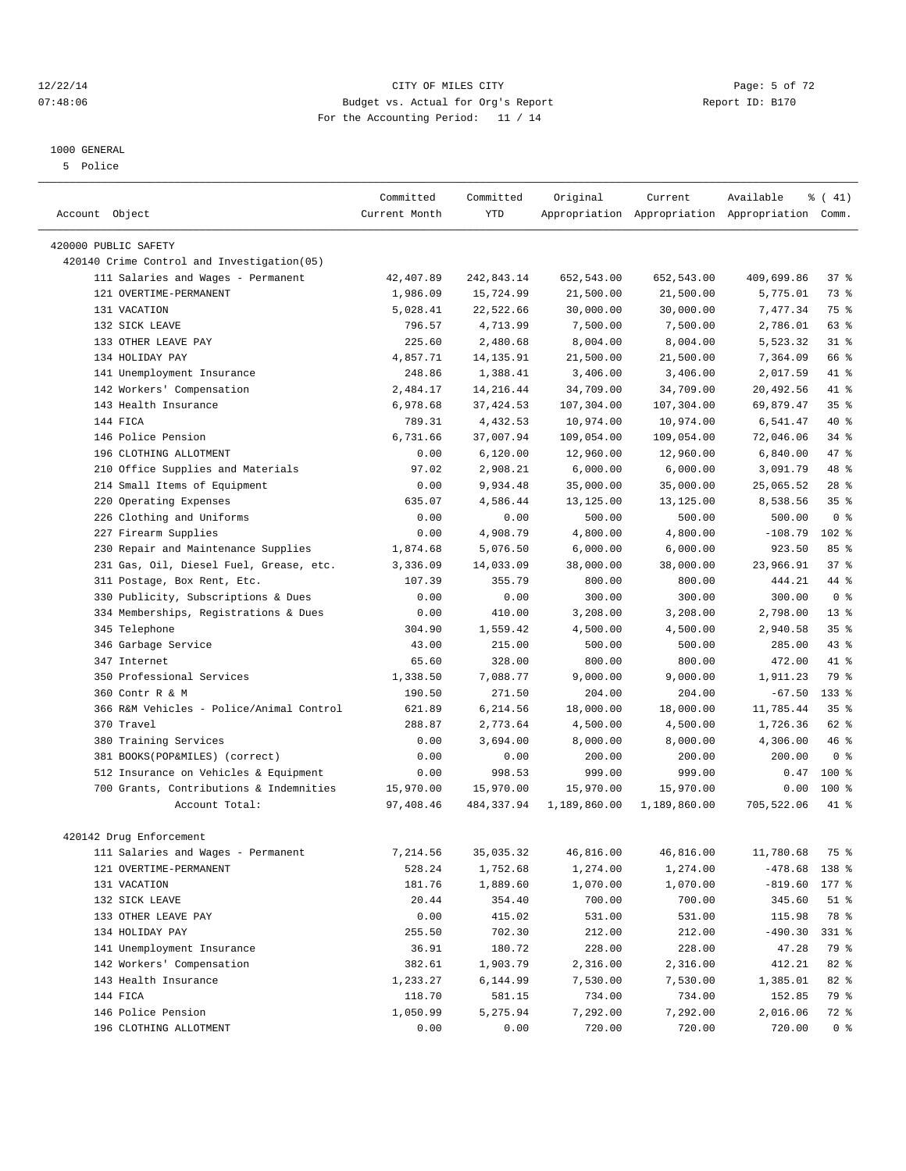# 1000 GENERAL

5 Police

|                                            | Committed     | Committed  | Original     | Current      | Available                                       | % (41)          |
|--------------------------------------------|---------------|------------|--------------|--------------|-------------------------------------------------|-----------------|
| Account Object                             | Current Month | <b>YTD</b> |              |              | Appropriation Appropriation Appropriation Comm. |                 |
|                                            |               |            |              |              |                                                 |                 |
| 420000 PUBLIC SAFETY                       |               |            |              |              |                                                 |                 |
| 420140 Crime Control and Investigation(05) |               |            |              |              |                                                 |                 |
| 111 Salaries and Wages - Permanent         | 42,407.89     | 242,843.14 | 652,543.00   | 652,543.00   | 409,699.86                                      | 37%             |
| 121 OVERTIME-PERMANENT                     | 1,986.09      | 15,724.99  | 21,500.00    | 21,500.00    | 5,775.01                                        | 73 %            |
| 131 VACATION                               | 5,028.41      | 22,522.66  | 30,000.00    | 30,000.00    | 7,477.34                                        | 75 %            |
| 132 SICK LEAVE                             | 796.57        | 4,713.99   | 7,500.00     | 7,500.00     | 2,786.01                                        | 63 %            |
| 133 OTHER LEAVE PAY                        | 225.60        | 2,480.68   | 8,004.00     | 8,004.00     | 5,523.32                                        | $31*$           |
| 134 HOLIDAY PAY                            | 4,857.71      | 14, 135.91 | 21,500.00    | 21,500.00    | 7,364.09                                        | 66 %            |
| 141 Unemployment Insurance                 | 248.86        | 1,388.41   | 3,406.00     | 3,406.00     | 2,017.59                                        | 41 %            |
| 142 Workers' Compensation                  | 2,484.17      | 14, 216.44 | 34,709.00    | 34,709.00    | 20,492.56                                       | 41 %            |
| 143 Health Insurance                       | 6,978.68      | 37, 424.53 | 107,304.00   | 107,304.00   | 69,879.47                                       | 35 <sup>8</sup> |
| 144 FICA                                   | 789.31        | 4,432.53   | 10,974.00    | 10,974.00    | 6,541.47                                        | $40*$           |
| 146 Police Pension                         | 6,731.66      | 37,007.94  | 109,054.00   | 109,054.00   | 72,046.06                                       | $34$ $%$        |
| 196 CLOTHING ALLOTMENT                     | 0.00          | 6,120.00   | 12,960.00    | 12,960.00    | 6,840.00                                        | 47 %            |
| Office Supplies and Materials<br>210       | 97.02         | 2,908.21   | 6,000.00     | 6,000.00     | 3,091.79                                        | 48 %            |
| 214 Small Items of Equipment               | 0.00          | 9,934.48   | 35,000.00    | 35,000.00    | 25,065.52                                       | 28 <sup>8</sup> |
| 220 Operating Expenses                     | 635.07        | 4,586.44   | 13,125.00    | 13,125.00    | 8,538.56                                        | $35*$           |
| 226 Clothing and Uniforms                  | 0.00          | 0.00       | 500.00       | 500.00       | 500.00                                          | 0 <sup>8</sup>  |
| 227 Firearm Supplies                       | 0.00          | 4,908.79   | 4,800.00     | 4,800.00     | $-108.79$                                       | 102 %           |
| Repair and Maintenance Supplies<br>230     | 1,874.68      | 5,076.50   | 6,000.00     | 6,000.00     | 923.50                                          | 85%             |
| 231 Gas, Oil, Diesel Fuel, Grease, etc.    | 3,336.09      | 14,033.09  | 38,000.00    | 38,000.00    | 23,966.91                                       | 37%             |
| 311 Postage, Box Rent, Etc.                | 107.39        | 355.79     | 800.00       | 800.00       | 444.21                                          | 44 %            |
| 330 Publicity, Subscriptions & Dues        | 0.00          | 0.00       | 300.00       | 300.00       | 300.00                                          | 0 <sup>8</sup>  |
| 334 Memberships, Registrations & Dues      | 0.00          | 410.00     | 3,208.00     | 3,208.00     | 2,798.00                                        | 13 <sup>°</sup> |
| 345 Telephone                              | 304.90        | 1,559.42   | 4,500.00     | 4,500.00     | 2,940.58                                        | 35 <sup>8</sup> |
| 346 Garbage Service                        | 43.00         | 215.00     | 500.00       | 500.00       | 285.00                                          | $43*$           |
| 347 Internet                               | 65.60         | 328.00     | 800.00       | 800.00       | 472.00                                          | $41*$           |
| 350 Professional Services                  | 1,338.50      | 7,088.77   | 9,000.00     | 9,000.00     | 1,911.23                                        | 79 %            |
| 360 Contr R & M                            | 190.50        | 271.50     | 204.00       | 204.00       | $-67.50$                                        | $133$ %         |
| 366 R&M Vehicles - Police/Animal Control   | 621.89        | 6,214.56   | 18,000.00    | 18,000.00    | 11,785.44                                       | 35 <sup>8</sup> |
| 370 Travel                                 | 288.87        | 2,773.64   | 4,500.00     | 4,500.00     | 1,726.36                                        | 62 %            |
| 380 Training Services                      | 0.00          | 3,694.00   | 8,000.00     | 8,000.00     | 4,306.00                                        | 46%             |
| 381 BOOKS(POP&MILES) (correct)             | 0.00          | 0.00       | 200.00       | 200.00       | 200.00                                          | 0 <sup>8</sup>  |
| 512 Insurance on Vehicles & Equipment      | 0.00          | 998.53     | 999.00       | 999.00       | 0.47                                            | $100$ %         |
| 700 Grants, Contributions & Indemnities    | 15,970.00     | 15,970.00  | 15,970.00    | 15,970.00    | 0.00                                            | $100$ %         |
| Account Total:                             | 97,408.46     | 484,337.94 | 1,189,860.00 | 1,189,860.00 | 705,522.06                                      | 41 %            |
|                                            |               |            |              |              |                                                 |                 |
| 420142 Drug Enforcement                    |               |            |              |              |                                                 |                 |
| 111 Salaries and Wages - Permanent         | 7,214.56      | 35,035.32  | 46,816.00    | 46,816.00    | 11,780.68                                       | 75 %            |
| 121 OVERTIME-PERMANENT                     | 528.24        | 1,752.68   | 1,274.00     | 1,274.00     | $-478.68$                                       | 138 %           |
| 131 VACATION                               | 181.76        | 1,889.60   | 1,070.00     | 1,070.00     | $-819.60$                                       | $177$ %         |
| 132 SICK LEAVE                             | 20.44         | 354.40     | 700.00       | 700.00       | 345.60                                          | $51$ %          |
| 133 OTHER LEAVE PAY                        | 0.00          | 415.02     | 531.00       | 531.00       | 115.98                                          | 78 %            |
| 134 HOLIDAY PAY                            | 255.50        | 702.30     | 212.00       | 212.00       | $-490.30$                                       | 331 %           |
| 141 Unemployment Insurance                 | 36.91         | 180.72     | 228.00       | 228.00       | 47.28                                           | 79 %            |
| 142 Workers' Compensation                  | 382.61        | 1,903.79   | 2,316.00     | 2,316.00     | 412.21                                          | 82 %            |
| 143 Health Insurance                       | 1,233.27      | 6,144.99   | 7,530.00     | 7,530.00     | 1,385.01                                        | 82 %            |
| 144 FICA                                   | 118.70        | 581.15     | 734.00       | 734.00       | 152.85                                          | 79 %            |
| 146 Police Pension                         | 1,050.99      | 5,275.94   | 7,292.00     | 7,292.00     | 2,016.06                                        | 72 %            |
| 196 CLOTHING ALLOTMENT                     | 0.00          | 0.00       | 720.00       | 720.00       | 720.00                                          | 0 <sup>8</sup>  |

#### 12/22/14 CITY OF MILES CITY Page: 5 of 72 07:48:06 Budget vs. Actual for Org's Report Report ID: B170 For the Accounting Period: 11 / 14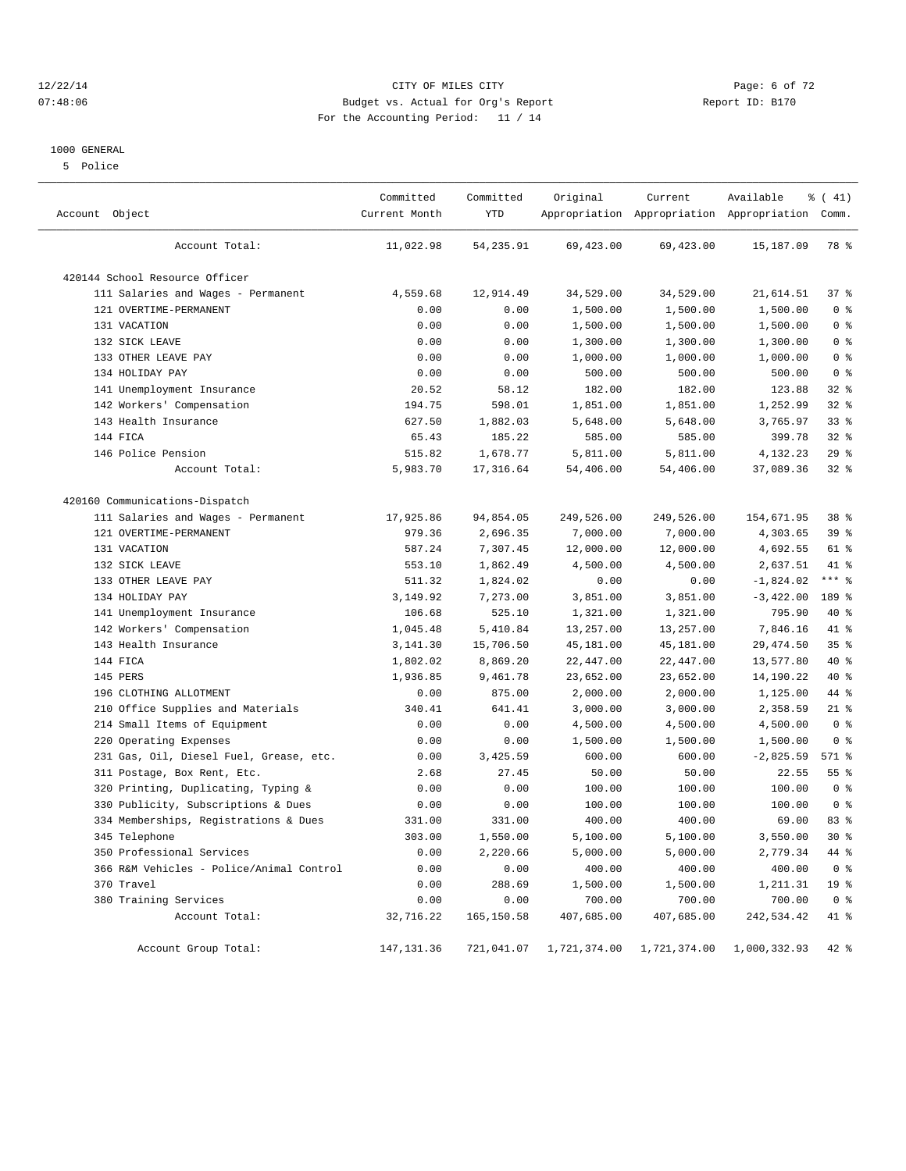#### 12/22/14 CITY OF MILES CITY Page: 6 of 72 07:48:06 Budget vs. Actual for Org's Report Report ID: B170 For the Accounting Period: 11 / 14

#### 1000 GENERAL

5 Police

| Account Object                           | Committed<br>Current Month | Committed<br>YTD | Original     | Current<br>Appropriation Appropriation Appropriation Comm. | Available    | % (41)          |
|------------------------------------------|----------------------------|------------------|--------------|------------------------------------------------------------|--------------|-----------------|
| Account Total:                           | 11,022.98                  | 54,235.91        | 69,423.00    | 69,423.00                                                  | 15,187.09    | 78 %            |
| 420144 School Resource Officer           |                            |                  |              |                                                            |              |                 |
| 111 Salaries and Wages - Permanent       | 4,559.68                   | 12,914.49        | 34,529.00    | 34,529.00                                                  | 21,614.51    | 37%             |
| 121 OVERTIME-PERMANENT                   | 0.00                       | 0.00             | 1,500.00     | 1,500.00                                                   | 1,500.00     | 0 <sup>8</sup>  |
| 131 VACATION                             | 0.00                       | 0.00             | 1,500.00     | 1,500.00                                                   | 1,500.00     | 0 <sup>8</sup>  |
| 132 SICK LEAVE                           | 0.00                       | 0.00             | 1,300.00     | 1,300.00                                                   | 1,300.00     | 0 <sup>8</sup>  |
| 133 OTHER LEAVE PAY                      | 0.00                       | 0.00             | 1,000.00     | 1,000.00                                                   | 1,000.00     | 0 <sup>8</sup>  |
| 134 HOLIDAY PAY                          | 0.00                       | 0.00             | 500.00       | 500.00                                                     | 500.00       | 0 <sup>8</sup>  |
| 141 Unemployment Insurance               | 20.52                      | 58.12            | 182.00       | 182.00                                                     | 123.88       | $32$ $%$        |
| 142 Workers' Compensation                | 194.75                     | 598.01           | 1,851.00     | 1,851.00                                                   | 1,252.99     | 32%             |
| 143 Health Insurance                     | 627.50                     | 1,882.03         | 5,648.00     | 5,648.00                                                   | 3,765.97     | 33%             |
| 144 FICA                                 | 65.43                      | 185.22           | 585.00       | 585.00                                                     | 399.78       | $32$ $%$        |
| 146 Police Pension                       | 515.82                     | 1,678.77         | 5,811.00     | 5,811.00                                                   | 4,132.23     | 29%             |
| Account Total:                           | 5,983.70                   | 17,316.64        | 54,406.00    | 54,406.00                                                  | 37,089.36    | $32$ $%$        |
| 420160 Communications-Dispatch           |                            |                  |              |                                                            |              |                 |
| 111 Salaries and Wages - Permanent       | 17,925.86                  | 94,854.05        | 249,526.00   | 249,526.00                                                 | 154,671.95   | 38 %            |
| 121 OVERTIME-PERMANENT                   | 979.36                     | 2,696.35         | 7,000.00     | 7,000.00                                                   | 4,303.65     | 39 %            |
| 131 VACATION                             | 587.24                     | 7,307.45         | 12,000.00    | 12,000.00                                                  | 4,692.55     | 61 %            |
| 132 SICK LEAVE                           | 553.10                     | 1,862.49         | 4,500.00     | 4,500.00                                                   | 2,637.51     | 41 %            |
| 133 OTHER LEAVE PAY                      | 511.32                     | 1,824.02         | 0.00         | 0.00                                                       | $-1,824.02$  | $***$ $-$       |
| 134 HOLIDAY PAY                          | 3,149.92                   | 7,273.00         | 3,851.00     | 3,851.00                                                   | $-3,422.00$  | 189 %           |
| 141 Unemployment Insurance               | 106.68                     | 525.10           | 1,321.00     | 1,321.00                                                   | 795.90       | 40 %            |
| 142 Workers' Compensation                | 1,045.48                   | 5,410.84         | 13,257.00    | 13,257.00                                                  | 7,846.16     | 41 %            |
| 143 Health Insurance                     | 3,141.30                   | 15,706.50        | 45,181.00    | 45,181.00                                                  | 29, 474.50   | 35%             |
| 144 FICA                                 | 1,802.02                   | 8,869.20         | 22,447.00    | 22,447.00                                                  | 13,577.80    | 40 %            |
| 145 PERS                                 | 1,936.85                   | 9,461.78         | 23,652.00    | 23,652.00                                                  | 14,190.22    | 40 %            |
| 196 CLOTHING ALLOTMENT                   | 0.00                       | 875.00           | 2,000.00     | 2,000.00                                                   | 1,125.00     | 44 %            |
| Office Supplies and Materials<br>210     | 340.41                     | 641.41           | 3,000.00     | 3,000.00                                                   | 2,358.59     | $21$ %          |
| 214 Small Items of Equipment             | 0.00                       | 0.00             | 4,500.00     | 4,500.00                                                   | 4,500.00     | 0 <sup>8</sup>  |
| 220 Operating Expenses                   | 0.00                       | 0.00             | 1,500.00     | 1,500.00                                                   | 1,500.00     | 0 <sup>8</sup>  |
| 231 Gas, Oil, Diesel Fuel, Grease, etc.  | 0.00                       | 3,425.59         | 600.00       | 600.00                                                     | $-2,825.59$  | 571 %           |
| 311 Postage, Box Rent, Etc.              | 2.68                       | 27.45            | 50.00        | 50.00                                                      | 22.55        | 55 <sup>8</sup> |
| Printing, Duplicating, Typing &<br>320   | 0.00                       | 0.00             | 100.00       | 100.00                                                     | 100.00       | 0 <sup>8</sup>  |
| 330 Publicity, Subscriptions & Dues      | 0.00                       | 0.00             | 100.00       | 100.00                                                     | 100.00       | 0 <sup>8</sup>  |
| 334 Memberships, Registrations & Dues    | 331.00                     | 331.00           | 400.00       | 400.00                                                     | 69.00        | 83 %            |
| 345 Telephone                            | 303.00                     | 1,550.00         | 5,100.00     | 5,100.00                                                   | 3,550.00     | $30*$           |
| 350 Professional Services                | 0.00                       | 2,220.66         | 5,000.00     | 5,000.00                                                   | 2,779.34     | 44 %            |
| 366 R&M Vehicles - Police/Animal Control | 0.00                       | 0.00             | 400.00       | 400.00                                                     | 400.00       | 0 <sup>8</sup>  |
| 370 Travel                               | 0.00                       | 288.69           | 1,500.00     | 1,500.00                                                   | 1,211.31     | 19 <sup>°</sup> |
| 380 Training Services                    | 0.00                       | 0.00             | 700.00       | 700.00                                                     | 700.00       | 0 <sup>8</sup>  |
| Account Total:                           | 32,716.22                  | 165, 150.58      | 407,685.00   | 407,685.00                                                 | 242,534.42   | 41 %            |
| Account Group Total:                     | 147,131.36                 | 721,041.07       | 1,721,374.00 | 1,721,374.00                                               | 1,000,332.93 | $42$ $%$        |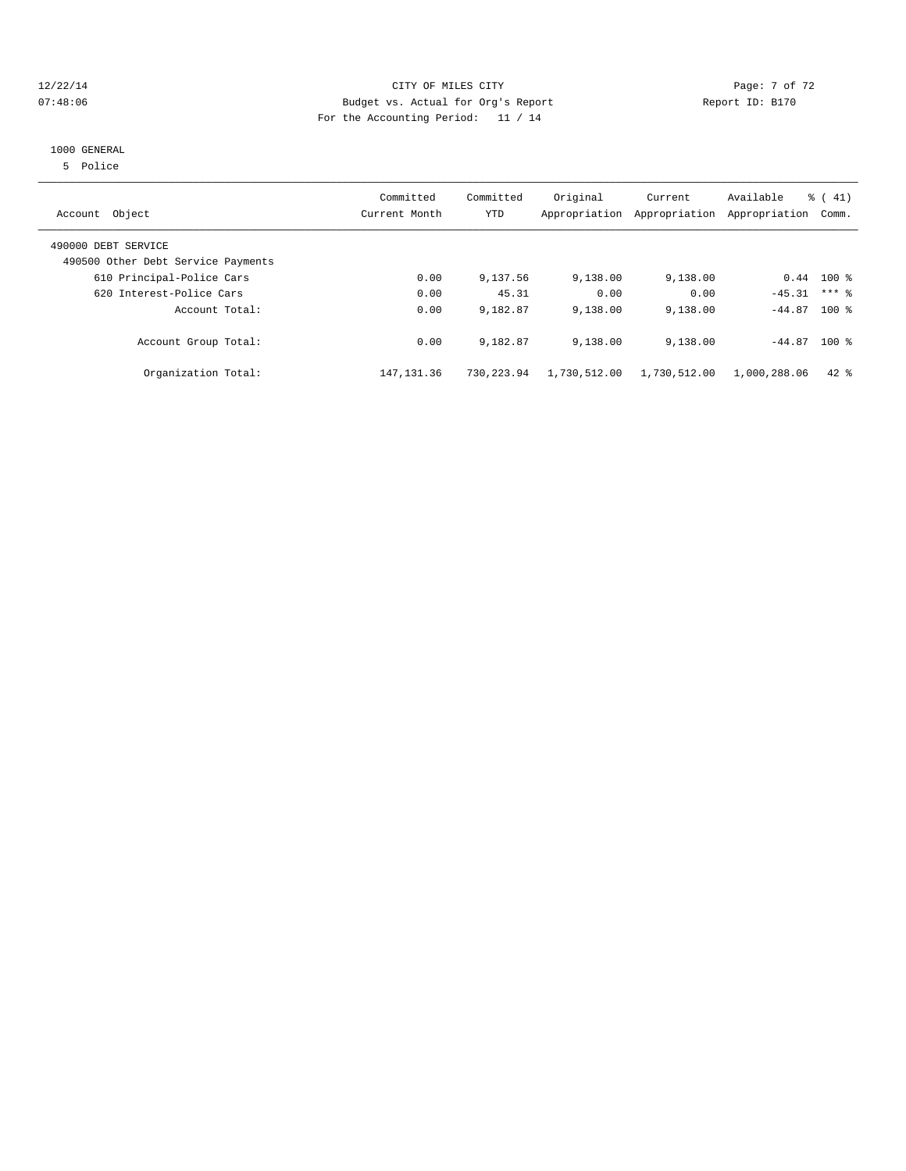#### 12/22/14 CITY OF MILES CITY Page: 7 of 72 07:48:06 Budget vs. Actual for Org's Report Report ID: B170 For the Accounting Period: 11 / 14

## 1000 GENERAL

5 Police

| Account Object                                            | Committed<br>Current Month | Committed<br>YTD | Original     | Current<br>Appropriation Appropriation | Available<br>Appropriation | $\frac{1}{6}$ ( 41)<br>Comm. |
|-----------------------------------------------------------|----------------------------|------------------|--------------|----------------------------------------|----------------------------|------------------------------|
|                                                           |                            |                  |              |                                        |                            |                              |
| 490000 DEBT SERVICE<br>490500 Other Debt Service Payments |                            |                  |              |                                        |                            |                              |
| 610 Principal-Police Cars                                 | 0.00                       | 9,137.56         | 9,138.00     | 9,138.00                               |                            | $0.44$ 100 %                 |
| 620 Interest-Police Cars                                  | 0.00                       | 45.31            | 0.00         | 0.00                                   | $-45.31$                   | $***$ 2                      |
| Account Total:                                            | 0.00                       | 9,182.87         | 9,138.00     | 9,138.00                               | $-44.87$ 100 %             |                              |
| Account Group Total:                                      | 0.00                       | 9,182.87         | 9,138.00     | 9,138.00                               | $-44.87$ 100 %             |                              |
| Organization Total:                                       | 147, 131.36                | 730,223.94       | 1,730,512.00 | 1,730,512.00                           | 1,000,288.06               | $42$ $%$                     |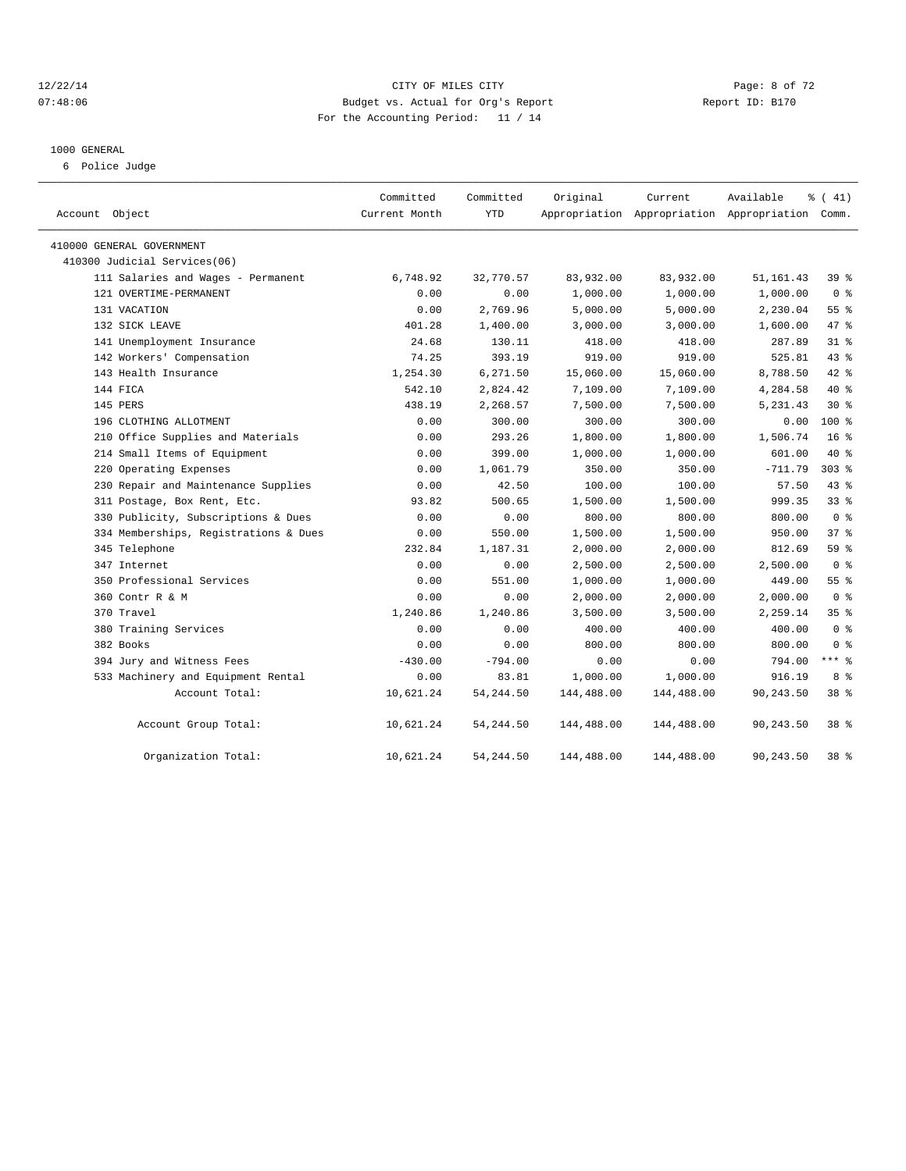#### 12/22/14 CITY OF MILES CITY Page: 8 of 72 07:48:06 Budget vs. Actual for Org's Report Report ID: B170 For the Accounting Period: 11 / 14

#### 1000 GENERAL

6 Police Judge

| Account Object                        | Committed<br>Current Month | Committed<br><b>YTD</b> | Original   | Current    | Available<br>Appropriation Appropriation Appropriation Comm. | % (41)          |
|---------------------------------------|----------------------------|-------------------------|------------|------------|--------------------------------------------------------------|-----------------|
| 410000 GENERAL GOVERNMENT             |                            |                         |            |            |                                                              |                 |
| 410300 Judicial Services(06)          |                            |                         |            |            |                                                              |                 |
| 111 Salaries and Wages - Permanent    | 6,748.92                   | 32,770.57               | 83,932.00  | 83,932.00  | 51,161.43                                                    | 39 %            |
| 121 OVERTIME-PERMANENT                | 0.00                       | 0.00                    | 1,000.00   | 1,000.00   | 1,000.00                                                     | 0 <sup>8</sup>  |
| 131 VACATION                          | 0.00                       | 2,769.96                | 5,000.00   | 5,000.00   | 2,230.04                                                     | 55%             |
| 132 SICK LEAVE                        | 401.28                     | 1,400.00                | 3,000.00   | 3,000.00   | 1,600.00                                                     | 47 %            |
| 141 Unemployment Insurance            | 24.68                      | 130.11                  | 418.00     | 418.00     | 287.89                                                       | 31.8            |
| 142 Workers' Compensation             | 74.25                      | 393.19                  | 919.00     | 919.00     | 525.81                                                       | 43.8            |
| 143 Health Insurance                  | 1,254.30                   | 6,271.50                | 15,060.00  | 15,060.00  | 8,788.50                                                     | 42 %            |
| 144 FICA                              | 542.10                     | 2,824.42                | 7,109.00   | 7,109.00   | 4,284.58                                                     | $40*$           |
| 145 PERS                              | 438.19                     | 2,268.57                | 7,500.00   | 7,500.00   | 5,231.43                                                     | $30*$           |
| 196 CLOTHING ALLOTMENT                | 0.00                       | 300.00                  | 300.00     | 300.00     | 0.00                                                         | $100*$          |
| 210 Office Supplies and Materials     | 0.00                       | 293.26                  | 1,800.00   | 1,800.00   | 1,506.74                                                     | 16 <sup>°</sup> |
| 214 Small Items of Equipment          | 0.00                       | 399.00                  | 1,000.00   | 1,000.00   | 601.00                                                       | $40*$           |
| 220 Operating Expenses                | 0.00                       | 1,061.79                | 350.00     | 350.00     | $-711.79$                                                    | $303$ $%$       |
| 230 Repair and Maintenance Supplies   | 0.00                       | 42.50                   | 100.00     | 100.00     | 57.50                                                        | 43.8            |
| 311 Postage, Box Rent, Etc.           | 93.82                      | 500.65                  | 1,500.00   | 1,500.00   | 999.35                                                       | $33$ $%$        |
| 330 Publicity, Subscriptions & Dues   | 0.00                       | 0.00                    | 800.00     | 800.00     | 800.00                                                       | 0 <sup>8</sup>  |
| 334 Memberships, Registrations & Dues | 0.00                       | 550.00                  | 1,500.00   | 1,500.00   | 950.00                                                       | 378             |
| 345 Telephone                         | 232.84                     | 1,187.31                | 2,000.00   | 2,000.00   | 812.69                                                       | 59 <sub>8</sub> |
| 347 Internet                          | 0.00                       | 0.00                    | 2,500.00   | 2,500.00   | 2,500.00                                                     | 0 <sup>8</sup>  |
| 350 Professional Services             | 0.00                       | 551.00                  | 1,000.00   | 1,000.00   | 449.00                                                       | 55 <sup>8</sup> |
| 360 Contr R & M                       | 0.00                       | 0.00                    | 2,000.00   | 2,000.00   | 2,000.00                                                     | 0 <sup>8</sup>  |
| 370 Travel                            | 1,240.86                   | 1,240.86                | 3,500.00   | 3,500.00   | 2,259.14                                                     | 35 <sup>8</sup> |
| 380 Training Services                 | 0.00                       | 0.00                    | 400.00     | 400.00     | 400.00                                                       | 0 <sup>8</sup>  |
| 382 Books                             | 0.00                       | 0.00                    | 800.00     | 800.00     | 800.00                                                       | 0 <sup>8</sup>  |
| 394 Jury and Witness Fees             | $-430.00$                  | $-794.00$               | 0.00       | 0.00       | 794.00                                                       | $***$ 8         |
| 533 Machinery and Equipment Rental    | 0.00                       | 83.81                   | 1,000.00   | 1,000.00   | 916.19                                                       | 8 %             |
| Account Total:                        | 10,621.24                  | 54, 244.50              | 144,488.00 | 144,488.00 | 90,243.50                                                    | $38*$           |
| Account Group Total:                  | 10,621.24                  | 54, 244.50              | 144,488.00 | 144,488.00 | 90,243.50                                                    | $38*$           |
| Organization Total:                   | 10,621.24                  | 54, 244.50              | 144,488.00 | 144,488.00 | 90,243.50                                                    | 38 %            |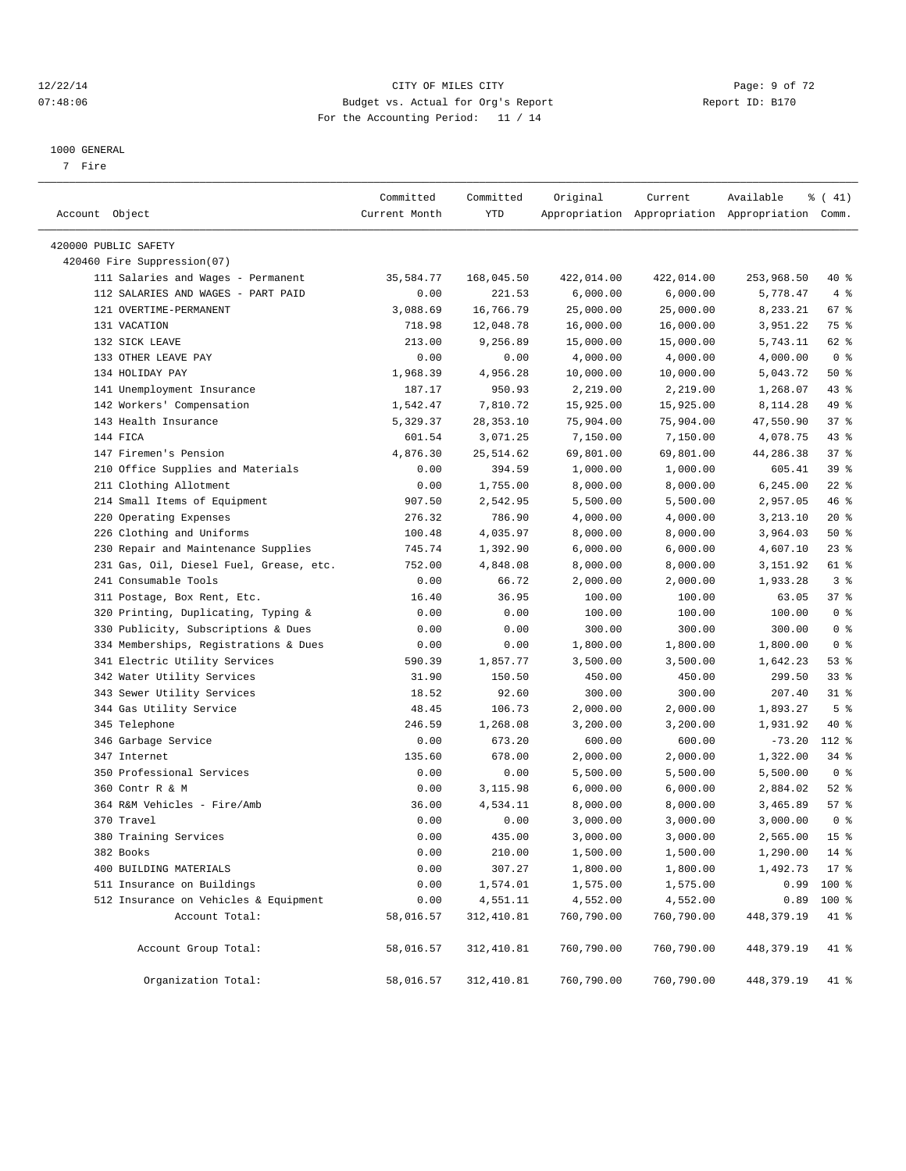#### 12/22/14 CITY OF MILES CITY Page: 9 of 72 07:48:06 Budget vs. Actual for Org's Report Report ID: B170 For the Accounting Period: 11 / 14

————————————————————————————————————————————————————————————————————————————————————————————————————————————————————————————————————

#### 1000 GENERAL

7 Fire

|                               |                                         | Committed     | Committed  | Original   | Current                                         | Available       | $\frac{1}{6}$ ( 41) |
|-------------------------------|-----------------------------------------|---------------|------------|------------|-------------------------------------------------|-----------------|---------------------|
| Account Object                |                                         | Current Month | YTD        |            | Appropriation Appropriation Appropriation Comm. |                 |                     |
| 420000 PUBLIC SAFETY          |                                         |               |            |            |                                                 |                 |                     |
| 420460 Fire Suppression(07)   |                                         |               |            |            |                                                 |                 |                     |
|                               | 111 Salaries and Wages - Permanent      | 35,584.77     | 168,045.50 | 422,014.00 | 422,014.00                                      | 253,968.50      | 40 %                |
|                               | 112 SALARIES AND WAGES - PART PAID      | 0.00          | 221.53     | 6,000.00   | 6,000.00                                        | 5,778.47        | 4%                  |
| 121 OVERTIME-PERMANENT        |                                         | 3,088.69      | 16,766.79  | 25,000.00  | 25,000.00                                       | 8,233.21        | 67%                 |
| 131 VACATION                  |                                         | 718.98        | 12,048.78  | 16,000.00  | 16,000.00                                       | 3,951.22        | 75 %                |
| 132 SICK LEAVE                |                                         | 213.00        | 9,256.89   | 15,000.00  | 15,000.00                                       | 5,743.11        | 62 %                |
| 133 OTHER LEAVE PAY           |                                         | 0.00          | 0.00       | 4,000.00   | 4,000.00                                        | 4,000.00        | 0 <sup>8</sup>      |
| 134 HOLIDAY PAY               |                                         | 1,968.39      | 4,956.28   | 10,000.00  | 10,000.00                                       | 5,043.72        | 50%                 |
| 141 Unemployment Insurance    |                                         | 187.17        | 950.93     | 2,219.00   | 2,219.00                                        | 1,268.07        | 43 %                |
| 142 Workers' Compensation     |                                         | 1,542.47      | 7,810.72   | 15,925.00  | 15,925.00                                       | 8,114.28        | 49 %                |
| 143 Health Insurance          |                                         | 5,329.37      | 28,353.10  | 75,904.00  | 75,904.00                                       | 47,550.90       | 37%                 |
| 144 FICA                      |                                         | 601.54        | 3,071.25   | 7,150.00   | 7,150.00                                        | 4,078.75        | $43$ %              |
| 147 Firemen's Pension         |                                         | 4,876.30      | 25, 514.62 | 69,801.00  | 69,801.00                                       | 44,286.38       | 37%                 |
|                               | 210 Office Supplies and Materials       | 0.00          | 394.59     | 1,000.00   | 1,000.00                                        | 605.41          | 39 %                |
| 211 Clothing Allotment        |                                         | 0.00          | 1,755.00   | 8,000.00   | 8,000.00                                        | 6,245.00        | $22$ %              |
| 214 Small Items of Equipment  |                                         | 907.50        | 2,542.95   | 5,500.00   | 5,500.00                                        | 2,957.05        | 46 %                |
| 220 Operating Expenses        |                                         | 276.32        | 786.90     | 4,000.00   | 4,000.00                                        | 3,213.10        | $20*$               |
| 226 Clothing and Uniforms     |                                         | 100.48        | 4,035.97   | 8,000.00   | 8,000.00                                        | 3,964.03        | 50%                 |
|                               | 230 Repair and Maintenance Supplies     | 745.74        | 1,392.90   | 6,000.00   | 6,000.00                                        | 4,607.10        | $23$ %              |
|                               | 231 Gas, Oil, Diesel Fuel, Grease, etc. | 752.00        | 4,848.08   | 8,000.00   | 8,000.00                                        | 3,151.92        | 61 %                |
| 241 Consumable Tools          |                                         | 0.00          | 66.72      | 2,000.00   | 2,000.00                                        | 1,933.28        | 3%                  |
| 311 Postage, Box Rent, Etc.   |                                         | 16.40         | 36.95      | 100.00     | 100.00                                          | 63.05           | 37%                 |
|                               | 320 Printing, Duplicating, Typing &     | 0.00          | 0.00       | 100.00     | 100.00                                          | 100.00          | 0 <sup>8</sup>      |
|                               | 330 Publicity, Subscriptions & Dues     | 0.00          | 0.00       | 300.00     | 300.00                                          | 300.00          | 0 <sup>8</sup>      |
|                               | 334 Memberships, Registrations & Dues   | 0.00          | 0.00       | 1,800.00   | 1,800.00                                        | 1,800.00        | 0 <sup>8</sup>      |
| 341 Electric Utility Services |                                         | 590.39        | 1,857.77   | 3,500.00   | 3,500.00                                        | 1,642.23        | 53%                 |
| 342 Water Utility Services    |                                         | 31.90         | 150.50     | 450.00     | 450.00                                          | 299.50          | 338                 |
| 343 Sewer Utility Services    |                                         | 18.52         | 92.60      | 300.00     | 300.00                                          | 207.40          | $31$ %              |
| 344 Gas Utility Service       |                                         | 48.45         | 106.73     | 2,000.00   | 2,000.00                                        | 1,893.27        | 5 <sup>°</sup>      |
| 345 Telephone                 |                                         | 246.59        | 1,268.08   | 3,200.00   | 3,200.00                                        | 1,931.92        | 40 %                |
| 346 Garbage Service           |                                         | 0.00          | 673.20     | 600.00     | 600.00                                          | $-73.20$        | $112*$              |
| 347 Internet                  |                                         | 135.60        | 678.00     | 2,000.00   | 2,000.00                                        | 1,322.00        | 34 %                |
| 350 Professional Services     |                                         | 0.00          | 0.00       | 5,500.00   | 5,500.00                                        | 5,500.00        | 0 <sup>8</sup>      |
| 360 Contr R & M               |                                         | 0.00          | 3,115.98   | 6,000.00   | 6,000.00                                        | 2,884.02        | $52$ $%$            |
| 364 R&M Vehicles - Fire/Amb   |                                         | 36.00         | 4,534.11   | 8,000.00   | 8,000.00                                        | 3,465.89        | 57%                 |
| 370 Travel                    |                                         | 0.00          | 0.00       | 3,000.00   | 3,000.00                                        | 3,000.00        | 0 <sup>8</sup>      |
| 380 Training Services         |                                         | 0.00          | 435.00     | 3,000.00   | 3,000.00                                        | 2,565.00        | 15 <sup>8</sup>     |
| 382 Books                     |                                         | 0.00          | 210.00     | 1,500.00   | $1\,, 500\,.$ 00                                | 1,290.00        | $14*$               |
| 400 BUILDING MATERIALS        |                                         | 0.00          | 307.27     | 1,800.00   | 1,800.00                                        | $1,492.73$ 17 % |                     |
| 511 Insurance on Buildings    |                                         | 0.00          | 1,574.01   | 1,575.00   | 1,575.00                                        | 0.99            | 100 %               |
|                               | 512 Insurance on Vehicles & Equipment   | 0.00          | 4,551.11   | 4,552.00   | 4,552.00                                        | 0.89            | 100 %               |
|                               | Account Total:                          | 58,016.57     | 312,410.81 | 760,790.00 | 760,790.00                                      | 448, 379. 19    | 41 %                |
|                               | Account Group Total:                    | 58,016.57     | 312,410.81 | 760,790.00 | 760,790.00                                      | 448,379.19      | 41 %                |
|                               | Organization Total:                     | 58,016.57     | 312,410.81 | 760,790.00 | 760,790.00                                      | 448,379.19      | 41 %                |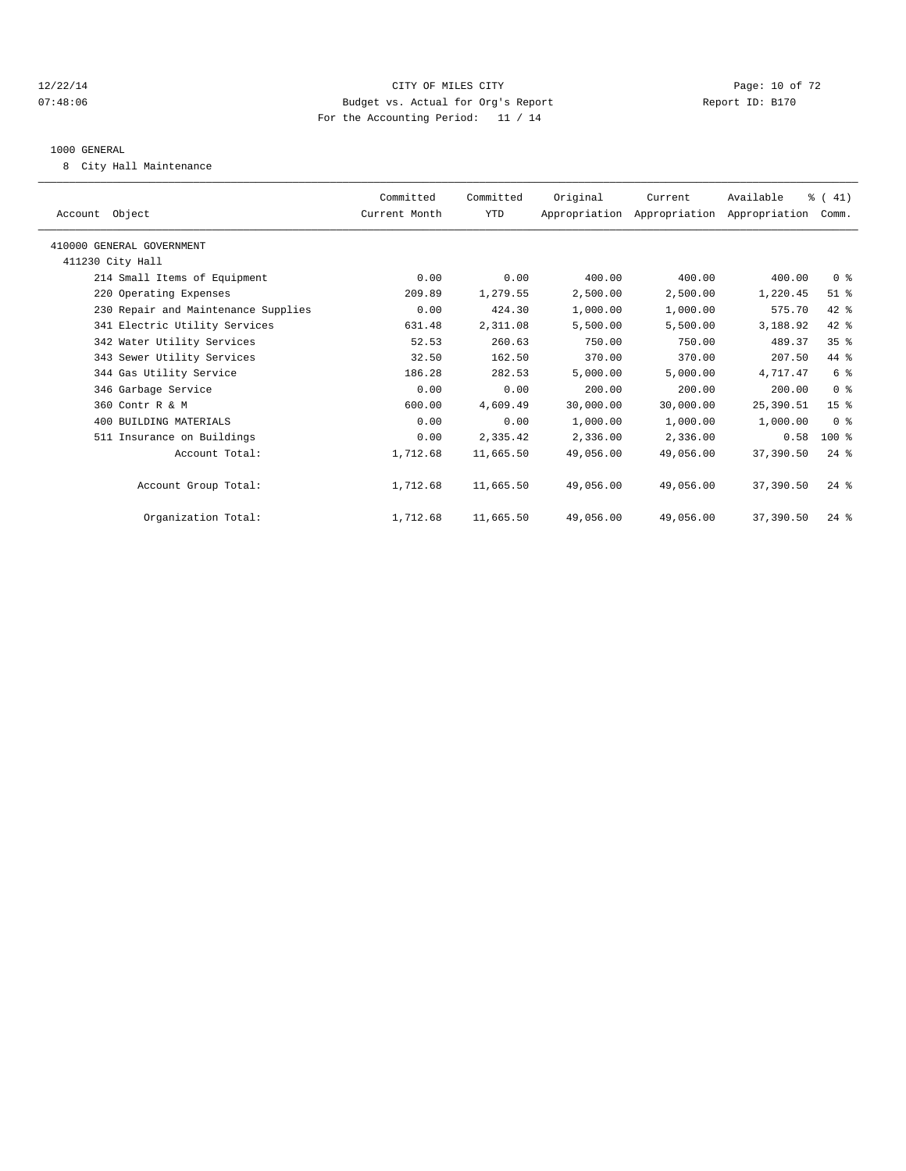#### 12/22/14 Page: 10 of 72 07:48:06 Budget vs. Actual for Org's Report Report ID: B170 For the Accounting Period: 11 / 14

#### 1000 GENERAL

8 City Hall Maintenance

| Account Object                      |                | Committed<br>Current Month | Committed<br>YTD | Original  | Current<br>Appropriation Appropriation Appropriation | Available | $\frac{1}{6}$ ( 41)<br>Comm. |  |
|-------------------------------------|----------------|----------------------------|------------------|-----------|------------------------------------------------------|-----------|------------------------------|--|
| 410000 GENERAL GOVERNMENT           |                |                            |                  |           |                                                      |           |                              |  |
| 411230 City Hall                    |                |                            |                  |           |                                                      |           |                              |  |
| 214 Small Items of Equipment        |                | 0.00                       | 0.00             | 400.00    | 400.00                                               | 400.00    | 0 <sup>8</sup>               |  |
| 220 Operating Expenses              |                | 209.89                     | 1,279.55         | 2,500.00  | 2,500.00                                             | 1,220.45  | $51$ %                       |  |
| 230 Repair and Maintenance Supplies |                | 0.00                       | 424.30           | 1,000.00  | 1,000.00                                             | 575.70    | 42 %                         |  |
| 341 Electric Utility Services       |                | 631.48                     | 2,311.08         | 5,500.00  | 5,500.00                                             | 3,188.92  | 42 %                         |  |
| 342 Water Utility Services          |                | 52.53                      | 260.63           | 750.00    | 750.00                                               | 489.37    | $35$ $%$                     |  |
| 343 Sewer Utility Services          |                | 32.50                      | 162.50           | 370.00    | 370.00                                               | 207.50    | 44 %                         |  |
| 344 Gas Utility Service             |                | 186.28                     | 282.53           | 5,000.00  | 5,000.00                                             | 4,717.47  | 6 %                          |  |
| 346 Garbage Service                 |                | 0.00                       | 0.00             | 200.00    | 200.00                                               | 200.00    | 0 <sup>8</sup>               |  |
| 360 Contr R & M                     |                | 600.00                     | 4,609.49         | 30,000.00 | 30,000.00                                            | 25,390.51 | 15 <sup>8</sup>              |  |
| 400 BUILDING MATERIALS              |                | 0.00                       | 0.00             | 1,000.00  | 1,000.00                                             | 1,000.00  | 0 <sup>8</sup>               |  |
| 511 Insurance on Buildings          |                | 0.00                       | 2,335.42         | 2,336.00  | 2,336.00                                             | 0.58      | $100$ %                      |  |
|                                     | Account Total: | 1,712.68                   | 11,665.50        | 49,056.00 | 49,056.00                                            | 37,390.50 | $24$ %                       |  |
| Account Group Total:                |                | 1,712.68                   | 11,665.50        | 49,056.00 | 49,056.00                                            | 37,390.50 | $24$ $%$                     |  |
| Organization Total:                 |                | 1,712.68                   | 11,665.50        | 49,056.00 | 49,056.00                                            | 37,390.50 | $24$ %                       |  |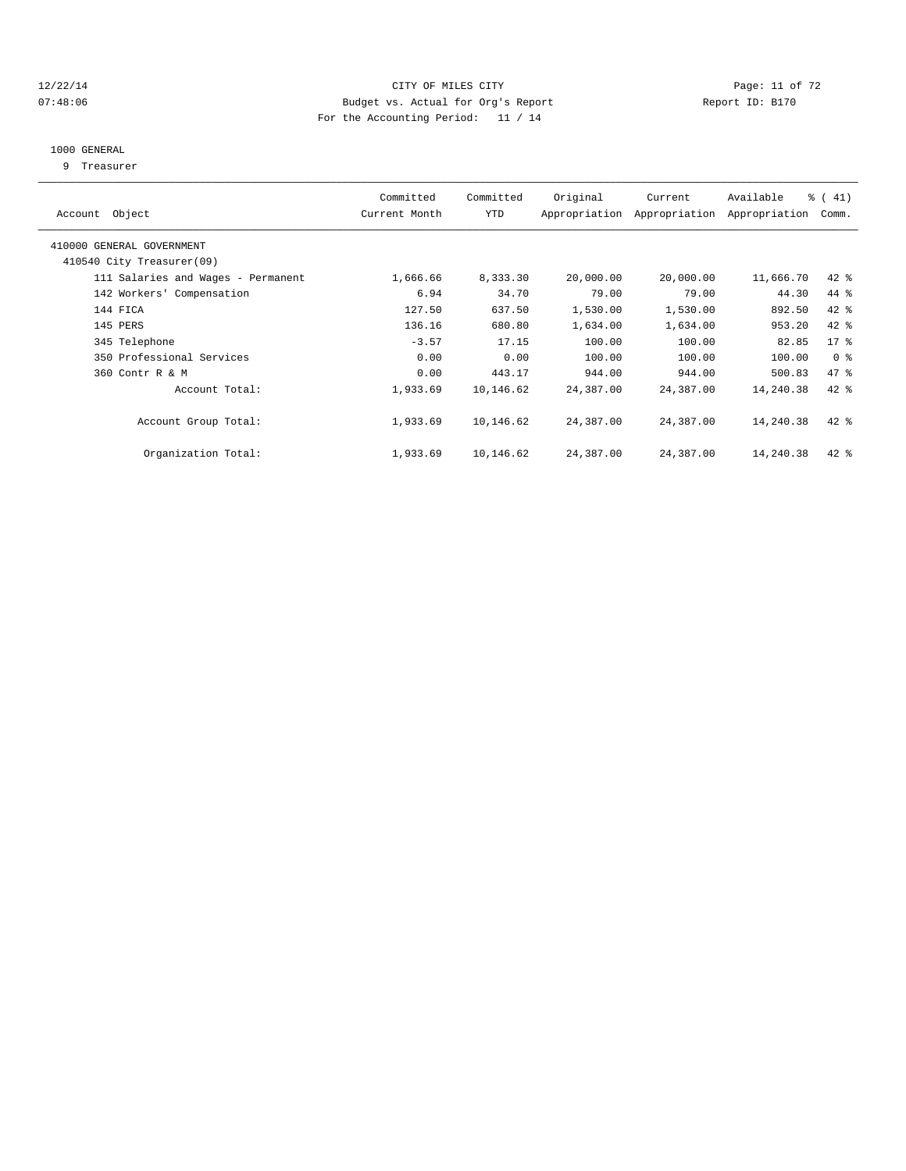#### 12/22/14 Page: 11 of 72 07:48:06 Budget vs. Actual for Org's Report Report ID: B170 For the Accounting Period: 11 / 14

#### 1000 GENERAL

9 Treasurer

| Account Object                     | Committed<br>Current Month | Committed<br>YTD | Original  | Current<br>Appropriation Appropriation | Available<br>Appropriation | $\frac{1}{6}$ ( 41)<br>Comm. |
|------------------------------------|----------------------------|------------------|-----------|----------------------------------------|----------------------------|------------------------------|
| 410000 GENERAL GOVERNMENT          |                            |                  |           |                                        |                            |                              |
| 410540 City Treasurer(09)          |                            |                  |           |                                        |                            |                              |
| 111 Salaries and Wages - Permanent | 1,666.66                   | 8,333.30         | 20,000.00 | 20,000.00                              | 11,666.70                  | 42 %                         |
| 142 Workers' Compensation          | 6.94                       | 34.70            | 79.00     | 79.00                                  | 44.30                      | 44 %                         |
| 144 FICA                           | 127.50                     | 637.50           | 1,530.00  | 1,530.00                               | 892.50                     | 42 %                         |
| 145 PERS                           | 136.16                     | 680.80           | 1,634.00  | 1,634.00                               | 953.20                     | 42 %                         |
| 345 Telephone                      | $-3.57$                    | 17.15            | 100.00    | 100.00                                 | 82.85                      | $17*$                        |
| 350 Professional Services          | 0.00                       | 0.00             | 100.00    | 100.00                                 | 100.00                     | 0 <sup>8</sup>               |
| 360 Contr R & M                    | 0.00                       | 443.17           | 944.00    | 944.00                                 | 500.83                     | 47 %                         |
| Account Total:                     | 1,933.69                   | 10,146.62        | 24,387.00 | 24,387.00                              | 14,240.38                  | 42 %                         |
| Account Group Total:               | 1,933.69                   | 10,146.62        | 24,387.00 | 24,387.00                              | 14,240.38                  | $42$ %                       |
| Organization Total:                | 1,933.69                   | 10,146.62        | 24,387.00 | 24,387.00                              | 14,240.38                  | 42 %                         |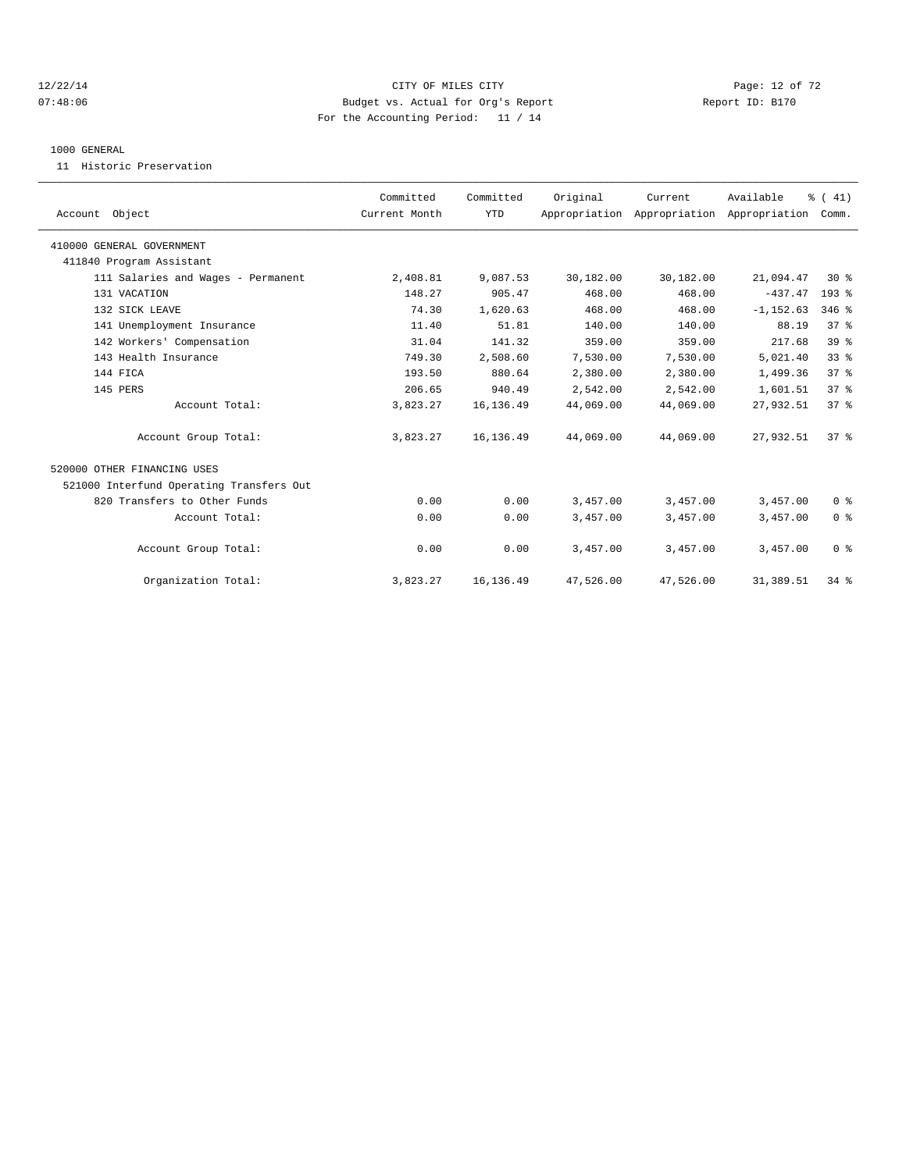#### 12/22/14 Page: 12 of 72 07:48:06 Budget vs. Actual for Org's Report Report ID: B170 For the Accounting Period: 11 / 14

#### 1000 GENERAL

11 Historic Preservation

|                                          | Committed     | Committed  | Original  | Current                                   | Available    | % (41)          |
|------------------------------------------|---------------|------------|-----------|-------------------------------------------|--------------|-----------------|
| Account Object                           | Current Month | <b>YTD</b> |           | Appropriation Appropriation Appropriation |              | Comm.           |
| 410000 GENERAL GOVERNMENT                |               |            |           |                                           |              |                 |
| 411840 Program Assistant                 |               |            |           |                                           |              |                 |
| 111 Salaries and Wages - Permanent       | 2,408.81      | 9,087.53   | 30,182.00 | 30,182.00                                 | 21,094.47    | $30*$           |
| 131 VACATION                             | 148.27        | 905.47     | 468.00    | 468.00                                    | $-437.47$    | 193 %           |
| 132 SICK LEAVE                           | 74.30         | 1,620.63   | 468.00    | 468.00                                    | $-1, 152.63$ | $346$ $%$       |
| 141 Unemployment Insurance               | 11.40         | 51.81      | 140.00    | 140.00                                    | 88.19        | 37 <sup>8</sup> |
| 142 Workers' Compensation                | 31.04         | 141.32     | 359.00    | 359.00                                    | 217.68       | 39 <sup>8</sup> |
| 143 Health Insurance                     | 749.30        | 2,508.60   | 7,530.00  | 7,530.00                                  | 5,021.40     | 33%             |
| 144 FICA                                 | 193.50        | 880.64     | 2,380.00  | 2,380.00                                  | 1,499.36     | 37 <sup>8</sup> |
| 145 PERS                                 | 206.65        | 940.49     | 2,542.00  | 2,542.00                                  | 1,601.51     | 37%             |
| Account Total:                           | 3,823.27      | 16,136.49  | 44,069.00 | 44,069.00                                 | 27,932.51    | 37 <sup>8</sup> |
| Account Group Total:                     | 3,823.27      | 16, 136.49 | 44,069.00 | 44,069.00                                 | 27,932.51    | 37 <sup>8</sup> |
| 520000 OTHER FINANCING USES              |               |            |           |                                           |              |                 |
| 521000 Interfund Operating Transfers Out |               |            |           |                                           |              |                 |
| 820 Transfers to Other Funds             | 0.00          | 0.00       | 3,457.00  | 3,457.00                                  | 3,457.00     | 0 <sup>8</sup>  |
| Account Total:                           | 0.00          | 0.00       | 3,457.00  | 3,457.00                                  | 3,457.00     | 0 <sup>8</sup>  |
| Account Group Total:                     | 0.00          | 0.00       | 3,457.00  | 3,457.00                                  | 3,457.00     | 0 <sup>8</sup>  |
| Organization Total:                      | 3,823.27      | 16, 136.49 | 47,526.00 | 47,526.00                                 | 31,389.51    | 34%             |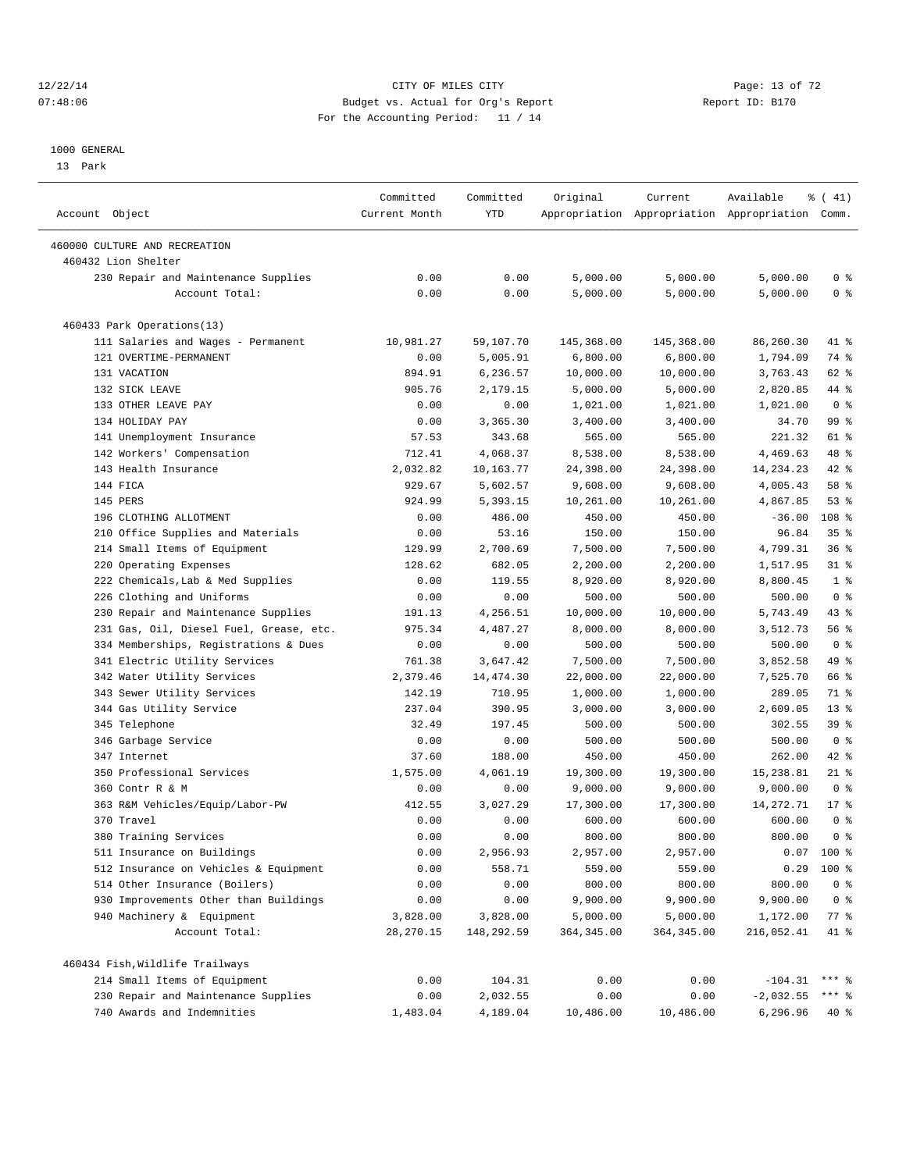#### 12/22/14 Page: 13 of 72 07:48:06 Budget vs. Actual for Org's Report Report ID: B170 For the Accounting Period: 11 / 14

————————————————————————————————————————————————————————————————————————————————————————————————————————————————————————————————————

#### 1000 GENERAL

13 Park

|                                                      | Committed     | Committed  | Original    | Current     | Available                                       | % (41)          |  |
|------------------------------------------------------|---------------|------------|-------------|-------------|-------------------------------------------------|-----------------|--|
| Account Object                                       | Current Month | YTD        |             |             | Appropriation Appropriation Appropriation Comm. |                 |  |
|                                                      |               |            |             |             |                                                 |                 |  |
| 460000 CULTURE AND RECREATION<br>460432 Lion Shelter |               |            |             |             |                                                 |                 |  |
| 230 Repair and Maintenance Supplies                  | 0.00          | 0.00       | 5,000.00    | 5,000.00    | 5,000.00                                        | 0 <sup>8</sup>  |  |
| Account Total:                                       | 0.00          | 0.00       | 5,000.00    | 5,000.00    | 5,000.00                                        | 0 <sup>8</sup>  |  |
|                                                      |               |            |             |             |                                                 |                 |  |
| 460433 Park Operations(13)                           |               |            |             |             |                                                 |                 |  |
| 111 Salaries and Wages - Permanent                   | 10,981.27     | 59,107.70  | 145,368.00  | 145,368.00  | 86,260.30                                       | 41 %            |  |
| 121 OVERTIME-PERMANENT                               | 0.00          | 5,005.91   | 6,800.00    | 6,800.00    | 1,794.09                                        | 74 %            |  |
| 131 VACATION                                         | 894.91        | 6,236.57   | 10,000.00   | 10,000.00   | 3,763.43                                        | 62 %            |  |
| 132 SICK LEAVE                                       | 905.76        | 2,179.15   | 5,000.00    | 5,000.00    | 2,820.85                                        | 44 %            |  |
| 133 OTHER LEAVE PAY                                  | 0.00          | 0.00       | 1,021.00    | 1,021.00    | 1,021.00                                        | 0 <sup>8</sup>  |  |
| 134 HOLIDAY PAY                                      | 0.00          | 3,365.30   | 3,400.00    | 3,400.00    | 34.70                                           | 99 %            |  |
| 141 Unemployment Insurance                           | 57.53         | 343.68     | 565.00      | 565.00      | 221.32                                          | 61 %            |  |
| 142 Workers' Compensation                            | 712.41        | 4,068.37   | 8,538.00    | 8,538.00    | 4,469.63                                        | 48 %            |  |
| 143 Health Insurance                                 | 2,032.82      | 10,163.77  | 24,398.00   | 24,398.00   | 14, 234. 23                                     | 42 %            |  |
| 144 FICA                                             | 929.67        | 5,602.57   | 9,608.00    | 9,608.00    | 4,005.43                                        | 58 %            |  |
| 145 PERS                                             | 924.99        | 5,393.15   | 10,261.00   | 10,261.00   | 4,867.85                                        | $53$ $%$        |  |
| 196 CLOTHING ALLOTMENT                               | 0.00          | 486.00     | 450.00      | 450.00      | $-36.00$                                        | 108 %           |  |
| 210 Office Supplies and Materials                    | 0.00          | 53.16      | 150.00      | 150.00      | 96.84                                           | 35 <sup>8</sup> |  |
| 214 Small Items of Equipment                         | 129.99        | 2,700.69   | 7,500.00    | 7,500.00    | 4,799.31                                        | 36%             |  |
| Operating Expenses<br>220                            | 128.62        | 682.05     | 2,200.00    | 2,200.00    | 1,517.95                                        | $31$ $%$        |  |
| 222 Chemicals, Lab & Med Supplies                    | 0.00          | 119.55     | 8,920.00    | 8,920.00    | 8,800.45                                        | 1 <sup>8</sup>  |  |
| 226 Clothing and Uniforms                            | 0.00          | 0.00       | 500.00      | 500.00      | 500.00                                          | 0 <sup>8</sup>  |  |
| 230 Repair and Maintenance Supplies                  | 191.13        | 4,256.51   | 10,000.00   | 10,000.00   | 5,743.49                                        | $43$ $%$        |  |
| 231 Gas, Oil, Diesel Fuel, Grease, etc.              | 975.34        | 4,487.27   | 8,000.00    | 8,000.00    | 3,512.73                                        | 56 %            |  |
| 334 Memberships, Registrations & Dues                | 0.00          | 0.00       | 500.00      | 500.00      | 500.00                                          | 0 <sup>8</sup>  |  |
| 341 Electric Utility Services                        | 761.38        | 3,647.42   | 7,500.00    | 7,500.00    | 3,852.58                                        | 49 %            |  |
| 342 Water Utility Services                           | 2,379.46      | 14, 474.30 | 22,000.00   | 22,000.00   | 7,525.70                                        | 66 %            |  |
| 343 Sewer Utility Services                           | 142.19        | 710.95     | 1,000.00    | 1,000.00    | 289.05                                          | 71 %            |  |
| 344 Gas Utility Service                              | 237.04        | 390.95     | 3,000.00    | 3,000.00    | 2,609.05                                        | $13*$           |  |
| 345 Telephone                                        | 32.49         | 197.45     | 500.00      | 500.00      | 302.55                                          | 39 %            |  |
| 346 Garbage Service                                  | 0.00          | 0.00       | 500.00      | 500.00      | 500.00                                          | 0 <sup>8</sup>  |  |
| 347 Internet                                         | 37.60         | 188.00     | 450.00      | 450.00      | 262.00                                          | 42 %            |  |
| 350 Professional Services                            | 1,575.00      | 4,061.19   | 19,300.00   | 19,300.00   | 15,238.81                                       | $21$ %          |  |
| 360 Contr R & M                                      | 0.00          | 0.00       | 9,000.00    | 9,000.00    | 9,000.00                                        | 0 <sup>8</sup>  |  |
| 363 R&M Vehicles/Equip/Labor-PW                      | 412.55        | 3,027.29   | 17,300.00   | 17,300.00   | 14,272.71                                       | $17*$           |  |
| 370 Travel                                           | 0.00          | 0.00       | 600.00      | 600.00      | 600.00                                          | 0 <sup>8</sup>  |  |
| 380 Training Services                                | 0.00          | 0.00       | 800.00      | 800.00      | 800.00                                          | 0 <sup>8</sup>  |  |
| 511 Insurance on Buildings                           | 0.00          | 2,956.93   | 2,957.00    | 2,957.00    | 0.07                                            | $100*$          |  |
| 512 Insurance on Vehicles & Equipment                | 0.00          | 558.71     | 559.00      | 559.00      | 0.29                                            | 100 %           |  |
| 514 Other Insurance (Boilers)                        | 0.00          | 0.00       | 800.00      | 800.00      | 800.00                                          | 0 <sup>8</sup>  |  |
| 930 Improvements Other than Buildings                | 0.00          | 0.00       | 9,900.00    | 9,900.00    | 9,900.00                                        | 0 <sup>8</sup>  |  |
| 940 Machinery & Equipment                            | 3,828.00      | 3,828.00   | 5,000.00    | 5,000.00    | 1,172.00                                        | $77$ $%$        |  |
| Account Total:                                       | 28, 270.15    | 148,292.59 | 364, 345.00 | 364, 345.00 | 216,052.41                                      | 41 %            |  |
| 460434 Fish, Wildlife Trailways                      |               |            |             |             |                                                 |                 |  |
| 214 Small Items of Equipment                         | 0.00          | 104.31     | 0.00        | 0.00        | $-104.31$                                       | $***$ $-$       |  |
| 230 Repair and Maintenance Supplies                  | 0.00          | 2,032.55   | 0.00        | 0.00        | $-2,032.55$                                     | *** 응           |  |
| 740 Awards and Indemnities                           | 1,483.04      | 4,189.04   | 10,486.00   | 10,486.00   | 6,296.96                                        | 40%             |  |
|                                                      |               |            |             |             |                                                 |                 |  |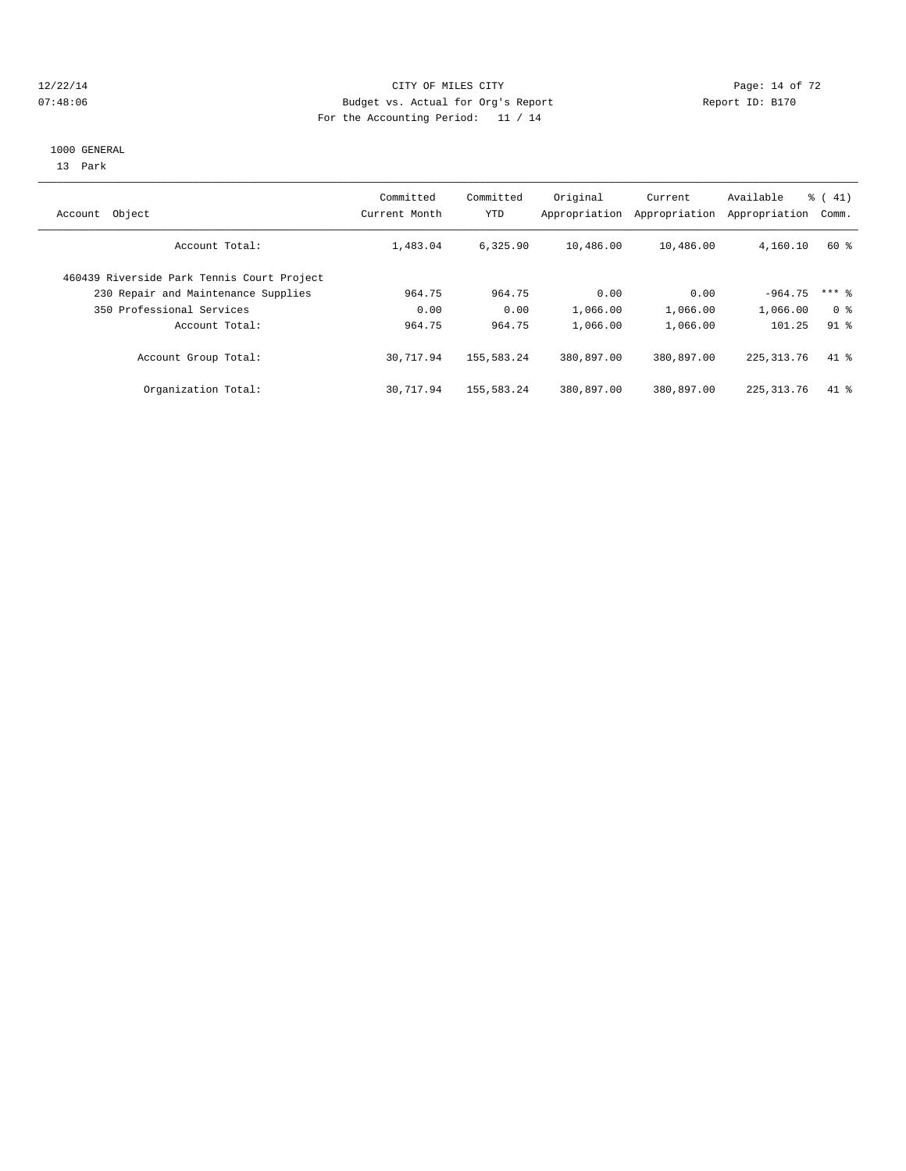#### 12/22/14 Page: 14 of 72 07:48:06 Budget vs. Actual for Org's Report Report ID: B170 For the Accounting Period: 11 / 14

#### 1000 GENERAL

13 Park

| Object<br>Account                          | Committed<br>Current Month | Committed<br>YTD | Original<br>Appropriation | Current<br>Appropriation | Available<br>Appropriation | $\frac{1}{6}$ ( 41)<br>Comm. |
|--------------------------------------------|----------------------------|------------------|---------------------------|--------------------------|----------------------------|------------------------------|
| Account Total:                             | 1,483.04                   | 6,325.90         | 10,486.00                 | 10,486.00                | 4,160.10                   | 60 %                         |
| 460439 Riverside Park Tennis Court Project |                            |                  |                           |                          |                            |                              |
| 230 Repair and Maintenance Supplies        | 964.75                     | 964.75           | 0.00                      | 0.00                     | $-964.75$                  | $***$ $%$                    |
| 350 Professional Services                  | 0.00                       | 0.00             | 1,066.00                  | 1,066.00                 | 1,066.00                   | 0 <sup>8</sup>               |
| Account Total:                             | 964.75                     | 964.75           | 1,066.00                  | 1,066.00                 | 101.25                     | 91 <sup>°</sup>              |
| Account Group Total:                       | 30,717.94                  | 155,583.24       | 380,897.00                | 380,897.00               | 225, 313, 76               | $41$ %                       |
| Organization Total:                        | 30,717.94                  | 155,583.24       | 380,897.00                | 380,897.00               | 225, 313, 76               | $41*$                        |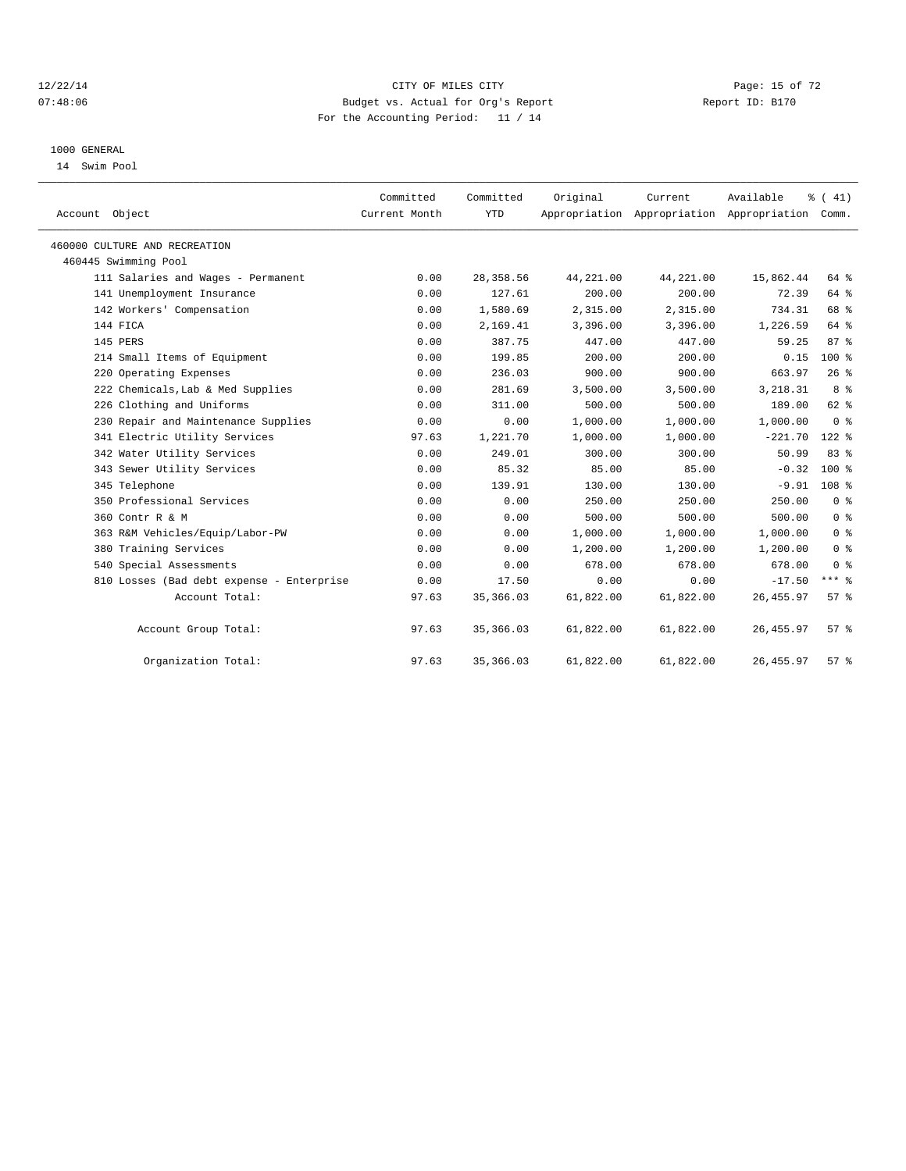#### 12/22/14 Page: 15 of 72 07:48:06 Budget vs. Actual for Org's Report Report ID: B170 For the Accounting Period: 11 / 14

#### 1000 GENERAL

14 Swim Pool

| Account Object                            | Committed<br>Current Month | Committed<br><b>YTD</b> | Original  | Current   | Available<br>Appropriation Appropriation Appropriation | $\frac{1}{6}$ ( 41)<br>Comm. |  |
|-------------------------------------------|----------------------------|-------------------------|-----------|-----------|--------------------------------------------------------|------------------------------|--|
| 460000 CULTURE AND RECREATION             |                            |                         |           |           |                                                        |                              |  |
| 460445 Swimming Pool                      |                            |                         |           |           |                                                        |                              |  |
| 111 Salaries and Wages - Permanent        | 0.00                       | 28, 358.56              | 44,221.00 | 44,221.00 | 15,862.44                                              | 64 %                         |  |
| 141 Unemployment Insurance                | 0.00                       | 127.61                  | 200.00    | 200.00    | 72.39                                                  | 64 %                         |  |
| 142 Workers' Compensation                 | 0.00                       | 1,580.69                | 2,315.00  | 2,315.00  | 734.31                                                 | 68 %                         |  |
| 144 FICA                                  | 0.00                       | 2,169.41                | 3,396.00  | 3,396.00  | 1,226.59                                               | 64 %                         |  |
| 145 PERS                                  | 0.00                       | 387.75                  | 447.00    | 447.00    | 59.25                                                  | 87%                          |  |
| 214 Small Items of Equipment              | 0.00                       | 199.85                  | 200.00    | 200.00    | 0.15                                                   | $100*$                       |  |
| 220 Operating Expenses                    | 0.00                       | 236.03                  | 900.00    | 900.00    | 663.97                                                 | 26%                          |  |
| 222 Chemicals, Lab & Med Supplies         | 0.00                       | 281.69                  | 3,500.00  | 3,500.00  | 3,218.31                                               | 8 <sup>8</sup>               |  |
| 226 Clothing and Uniforms                 | 0.00                       | 311.00                  | 500.00    | 500.00    | 189.00                                                 | 62 %                         |  |
| 230 Repair and Maintenance Supplies       | 0.00                       | 0.00                    | 1,000.00  | 1,000.00  | 1,000.00                                               | 0 <sup>8</sup>               |  |
| 341 Electric Utility Services             | 97.63                      | 1,221.70                | 1,000.00  | 1,000.00  | $-221.70$                                              | $122$ $%$                    |  |
| 342 Water Utility Services                | 0.00                       | 249.01                  | 300.00    | 300.00    | 50.99                                                  | 83 %                         |  |
| 343 Sewer Utility Services                | 0.00                       | 85.32                   | 85.00     | 85.00     | $-0.32$                                                | $100*$                       |  |
| 345 Telephone                             | 0.00                       | 139.91                  | 130.00    | 130.00    | $-9.91$                                                | 108 <sup>8</sup>             |  |
| 350 Professional Services                 | 0.00                       | 0.00                    | 250.00    | 250.00    | 250.00                                                 | 0 <sup>8</sup>               |  |
| 360 Contr R & M                           | 0.00                       | 0.00                    | 500.00    | 500.00    | 500.00                                                 | 0 <sup>8</sup>               |  |
| 363 R&M Vehicles/Equip/Labor-PW           | 0.00                       | 0.00                    | 1,000.00  | 1,000.00  | 1,000.00                                               | 0 <sup>8</sup>               |  |
| 380 Training Services                     | 0.00                       | 0.00                    | 1,200.00  | 1,200.00  | 1,200.00                                               | 0 <sup>8</sup>               |  |
| 540 Special Assessments                   | 0.00                       | 0.00                    | 678.00    | 678.00    | 678.00                                                 | 0 <sup>8</sup>               |  |
| 810 Losses (Bad debt expense - Enterprise | 0.00                       | 17.50                   | 0.00      | 0.00      | $-17.50$                                               | $***$ $-$                    |  |
| Account Total:                            | 97.63                      | 35, 366.03              | 61,822.00 | 61,822.00 | 26, 455.97                                             | 57 <sup>8</sup>              |  |
| Account Group Total:                      | 97.63                      | 35,366.03               | 61,822.00 | 61,822.00 | 26, 455.97                                             | 57%                          |  |
| Organization Total:                       | 97.63                      | 35, 366.03              | 61,822.00 | 61,822.00 | 26, 455.97                                             | 57 <sup>8</sup>              |  |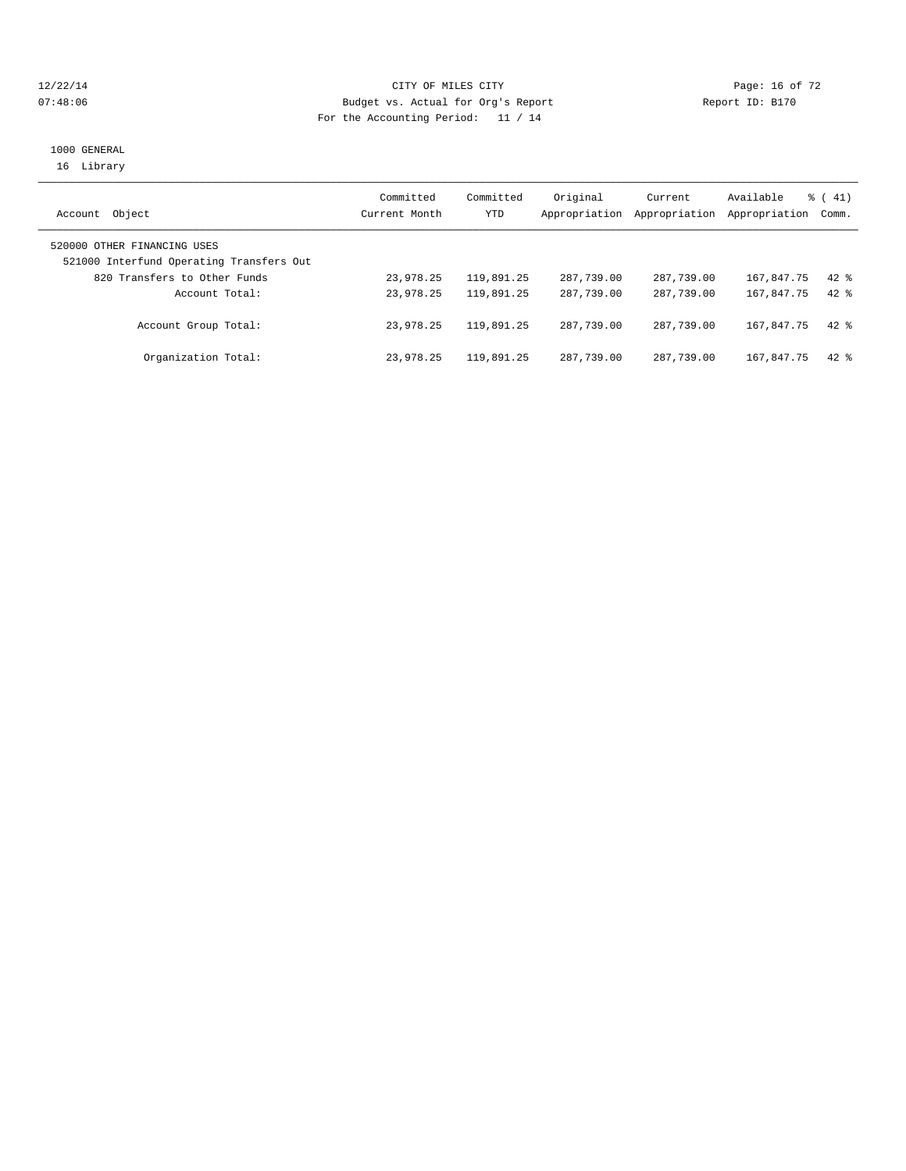#### 12/22/14 Page: 16 of 72 07:48:06 Budget vs. Actual for Org's Report Report ID: B170 For the Accounting Period: 11 / 14

#### 1000 GENERAL 16 Library

| Object<br>Account                                                       | Committed<br>Current Month | Committed<br>YTD | Original<br>Appropriation | Current<br>Appropriation | Available<br>Appropriation | $\frac{1}{6}$ ( 41)<br>Comm. |
|-------------------------------------------------------------------------|----------------------------|------------------|---------------------------|--------------------------|----------------------------|------------------------------|
| 520000 OTHER FINANCING USES<br>521000 Interfund Operating Transfers Out |                            |                  |                           |                          |                            |                              |
| 820 Transfers to Other Funds                                            | 23,978.25                  | 119,891.25       | 287,739.00                | 287,739.00               | 167,847.75                 | $42*$                        |
| Account Total:                                                          | 23,978.25                  | 119,891.25       | 287,739.00                | 287,739.00               | 167,847.75                 | $42*$                        |
| Account Group Total:                                                    | 23,978.25                  | 119,891.25       | 287,739.00                | 287,739.00               | 167,847.75                 | $42*$                        |
| Organization Total:                                                     | 23,978.25                  | 119,891.25       | 287,739.00                | 287,739.00               | 167,847.75                 | $42*$                        |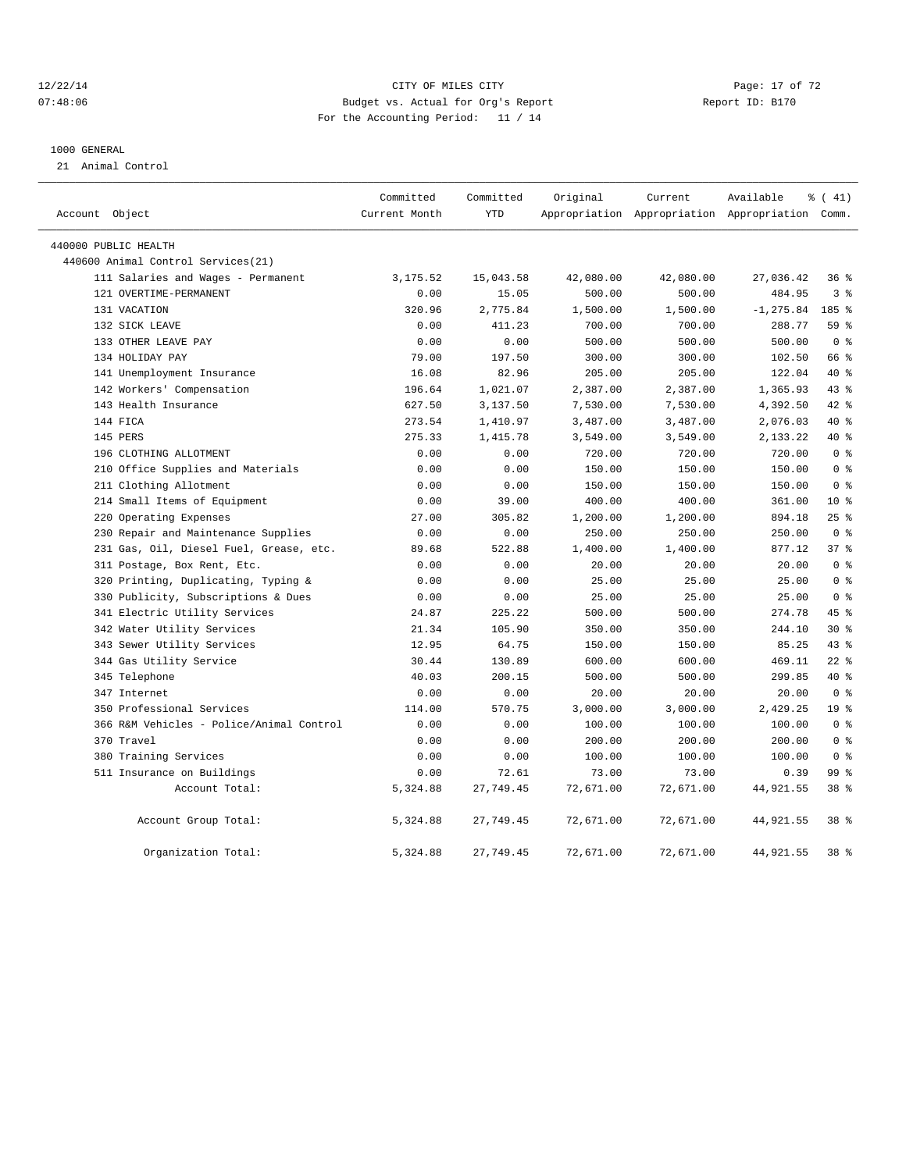#### 12/22/14 Page: 17 of 72 07:48:06 Budget vs. Actual for Org's Report Report ID: B170 For the Accounting Period: 11 / 14

#### 1000 GENERAL

21 Animal Control

|                |                                          | Committed     | Committed  | Original  | Current   | Available                                       | % (41)          |  |
|----------------|------------------------------------------|---------------|------------|-----------|-----------|-------------------------------------------------|-----------------|--|
| Account Object |                                          | Current Month | <b>YTD</b> |           |           | Appropriation Appropriation Appropriation Comm. |                 |  |
|                | 440000 PUBLIC HEALTH                     |               |            |           |           |                                                 |                 |  |
|                | 440600 Animal Control Services (21)      |               |            |           |           |                                                 |                 |  |
|                | 111 Salaries and Wages - Permanent       | 3, 175.52     | 15,043.58  | 42,080.00 | 42,080.00 | 27,036.42                                       | 36%             |  |
|                | 121 OVERTIME-PERMANENT                   | 0.00          | 15.05      | 500.00    | 500.00    | 484.95                                          | 3 <sup>8</sup>  |  |
|                | 131 VACATION                             | 320.96        | 2,775.84   | 1,500.00  | 1,500.00  | $-1, 275.84$                                    | 185 %           |  |
|                | 132 SICK LEAVE                           | 0.00          | 411.23     | 700.00    | 700.00    | 288.77                                          | 59 %            |  |
|                | 133 OTHER LEAVE PAY                      | 0.00          | 0.00       | 500.00    | 500.00    | 500.00                                          | 0 <sup>8</sup>  |  |
|                | 134 HOLIDAY PAY                          | 79.00         | 197.50     | 300.00    | 300.00    | 102.50                                          | 66 %            |  |
|                | 141 Unemployment Insurance               | 16.08         | 82.96      | 205.00    | 205.00    | 122.04                                          | $40*$           |  |
|                | 142 Workers' Compensation                | 196.64        | 1,021.07   | 2,387.00  | 2,387.00  | 1,365.93                                        | 43.8            |  |
|                | 143 Health Insurance                     | 627.50        | 3,137.50   | 7,530.00  | 7,530.00  | 4,392.50                                        | 42 %            |  |
|                | 144 FICA                                 | 273.54        | 1,410.97   | 3,487.00  | 3,487.00  | 2,076.03                                        | $40*$           |  |
|                | 145 PERS                                 | 275.33        | 1,415.78   | 3,549.00  | 3,549.00  | 2,133.22                                        | 40 %            |  |
|                | 196 CLOTHING ALLOTMENT                   | 0.00          | 0.00       | 720.00    | 720.00    | 720.00                                          | 0 <sup>8</sup>  |  |
|                | 210 Office Supplies and Materials        | 0.00          | 0.00       | 150.00    | 150.00    | 150.00                                          | 0 <sup>8</sup>  |  |
|                | 211 Clothing Allotment                   | 0.00          | 0.00       | 150.00    | 150.00    | 150.00                                          | 0 <sup>8</sup>  |  |
|                | 214 Small Items of Equipment             | 0.00          | 39.00      | 400.00    | 400.00    | 361.00                                          | $10*$           |  |
|                | 220 Operating Expenses                   | 27.00         | 305.82     | 1,200.00  | 1,200.00  | 894.18                                          | 25%             |  |
|                | 230 Repair and Maintenance Supplies      | 0.00          | 0.00       | 250.00    | 250.00    | 250.00                                          | 0 <sup>8</sup>  |  |
|                | 231 Gas, Oil, Diesel Fuel, Grease, etc.  | 89.68         | 522.88     | 1,400.00  | 1,400.00  | 877.12                                          | 37 <sup>8</sup> |  |
|                | 311 Postage, Box Rent, Etc.              | 0.00          | 0.00       | 20.00     | 20.00     | 20.00                                           | 0 <sup>°</sup>  |  |
|                | 320 Printing, Duplicating, Typing &      | 0.00          | 0.00       | 25.00     | 25.00     | 25.00                                           | 0 <sup>8</sup>  |  |
|                | 330 Publicity, Subscriptions & Dues      | 0.00          | 0.00       | 25.00     | 25.00     | 25.00                                           | 0 <sup>8</sup>  |  |
|                | 341 Electric Utility Services            | 24.87         | 225.22     | 500.00    | 500.00    | 274.78                                          | 45 %            |  |
|                | 342 Water Utility Services               | 21.34         | 105.90     | 350.00    | 350.00    | 244.10                                          | $30*$           |  |
|                | 343 Sewer Utility Services               | 12.95         | 64.75      | 150.00    | 150.00    | 85.25                                           | 43.8            |  |
|                | 344 Gas Utility Service                  | 30.44         | 130.89     | 600.00    | 600.00    | 469.11                                          | $22$ %          |  |
|                | 345 Telephone                            | 40.03         | 200.15     | 500.00    | 500.00    | 299.85                                          | 40 %            |  |
|                | 347 Internet                             | 0.00          | 0.00       | 20.00     | 20.00     | 20.00                                           | 0 <sup>8</sup>  |  |
|                | 350 Professional Services                | 114.00        | 570.75     | 3,000.00  | 3,000.00  | 2,429.25                                        | 19 <sup>°</sup> |  |
|                | 366 R&M Vehicles - Police/Animal Control | 0.00          | 0.00       | 100.00    | 100.00    | 100.00                                          | 0 <sup>8</sup>  |  |
|                | 370 Travel                               | 0.00          | 0.00       | 200.00    | 200.00    | 200.00                                          | 0 <sup>8</sup>  |  |
|                | 380 Training Services                    | 0.00          | 0.00       | 100.00    | 100.00    | 100.00                                          | 0 <sup>8</sup>  |  |
|                | 511 Insurance on Buildings               | 0.00          | 72.61      | 73.00     | 73.00     | 0.39                                            | 99 <sup>8</sup> |  |
|                | Account Total:                           | 5,324.88      | 27,749.45  | 72,671.00 | 72,671.00 | 44, 921.55                                      | 38 %            |  |
|                | Account Group Total:                     | 5,324.88      | 27,749.45  | 72,671.00 | 72,671.00 | 44,921.55                                       | 38 <sup>8</sup> |  |
|                | Organization Total:                      | 5,324.88      | 27,749.45  | 72,671.00 | 72,671.00 | 44,921.55                                       | 38 <sup>8</sup> |  |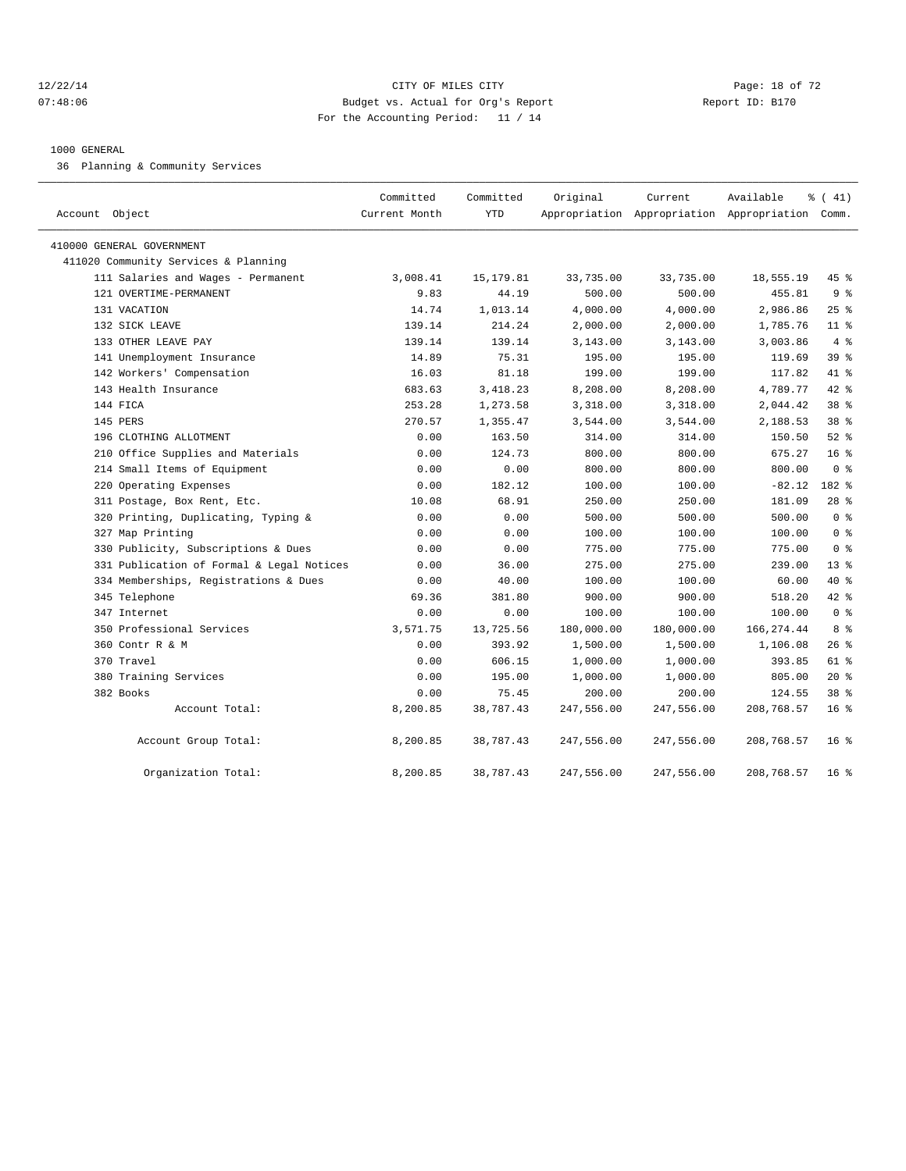#### 12/22/14 Page: 18 of 72 07:48:06 Budget vs. Actual for Org's Report Report ID: B170 For the Accounting Period: 11 / 14

# 1000 GENERAL

36 Planning & Community Services

| Account Object                            | Committed<br>Current Month | Committed<br><b>YTD</b> | Original   | Current    | Available<br>Appropriation Appropriation Appropriation Comm. | % (41)          |
|-------------------------------------------|----------------------------|-------------------------|------------|------------|--------------------------------------------------------------|-----------------|
| 410000 GENERAL GOVERNMENT                 |                            |                         |            |            |                                                              |                 |
| 411020 Community Services & Planning      |                            |                         |            |            |                                                              |                 |
| 111 Salaries and Wages - Permanent        | 3,008.41                   | 15, 179.81              | 33,735.00  | 33,735.00  | 18,555.19                                                    | 45 %            |
| 121 OVERTIME-PERMANENT                    | 9.83                       | 44.19                   | 500.00     | 500.00     | 455.81                                                       | 9 <sup>8</sup>  |
| 131 VACATION                              | 14.74                      | 1,013.14                | 4,000.00   | 4,000.00   | 2,986.86                                                     | 25%             |
| 132 SICK LEAVE                            | 139.14                     | 214.24                  | 2,000.00   | 2,000.00   | 1,785.76                                                     | 11 %            |
| 133 OTHER LEAVE PAY                       | 139.14                     | 139.14                  | 3,143.00   | 3,143.00   | 3,003.86                                                     | 4%              |
| 141 Unemployment Insurance                | 14.89                      | 75.31                   | 195.00     | 195.00     | 119.69                                                       | 39 %            |
| 142 Workers' Compensation                 | 16.03                      | 81.18                   | 199.00     | 199.00     | 117.82                                                       | 41 %            |
| 143 Health Insurance                      | 683.63                     | 3, 418.23               | 8,208.00   | 8,208.00   | 4,789.77                                                     | 42 %            |
| 144 FICA                                  | 253.28                     | 1,273.58                | 3,318.00   | 3,318.00   | 2,044.42                                                     | 38 %            |
| 145 PERS                                  | 270.57                     | 1,355.47                | 3,544.00   | 3,544.00   | 2,188.53                                                     | 38 %            |
| 196 CLOTHING ALLOTMENT                    | 0.00                       | 163.50                  | 314.00     | 314.00     | 150.50                                                       | $52$ $%$        |
| 210 Office Supplies and Materials         | 0.00                       | 124.73                  | 800.00     | 800.00     | 675.27                                                       | 16 <sup>8</sup> |
| 214 Small Items of Equipment              | 0.00                       | 0.00                    | 800.00     | 800.00     | 800.00                                                       | 0 <sup>8</sup>  |
| 220 Operating Expenses                    | 0.00                       | 182.12                  | 100.00     | 100.00     | $-82.12$                                                     | 182 %           |
| 311 Postage, Box Rent, Etc.               | 10.08                      | 68.91                   | 250.00     | 250.00     | 181.09                                                       | $28$ %          |
| 320 Printing, Duplicating, Typing &       | 0.00                       | 0.00                    | 500.00     | 500.00     | 500.00                                                       | 0 <sup>8</sup>  |
| 327 Map Printing                          | 0.00                       | 0.00                    | 100.00     | 100.00     | 100.00                                                       | 0 <sup>8</sup>  |
| 330 Publicity, Subscriptions & Dues       | 0.00                       | 0.00                    | 775.00     | 775.00     | 775.00                                                       | 0 <sup>8</sup>  |
| 331 Publication of Formal & Legal Notices | 0.00                       | 36.00                   | 275.00     | 275.00     | 239.00                                                       | $13*$           |
| 334 Memberships, Registrations & Dues     | 0.00                       | 40.00                   | 100.00     | 100.00     | 60.00                                                        | 40 %            |
| 345 Telephone                             | 69.36                      | 381.80                  | 900.00     | 900.00     | 518.20                                                       | 42 %            |
| 347 Internet                              | 0.00                       | 0.00                    | 100.00     | 100.00     | 100.00                                                       | 0 <sup>8</sup>  |
| 350 Professional Services                 | 3,571.75                   | 13,725.56               | 180,000.00 | 180,000.00 | 166, 274.44                                                  | 8 %             |
| 360 Contr R & M                           | 0.00                       | 393.92                  | 1,500.00   | 1,500.00   | 1,106.08                                                     | $26$ %          |
| 370 Travel                                | 0.00                       | 606.15                  | 1,000.00   | 1,000.00   | 393.85                                                       | 61 %            |
| 380 Training Services                     | 0.00                       | 195.00                  | 1,000.00   | 1,000.00   | 805.00                                                       | $20*$           |
| 382 Books                                 | 0.00                       | 75.45                   | 200.00     | 200.00     | 124.55                                                       | 38 %            |
| Account Total:                            | 8,200.85                   | 38,787.43               | 247,556.00 | 247,556.00 | 208,768.57                                                   | 16 <sup>8</sup> |
| Account Group Total:                      | 8,200.85                   | 38,787.43               | 247,556.00 | 247,556.00 | 208,768.57                                                   | 16 <sup>8</sup> |
| Organization Total:                       | 8,200.85                   | 38,787.43               | 247,556.00 | 247,556.00 | 208,768.57                                                   | $16*$           |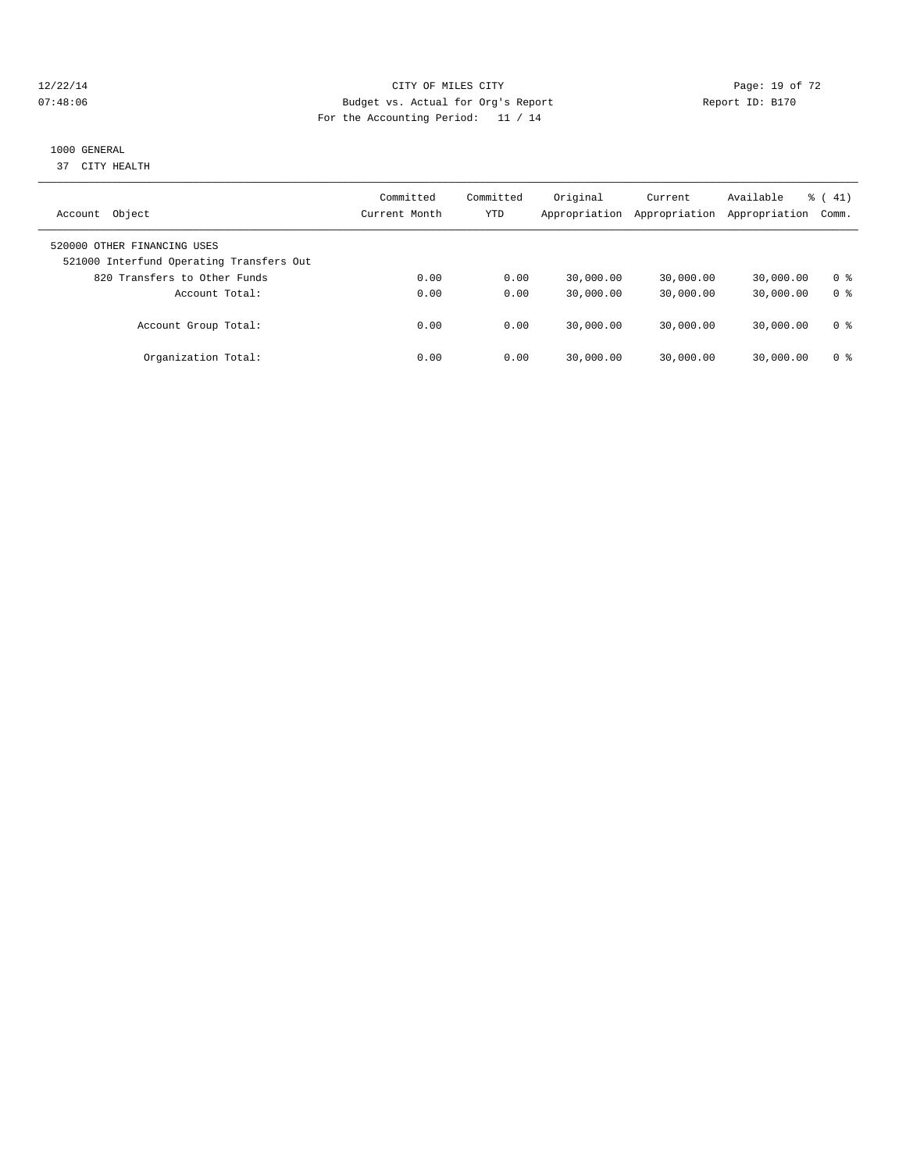#### 12/22/14 Page: 19 of 72 07:48:06 Budget vs. Actual for Org's Report Report ID: B170 For the Accounting Period: 11 / 14

#### 1000 GENERAL

37 CITY HEALTH

| Object<br>Account                                                       | Committed<br>Current Month | Committed<br>YTD | Original<br>Appropriation | Current<br>Appropriation | Available<br>Appropriation | $\frac{1}{6}$ (41)<br>Comm. |
|-------------------------------------------------------------------------|----------------------------|------------------|---------------------------|--------------------------|----------------------------|-----------------------------|
| 520000 OTHER FINANCING USES<br>521000 Interfund Operating Transfers Out |                            |                  |                           |                          |                            |                             |
| 820 Transfers to Other Funds                                            | 0.00                       | 0.00             | 30,000.00                 | 30,000.00                | 30,000.00                  | 0 ક                         |
| Account Total:                                                          | 0.00                       | 0.00             | 30,000.00                 | 30,000.00                | 30,000.00                  | 0 <sup>8</sup>              |
| Account Group Total:                                                    | 0.00                       | 0.00             | 30,000.00                 | 30,000.00                | 30,000.00                  | 0 ક                         |
| Organization Total:                                                     | 0.00                       | 0.00             | 30,000.00                 | 30,000.00                | 30,000.00                  | 0 ક                         |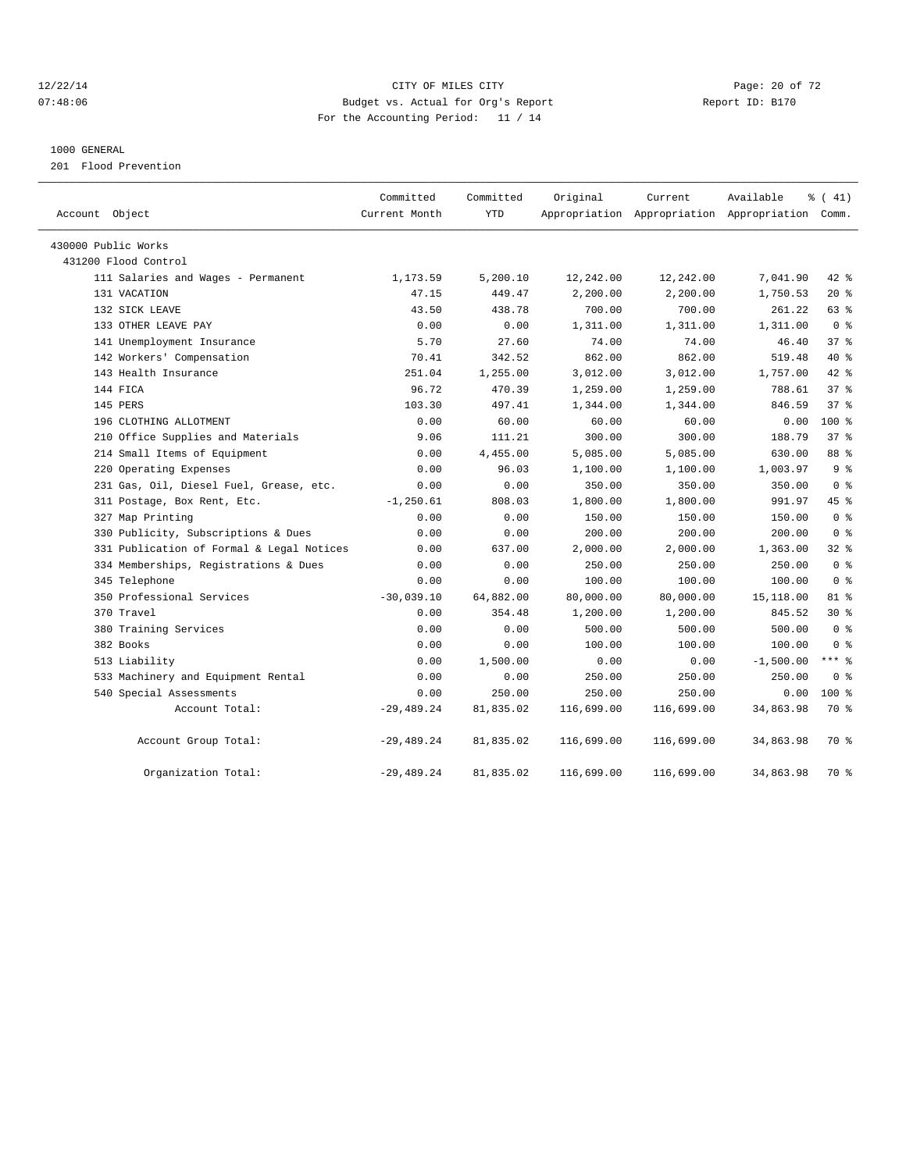#### 12/22/14 Page: 20 of 72 07:48:06 Budget vs. Actual for Org's Report Report ID: B170 For the Accounting Period: 11 / 14

#### 1000 GENERAL

201 Flood Prevention

| Account Object                            | Committed<br>Current Month | Committed<br><b>YTD</b> | Original   | Current    | Available<br>Appropriation Appropriation Appropriation Comm. | % (41)          |
|-------------------------------------------|----------------------------|-------------------------|------------|------------|--------------------------------------------------------------|-----------------|
| 430000 Public Works                       |                            |                         |            |            |                                                              |                 |
| 431200 Flood Control                      |                            |                         |            |            |                                                              |                 |
| 111 Salaries and Wages - Permanent        | 1,173.59                   | 5,200.10                | 12,242.00  | 12,242.00  | 7,041.90                                                     | 42 %            |
| 131 VACATION                              | 47.15                      | 449.47                  | 2,200.00   | 2,200.00   | 1,750.53                                                     | $20*$           |
| 132 SICK LEAVE                            | 43.50                      | 438.78                  | 700.00     | 700.00     | 261.22                                                       | 63 %            |
| 133 OTHER LEAVE PAY                       | 0.00                       | 0.00                    | 1,311.00   | 1,311.00   | 1,311.00                                                     | 0 <sup>8</sup>  |
| 141 Unemployment Insurance                | 5.70                       | 27.60                   | 74.00      | 74.00      | 46.40                                                        | 37%             |
| 142 Workers' Compensation                 | 70.41                      | 342.52                  | 862.00     | 862.00     | 519.48                                                       | $40*$           |
| 143 Health Insurance                      | 251.04                     | 1,255.00                | 3,012.00   | 3,012.00   | 1,757.00                                                     | 42.8            |
| 144 FICA                                  | 96.72                      | 470.39                  | 1,259.00   | 1,259.00   | 788.61                                                       | 37 <sup>8</sup> |
| 145 PERS                                  | 103.30                     | 497.41                  | 1,344.00   | 1,344.00   | 846.59                                                       | 37 <sup>8</sup> |
| 196 CLOTHING ALLOTMENT                    | 0.00                       | 60.00                   | 60.00      | 60.00      | 0.00                                                         | 100 %           |
| 210 Office Supplies and Materials         | 9.06                       | 111.21                  | 300.00     | 300.00     | 188.79                                                       | 37%             |
| 214 Small Items of Equipment              | 0.00                       | 4,455.00                | 5,085.00   | 5,085.00   | 630.00                                                       | 88 %            |
| 220 Operating Expenses                    | 0.00                       | 96.03                   | 1,100.00   | 1,100.00   | 1,003.97                                                     | 9 <sup>8</sup>  |
| 231 Gas, Oil, Diesel Fuel, Grease, etc.   | 0.00                       | 0.00                    | 350.00     | 350.00     | 350.00                                                       | 0 <sup>8</sup>  |
| 311 Postage, Box Rent, Etc.               | $-1, 250.61$               | 808.03                  | 1,800.00   | 1,800.00   | 991.97                                                       | 45%             |
| 327 Map Printing                          | 0.00                       | 0.00                    | 150.00     | 150.00     | 150.00                                                       | 0 <sup>8</sup>  |
| 330 Publicity, Subscriptions & Dues       | 0.00                       | 0.00                    | 200.00     | 200.00     | 200.00                                                       | 0 <sup>8</sup>  |
| 331 Publication of Formal & Legal Notices | 0.00                       | 637.00                  | 2,000.00   | 2,000.00   | 1,363.00                                                     | 328             |
| 334 Memberships, Registrations & Dues     | 0.00                       | 0.00                    | 250.00     | 250.00     | 250.00                                                       | 0 <sup>8</sup>  |
| 345 Telephone                             | 0.00                       | 0.00                    | 100.00     | 100.00     | 100.00                                                       | 0 <sup>8</sup>  |
| 350 Professional Services                 | $-30,039.10$               | 64,882.00               | 80,000.00  | 80,000.00  | 15,118.00                                                    | 81 %            |
| 370 Travel                                | 0.00                       | 354.48                  | 1,200.00   | 1,200.00   | 845.52                                                       | $30*$           |
| 380 Training Services                     | 0.00                       | 0.00                    | 500.00     | 500.00     | 500.00                                                       | 0 <sup>8</sup>  |
| 382 Books                                 | 0.00                       | 0.00                    | 100.00     | 100.00     | 100.00                                                       | 0 <sup>8</sup>  |
| 513 Liability                             | 0.00                       | 1,500.00                | 0.00       | 0.00       | $-1,500.00$                                                  | *** 8           |
| 533 Machinery and Equipment Rental        | 0.00                       | 0.00                    | 250.00     | 250.00     | 250.00                                                       | 0 <sup>8</sup>  |
| 540 Special Assessments                   | 0.00                       | 250.00                  | 250.00     | 250.00     | 0.00                                                         | $100*$          |
| Account Total:                            | $-29,489.24$               | 81,835.02               | 116,699.00 | 116,699.00 | 34,863.98                                                    | 70 %            |
| Account Group Total:                      | $-29,489.24$               | 81,835.02               | 116,699.00 | 116,699.00 | 34,863.98                                                    | 70 %            |
| Organization Total:                       | $-29,489.24$               | 81,835.02               | 116,699.00 | 116,699.00 | 34,863.98                                                    | 70 %            |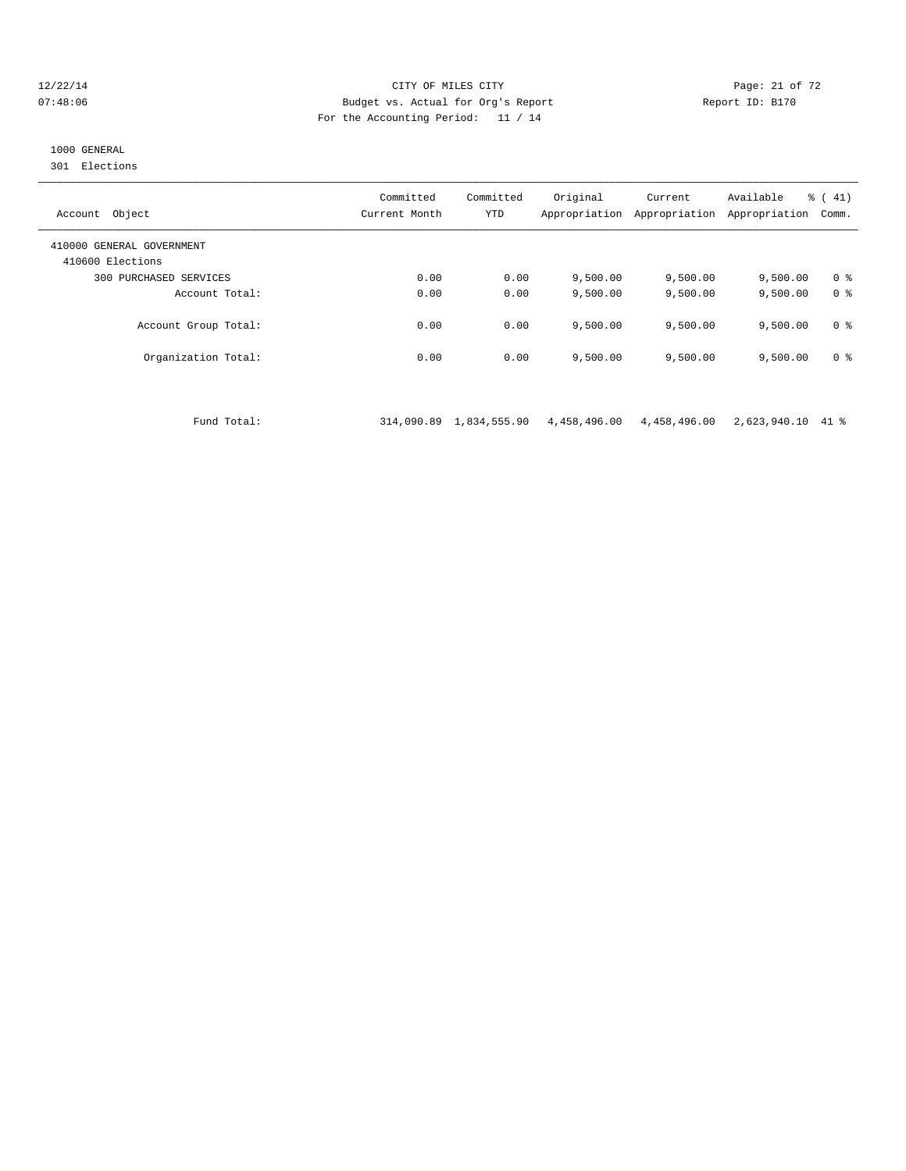#### 12/22/14 Page: 21 of 72 07:48:06 Budget vs. Actual for Org's Report Report ID: B170 For the Accounting Period: 11 / 14

# 1000 GENERAL

301 Elections

| Object<br>Account                             | Committed<br>Current Month | Committed<br><b>YTD</b> | Original<br>Appropriation | Current<br>Appropriation | Available<br>Appropriation | $\frac{1}{6}$ ( 41)<br>Comm. |
|-----------------------------------------------|----------------------------|-------------------------|---------------------------|--------------------------|----------------------------|------------------------------|
| 410000 GENERAL GOVERNMENT<br>410600 Elections |                            |                         |                           |                          |                            |                              |
| 300 PURCHASED SERVICES                        | 0.00                       | 0.00                    | 9,500.00                  | 9,500.00                 | 9,500.00                   | 0 <sup>8</sup>               |
| Account Total:                                | 0.00                       | 0.00                    | 9,500.00                  | 9,500.00                 | 9,500.00                   | 0 <sup>8</sup>               |
| Account Group Total:                          | 0.00                       | 0.00                    | 9,500.00                  | 9,500.00                 | 9.500.00                   | 0 <sup>8</sup>               |
| Organization Total:                           | 0.00                       | 0.00                    | 9,500.00                  | 9,500.00                 | 9,500.00                   | 0 <sup>8</sup>               |

Fund Total: 314,090.89 1,834,555.90 4,458,496.00 4,458,496.00 2,623,940.10 41 %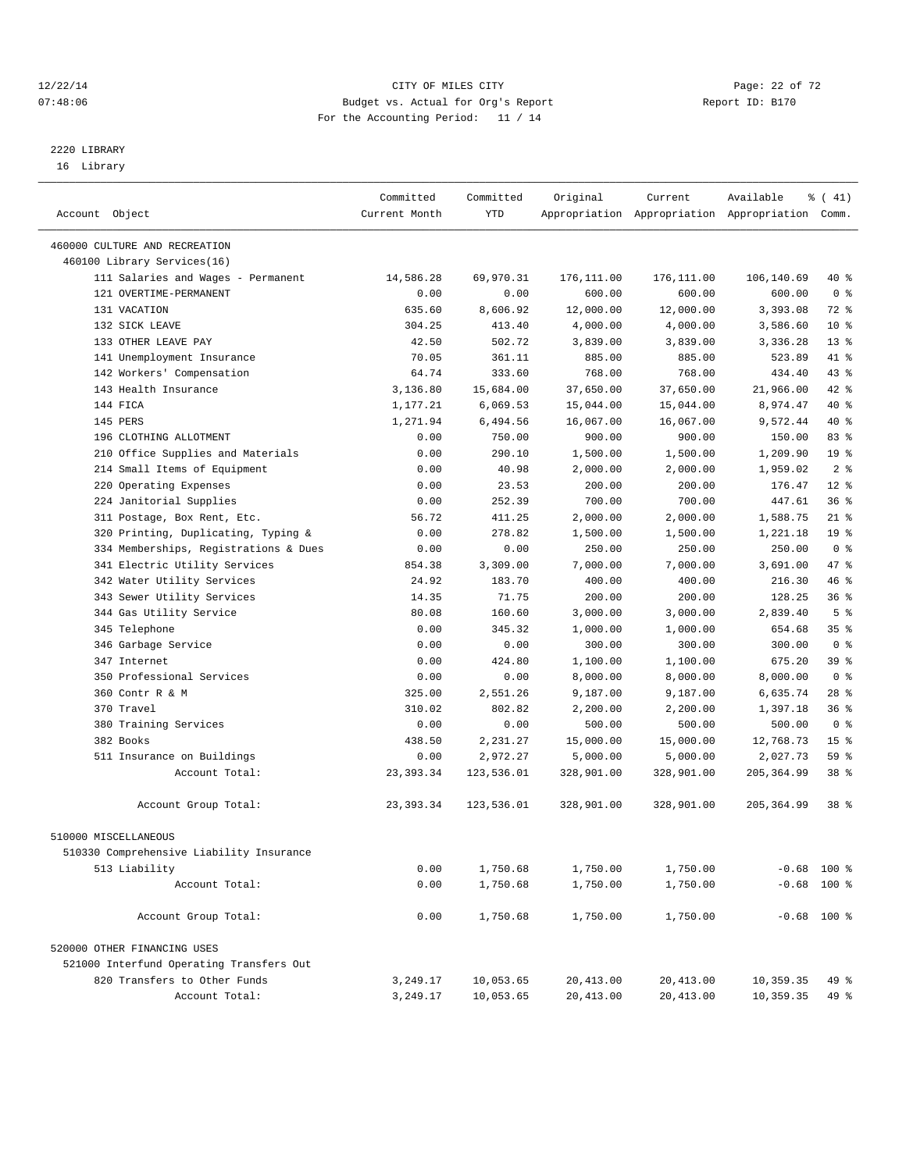#### 12/22/14 Page: 22 of 72 07:48:06 Budget vs. Actual for Org's Report Report ID: B170 For the Accounting Period: 11 / 14

————————————————————————————————————————————————————————————————————————————————————————————————————————————————————————————————————

# 2220 LIBRARY

16 Library

|                                          | Committed     | Committed  | Original    | Current    | Available                                       | % (41)          |
|------------------------------------------|---------------|------------|-------------|------------|-------------------------------------------------|-----------------|
| Account Object                           | Current Month | YTD        |             |            | Appropriation Appropriation Appropriation Comm. |                 |
|                                          |               |            |             |            |                                                 |                 |
| 460000 CULTURE AND RECREATION            |               |            |             |            |                                                 |                 |
| 460100 Library Services(16)              |               |            |             |            |                                                 |                 |
| 111 Salaries and Wages - Permanent       | 14,586.28     | 69,970.31  | 176, 111.00 | 176,111.00 | 106,140.69                                      | 40 %            |
| 121 OVERTIME-PERMANENT                   | 0.00          | 0.00       | 600.00      | 600.00     | 600.00                                          | 0 <sup>8</sup>  |
| 131 VACATION                             | 635.60        | 8,606.92   | 12,000.00   | 12,000.00  | 3,393.08                                        | 72 %            |
| 132 SICK LEAVE                           | 304.25        | 413.40     | 4,000.00    | 4,000.00   | 3,586.60                                        | $10*$           |
| 133 OTHER LEAVE PAY                      | 42.50         | 502.72     | 3,839.00    | 3,839.00   | 3,336.28                                        | $13*$           |
| 141 Unemployment Insurance               | 70.05         | 361.11     | 885.00      | 885.00     | 523.89                                          | 41 %            |
| 142 Workers' Compensation                | 64.74         | 333.60     | 768.00      | 768.00     | 434.40                                          | $43$ $%$        |
| 143 Health Insurance                     | 3,136.80      | 15,684.00  | 37,650.00   | 37,650.00  | 21,966.00                                       | 42 %            |
| 144 FICA                                 | 1,177.21      | 6,069.53   | 15,044.00   | 15,044.00  | 8,974.47                                        | 40 %            |
| 145 PERS                                 | 1,271.94      | 6,494.56   | 16,067.00   | 16,067.00  | 9,572.44                                        | 40 %            |
| 196 CLOTHING ALLOTMENT                   | 0.00          | 750.00     | 900.00      | 900.00     | 150.00                                          | 83%             |
| 210 Office Supplies and Materials        | 0.00          | 290.10     | 1,500.00    | 1,500.00   | 1,209.90                                        | 19 <sup>°</sup> |
| 214 Small Items of Equipment             | 0.00          | 40.98      | 2,000.00    | 2,000.00   | 1,959.02                                        | 2 <sup>8</sup>  |
| 220 Operating Expenses                   | 0.00          | 23.53      | 200.00      | 200.00     | 176.47                                          | $12*$           |
| 224 Janitorial Supplies                  | 0.00          | 252.39     | 700.00      | 700.00     | 447.61                                          | 36%             |
| 311 Postage, Box Rent, Etc.              | 56.72         | 411.25     | 2,000.00    | 2,000.00   | 1,588.75                                        | $21$ %          |
| 320 Printing, Duplicating, Typing &      | 0.00          | 278.82     | 1,500.00    | 1,500.00   | 1,221.18                                        | 19 <sup>°</sup> |
| 334 Memberships, Registrations & Dues    | 0.00          | 0.00       | 250.00      | 250.00     | 250.00                                          | 0 <sup>8</sup>  |
| 341 Electric Utility Services            | 854.38        | 3,309.00   | 7,000.00    | 7,000.00   | 3,691.00                                        | 47 %            |
| 342 Water Utility Services               | 24.92         | 183.70     | 400.00      | 400.00     | 216.30                                          | 46 %            |
| 343 Sewer Utility Services               | 14.35         | 71.75      | 200.00      | 200.00     | 128.25                                          | 36%             |
| 344 Gas Utility Service                  | 80.08         | 160.60     | 3,000.00    | 3,000.00   | 2,839.40                                        | 5 <sup>°</sup>  |
| 345 Telephone                            | 0.00          | 345.32     | 1,000.00    | 1,000.00   | 654.68                                          | 35 <sup>8</sup> |
| 346 Garbage Service                      | 0.00          | 0.00       | 300.00      | 300.00     | 300.00                                          | 0 <sup>8</sup>  |
| 347 Internet                             | 0.00          | 424.80     | 1,100.00    | 1,100.00   | 675.20                                          | 39 %            |
| 350 Professional Services                | 0.00          | 0.00       | 8,000.00    | 8,000.00   | 8,000.00                                        | 0 <sup>8</sup>  |
| 360 Contr R & M                          | 325.00        | 2,551.26   | 9,187.00    | 9,187.00   | 6,635.74                                        | $28$ %          |
| 370 Travel                               | 310.02        | 802.82     | 2,200.00    | 2,200.00   | 1,397.18                                        | 36%             |
| 380 Training Services                    | 0.00          | 0.00       | 500.00      | 500.00     | 500.00                                          | 0 <sup>8</sup>  |
| 382 Books                                | 438.50        | 2,231.27   | 15,000.00   | 15,000.00  | 12,768.73                                       | 15 <sup>°</sup> |
| 511 Insurance on Buildings               | 0.00          | 2,972.27   | 5,000.00    | 5,000.00   | 2,027.73                                        | 59 %            |
| Account Total:                           | 23, 393.34    | 123,536.01 | 328,901.00  | 328,901.00 | 205, 364.99                                     | 38 %            |
| Account Group Total:                     | 23, 393. 34   | 123,536.01 | 328,901.00  | 328,901.00 | 205, 364.99                                     | 38 <sup>8</sup> |
|                                          |               |            |             |            |                                                 |                 |
| 510000 MISCELLANEOUS                     |               |            |             |            |                                                 |                 |
| 510330 Comprehensive Liability Insurance |               |            |             |            |                                                 |                 |
| 513 Liability                            | 0.00          | 1,750.68   | 1,750.00    | 1,750.00   |                                                 | $-0.68$ 100 %   |
| Account Total:                           | 0.00          | 1,750.68   | 1,750.00    | 1,750.00   |                                                 | $-0.68$ 100 %   |
| Account Group Total:                     | 0.00          | 1,750.68   | 1,750.00    | 1,750.00   |                                                 | $-0.68$ 100 %   |
| 520000 OTHER FINANCING USES              |               |            |             |            |                                                 |                 |
| 521000 Interfund Operating Transfers Out |               |            |             |            |                                                 |                 |
| 820 Transfers to Other Funds             | 3,249.17      | 10,053.65  | 20,413.00   | 20,413.00  | 10,359.35                                       | 49 %            |
| Account Total:                           | 3,249.17      | 10,053.65  | 20, 413.00  | 20, 413.00 | 10,359.35                                       | 49 %            |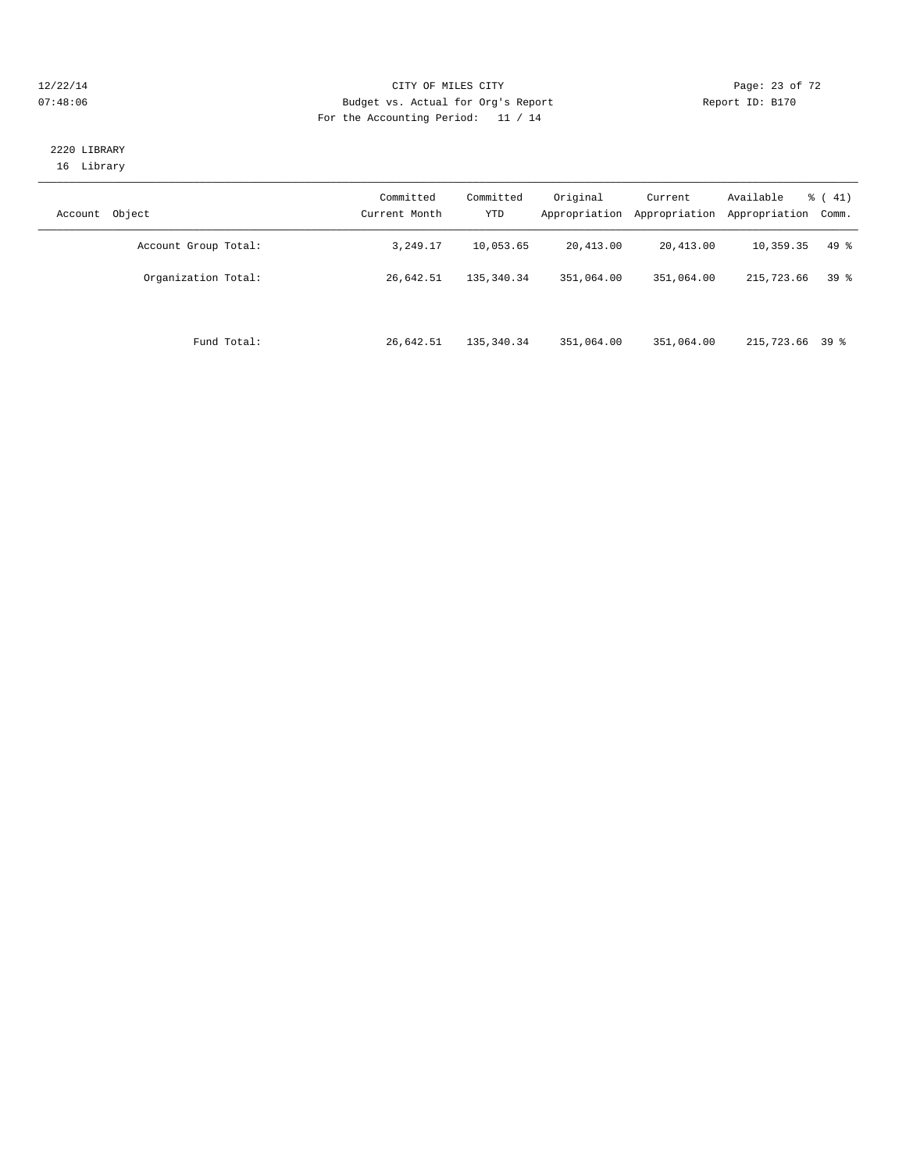#### 12/22/14 Page: 23 of 72 07:48:06 Budget vs. Actual for Org's Report Report ID: B170 For the Accounting Period: 11 / 14

## 2220 LIBRARY 16 Library

| Object<br>Account    | Committed<br>Current Month | Committed<br><b>YTD</b> | Original<br>Appropriation | Current<br>Appropriation | Available<br>Appropriation | $\frac{1}{6}$ ( 41)<br>Comm. |
|----------------------|----------------------------|-------------------------|---------------------------|--------------------------|----------------------------|------------------------------|
| Account Group Total: | 3,249.17                   | 10,053.65               | 20,413.00                 | 20,413.00                | 10,359.35                  | 49 %                         |
| Organization Total:  | 26,642.51                  | 135, 340, 34            | 351,064.00                | 351,064.00               | 215,723.66                 | 39 <sup>8</sup>              |
| Fund Total:          | 26,642.51                  | 135, 340, 34            | 351,064.00                | 351,064.00               | 215,723.66 39 %            |                              |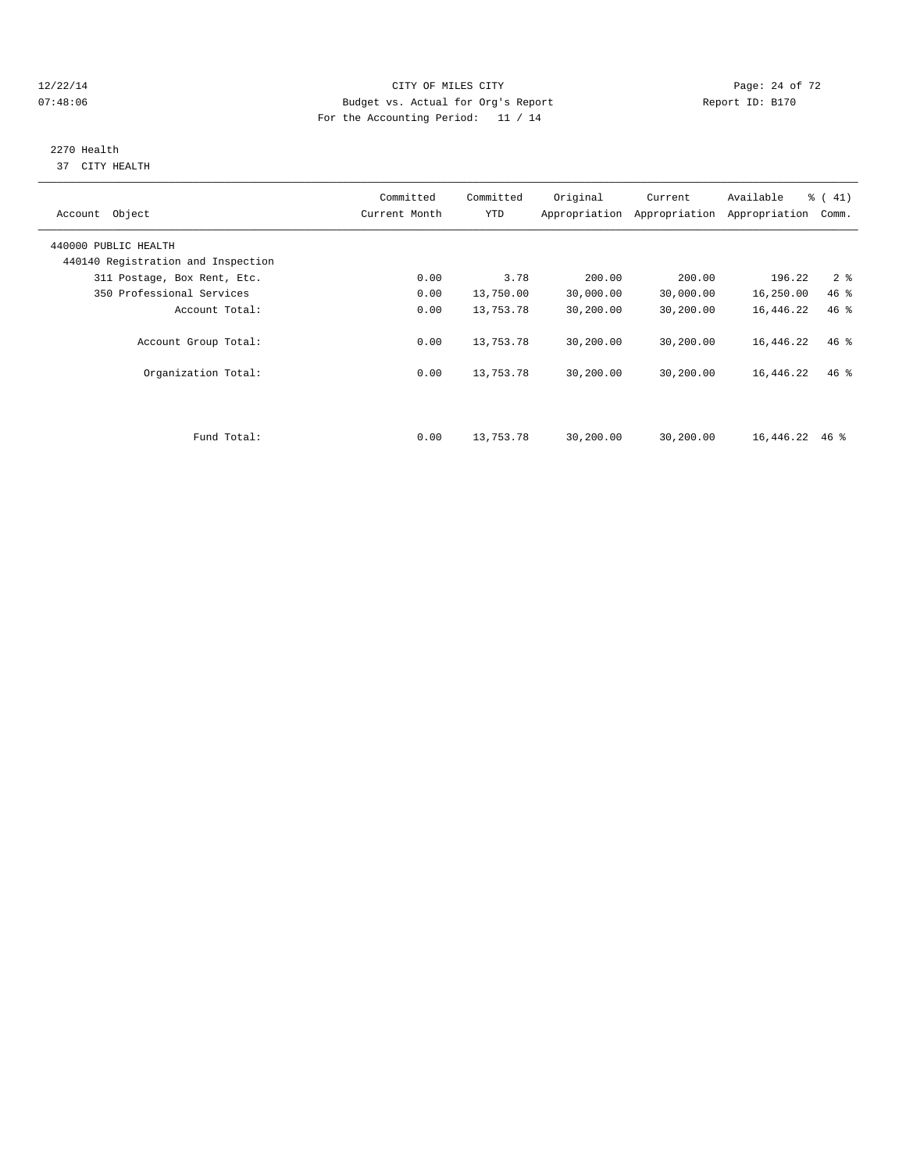#### 12/22/14 Page: 24 of 72 07:48:06 Budget vs. Actual for Org's Report Report ID: B170 For the Accounting Period: 11 / 14

# 2270 Health

37 CITY HEALTH

| Account Object                     | Committed<br>Current Month | Committed<br>YTD | Original  | Current<br>Appropriation Appropriation | Available<br>Appropriation | $\frac{1}{6}$ (41)<br>Comm. |
|------------------------------------|----------------------------|------------------|-----------|----------------------------------------|----------------------------|-----------------------------|
| 440000 PUBLIC HEALTH               |                            |                  |           |                                        |                            |                             |
| 440140 Registration and Inspection |                            |                  |           |                                        |                            |                             |
| 311 Postage, Box Rent, Etc.        | 0.00                       | 3.78             | 200.00    | 200.00                                 | 196.22                     | 2 <sub>8</sub>              |
| 350 Professional Services          | 0.00                       | 13,750.00        | 30,000.00 | 30,000.00                              | 16,250.00                  | 46 %                        |
| Account Total:                     | 0.00                       | 13,753.78        | 30,200.00 | 30,200.00                              | 16,446.22                  | 46%                         |
| Account Group Total:               | 0.00                       | 13,753.78        | 30,200.00 | 30,200.00                              | 16,446.22                  | $46$ %                      |
| Organization Total:                | 0.00                       | 13,753.78        | 30,200.00 | 30,200.00                              | 16,446.22                  | $46*$                       |
|                                    |                            |                  |           |                                        |                            |                             |
| Fund Total:                        | 0.00                       | 13,753.78        | 30,200.00 | 30,200.00                              | 16,446.22                  | 46 %                        |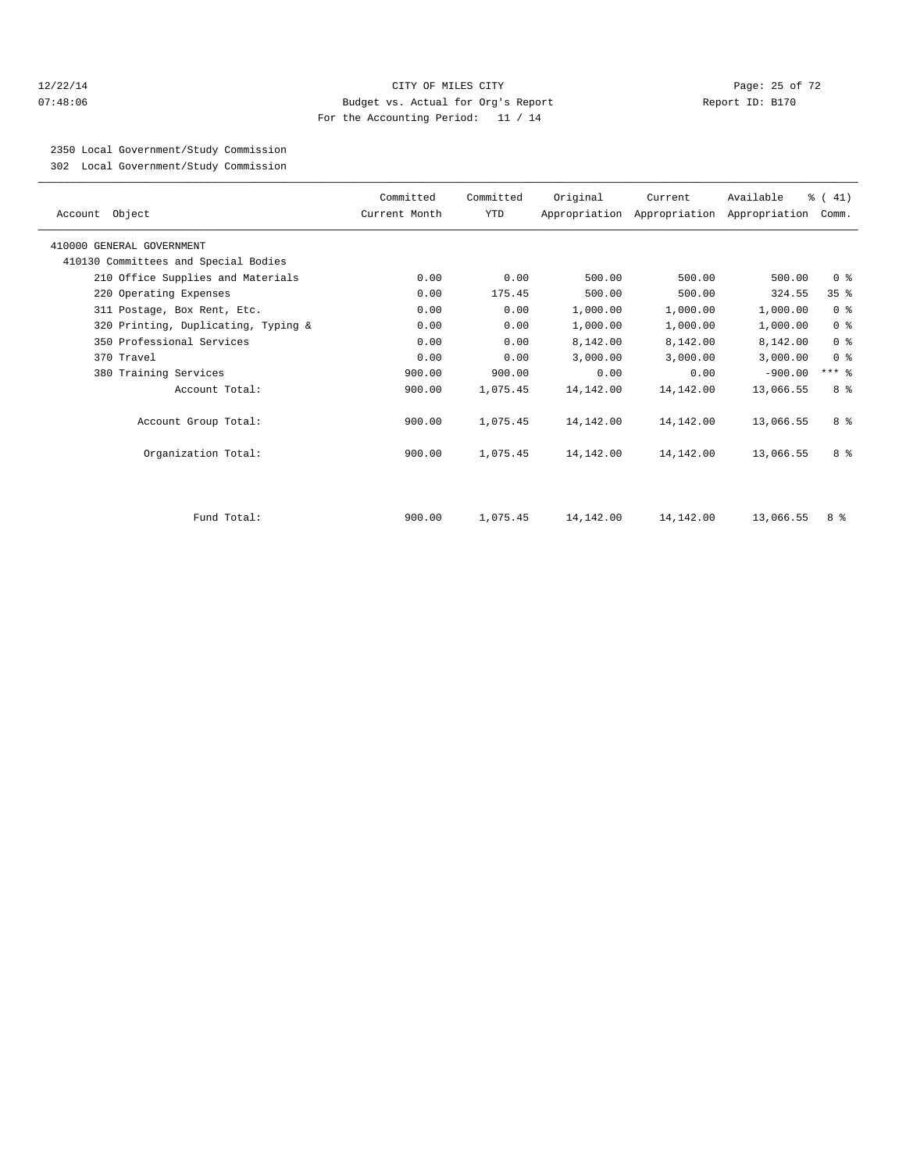#### 12/22/14 Page: 25 of 72 07:48:06 Budget vs. Actual for Org's Report Report ID: B170 For the Accounting Period: 11 / 14

2350 Local Government/Study Commission

302 Local Government/Study Commission

| Account Object                       | Committed<br>Current Month | Committed<br>YTD | Original  | Current   | Available<br>Appropriation Appropriation Appropriation Comm. | % (41)          |  |
|--------------------------------------|----------------------------|------------------|-----------|-----------|--------------------------------------------------------------|-----------------|--|
| 410000 GENERAL GOVERNMENT            |                            |                  |           |           |                                                              |                 |  |
| 410130 Committees and Special Bodies |                            |                  |           |           |                                                              |                 |  |
| 210 Office Supplies and Materials    | 0.00                       | 0.00             | 500.00    | 500.00    | 500.00                                                       | 0 <sup>8</sup>  |  |
| 220 Operating Expenses               | 0.00                       | 175.45           | 500.00    | 500.00    | 324.55                                                       | 35 <sup>8</sup> |  |
| 311 Postage, Box Rent, Etc.          | 0.00                       | 0.00             | 1,000.00  | 1,000.00  | 1,000.00                                                     | 0 <sup>8</sup>  |  |
| 320 Printing, Duplicating, Typing &  | 0.00                       | 0.00             | 1,000.00  | 1,000.00  | 1,000.00                                                     | 0 <sup>8</sup>  |  |
| 350 Professional Services            | 0.00                       | 0.00             | 8,142.00  | 8,142.00  | 8,142.00                                                     | 0 <sup>8</sup>  |  |
| 370 Travel                           | 0.00                       | 0.00             | 3,000.00  | 3,000.00  | 3,000.00                                                     | 0 <sup>8</sup>  |  |
| 380 Training Services                | 900.00                     | 900.00           | 0.00      | 0.00      | $-900.00$                                                    | $***$ $-$       |  |
| Account Total:                       | 900.00                     | 1,075.45         | 14,142.00 | 14,142.00 | 13,066.55                                                    | 8 %             |  |
| Account Group Total:                 | 900.00                     | 1,075.45         | 14,142.00 | 14,142.00 | 13,066.55                                                    | 8 %             |  |
| Organization Total:                  | 900.00                     | 1,075.45         | 14,142.00 | 14,142.00 | 13,066.55                                                    | 8 %             |  |
|                                      |                            |                  |           |           |                                                              |                 |  |
| Fund Total:                          | 900.00                     | 1,075.45         | 14,142.00 | 14,142.00 | 13,066.55                                                    | 8 %             |  |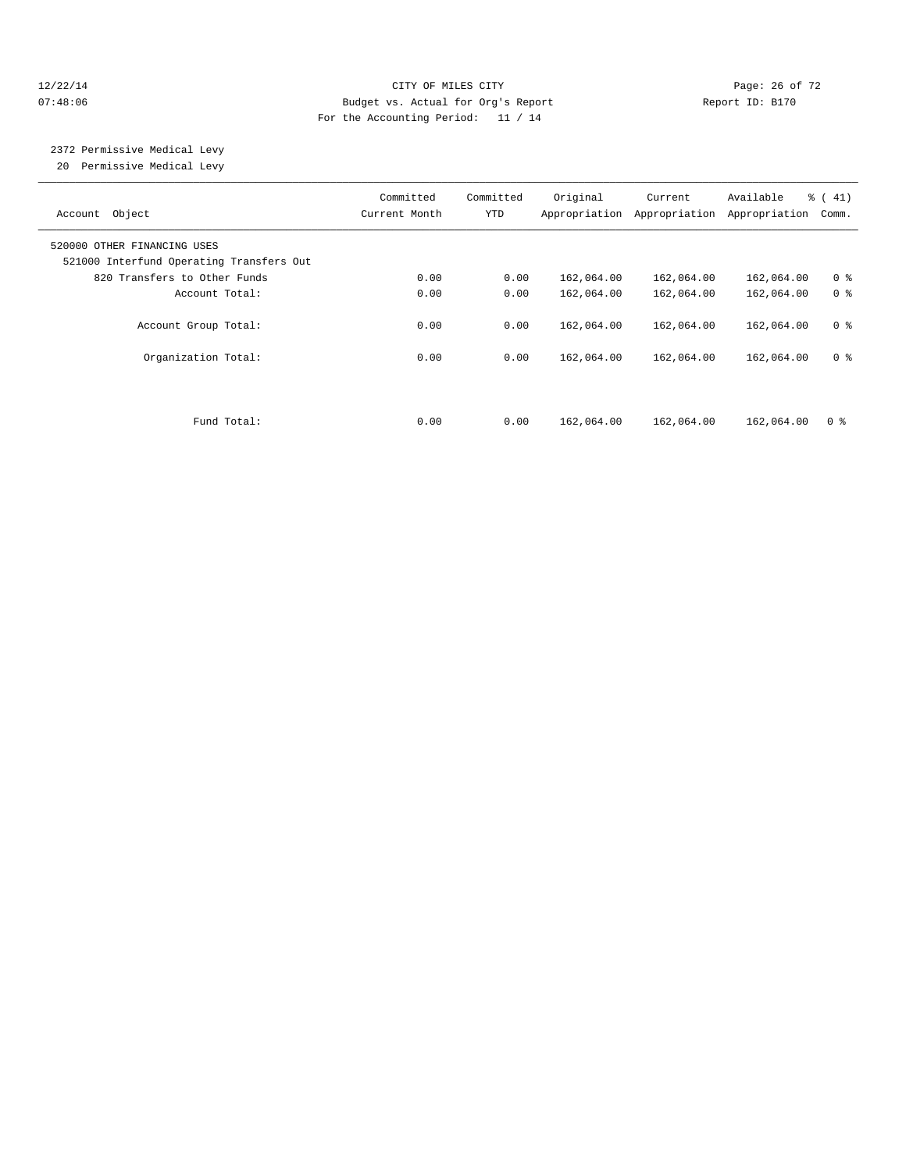#### 12/22/14 Page: 26 of 72 07:48:06 Budget vs. Actual for Org's Report Report ID: B170 For the Accounting Period: 11 / 14

# 2372 Permissive Medical Levy

20 Permissive Medical Levy

| Object<br>Account                                                       | Committed<br>Current Month | Committed<br>YTD | Original<br>Appropriation | Current<br>Appropriation | Available<br>Appropriation | % (41)<br>Comm. |
|-------------------------------------------------------------------------|----------------------------|------------------|---------------------------|--------------------------|----------------------------|-----------------|
| 520000 OTHER FINANCING USES<br>521000 Interfund Operating Transfers Out |                            |                  |                           |                          |                            |                 |
| 820 Transfers to Other Funds                                            | 0.00                       | 0.00             | 162,064.00                | 162,064.00               | 162,064.00                 | 0 <sup>8</sup>  |
| Account Total:                                                          | 0.00                       | 0.00             | 162,064.00                | 162,064.00               | 162,064.00                 | 0 <sup>8</sup>  |
| Account Group Total:                                                    | 0.00                       | 0.00             | 162,064.00                | 162,064.00               | 162,064.00                 | 0 <sup>8</sup>  |
| Organization Total:                                                     | 0.00                       | 0.00             | 162,064.00                | 162,064.00               | 162,064.00                 | 0 <sup>8</sup>  |
|                                                                         |                            |                  |                           |                          |                            |                 |
| Fund Total:                                                             | 0.00                       | 0.00             | 162,064.00                | 162,064.00               | 162,064.00                 | 0 <sup>8</sup>  |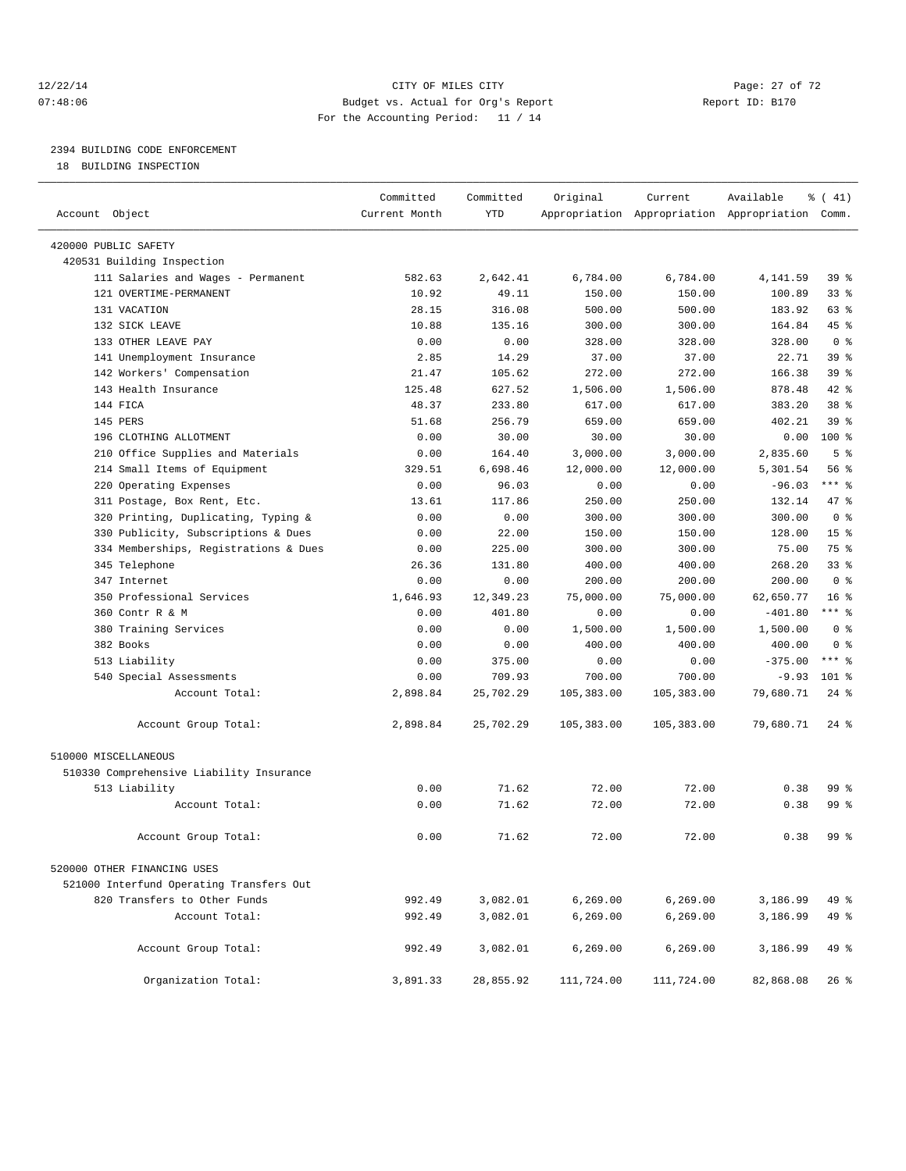#### 12/22/14 Page: 27 of 72 07:48:06 Budget vs. Actual for Org's Report Report ID: B170 For the Accounting Period: 11 / 14

————————————————————————————————————————————————————————————————————————————————————————————————————————————————————————————————————

# 2394 BUILDING CODE ENFORCEMENT

18 BUILDING INSPECTION

|                                                       | Committed     | Committed       | Original       | Current        | Available                                       | $\frac{1}{6}$ ( 41) |
|-------------------------------------------------------|---------------|-----------------|----------------|----------------|-------------------------------------------------|---------------------|
| Account Object                                        | Current Month | YTD             |                |                | Appropriation Appropriation Appropriation Comm. |                     |
| 420000 PUBLIC SAFETY                                  |               |                 |                |                |                                                 |                     |
| 420531 Building Inspection                            |               |                 |                |                |                                                 |                     |
| 111 Salaries and Wages - Permanent                    | 582.63        | 2,642.41        | 6,784.00       | 6,784.00       | 4,141.59                                        | 39 %                |
| 121 OVERTIME-PERMANENT                                | 10.92         | 49.11           | 150.00         | 150.00         | 100.89                                          | $33$ $%$            |
| 131 VACATION                                          | 28.15         | 316.08          | 500.00         | 500.00         | 183.92                                          | 63 %                |
| 132 SICK LEAVE                                        | 10.88         | 135.16          | 300.00         | 300.00         | 164.84                                          | 45 %                |
| 133 OTHER LEAVE PAY                                   | 0.00          | 0.00            | 328.00         | 328.00         | 328.00                                          | 0 <sup>8</sup>      |
| 141 Unemployment Insurance                            | 2.85          | 14.29           | 37.00          | 37.00          | 22.71                                           | 39 %                |
| 142 Workers' Compensation                             | 21.47         | 105.62          | 272.00         | 272.00         | 166.38                                          | 39 <sup>8</sup>     |
| 143 Health Insurance                                  | 125.48        | 627.52          | 1,506.00       | 1,506.00       | 878.48                                          | 42 %                |
| 144 FICA                                              | 48.37         | 233.80          | 617.00         | 617.00         | 383.20                                          | 38 %                |
| 145 PERS                                              | 51.68         | 256.79          | 659.00         | 659.00         | 402.21                                          | 39 %                |
| 196 CLOTHING ALLOTMENT                                | 0.00          | 30.00           | 30.00          | 30.00          | 0.00                                            | 100 %               |
|                                                       | 0.00          | 164.40          | 3,000.00       | 3,000.00       | 2,835.60                                        | 5 <sup>°</sup>      |
| 210 Office Supplies and Materials                     |               |                 |                |                |                                                 | 56 %                |
| 214 Small Items of Equipment                          | 329.51        | 6,698.46        | 12,000.00      | 12,000.00      | 5,301.54                                        | $***$ $-$           |
| 220 Operating Expenses<br>311 Postage, Box Rent, Etc. | 0.00          | 96.03<br>117.86 | 0.00<br>250.00 | 0.00<br>250.00 | $-96.03$<br>132.14                              | 47 %                |
|                                                       | 13.61         |                 |                | 300.00         | 300.00                                          | 0 <sup>8</sup>      |
| 320 Printing, Duplicating, Typing &                   | 0.00          | 0.00            | 300.00         |                |                                                 | 15 <sup>°</sup>     |
| 330 Publicity, Subscriptions & Dues                   | 0.00          | 22.00           | 150.00         | 150.00         | 128.00                                          |                     |
| 334 Memberships, Registrations & Dues                 | 0.00          | 225.00          | 300.00         | 300.00         | 75.00                                           | 75 %                |
| 345 Telephone                                         | 26.36         | 131.80          | 400.00         | 400.00         | 268.20                                          | 33%                 |
| 347 Internet                                          | 0.00          | 0.00            | 200.00         | 200.00         | 200.00                                          | 0 <sup>8</sup>      |
| 350 Professional Services                             | 1,646.93      | 12,349.23       | 75,000.00      | 75,000.00      | 62,650.77                                       | $16*$               |
| 360 Contr R & M                                       | 0.00          | 401.80          | 0.00           | 0.00           | $-401.80$                                       | $***$ $_{8}$        |
| 380 Training Services                                 | 0.00          | 0.00            | 1,500.00       | 1,500.00       | 1,500.00                                        | 0 <sup>8</sup>      |
| 382 Books                                             | 0.00          | 0.00            | 400.00         | 400.00         | 400.00                                          | 0 <sup>8</sup>      |
| 513 Liability                                         | 0.00          | 375.00          | 0.00           | 0.00           | $-375.00$                                       | $***$ 8             |
| 540 Special Assessments                               | 0.00          | 709.93          | 700.00         | 700.00         | $-9.93$                                         | $101$ %             |
| Account Total:                                        | 2,898.84      | 25,702.29       | 105,383.00     | 105,383.00     | 79,680.71                                       | $24$ %              |
| Account Group Total:                                  | 2,898.84      | 25,702.29       | 105,383.00     | 105,383.00     | 79,680.71                                       | $24$ %              |
| 510000 MISCELLANEOUS                                  |               |                 |                |                |                                                 |                     |
| 510330 Comprehensive Liability Insurance              |               |                 |                |                |                                                 |                     |
| 513 Liability                                         | 0.00          | 71.62           | 72.00          | 72.00          | 0.38                                            | 99 %                |
| Account Total:                                        | 0.00          | 71.62           | 72.00          | 72.00          | 0.38                                            | 99 %                |
| Account Group Total:                                  | 0.00          | 71.62           | 72.00          | 72.00          | 0.38                                            | 99 %                |
| 520000 OTHER FINANCING USES                           |               |                 |                |                |                                                 |                     |
| 521000 Interfund Operating Transfers Out              |               |                 |                |                |                                                 |                     |
| 820 Transfers to Other Funds                          | 992.49        | 3,082.01        | 6, 269.00      | 6, 269.00      | 3,186.99                                        | 49 %                |
| Account Total:                                        | 992.49        | 3,082.01        | 6,269.00       | 6, 269.00      | 3,186.99                                        | 49 %                |
|                                                       |               |                 |                |                |                                                 |                     |
| Account Group Total:                                  | 992.49        | 3,082.01        | 6, 269.00      | 6, 269.00      | 3,186.99                                        | 49 %                |
| Organization Total:                                   | 3,891.33      | 28,855.92       | 111,724.00     | 111,724.00     | 82,868.08                                       | $26$ %              |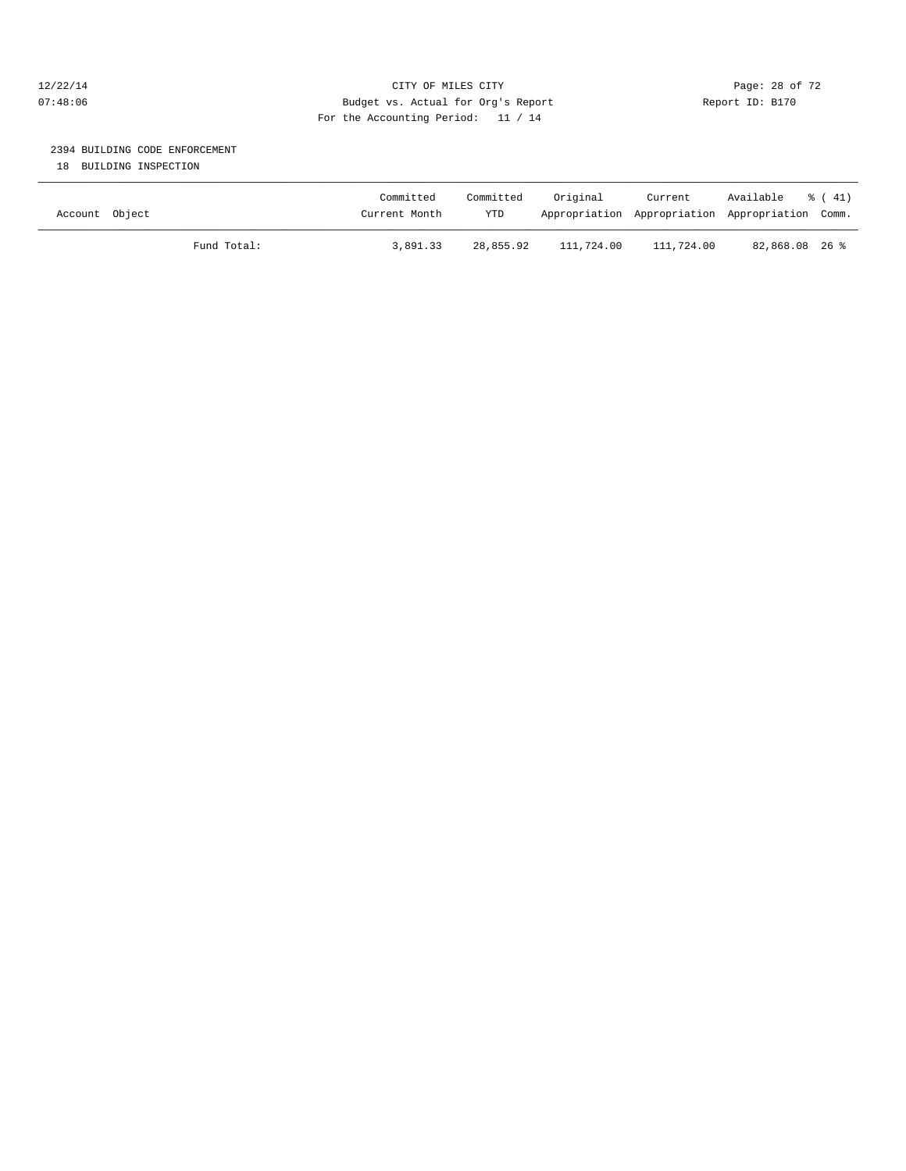#### 12/22/14 Page: 28 of 72 07:48:06 Budget vs. Actual for Org's Report Report ID: B170 For the Accounting Period: 11 / 14

# 2394 BUILDING CODE ENFORCEMENT

18 BUILDING INSPECTION

| Account Object |             | Committed<br>Current Month | Committed<br><b>YTD</b> | Original   | Current    | Available<br>Appropriation Appropriation Appropriation Comm. | $\frac{1}{6}$ (41) |
|----------------|-------------|----------------------------|-------------------------|------------|------------|--------------------------------------------------------------|--------------------|
|                | Fund Total: | 3,891.33                   | 28,855.92               | 111,724.00 | 111,724.00 | 82,868.08 26 %                                               |                    |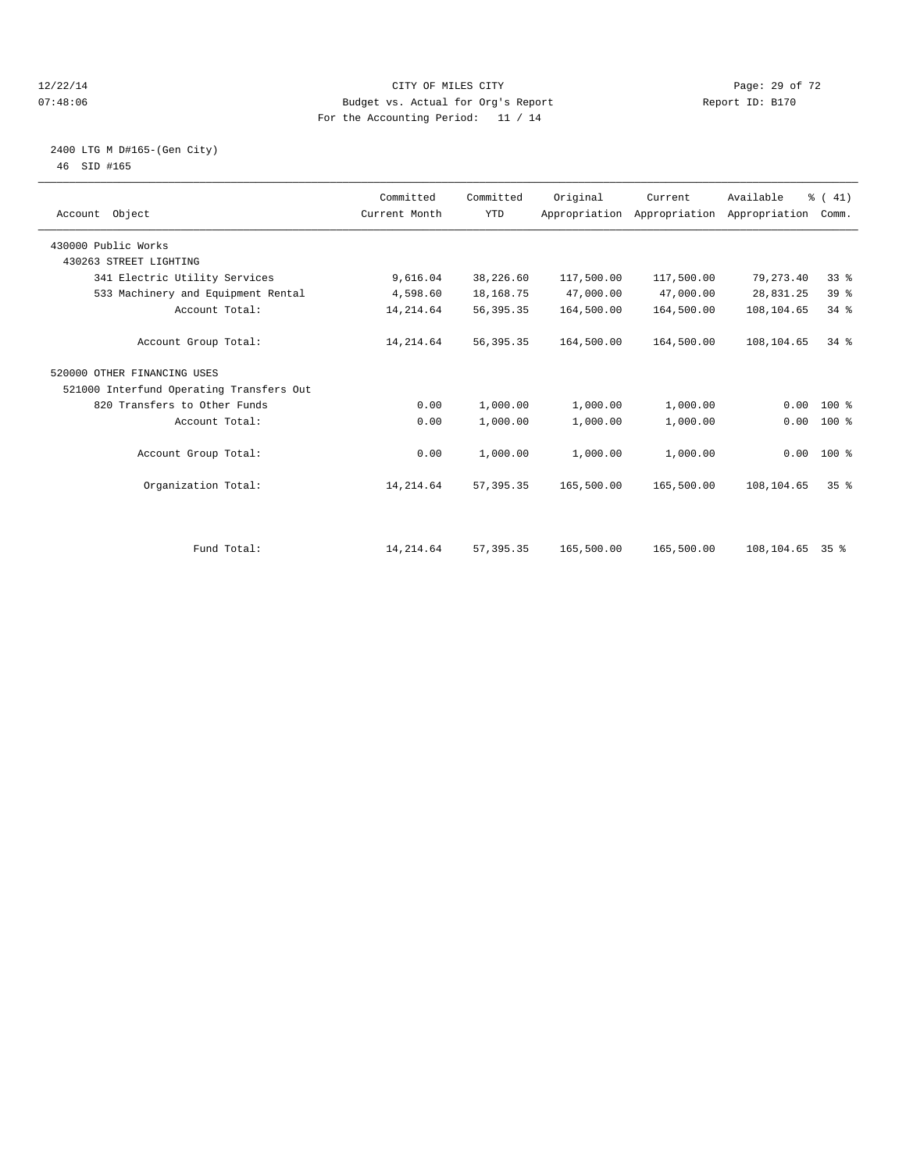#### 12/22/14 Page: 29 of 72 07:48:06 Budget vs. Actual for Org's Report Report ID: B170 For the Accounting Period: 11 / 14

#### 2400 LTG M D#165-(Gen City) 46 SID #165

| Account Object                           | Committed<br>Current Month | Committed<br><b>YTD</b> | Original   | Current<br>Appropriation Appropriation Appropriation | Available       | % (41)<br>Comm. |  |
|------------------------------------------|----------------------------|-------------------------|------------|------------------------------------------------------|-----------------|-----------------|--|
| 430000 Public Works                      |                            |                         |            |                                                      |                 |                 |  |
| 430263 STREET LIGHTING                   |                            |                         |            |                                                      |                 |                 |  |
| 341 Electric Utility Services            | 9,616.04                   | 38,226.60               | 117,500.00 | 117,500.00                                           | 79, 273.40      | 33%             |  |
| 533 Machinery and Equipment Rental       | 4,598.60                   | 18,168.75               | 47,000.00  | 47,000.00                                            | 28,831.25       | 39 %            |  |
| Account Total:                           | 14, 214.64                 | 56, 395. 35             | 164,500.00 | 164,500.00                                           | 108,104.65      | 34.8            |  |
| Account Group Total:                     | 14, 214.64                 | 56, 395. 35             | 164,500.00 | 164,500.00                                           | 108,104.65      | 34.8            |  |
| 520000 OTHER FINANCING USES              |                            |                         |            |                                                      |                 |                 |  |
| 521000 Interfund Operating Transfers Out |                            |                         |            |                                                      |                 |                 |  |
| 820 Transfers to Other Funds             | 0.00                       | 1,000.00                | 1,000.00   | 1,000.00                                             | 0.00            | $100*$          |  |
| Account Total:                           | 0.00                       | 1,000.00                | 1,000.00   | 1,000.00                                             | 0.00            | 100 %           |  |
| Account Group Total:                     | 0.00                       | 1,000.00                | 1,000.00   | 1,000.00                                             |                 | $0.00$ 100 %    |  |
| Organization Total:                      | 14, 214.64                 | 57, 395.35              | 165,500.00 | 165,500.00                                           | 108,104.65      | 35 <sup>8</sup> |  |
|                                          |                            |                         |            |                                                      |                 |                 |  |
| Fund Total:                              | 14, 214.64                 | 57, 395.35              | 165,500.00 | 165,500.00                                           | 108,104.65 35 % |                 |  |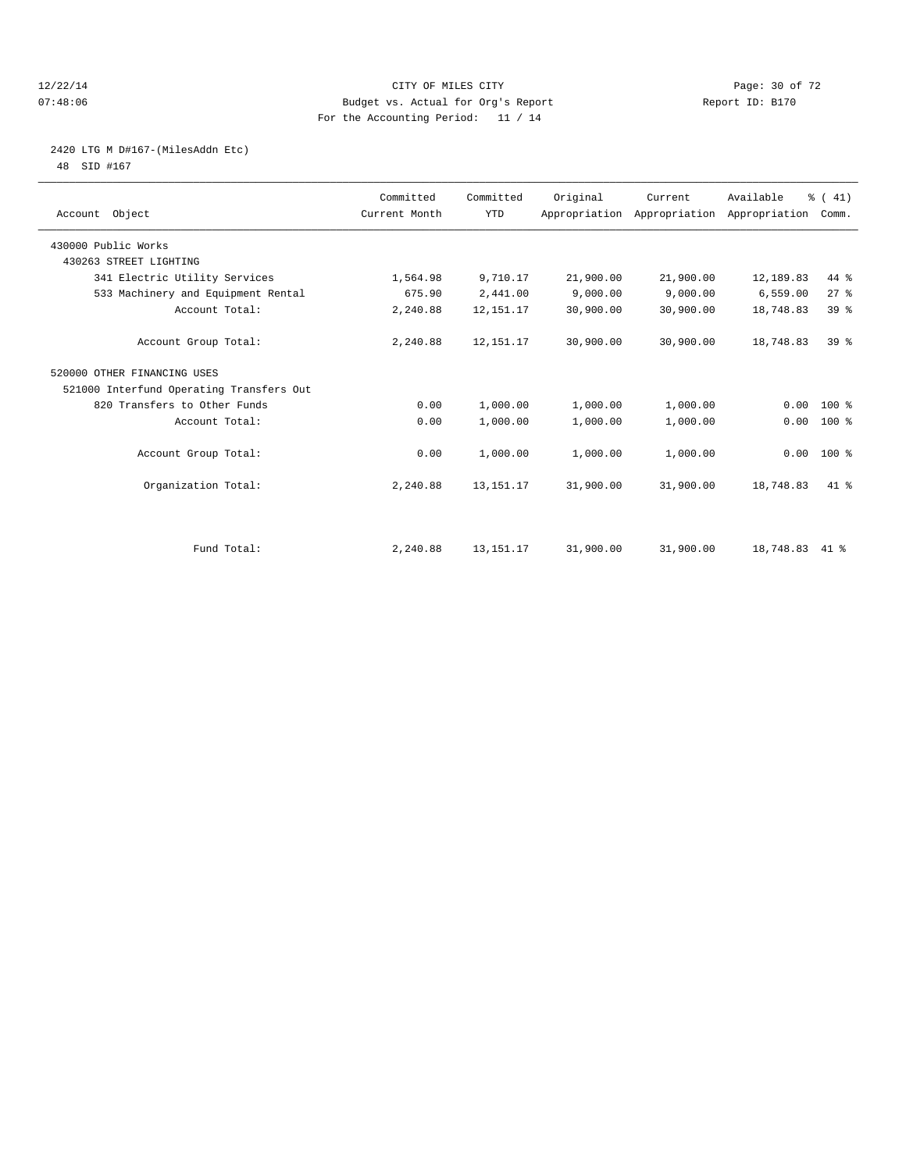#### 12/22/14 Page: 30 of 72 07:48:06 Budget vs. Actual for Org's Report Report ID: B170 For the Accounting Period: 11 / 14

# 2420 LTG M D#167-(MilesAddn Etc)

48 SID #167

| Account Object                           | Committed<br>Current Month | Committed<br><b>YTD</b> | Original  | Current<br>Appropriation Appropriation Appropriation | Available | % (41)<br>Comm. |  |
|------------------------------------------|----------------------------|-------------------------|-----------|------------------------------------------------------|-----------|-----------------|--|
| 430000 Public Works                      |                            |                         |           |                                                      |           |                 |  |
| 430263 STREET LIGHTING                   |                            |                         |           |                                                      |           |                 |  |
| 341 Electric Utility Services            | 1,564.98                   | 9,710.17                | 21,900.00 | 21,900.00                                            | 12,189.83 | $44*$           |  |
| 533 Machinery and Equipment Rental       | 675.90                     | 2,441.00                | 9,000.00  | 9,000.00                                             | 6,559.00  | $27$ $%$        |  |
| Account Total:                           | 2,240.88                   | 12, 151. 17             | 30,900.00 | 30,900.00                                            | 18,748.83 | 39 <sup>8</sup> |  |
| Account Group Total:                     | 2,240.88                   | 12, 151. 17             | 30,900.00 | 30,900.00                                            | 18,748.83 | $39*$           |  |
| 520000 OTHER FINANCING USES              |                            |                         |           |                                                      |           |                 |  |
| 521000 Interfund Operating Transfers Out |                            |                         |           |                                                      |           |                 |  |
| 820 Transfers to Other Funds             | 0.00                       | 1,000.00                | 1,000.00  | 1,000.00                                             | 0.00      | $100*$          |  |
| Account Total:                           | 0.00                       | 1,000.00                | 1,000.00  | 1,000.00                                             | 0.00      | 100 %           |  |
| Account Group Total:                     | 0.00                       | 1,000.00                | 1,000.00  | 1,000.00                                             |           | $0.00$ 100 %    |  |
| Organization Total:                      | 2,240.88                   | 13, 151. 17             | 31,900.00 | 31,900.00                                            | 18,748.83 | $41*$           |  |
|                                          |                            |                         |           |                                                      |           |                 |  |
| Fund Total:                              | 2,240.88                   | 13, 151. 17             | 31,900.00 | 31,900.00                                            | 18,748.83 | $41*$           |  |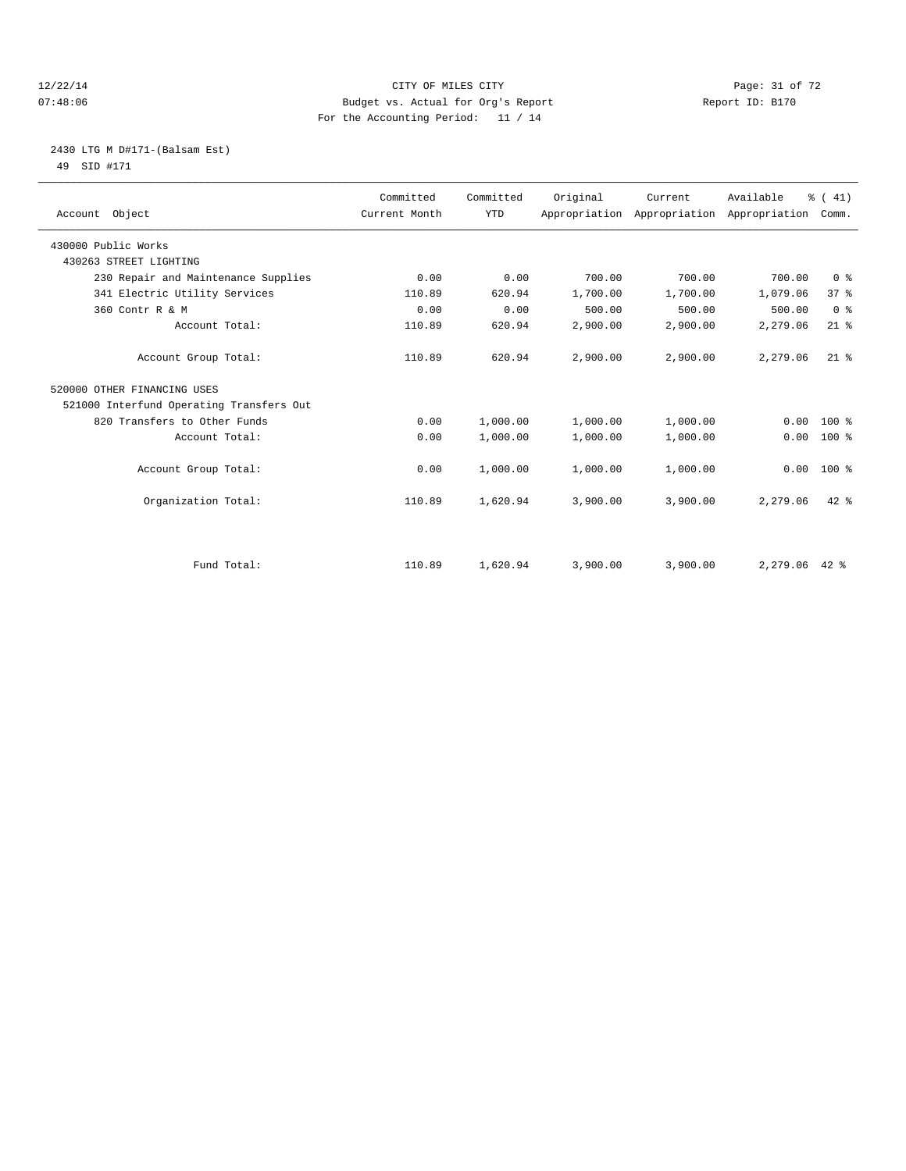#### 12/22/14 Page: 31 of 72 07:48:06 Budget vs. Actual for Org's Report Report ID: B170 For the Accounting Period: 11 / 14

## 2430 LTG M D#171-(Balsam Est) 49 SID #171

| Account Object                           | Committed<br>Current Month | Committed<br><b>YTD</b> | Original | Current<br>Appropriation Appropriation | Available<br>Appropriation | % (41)<br>Comm. |
|------------------------------------------|----------------------------|-------------------------|----------|----------------------------------------|----------------------------|-----------------|
| 430000 Public Works                      |                            |                         |          |                                        |                            |                 |
| 430263 STREET LIGHTING                   |                            |                         |          |                                        |                            |                 |
| 230 Repair and Maintenance Supplies      | 0.00                       | 0.00                    | 700.00   | 700.00                                 | 700.00                     | 0 <sup>8</sup>  |
| 341 Electric Utility Services            | 110.89                     | 620.94                  | 1,700.00 | 1,700.00                               | 1,079.06                   | 37 <sup>8</sup> |
| 360 Contr R & M                          | 0.00                       | 0.00                    | 500.00   | 500.00                                 | 500.00                     | 0 <sup>8</sup>  |
| Account Total:                           | 110.89                     | 620.94                  | 2,900.00 | 2,900.00                               | 2,279.06                   | $21$ %          |
| Account Group Total:                     | 110.89                     | 620.94                  | 2,900.00 | 2.900.00                               | 2,279.06                   | $21$ %          |
| 520000 OTHER FINANCING USES              |                            |                         |          |                                        |                            |                 |
| 521000 Interfund Operating Transfers Out |                            |                         |          |                                        |                            |                 |
| 820 Transfers to Other Funds             | 0.00                       | 1,000.00                | 1,000.00 | 1,000.00                               | 0.00                       | $100*$          |
| Account Total:                           | 0.00                       | 1,000.00                | 1,000.00 | 1,000.00                               | 0.00                       | $100*$          |
| Account Group Total:                     | 0.00                       | 1,000.00                | 1,000.00 | 1,000.00                               | 0.00                       | $100*$          |
| Organization Total:                      | 110.89                     | 1,620.94                | 3,900.00 | 3,900.00                               | 2,279.06                   | $42*$           |
|                                          |                            |                         |          |                                        |                            |                 |
| Fund Total:                              | 110.89                     | 1,620.94                | 3,900.00 | 3,900.00                               | $2,279.06$ 42 %            |                 |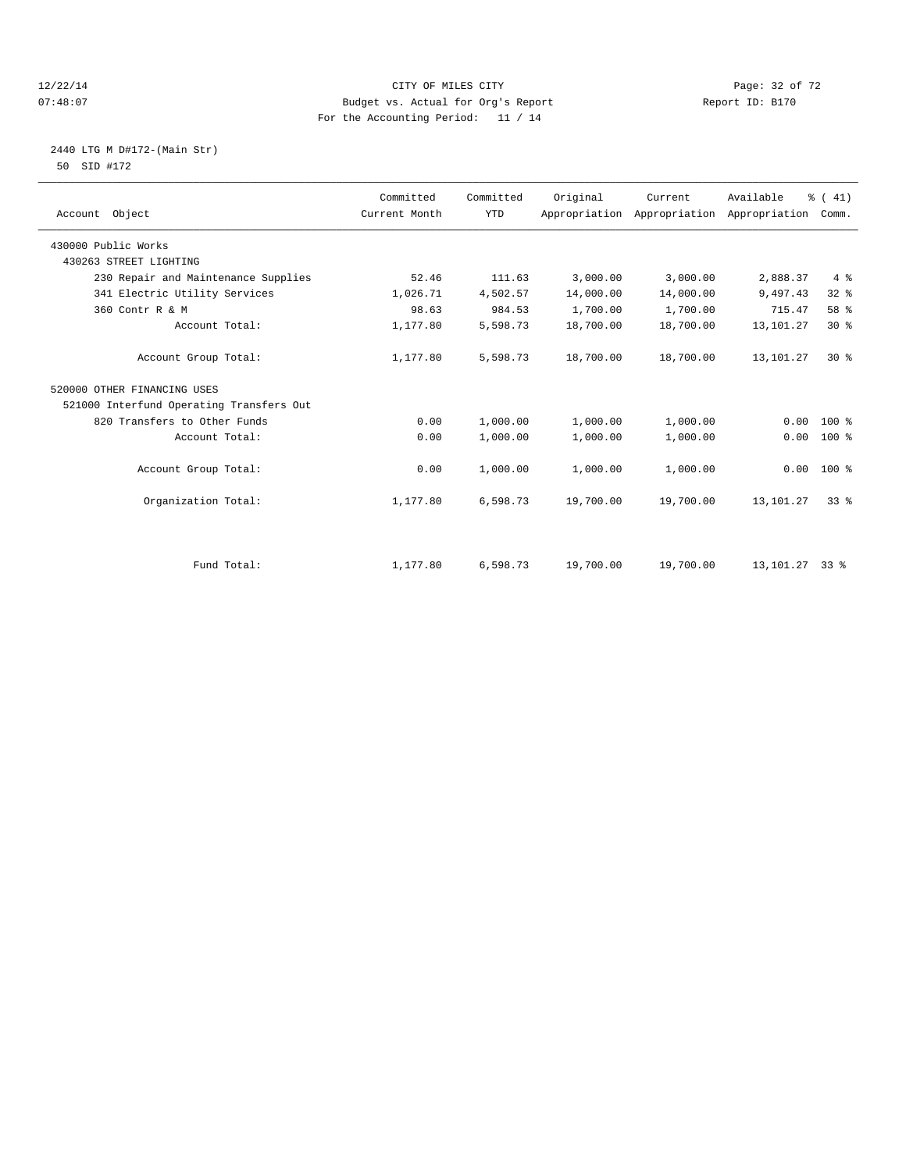#### 12/22/14 Page: 32 of 72 07:48:07 Budget vs. Actual for Org's Report Report ID: B170 For the Accounting Period: 11 / 14

## 2440 LTG M D#172-(Main Str) 50 SID #172

| Account Object                           | Committed<br>Current Month | Committed<br><b>YTD</b> | Original  | Current<br>Appropriation Appropriation | Available<br>Appropriation | % (41)<br>Comm. |
|------------------------------------------|----------------------------|-------------------------|-----------|----------------------------------------|----------------------------|-----------------|
| 430000 Public Works                      |                            |                         |           |                                        |                            |                 |
| 430263 STREET LIGHTING                   |                            |                         |           |                                        |                            |                 |
| 230 Repair and Maintenance Supplies      | 52.46                      | 111.63                  | 3,000.00  | 3,000.00                               | 2,888.37                   | $4\degree$      |
| 341 Electric Utility Services            | 1,026.71                   | 4,502.57                | 14,000.00 | 14,000.00                              | 9,497.43                   | 32%             |
| 360 Contr R & M                          | 98.63                      | 984.53                  | 1,700.00  | 1,700.00                               | 715.47                     | 58 %            |
| Account Total:                           | 1,177.80                   | 5,598.73                | 18,700.00 | 18,700.00                              | 13,101.27                  | $30*$           |
| Account Group Total:                     | 1,177.80                   | 5,598.73                | 18,700.00 | 18,700.00                              | 13,101.27                  | $30*$           |
| 520000 OTHER FINANCING USES              |                            |                         |           |                                        |                            |                 |
| 521000 Interfund Operating Transfers Out |                            |                         |           |                                        |                            |                 |
| 820 Transfers to Other Funds             | 0.00                       | 1,000.00                | 1,000.00  | 1,000.00                               | 0.00                       | $100*$          |
| Account Total:                           | 0.00                       | 1,000.00                | 1,000.00  | 1,000.00                               | 0.00                       | $100*$          |
| Account Group Total:                     | 0.00                       | 1,000.00                | 1,000.00  | 1,000.00                               | 0.00                       | 100 %           |
| Organization Total:                      | 1,177.80                   | 6,598.73                | 19,700.00 | 19,700.00                              | 13,101.27                  | 33 <sup>8</sup> |
|                                          |                            |                         |           |                                        |                            |                 |
| Fund Total:                              | 1,177.80                   | 6,598.73                | 19,700.00 | 19,700.00                              | 13, 101. 27 33 %           |                 |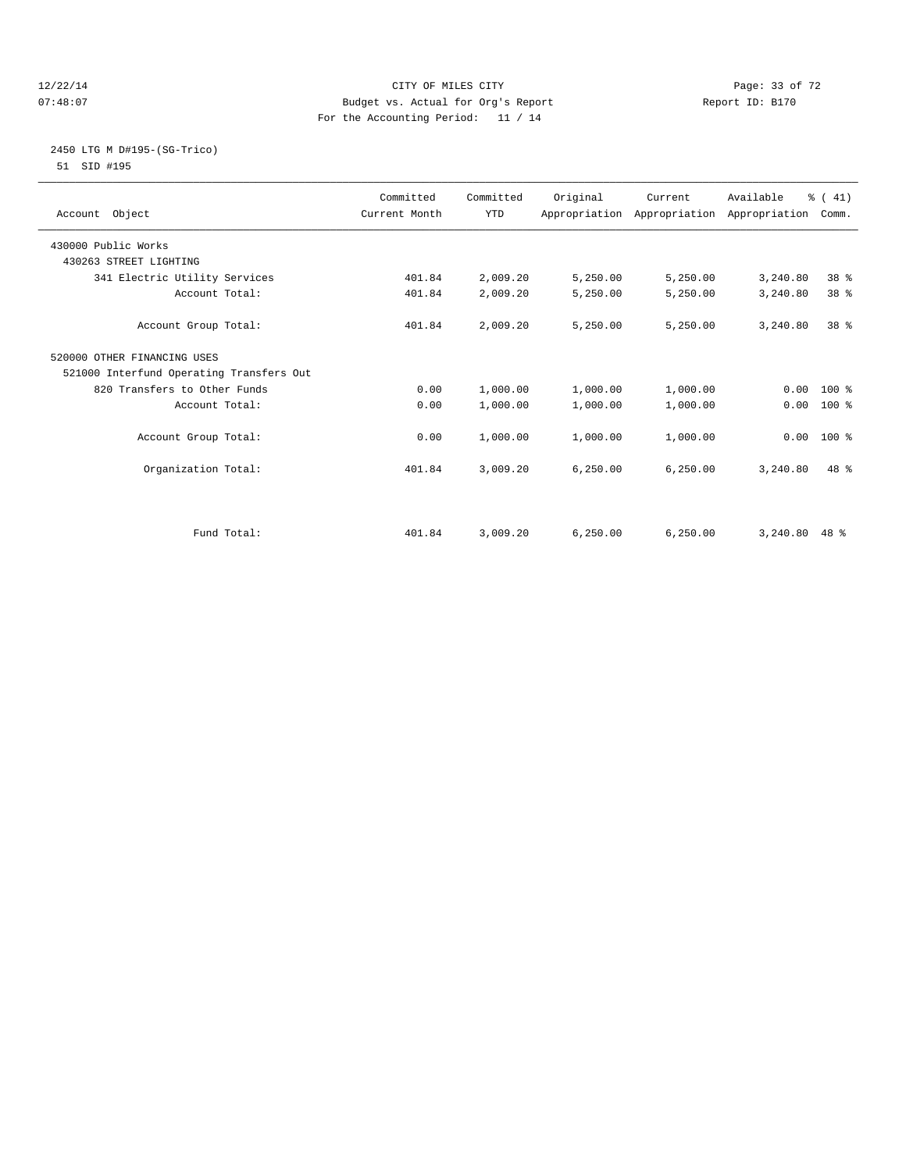#### 12/22/14 Page: 33 of 72 07:48:07 Budget vs. Actual for Org's Report Report ID: B170 For the Accounting Period: 11 / 14

#### 2450 LTG M D#195-(SG-Trico) 51 SID #195

| Account Object                           | Committed<br>Current Month | Committed<br><b>YTD</b> | Original  | Current   | Available<br>Appropriation Appropriation Appropriation | % (41)<br>Comm. |  |
|------------------------------------------|----------------------------|-------------------------|-----------|-----------|--------------------------------------------------------|-----------------|--|
| 430000 Public Works                      |                            |                         |           |           |                                                        |                 |  |
| 430263 STREET LIGHTING                   |                            |                         |           |           |                                                        |                 |  |
| 341 Electric Utility Services            | 401.84                     | 2,009.20                | 5,250.00  | 5,250.00  | 3,240.80                                               | 38 %            |  |
| Account Total:                           | 401.84                     | 2,009.20                | 5,250.00  | 5,250.00  | 3,240.80                                               | 38 <sup>8</sup> |  |
| Account Group Total:                     | 401.84                     | 2,009.20                | 5,250.00  | 5,250.00  | 3,240.80                                               | 38 <sup>8</sup> |  |
| 520000 OTHER FINANCING USES              |                            |                         |           |           |                                                        |                 |  |
| 521000 Interfund Operating Transfers Out |                            |                         |           |           |                                                        |                 |  |
| 820 Transfers to Other Funds             | 0.00                       | 1,000.00                | 1,000.00  | 1,000.00  |                                                        | $0.00 100$ %    |  |
| Account Total:                           | 0.00                       | 1,000.00                | 1,000.00  | 1,000.00  | 0.00                                                   | 100 %           |  |
| Account Group Total:                     | 0.00                       | 1,000.00                | 1,000.00  | 1,000.00  |                                                        | $0.00$ 100 %    |  |
| Organization Total:                      | 401.84                     | 3,009.20                | 6, 250.00 | 6, 250.00 | 3,240.80                                               | $48*$           |  |
| Fund Total:                              | 401.84                     | 3,009.20                | 6, 250.00 | 6.250.00  | 3,240.80                                               | $48*$           |  |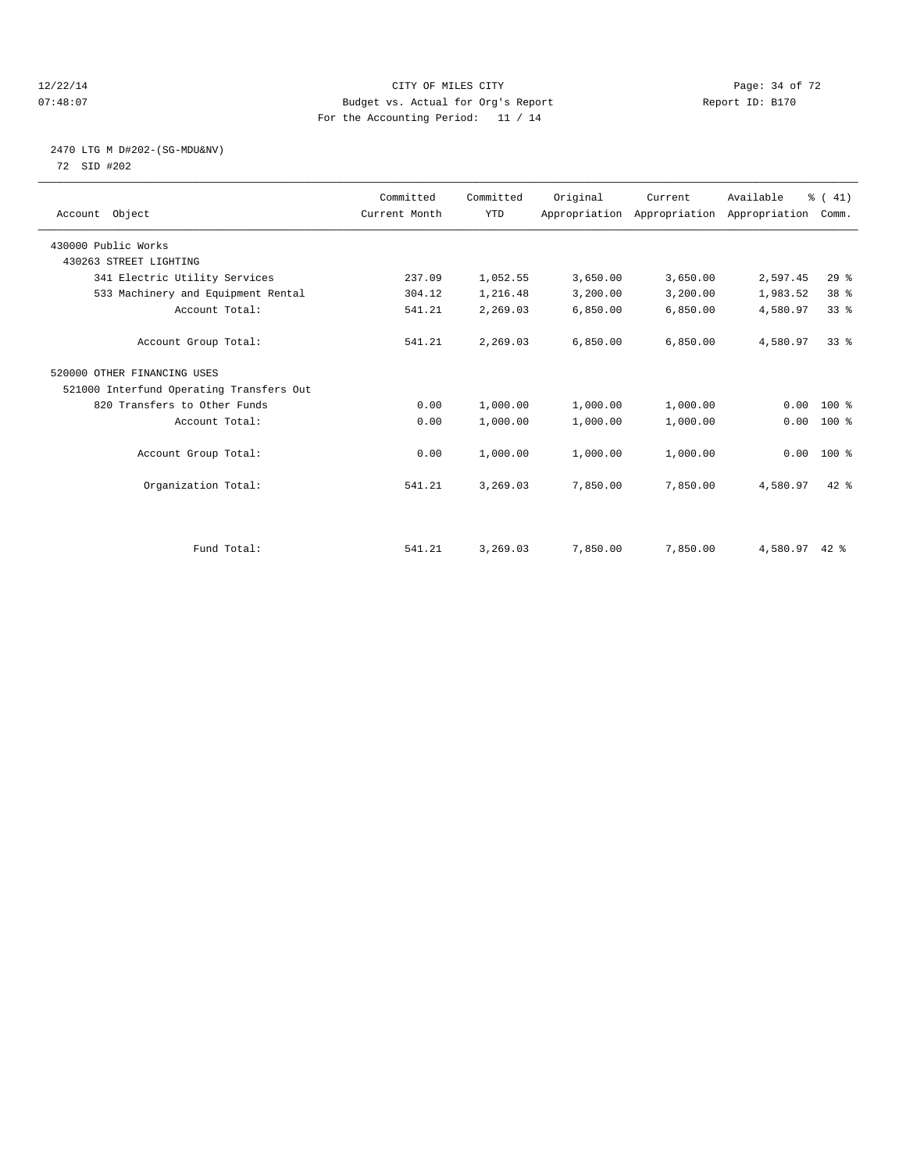#### 12/22/14 Page: 34 of 72 07:48:07 Budget vs. Actual for Org's Report Report ID: B170 For the Accounting Period: 11 / 14

## 2470 LTG M D#202-(SG-MDU&NV) 72 SID #202

| Account Object                           | Committed<br>Current Month | Committed<br><b>YTD</b> | Original | Current<br>Appropriation Appropriation Appropriation | Available | % (41)<br>Comm. |  |
|------------------------------------------|----------------------------|-------------------------|----------|------------------------------------------------------|-----------|-----------------|--|
| 430000 Public Works                      |                            |                         |          |                                                      |           |                 |  |
| 430263 STREET LIGHTING                   |                            |                         |          |                                                      |           |                 |  |
| 341 Electric Utility Services            | 237.09                     | 1,052.55                | 3,650.00 | 3,650.00                                             | 2,597.45  | 29%             |  |
| 533 Machinery and Equipment Rental       | 304.12                     | 1,216.48                | 3,200.00 | 3,200.00                                             | 1,983.52  | 38 %            |  |
| Account Total:                           | 541.21                     | 2,269.03                | 6,850.00 | 6,850.00                                             | 4,580.97  | 33 <sup>8</sup> |  |
| Account Group Total:                     | 541.21                     | 2,269.03                | 6.850.00 | 6,850.00                                             | 4,580.97  | 33 <sup>8</sup> |  |
| 520000 OTHER FINANCING USES              |                            |                         |          |                                                      |           |                 |  |
| 521000 Interfund Operating Transfers Out |                            |                         |          |                                                      |           |                 |  |
| 820 Transfers to Other Funds             | 0.00                       | 1,000.00                | 1,000.00 | 1,000.00                                             | 0.00      | 100 %           |  |
| Account Total:                           | 0.00                       | 1,000.00                | 1,000.00 | 1,000.00                                             | 0.00      | 100 %           |  |
| Account Group Total:                     | 0.00                       | 1,000.00                | 1,000.00 | 1,000.00                                             |           | $0.00$ 100 %    |  |
| Organization Total:                      | 541.21                     | 3,269.03                | 7,850.00 | 7,850.00                                             | 4,580.97  | $42*$           |  |
|                                          |                            |                         |          |                                                      |           |                 |  |
| Fund Total:                              | 541.21                     | 3,269.03                | 7,850.00 | 7,850.00                                             | 4,580.97  | $42*$           |  |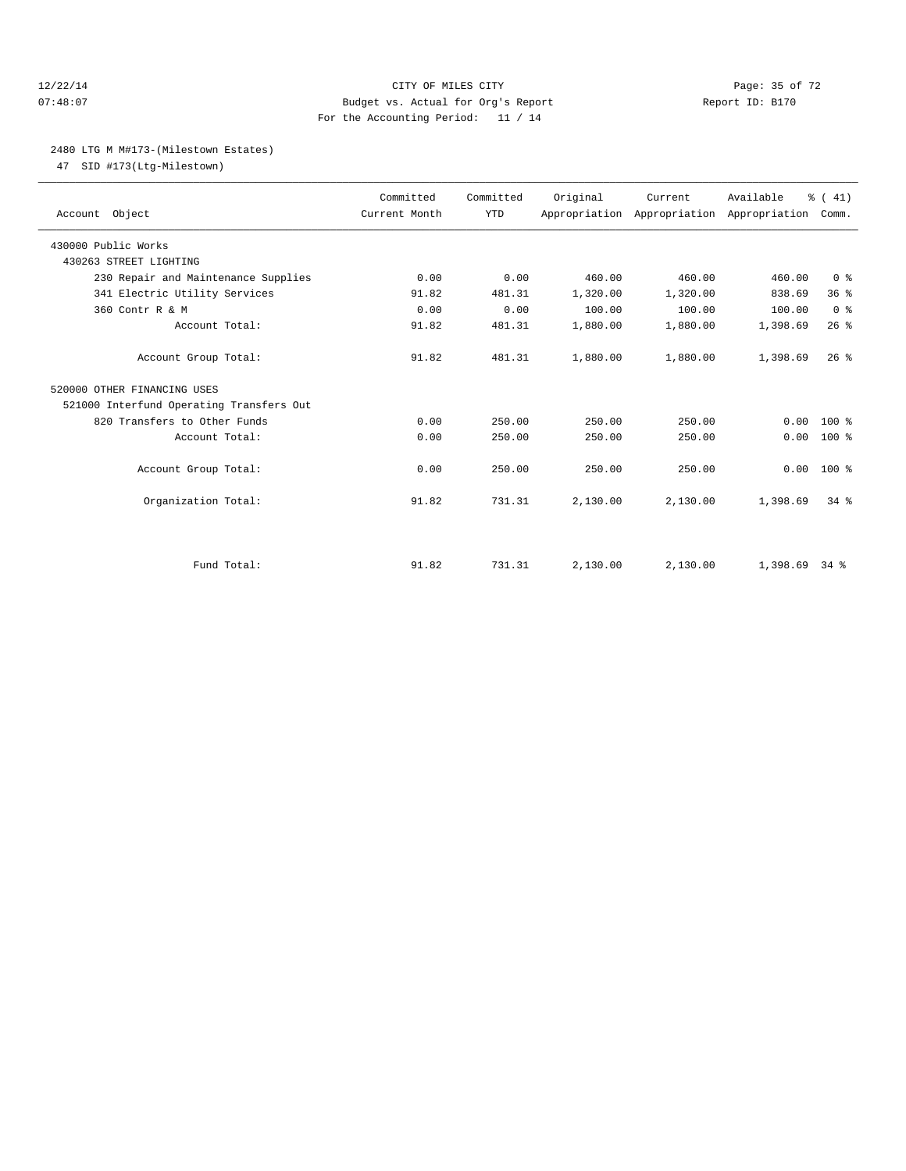#### 12/22/14 Page: 35 of 72 07:48:07 Budget vs. Actual for Org's Report Report ID: B170 For the Accounting Period: 11 / 14

#### 2480 LTG M M#173-(Milestown Estates)

47 SID #173(Ltg-Milestown)

| Account Object                           | Committed<br>Current Month | Committed<br><b>YTD</b> | Original | Current<br>Appropriation Appropriation Appropriation | Available | % (41)<br>Comm. |  |
|------------------------------------------|----------------------------|-------------------------|----------|------------------------------------------------------|-----------|-----------------|--|
| 430000 Public Works                      |                            |                         |          |                                                      |           |                 |  |
| 430263 STREET LIGHTING                   |                            |                         |          |                                                      |           |                 |  |
| 230 Repair and Maintenance Supplies      | 0.00                       | 0.00                    | 460.00   | 460.00                                               | 460.00    | 0 <sup>8</sup>  |  |
| 341 Electric Utility Services            | 91.82                      | 481.31                  | 1,320.00 | 1,320.00                                             | 838.69    | 36%             |  |
| 360 Contr R & M                          | 0.00                       | 0.00                    | 100.00   | 100.00                                               | 100.00    | 0 <sup>8</sup>  |  |
| Account Total:                           | 91.82                      | 481.31                  | 1,880.00 | 1,880.00                                             | 1,398.69  | 26%             |  |
| Account Group Total:                     | 91.82                      | 481.31                  | 1,880.00 | 1,880.00                                             | 1,398.69  | $26$ $%$        |  |
| 520000 OTHER FINANCING USES              |                            |                         |          |                                                      |           |                 |  |
| 521000 Interfund Operating Transfers Out |                            |                         |          |                                                      |           |                 |  |
| 820 Transfers to Other Funds             | 0.00                       | 250.00                  | 250.00   | 250.00                                               | 0.00      | $100*$          |  |
| Account Total:                           | 0.00                       | 250.00                  | 250.00   | 250.00                                               | 0.00      | $100*$          |  |
| Account Group Total:                     | 0.00                       | 250.00                  | 250.00   | 250.00                                               | 0.00      | $100*$          |  |
| Organization Total:                      | 91.82                      | 731.31                  | 2,130.00 | 2,130.00                                             | 1,398.69  | $34$ $%$        |  |
|                                          |                            |                         |          |                                                      |           |                 |  |
| Fund Total:                              | 91.82                      | 731.31                  | 2,130.00 | 2,130.00                                             | 1,398.69  | 34 %            |  |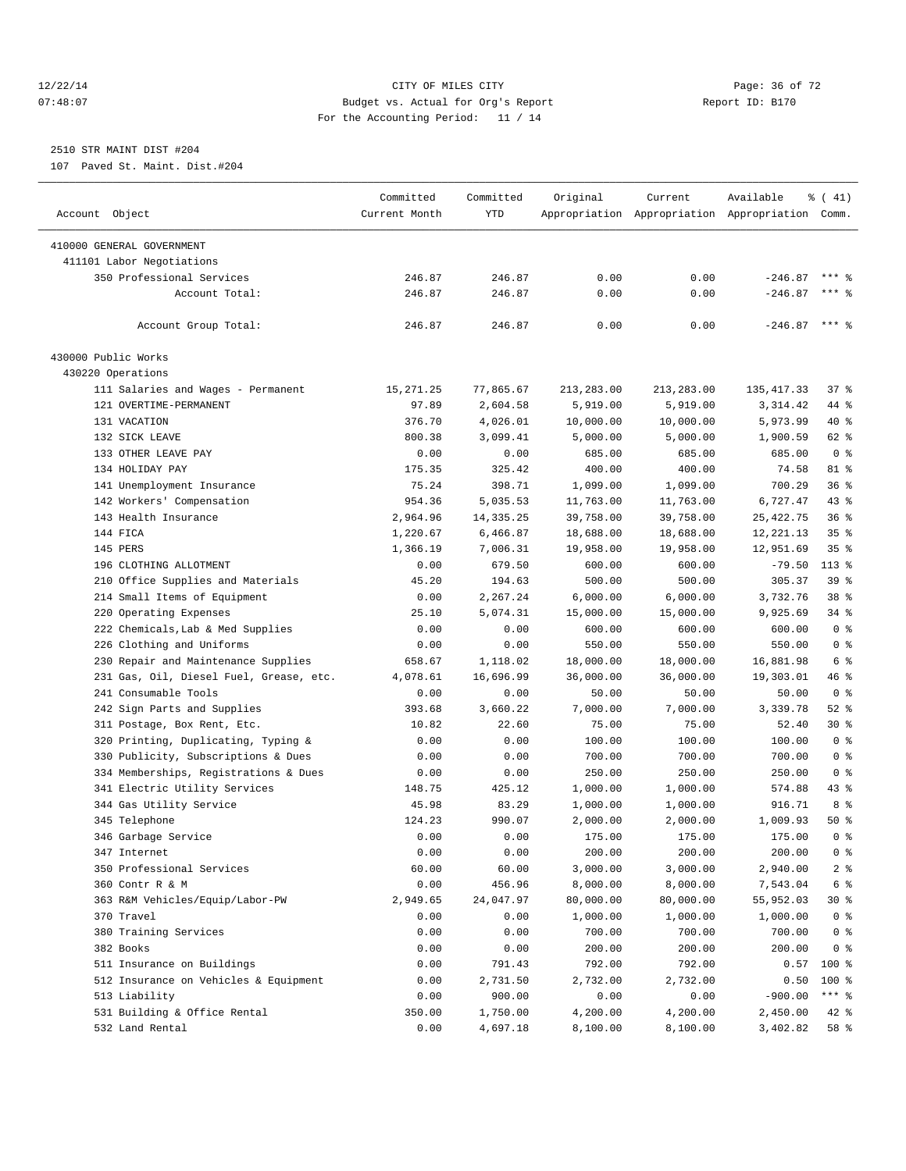#### 12/22/14 Page: 36 of 72 07:48:07 Budget vs. Actual for Org's Report Report ID: B170 For the Accounting Period: 11 / 14

————————————————————————————————————————————————————————————————————————————————————————————————————————————————————————————————————

# 2510 STR MAINT DIST #204

107 Paved St. Maint. Dist.#204

|                                         | Committed     | Committed   | Original        | Current         | Available                                       | $\frac{1}{6}$ ( 41) |
|-----------------------------------------|---------------|-------------|-----------------|-----------------|-------------------------------------------------|---------------------|
| Account Object                          | Current Month | <b>YTD</b>  |                 |                 | Appropriation Appropriation Appropriation Comm. |                     |
| 410000 GENERAL GOVERNMENT               |               |             |                 |                 |                                                 |                     |
| 411101 Labor Negotiations               |               |             |                 |                 |                                                 |                     |
| 350 Professional Services               | 246.87        | 246.87      | 0.00            | 0.00            | $-246.87$                                       | $***$ %             |
| Account Total:                          | 246.87        | 246.87      | 0.00            | 0.00            | $-246.87$                                       | $***$ $%$           |
|                                         |               |             |                 |                 |                                                 |                     |
| Account Group Total:                    | 246.87        | 246.87      | 0.00            | 0.00            | $-246.87$ *** \$                                |                     |
| 430000 Public Works                     |               |             |                 |                 |                                                 |                     |
| 430220 Operations                       |               |             |                 |                 |                                                 |                     |
| 111 Salaries and Wages - Permanent      | 15, 271.25    | 77,865.67   | 213,283.00      | 213,283.00      | 135, 417.33                                     | 37%                 |
| 121 OVERTIME-PERMANENT                  | 97.89         | 2,604.58    | 5,919.00        | 5,919.00        | 3,314.42                                        | 44 %                |
| 131 VACATION                            | 376.70        | 4,026.01    | 10,000.00       | 10,000.00       | 5,973.99                                        | 40 %                |
| 132 SICK LEAVE                          | 800.38        | 3,099.41    | 5,000.00        | 5,000.00        | 1,900.59                                        | 62 %                |
| 133 OTHER LEAVE PAY                     | 0.00          | 0.00        | 685.00          | 685.00          | 685.00                                          | 0 <sup>8</sup>      |
| 134 HOLIDAY PAY                         | 175.35        | 325.42      | 400.00          | 400.00          | 74.58                                           | 81 %                |
| 141 Unemployment Insurance              | 75.24         | 398.71      | 1,099.00        | 1,099.00        | 700.29                                          | 36%                 |
| 142 Workers' Compensation               | 954.36        | 5,035.53    | 11,763.00       | 11,763.00       | 6,727.47                                        | 43 %                |
| 143 Health Insurance                    | 2,964.96      | 14, 335. 25 | 39,758.00       | 39,758.00       | 25, 422. 75                                     | 36%                 |
| 144 FICA                                | 1,220.67      | 6,466.87    | 18,688.00       | 18,688.00       | 12, 221.13                                      | 35%                 |
| 145 PERS                                | 1,366.19      | 7,006.31    | 19,958.00       | 19,958.00       | 12,951.69                                       | 35 <sup>8</sup>     |
| 196 CLOTHING ALLOTMENT                  | 0.00          | 679.50      | 600.00          | 600.00          | $-79.50$                                        | 113 %               |
| 210 Office Supplies and Materials       | 45.20         | 194.63      | 500.00          | 500.00          | 305.37                                          | 39 %                |
| 214 Small Items of Equipment            | 0.00          | 2,267.24    | 6,000.00        | 6,000.00        | 3,732.76                                        | 38 %                |
| 220 Operating Expenses                  | 25.10         | 5,074.31    | 15,000.00       | 15,000.00       | 9,925.69                                        | 34 %                |
| 222 Chemicals, Lab & Med Supplies       | 0.00          | 0.00        | 600.00          | 600.00          | 600.00                                          | 0 <sup>8</sup>      |
| 226 Clothing and Uniforms               | 0.00          | 0.00        | 550.00          | 550.00          | 550.00                                          | 0 <sup>8</sup>      |
| 230 Repair and Maintenance Supplies     | 658.67        | 1,118.02    | 18,000.00       | 18,000.00       | 16,881.98                                       | 6 %                 |
| 231 Gas, Oil, Diesel Fuel, Grease, etc. | 4,078.61      | 16,696.99   | 36,000.00       | 36,000.00       | 19,303.01                                       | 46 %                |
| 241 Consumable Tools                    | 0.00          | 0.00        | 50.00           | 50.00           | 50.00                                           | 0 <sup>8</sup>      |
| 242 Sign Parts and Supplies             | 393.68        | 3,660.22    |                 |                 | 3,339.78                                        | $52$ $%$            |
|                                         |               | 22.60       | 7,000.00        | 7,000.00        |                                                 | 30 %                |
| 311 Postage, Box Rent, Etc.             | 10.82<br>0.00 | 0.00        | 75.00<br>100.00 | 75.00<br>100.00 | 52.40<br>100.00                                 | 0 <sup>8</sup>      |
| 320 Printing, Duplicating, Typing &     |               |             |                 |                 | 700.00                                          | 0 <sup>8</sup>      |
| 330 Publicity, Subscriptions & Dues     | 0.00          | 0.00        | 700.00          | 700.00          |                                                 |                     |
| 334 Memberships, Registrations & Dues   | 0.00          | 0.00        | 250.00          | 250.00          | 250.00                                          | 0 <sup>8</sup>      |
| 341 Electric Utility Services           | 148.75        | 425.12      | 1,000.00        | 1,000.00        | 574.88                                          | 43 %                |
| 344 Gas Utility Service                 | 45.98         | 83.29       | 1,000.00        | 1,000.00        | 916.71                                          | 8 %                 |
| 345 Telephone                           | 124.23        | 990.07      | 2,000.00        | 2,000.00        | 1,009.93                                        | 50 %                |
| 346 Garbage Service                     | 0.00          | 0.00        | 175.00          | 175.00          | 175.00                                          | 0 <sup>8</sup>      |
| 347 Internet                            | 0.00          | 0.00        | 200.00          | 200.00          | 200.00                                          | 0 <sup>8</sup>      |
| 350 Professional Services               | 60.00         | 60.00       | 3,000.00        | 3,000.00        | 2,940.00                                        | 2 <sub>8</sub>      |
| 360 Contr R & M                         | 0.00          | 456.96      | 8,000.00        | 8,000.00        | 7,543.04                                        | $6\degree$          |
| 363 R&M Vehicles/Equip/Labor-PW         | 2,949.65      | 24,047.97   | 80,000.00       | 80,000.00       | 55,952.03                                       | 30 %                |
| 370 Travel                              | 0.00          | 0.00        | 1,000.00        | 1,000.00        | 1,000.00                                        | $0$ %               |
| 380 Training Services                   | 0.00          | 0.00        | 700.00          | 700.00          | 700.00                                          | 0 <sup>8</sup>      |
| 382 Books                               | 0.00          | 0.00        | 200.00          | 200.00          | 200.00                                          | 0 <sup>8</sup>      |
| 511 Insurance on Buildings              | 0.00          | 791.43      | 792.00          | 792.00          |                                                 | $0.57$ 100 %        |
| 512 Insurance on Vehicles & Equipment   | 0.00          | 2,731.50    | 2,732.00        | 2,732.00        | 0.50                                            | 100 %               |
| 513 Liability                           | 0.00          | 900.00      | 0.00            | 0.00            | $-900.00$                                       | *** 응               |
| 531 Building & Office Rental            | 350.00        | 1,750.00    | 4,200.00        | 4,200.00        | 2,450.00                                        | 42 %                |
| 532 Land Rental                         | 0.00          | 4,697.18    | 8,100.00        | 8,100.00        | 3,402.82                                        | 58 %                |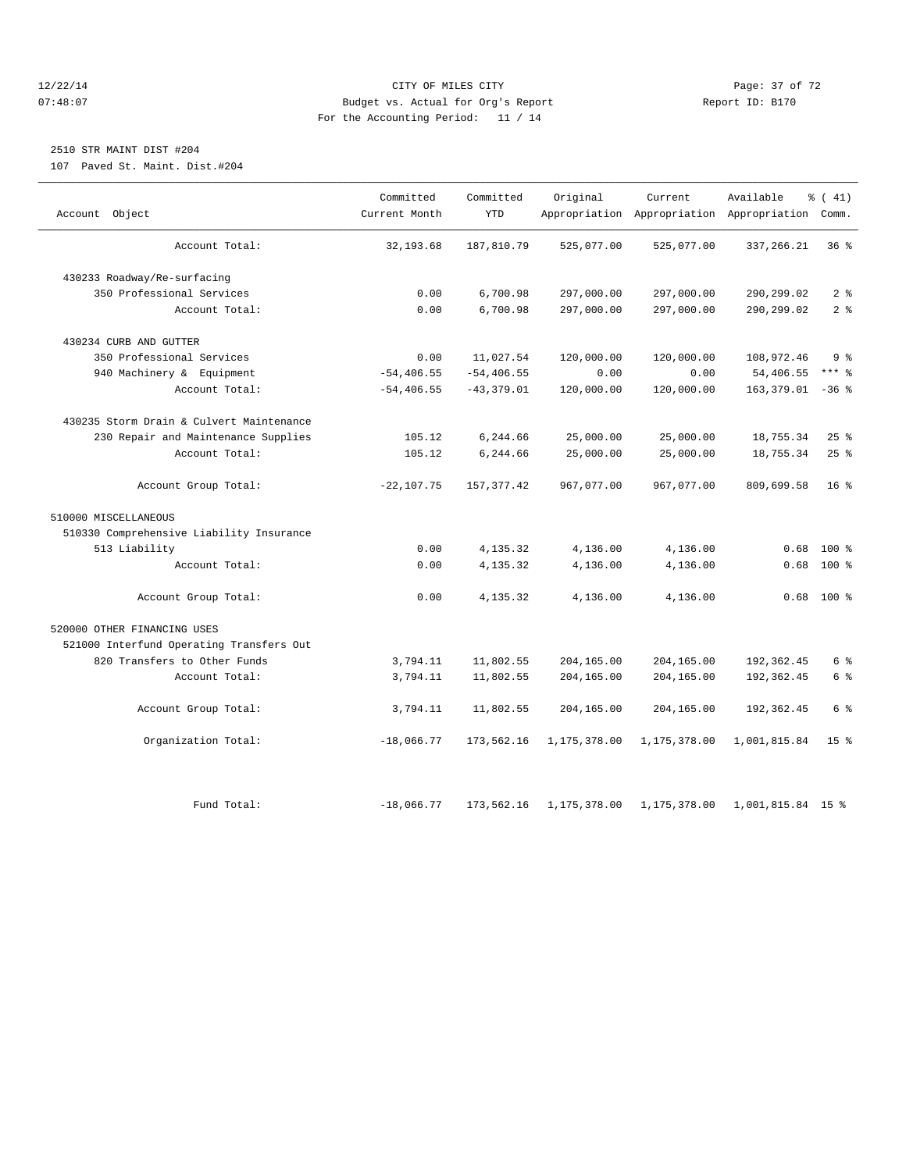#### 12/22/14 Page: 37 of 72 07:48:07 Budget vs. Actual for Org's Report Report ID: B170 For the Accounting Period: 11 / 14

## 2510 STR MAINT DIST #204

107 Paved St. Maint. Dist.#204

|                                          | Committed     | Committed     | Original     | Current      | Available                                       | % (41)              |
|------------------------------------------|---------------|---------------|--------------|--------------|-------------------------------------------------|---------------------|
| Account Object                           | Current Month | <b>YTD</b>    |              |              | Appropriation Appropriation Appropriation Comm. |                     |
| Account Total:                           | 32, 193.68    | 187,810.79    | 525,077.00   | 525,077.00   | 337, 266.21                                     | 36%                 |
| 430233 Roadway/Re-surfacing              |               |               |              |              |                                                 |                     |
| 350 Professional Services                | 0.00          | 6,700.98      | 297,000.00   | 297,000.00   | 290,299.02                                      | 2 <sup>°</sup>      |
| Account Total:                           | 0.00          | 6,700.98      | 297,000.00   | 297,000.00   | 290,299.02                                      | 2 <sup>°</sup>      |
| 430234 CURB AND GUTTER                   |               |               |              |              |                                                 |                     |
| 350 Professional Services                | 0.00          | 11,027.54     | 120,000.00   | 120,000.00   | 108,972.46                                      | 9 <sup>°</sup>      |
| 940 Machinery & Equipment                | $-54, 406.55$ | $-54, 406.55$ | 0.00         | 0.00         | 54,406.55                                       | $***$ $\frac{6}{5}$ |
| Account Total:                           | $-54, 406.55$ | $-43,379.01$  | 120,000.00   | 120,000.00   | $163,379.01 -36$ %                              |                     |
| 430235 Storm Drain & Culvert Maintenance |               |               |              |              |                                                 |                     |
| 230 Repair and Maintenance Supplies      | 105.12        | 6,244.66      | 25,000.00    | 25,000.00    | 18,755.34                                       | $25$ %              |
| Account Total:                           | 105.12        | 6,244.66      | 25,000.00    | 25,000.00    | 18,755.34                                       | 25%                 |
| Account Group Total:                     | $-22, 107.75$ | 157, 377.42   | 967,077.00   | 967,077.00   | 809,699.58                                      | 16 <sup>8</sup>     |
| 510000 MISCELLANEOUS                     |               |               |              |              |                                                 |                     |
| 510330 Comprehensive Liability Insurance |               |               |              |              |                                                 |                     |
| 513 Liability                            | 0.00          | 4,135.32      | 4,136.00     | 4,136.00     | 0.68                                            | $100*$              |
| Account Total:                           | 0.00          | 4,135.32      | 4,136.00     | 4,136.00     | 0.68                                            | $100*$              |
| Account Group Total:                     | 0.00          | 4,135.32      | 4,136.00     | 4,136.00     |                                                 | $0.68$ 100 %        |
| 520000 OTHER FINANCING USES              |               |               |              |              |                                                 |                     |
| 521000 Interfund Operating Transfers Out |               |               |              |              |                                                 |                     |
| 820 Transfers to Other Funds             | 3,794.11      | 11,802.55     | 204,165.00   | 204,165.00   | 192,362.45                                      | 6 %                 |
| Account Total:                           | 3,794.11      | 11,802.55     | 204,165.00   | 204,165.00   | 192,362.45                                      | 6 %                 |
| Account Group Total:                     | 3,794.11      | 11,802.55     | 204,165.00   | 204,165.00   | 192, 362.45                                     | $6\degree$          |
| Organization Total:                      | $-18,066.77$  | 173,562.16    | 1,175,378.00 | 1,175,378.00 | 1,001,815.84                                    | 15 <sup>8</sup>     |
|                                          |               |               |              |              |                                                 |                     |
| Fund Total:                              | $-18,066.77$  | 173,562.16    | 1,175,378.00 | 1,175,378.00 | 1,001,815.84 15 %                               |                     |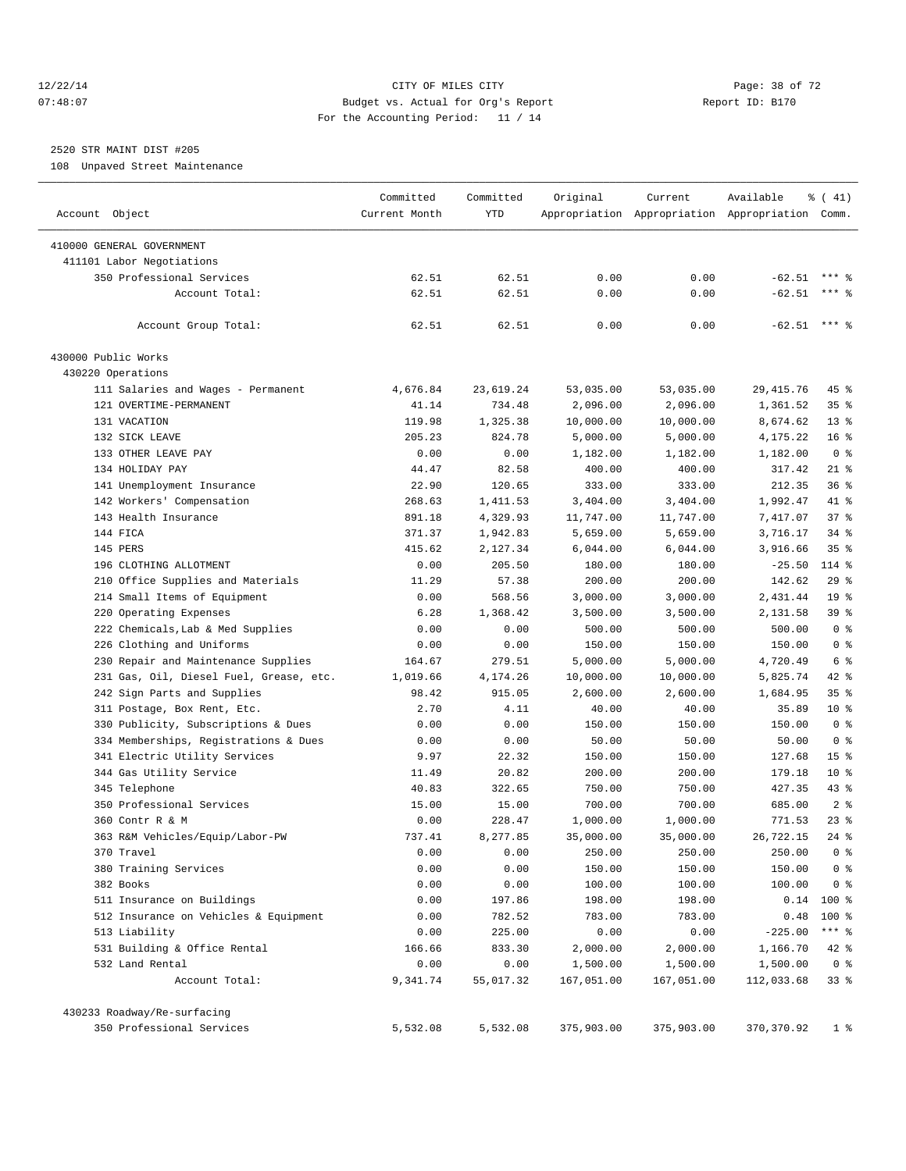#### 12/22/14 Page: 38 of 72 07:48:07 Budget vs. Actual for Org's Report Report ID: B170 For the Accounting Period: 11 / 14

## 2520 STR MAINT DIST #205

108 Unpaved Street Maintenance

|                                         | Committed      | Committed      | Original         | Current            | Available                                       | % (41)          |
|-----------------------------------------|----------------|----------------|------------------|--------------------|-------------------------------------------------|-----------------|
| Account Object                          | Current Month  | YTD            |                  |                    | Appropriation Appropriation Appropriation Comm. |                 |
| 410000 GENERAL GOVERNMENT               |                |                |                  |                    |                                                 |                 |
| 411101 Labor Negotiations               |                |                |                  |                    |                                                 |                 |
| 350 Professional Services               | 62.51          | 62.51          | 0.00             | 0.00               | $-62.51$                                        |                 |
| Account Total:                          | 62.51          | 62.51          | 0.00             | 0.00               | $-62.51$                                        | $***$ 2         |
| Account Group Total:                    | 62.51          | 62.51          | 0.00             | 0.00               | $-62.51$ *** \$                                 |                 |
| 430000 Public Works                     |                |                |                  |                    |                                                 |                 |
| 430220 Operations                       |                |                |                  |                    |                                                 |                 |
| 111 Salaries and Wages - Permanent      | 4,676.84       | 23,619.24      | 53,035.00        | 53,035.00          | 29, 415.76                                      | 45 %            |
| 121 OVERTIME-PERMANENT                  | 41.14          | 734.48         | 2,096.00         | 2,096.00           | 1,361.52                                        | 35 <sup>8</sup> |
| 131 VACATION                            | 119.98         | 1,325.38       | 10,000.00        | 10,000.00          | 8,674.62                                        | $13*$           |
| 132 SICK LEAVE                          | 205.23         | 824.78         | 5,000.00         | 5,000.00           | 4,175.22                                        | $16*$           |
| 133 OTHER LEAVE PAY                     | 0.00           | 0.00           | 1,182.00         | 1,182.00           | 1,182.00                                        | 0 <sup>8</sup>  |
| 134 HOLIDAY PAY                         | 44.47          | 82.58          | 400.00           | 400.00             | 317.42                                          | $21$ %          |
| 141 Unemployment Insurance              | 22.90          | 120.65         | 333.00           | 333.00             | 212.35                                          | 36%             |
| 142 Workers' Compensation               | 268.63         | 1,411.53       | 3,404.00         | 3,404.00           | 1,992.47                                        | 41 %            |
| 143 Health Insurance                    | 891.18         | 4,329.93       | 11,747.00        | 11,747.00          | 7,417.07                                        | 37%             |
| 144 FICA                                | 371.37         | 1,942.83       | 5,659.00         | 5,659.00           | 3,716.17                                        | $34$ $%$        |
| 145 PERS                                | 415.62         | 2,127.34       | 6,044.00         | 6,044.00           | 3,916.66                                        | 35 <sup>8</sup> |
| 196 CLOTHING ALLOTMENT                  | 0.00           | 205.50         | 180.00           | 180.00             | $-25.50$                                        | $114$ %         |
| 210 Office Supplies and Materials       | 11.29          | 57.38          | 200.00           | 200.00             | 142.62                                          | $29$ %          |
| 214 Small Items of Equipment            | 0.00           | 568.56         | 3,000.00         | 3,000.00           | 2,431.44                                        | 19 <sup>°</sup> |
| 220 Operating Expenses                  | 6.28           | 1,368.42       | 3,500.00         | 3,500.00           | 2,131.58                                        | 39 %            |
| 222 Chemicals, Lab & Med Supplies       | 0.00           | 0.00           |                  | 500.00             | 500.00                                          | 0 <sup>8</sup>  |
|                                         |                |                | 500.00<br>150.00 |                    | 150.00                                          | 0 <sup>8</sup>  |
| 226 Clothing and Uniforms               | 0.00<br>164.67 | 0.00<br>279.51 |                  | 150.00<br>5,000.00 | 4,720.49                                        | 6 %             |
| 230 Repair and Maintenance Supplies     |                |                | 5,000.00         |                    |                                                 | 42 %            |
| 231 Gas, Oil, Diesel Fuel, Grease, etc. | 1,019.66       | 4,174.26       | 10,000.00        | 10,000.00          | 5,825.74                                        |                 |
| 242 Sign Parts and Supplies             | 98.42          | 915.05         | 2,600.00         | 2,600.00           | 1,684.95                                        | 35 <sup>8</sup> |
| 311 Postage, Box Rent, Etc.             | 2.70           | 4.11           | 40.00            | 40.00              | 35.89                                           | 10 <sup>8</sup> |
| 330 Publicity, Subscriptions & Dues     | 0.00           | 0.00           | 150.00           | 150.00             | 150.00                                          | 0 <sup>8</sup>  |
| 334 Memberships, Registrations & Dues   | 0.00           | 0.00           | 50.00            | 50.00              | 50.00                                           | 0 <sup>8</sup>  |
| 341 Electric Utility Services           | 9.97           | 22.32          | 150.00           | 150.00             | 127.68                                          | 15 <sup>°</sup> |
| 344 Gas Utility Service                 | 11.49          | 20.82          | 200.00           | 200.00             | 179.18                                          | $10*$           |
| 345 Telephone                           | 40.83          | 322.65         | 750.00           | 750.00             | 427.35                                          | 43 %            |
| 350 Professional Services               | 15.00          | 15.00          | 700.00           | 700.00             | 685.00                                          | 2 <sup>8</sup>  |
| 360 Contr R & M                         | 0.00           | 228.47         | 1,000.00         | 1,000.00           | 771.53                                          | 23%             |
| 363 R&M Vehicles/Equip/Labor-PW         | 737.41         | 8.277.85       | 35,000.00        | 35,000.00          | 26,722.15                                       | $24$ %          |
| 370 Travel                              | 0.00           | 0.00           | 250.00           | 250.00             | 250.00                                          | 0 <sup>8</sup>  |
| 380 Training Services                   | 0.00           | 0.00           | 150.00           | 150.00             | 150.00                                          | 0 <sup>8</sup>  |
| 382 Books                               | 0.00           | 0.00           | 100.00           | 100.00             | 100.00                                          | 0 <sup>8</sup>  |
| 511 Insurance on Buildings              | 0.00           | 197.86         | 198.00           | 198.00             | 0.14                                            | $100$ %         |
| 512 Insurance on Vehicles & Equipment   | 0.00           | 782.52         | 783.00           | 783.00             | 0.48                                            | 100 %           |
| 513 Liability                           | 0.00           | 225.00         | 0.00             | 0.00               | $-225.00$                                       | $***$ $_{8}$    |
| 531 Building & Office Rental            | 166.66         | 833.30         | 2,000.00         | 2,000.00           | 1,166.70                                        | 42 %            |
| 532 Land Rental                         | 0.00           | 0.00           | 1,500.00         | 1,500.00           | 1,500.00                                        | 0 <sup>8</sup>  |
| Account Total:                          | 9,341.74       | 55,017.32      | 167,051.00       | 167,051.00         | 112,033.68                                      | 338             |
| 430233 Roadway/Re-surfacing             |                |                |                  |                    |                                                 |                 |
| 350 Professional Services               | 5,532.08       | 5,532.08       | 375,903.00       | 375,903.00         | 370, 370.92                                     | $1$ %           |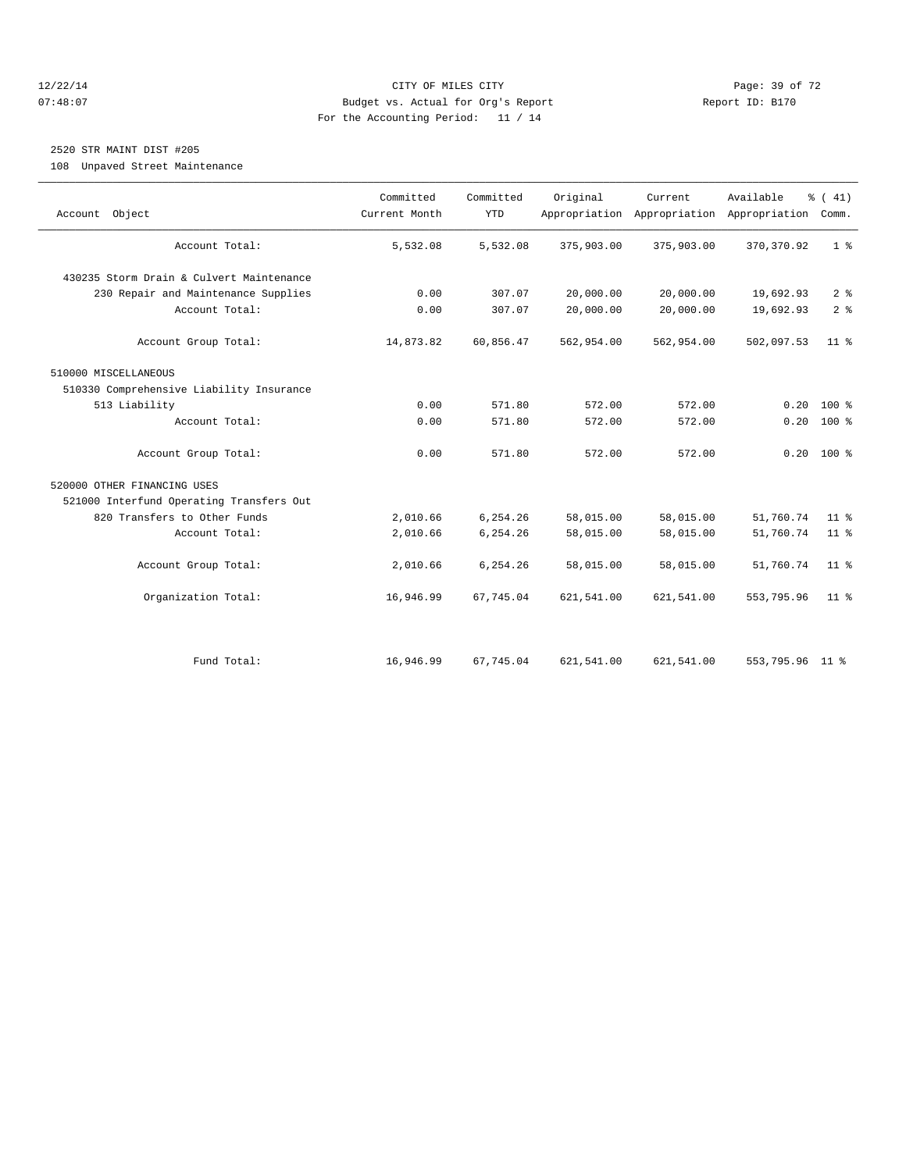#### 12/22/14 Page: 39 of 72 07:48:07 Budget vs. Actual for Org's Report Report ID: B170 For the Accounting Period: 11 / 14

# 2520 STR MAINT DIST #205

108 Unpaved Street Maintenance

| Account Object                           | Committed<br>Current Month | Committed<br><b>YTD</b> | Original   | Current    | Available<br>Appropriation Appropriation Appropriation | $\frac{1}{6}$ ( 41)<br>Comm. |
|------------------------------------------|----------------------------|-------------------------|------------|------------|--------------------------------------------------------|------------------------------|
| Account Total:                           | 5,532.08                   | 5,532.08                | 375,903.00 | 375,903.00 | 370, 370.92                                            | 1 <sup>°</sup>               |
| 430235 Storm Drain & Culvert Maintenance |                            |                         |            |            |                                                        |                              |
| 230 Repair and Maintenance Supplies      | 0.00                       | 307.07                  | 20,000.00  | 20,000.00  | 19,692.93                                              | 2 <sup>8</sup>               |
| Account Total:                           | 0.00                       | 307.07                  | 20,000.00  | 20,000.00  | 19,692.93                                              | 2 <sup>°</sup>               |
| Account Group Total:                     | 14,873.82                  | 60,856.47               | 562,954.00 | 562,954.00 | 502,097.53                                             | 11 <sup>8</sup>              |
| 510000 MISCELLANEOUS                     |                            |                         |            |            |                                                        |                              |
| 510330 Comprehensive Liability Insurance |                            |                         |            |            |                                                        |                              |
| 513 Liability                            | 0.00                       | 571.80                  | 572.00     | 572.00     | 0.20                                                   | $100*$                       |
| Account Total:                           | 0.00                       | 571.80                  | 572.00     | 572.00     | 0.20                                                   | $100*$                       |
| Account Group Total:                     | 0.00                       | 571.80                  | 572.00     | 572.00     | 0.20                                                   | $100*$                       |
| 520000 OTHER FINANCING USES              |                            |                         |            |            |                                                        |                              |
| 521000 Interfund Operating Transfers Out |                            |                         |            |            |                                                        |                              |
| 820 Transfers to Other Funds             | 2,010.66                   | 6,254.26                | 58,015.00  | 58,015.00  | 51,760.74                                              | 11 <sup>8</sup>              |
| Account Total:                           | 2,010.66                   | 6,254.26                | 58,015.00  | 58,015.00  | 51,760.74                                              | 11 <sup>8</sup>              |
| Account Group Total:                     | 2,010.66                   | 6,254.26                | 58,015.00  | 58,015.00  | 51,760.74                                              | 11 <sup>8</sup>              |
| Organization Total:                      | 16,946.99                  | 67,745.04               | 621,541.00 | 621,541.00 | 553,795.96                                             | 11 <sup>8</sup>              |
|                                          |                            |                         |            |            |                                                        |                              |
| Fund Total:                              | 16,946.99                  | 67,745.04               | 621,541.00 | 621,541.00 | 553,795.96 11 %                                        |                              |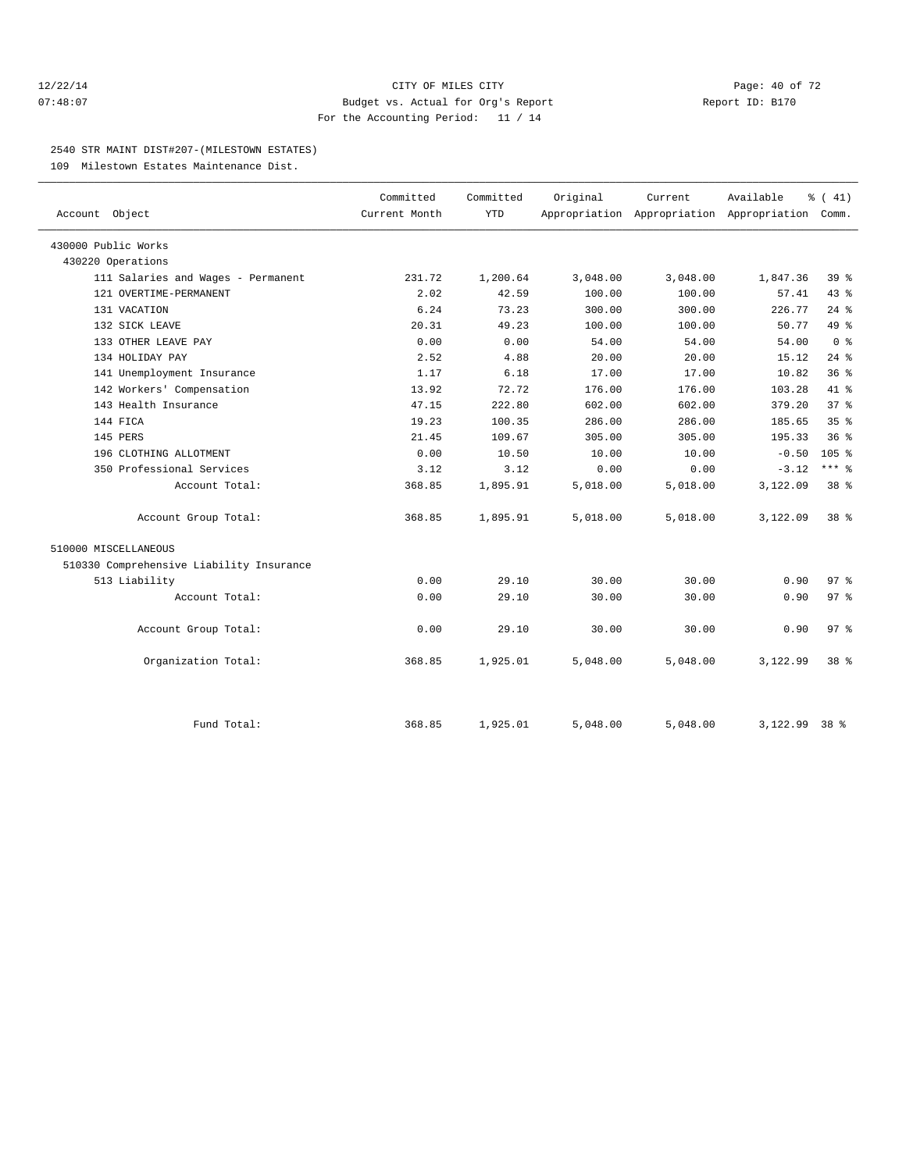#### 12/22/14 Page: 40 of 72 07:48:07 Budget vs. Actual for Org's Report Report ID: B170 For the Accounting Period: 11 / 14

#### 2540 STR MAINT DIST#207-(MILESTOWN ESTATES)

109 Milestown Estates Maintenance Dist.

| Account Object                           | Committed<br>Current Month | Committed<br><b>YTD</b> | Original | Current<br>Appropriation Appropriation Appropriation Comm. | Available | $\frac{1}{6}$ ( 41) |
|------------------------------------------|----------------------------|-------------------------|----------|------------------------------------------------------------|-----------|---------------------|
| 430000 Public Works                      |                            |                         |          |                                                            |           |                     |
| 430220 Operations                        |                            |                         |          |                                                            |           |                     |
| 111 Salaries and Wages - Permanent       | 231.72                     | 1,200.64                | 3,048.00 | 3,048.00                                                   | 1,847.36  | 39 %                |
| 121 OVERTIME-PERMANENT                   | 2.02                       | 42.59                   | 100.00   | 100.00                                                     | 57.41     | 43.8                |
| 131 VACATION                             | 6.24                       | 73.23                   | 300.00   | 300.00                                                     | 226.77    | $24$ %              |
| 132 SICK LEAVE                           | 20.31                      | 49.23                   | 100.00   | 100.00                                                     | 50.77     | $49*$               |
| 133 OTHER LEAVE PAY                      | 0.00                       | 0.00                    | 54.00    | 54.00                                                      | 54.00     | 0 <sup>8</sup>      |
| 134 HOLIDAY PAY                          | 2.52                       | 4.88                    | 20.00    | 20.00                                                      | 15.12     | $24$ $%$            |
| 141 Unemployment Insurance               | 1.17                       | 6.18                    | 17.00    | 17.00                                                      | 10.82     | 36%                 |
| 142 Workers' Compensation                | 13.92                      | 72.72                   | 176.00   | 176.00                                                     | 103.28    | 41 %                |
| 143 Health Insurance                     | 47.15                      | 222.80                  | 602.00   | 602.00                                                     | 379.20    | 37 <sup>8</sup>     |
| 144 FICA                                 | 19.23                      | 100.35                  | 286.00   | 286.00                                                     | 185.65    | 35 <sup>8</sup>     |
| 145 PERS                                 | 21.45                      | 109.67                  | 305.00   | 305.00                                                     | 195.33    | 36 <sup>8</sup>     |
| 196 CLOTHING ALLOTMENT                   | 0.00                       | 10.50                   | 10.00    | 10.00                                                      | $-0.50$   | 105 <sup>8</sup>    |
| 350 Professional Services                | 3.12                       | 3.12                    | 0.00     | 0.00                                                       | $-3.12$   | $***$ $-$           |
| Account Total:                           | 368.85                     | 1,895.91                | 5,018.00 | 5,018.00                                                   | 3,122.09  | 38 %                |
| Account Group Total:                     | 368.85                     | 1,895.91                | 5,018.00 | 5,018.00                                                   | 3,122.09  | 38 %                |
| 510000 MISCELLANEOUS                     |                            |                         |          |                                                            |           |                     |
| 510330 Comprehensive Liability Insurance |                            |                         |          |                                                            |           |                     |
| 513 Liability                            | 0.00                       | 29.10                   | 30.00    | 30.00                                                      | 0.90      | 97 <sub>8</sub>     |
| Account Total:                           | 0.00                       | 29.10                   | 30.00    | 30.00                                                      | 0.90      | 97 <sub>8</sub>     |
| Account Group Total:                     | 0.00                       | 29.10                   | 30.00    | 30.00                                                      | 0.90      | 97 <sub>8</sub>     |
| Organization Total:                      | 368.85                     | 1,925.01                | 5,048.00 | 5,048.00                                                   | 3,122.99  | $38*$               |
|                                          |                            |                         |          |                                                            |           |                     |
| Fund Total:                              | 368.85                     | 1,925.01                | 5,048.00 | 5,048.00                                                   | 3,122.99  | $38*$               |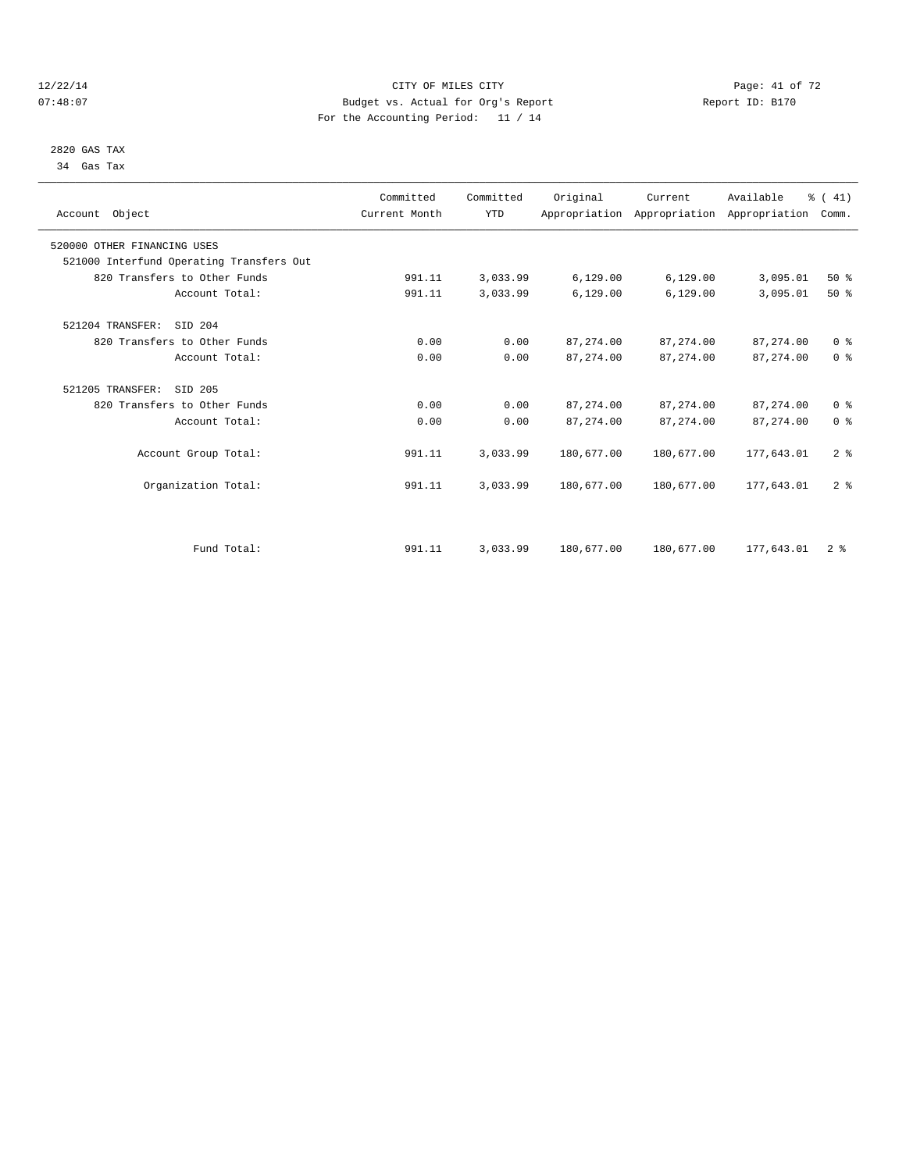#### 12/22/14 Page: 41 of 72 07:48:07 Budget vs. Actual for Org's Report Report ID: B170 For the Accounting Period: 11 / 14

 2820 GAS TAX 34 Gas Tax

| Account Object                           | Committed<br>Current Month | Committed<br><b>YTD</b> | Original   | Current<br>Appropriation Appropriation Appropriation | Available   | % (41)<br>Comm. |  |
|------------------------------------------|----------------------------|-------------------------|------------|------------------------------------------------------|-------------|-----------------|--|
| 520000 OTHER FINANCING USES              |                            |                         |            |                                                      |             |                 |  |
| 521000 Interfund Operating Transfers Out |                            |                         |            |                                                      |             |                 |  |
| 820 Transfers to Other Funds             | 991.11                     | 3,033.99                | 6, 129.00  | 6, 129.00                                            | 3,095.01    | 50%             |  |
| Account Total:                           | 991.11                     | 3,033.99                | 6,129.00   | 6,129.00                                             | 3,095.01    | $50*$           |  |
| 521204 TRANSFER:<br>SID 204              |                            |                         |            |                                                      |             |                 |  |
| 820 Transfers to Other Funds             | 0.00                       | 0.00                    | 87, 274.00 | 87, 274, 00                                          | 87, 274, 00 | 0 <sup>8</sup>  |  |
| Account Total:                           | 0.00                       | 0.00                    | 87, 274.00 | 87, 274.00                                           | 87, 274.00  | 0 <sup>8</sup>  |  |
| 521205 TRANSFER:<br>SID 205              |                            |                         |            |                                                      |             |                 |  |
| 820 Transfers to Other Funds             | 0.00                       | 0.00                    | 87, 274.00 | 87, 274.00                                           | 87, 274.00  | 0 <sup>8</sup>  |  |
| Account Total:                           | 0.00                       | 0.00                    | 87, 274.00 | 87, 274.00                                           | 87, 274.00  | 0 <sup>8</sup>  |  |
| Account Group Total:                     | 991.11                     | 3,033.99                | 180,677.00 | 180,677.00                                           | 177.643.01  | 2 <sup>8</sup>  |  |
| Organization Total:                      | 991.11                     | 3,033.99                | 180,677.00 | 180,677.00                                           | 177,643.01  | 2 <sup>8</sup>  |  |
|                                          |                            |                         |            |                                                      |             |                 |  |
| Fund Total:                              | 991.11                     | 3,033.99                | 180,677.00 | 180,677.00                                           | 177,643.01  | 2 <sup>8</sup>  |  |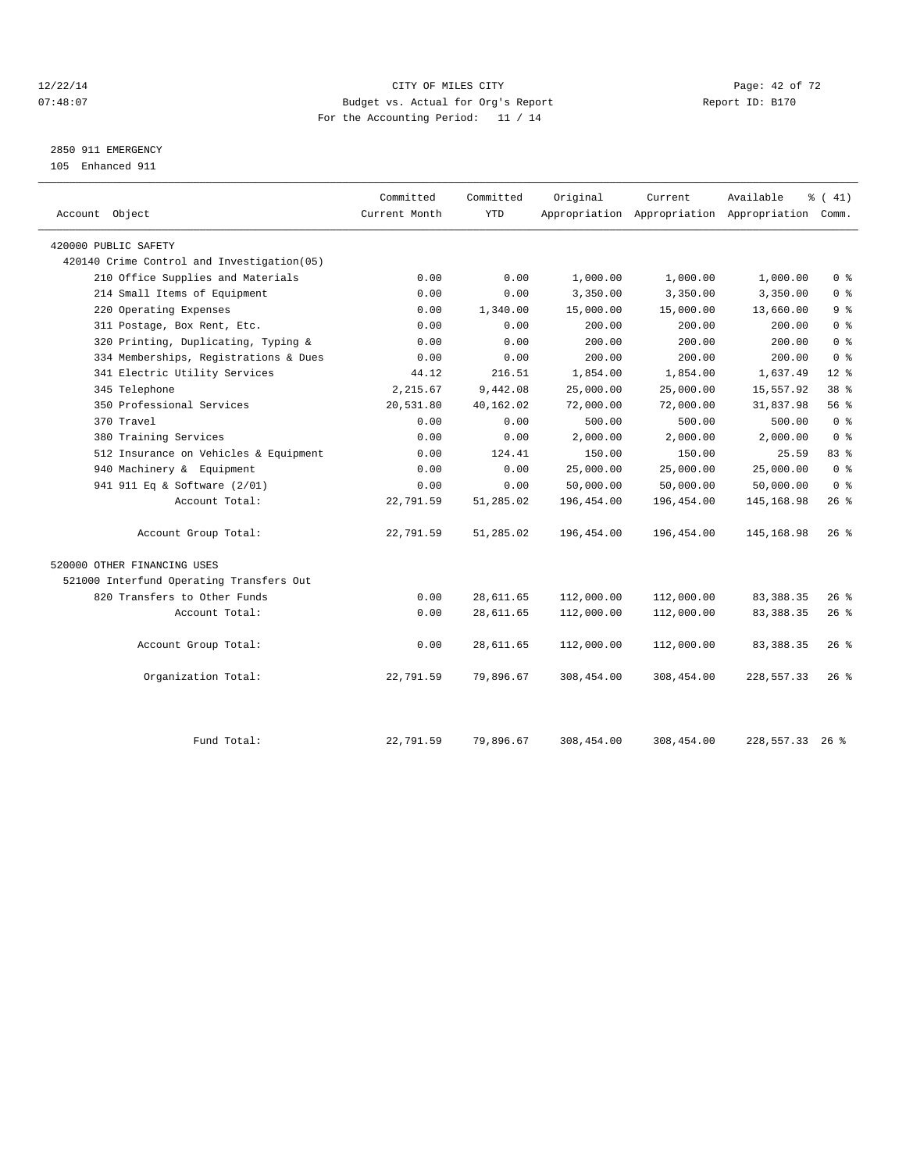#### 12/22/14 Page: 42 of 72 07:48:07 Budget vs. Actual for Org's Report Report ID: B170 For the Accounting Period: 11 / 14

# 2850 911 EMERGENCY

105 Enhanced 911

| Account Object                              | Committed<br>Current Month | Committed<br><b>YTD</b> | Original   | Current    | Available<br>Appropriation Appropriation Appropriation Comm. | $\frac{1}{6}$ ( 41) |
|---------------------------------------------|----------------------------|-------------------------|------------|------------|--------------------------------------------------------------|---------------------|
| 420000 PUBLIC SAFETY                        |                            |                         |            |            |                                                              |                     |
| 420140 Crime Control and Investigation (05) |                            |                         |            |            |                                                              |                     |
| 210 Office Supplies and Materials           | 0.00                       | 0.00                    | 1,000.00   | 1,000.00   | 1,000.00                                                     | 0 <sup>8</sup>      |
| 214 Small Items of Equipment                | 0.00                       | 0.00                    | 3,350.00   | 3,350.00   | 3,350.00                                                     | 0 <sup>8</sup>      |
| 220 Operating Expenses                      | 0.00                       | 1,340.00                | 15,000.00  | 15,000.00  | 13,660.00                                                    | 9 <sup>8</sup>      |
| 311 Postage, Box Rent, Etc.                 | 0.00                       | 0.00                    | 200.00     | 200.00     | 200.00                                                       | 0 <sup>8</sup>      |
| 320 Printing, Duplicating, Typing &         | 0.00                       | 0.00                    | 200.00     | 200.00     | 200.00                                                       | 0 <sup>8</sup>      |
| 334 Memberships, Registrations & Dues       | 0.00                       | 0.00                    | 200.00     | 200.00     | 200.00                                                       | 0 <sup>8</sup>      |
| 341 Electric Utility Services               | 44.12                      | 216.51                  | 1,854.00   | 1,854.00   | 1,637.49                                                     | $12*$               |
| 345 Telephone                               | 2,215.67                   | 9,442.08                | 25,000.00  | 25,000.00  | 15,557.92                                                    | 38 <sup>8</sup>     |
| 350 Professional Services                   | 20,531.80                  | 40,162.02               | 72,000.00  | 72,000.00  | 31,837.98                                                    | 56%                 |
| 370 Travel                                  | 0.00                       | 0.00                    | 500.00     | 500.00     | 500.00                                                       | 0 <sup>8</sup>      |
| 380 Training Services                       | 0.00                       | 0.00                    | 2,000.00   | 2,000.00   | 2,000.00                                                     | 0 <sup>8</sup>      |
| 512 Insurance on Vehicles & Equipment       | 0.00                       | 124.41                  | 150.00     | 150.00     | 25.59                                                        | 83%                 |
| 940 Machinery & Equipment                   | 0.00                       | 0.00                    | 25,000.00  | 25,000.00  | 25,000.00                                                    | 0 <sup>8</sup>      |
| 941 911 Eq & Software (2/01)                | 0.00                       | 0.00                    | 50,000.00  | 50,000.00  | 50,000.00                                                    | 0 <sup>8</sup>      |
| Account Total:                              | 22,791.59                  | 51,285.02               | 196,454.00 | 196,454.00 | 145, 168.98                                                  | $26$ %              |
| Account Group Total:                        | 22,791.59                  | 51,285.02               | 196,454.00 | 196,454.00 | 145, 168.98                                                  | $26$ %              |
| 520000 OTHER FINANCING USES                 |                            |                         |            |            |                                                              |                     |
| 521000 Interfund Operating Transfers Out    |                            |                         |            |            |                                                              |                     |
| 820 Transfers to Other Funds                | 0.00                       | 28,611.65               | 112,000.00 | 112,000.00 | 83, 388. 35                                                  | $26$ %              |
| Account Total:                              | 0.00                       | 28,611.65               | 112,000.00 | 112,000.00 | 83, 388.35                                                   | $26*$               |
| Account Group Total:                        | 0.00                       | 28,611.65               | 112,000.00 | 112,000.00 | 83, 388.35                                                   | $26$ %              |
| Organization Total:                         | 22,791.59                  | 79,896.67               | 308,454.00 | 308,454.00 | 228, 557.33                                                  | $26*$               |
| Fund Total:                                 | 22,791.59                  | 79,896.67               | 308,454.00 | 308,454.00 | 228,557.33 26 %                                              |                     |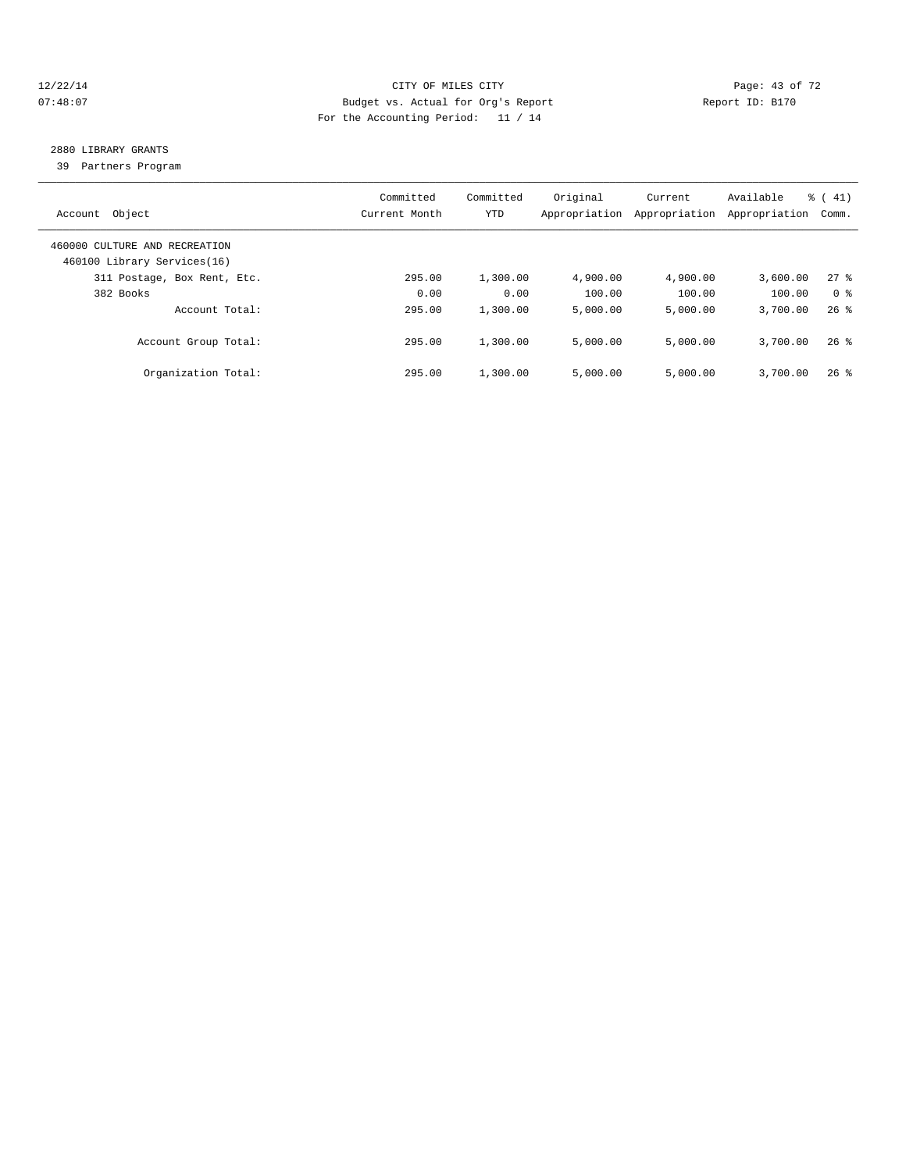### 12/22/14 Page: 43 of 72 07:48:07 Budget vs. Actual for Org's Report Report ID: B170 For the Accounting Period: 11 / 14

# 2880 LIBRARY GRANTS

39 Partners Program

| Object<br>Account                                            | Committed<br>Current Month | Committed<br>YTD | Original<br>Appropriation | Current<br>Appropriation | Available<br>Appropriation | $\frac{1}{6}$ ( 41)<br>Comm. |
|--------------------------------------------------------------|----------------------------|------------------|---------------------------|--------------------------|----------------------------|------------------------------|
| 460000 CULTURE AND RECREATION<br>460100 Library Services(16) |                            |                  |                           |                          |                            |                              |
| 311 Postage, Box Rent, Etc.                                  | 295.00                     | 1,300.00         | 4,900.00                  | 4,900.00                 | 3,600.00                   | $27$ %                       |
| 382 Books                                                    | 0.00                       | 0.00             | 100.00                    | 100.00                   | 100.00                     | 0 <sup>8</sup>               |
| Account Total:                                               | 295.00                     | 1,300.00         | 5.000.00                  | 5.000.00                 | 3,700.00                   | $26$ $%$                     |
| Account Group Total:                                         | 295.00                     | 1,300.00         | 5.000.00                  | 5.000.00                 | 3,700.00                   | $26$ %                       |
| Organization Total:                                          | 295.00                     | 1,300.00         | 5.000.00                  | 5.000.00                 | 3,700.00                   | $26$ %                       |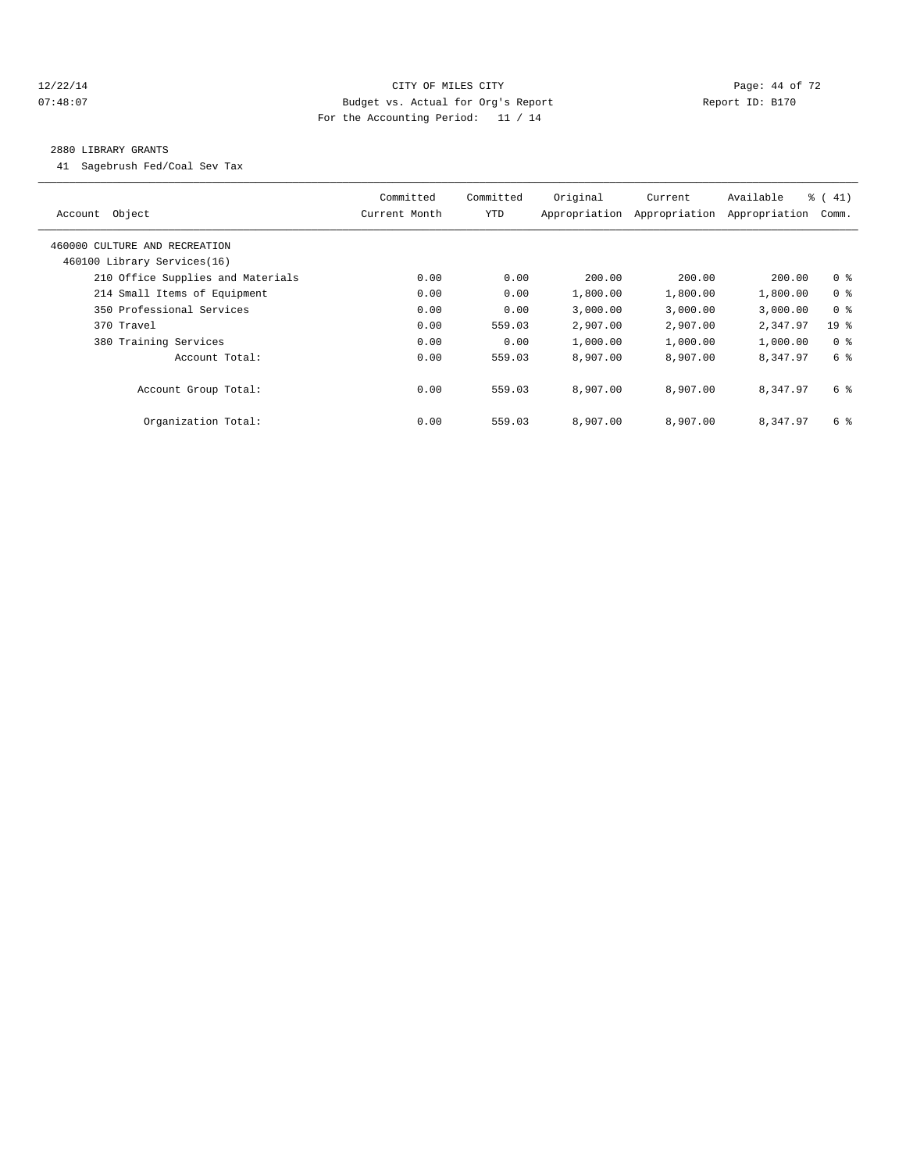#### 12/22/14 Page: 44 of 72 07:48:07 Budget vs. Actual for Org's Report Report ID: B170 For the Accounting Period: 11 / 14

#### 2880 LIBRARY GRANTS

41 Sagebrush Fed/Coal Sev Tax

| Object<br>Account                 | Committed<br>Current Month | Committed<br>YTD | Original<br>Appropriation | Current<br>Appropriation | Available<br>Appropriation | % (41)<br>Comm. |
|-----------------------------------|----------------------------|------------------|---------------------------|--------------------------|----------------------------|-----------------|
| 460000 CULTURE AND RECREATION     |                            |                  |                           |                          |                            |                 |
| 460100 Library Services(16)       |                            |                  |                           |                          |                            |                 |
| 210 Office Supplies and Materials | 0.00                       | 0.00             | 200.00                    | 200.00                   | 200.00                     | 0 <sup>8</sup>  |
| 214 Small Items of Equipment      | 0.00                       | 0.00             | 1,800.00                  | 1,800.00                 | 1,800.00                   | 0 <sup>8</sup>  |
| 350 Professional Services         | 0.00                       | 0.00             | 3,000.00                  | 3,000.00                 | 3,000.00                   | 0 <sup>8</sup>  |
| 370 Travel                        | 0.00                       | 559.03           | 2,907.00                  | 2,907.00                 | 2,347.97                   | 19 <sub>8</sub> |
| 380 Training Services             | 0.00                       | 0.00             | 1,000.00                  | 1,000.00                 | 1,000.00                   | 0 <sup>8</sup>  |
| Account Total:                    | 0.00                       | 559.03           | 8,907.00                  | 8,907.00                 | 8,347.97                   | 6 %             |
| Account Group Total:              | 0.00                       | 559.03           | 8,907.00                  | 8,907.00                 | 8,347.97                   | 6 %             |
| Organization Total:               | 0.00                       | 559.03           | 8,907.00                  | 8,907.00                 | 8,347.97                   | 6 %             |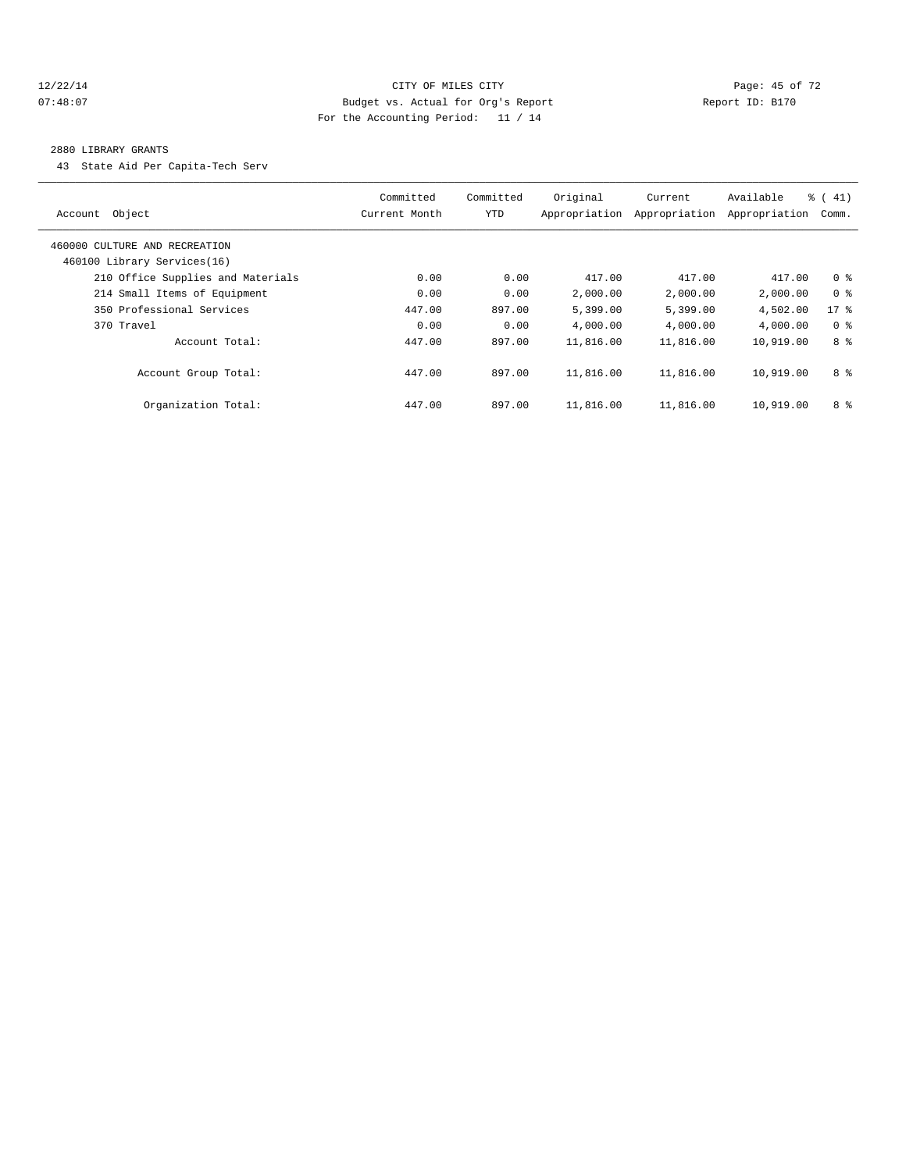### 12/22/14 Page: 45 of 72 07:48:07 Budget vs. Actual for Org's Report Report ID: B170 For the Accounting Period: 11 / 14

#### 2880 LIBRARY GRANTS

43 State Aid Per Capita-Tech Serv

| Account Object                                               | Committed<br>Current Month | Committed<br><b>YTD</b> | Original<br>Appropriation | Current<br>Appropriation | Available<br>Appropriation | $\frac{1}{6}$ ( 41)<br>Comm. |
|--------------------------------------------------------------|----------------------------|-------------------------|---------------------------|--------------------------|----------------------------|------------------------------|
| 460000 CULTURE AND RECREATION<br>460100 Library Services(16) |                            |                         |                           |                          |                            |                              |
| 210 Office Supplies and Materials                            | 0.00                       | 0.00                    | 417.00                    | 417.00                   | 417.00                     | 0 <sup>8</sup>               |
| 214 Small Items of Equipment                                 | 0.00                       | 0.00                    | 2,000.00                  | 2,000.00                 | 2,000.00                   | 0 <sup>8</sup>               |
| 350 Professional Services                                    | 447.00                     | 897.00                  | 5,399.00                  | 5,399.00                 | 4,502.00                   | 17.8                         |
| 370 Travel                                                   | 0.00                       | 0.00                    | 4,000.00                  | 4,000.00                 | 4,000.00                   | 0 <sup>8</sup>               |
| Account Total:                                               | 447.00                     | 897.00                  | 11,816.00                 | 11,816.00                | 10,919.00                  | 8 %                          |
| Account Group Total:                                         | 447.00                     | 897.00                  | 11,816.00                 | 11,816.00                | 10,919.00                  | 8 %                          |
| Organization Total:                                          | 447.00                     | 897.00                  | 11,816.00                 | 11,816.00                | 10,919.00                  | 8 %                          |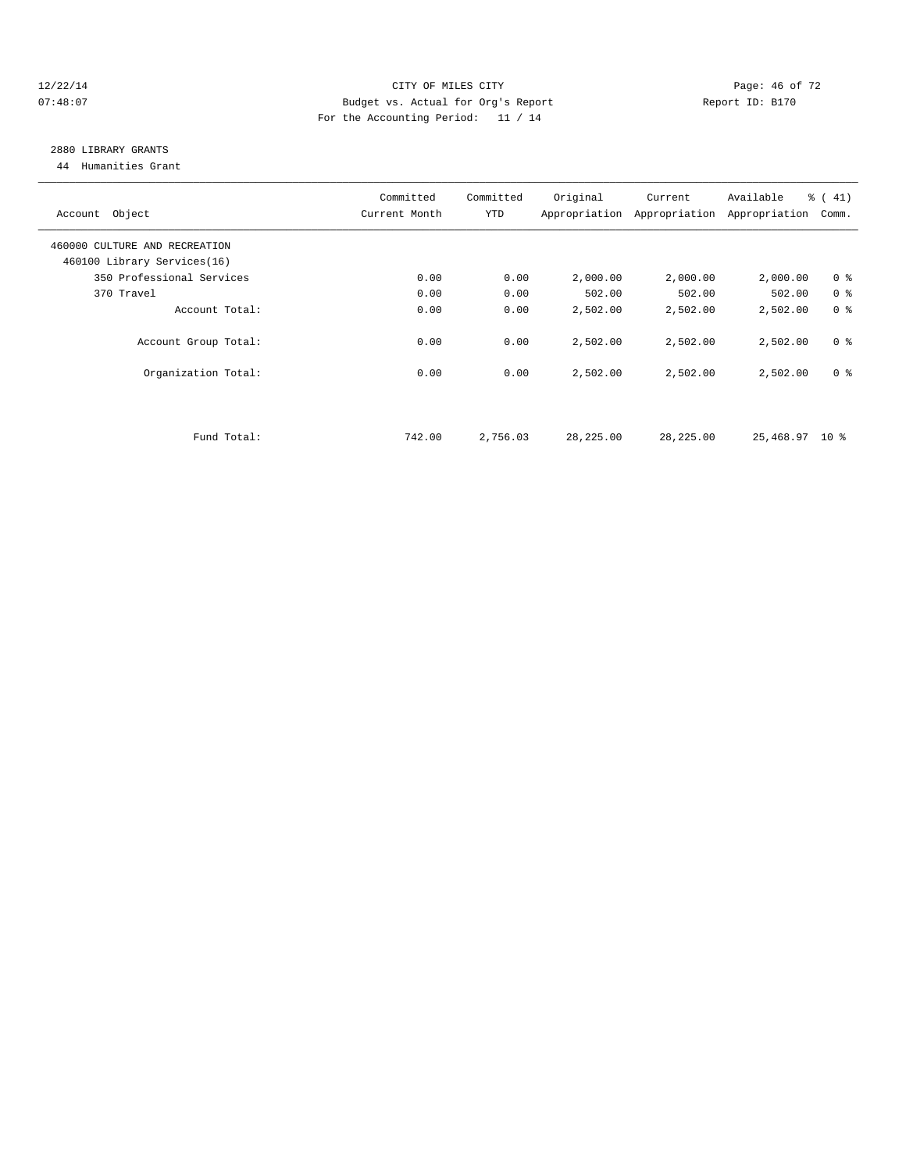### 12/22/14 Page: 46 of 72 07:48:07 Budget vs. Actual for Org's Report Report ID: B170 For the Accounting Period: 11 / 14

# 2880 LIBRARY GRANTS

44 Humanities Grant

| Account Object                | Committed<br>Current Month | Committed<br>YTD | Original  | Current<br>Appropriation Appropriation | Available<br>Appropriation | $\frac{1}{6}$ ( 41)<br>Comm. |
|-------------------------------|----------------------------|------------------|-----------|----------------------------------------|----------------------------|------------------------------|
| 460000 CULTURE AND RECREATION |                            |                  |           |                                        |                            |                              |
| 460100 Library Services(16)   |                            |                  |           |                                        |                            |                              |
| 350 Professional Services     | 0.00                       | 0.00             | 2,000.00  | 2,000.00                               | 2,000.00                   | 0 <sup>8</sup>               |
| 370 Travel                    | 0.00                       | 0.00             | 502.00    | 502.00                                 | 502.00                     | 0 <sup>8</sup>               |
| Account Total:                | 0.00                       | 0.00             | 2,502.00  | 2,502.00                               | 2,502.00                   | 0 <sup>8</sup>               |
| Account Group Total:          | 0.00                       | 0.00             | 2,502.00  | 2,502.00                               | 2,502.00                   | 0 <sup>8</sup>               |
| Organization Total:           | 0.00                       | 0.00             | 2,502.00  | 2,502.00                               | 2,502.00                   | 0 <sup>8</sup>               |
|                               |                            |                  |           |                                        |                            |                              |
| Fund Total:                   | 742.00                     | 2,756.03         | 28,225.00 | 28,225.00                              | 25,468.97 10 %             |                              |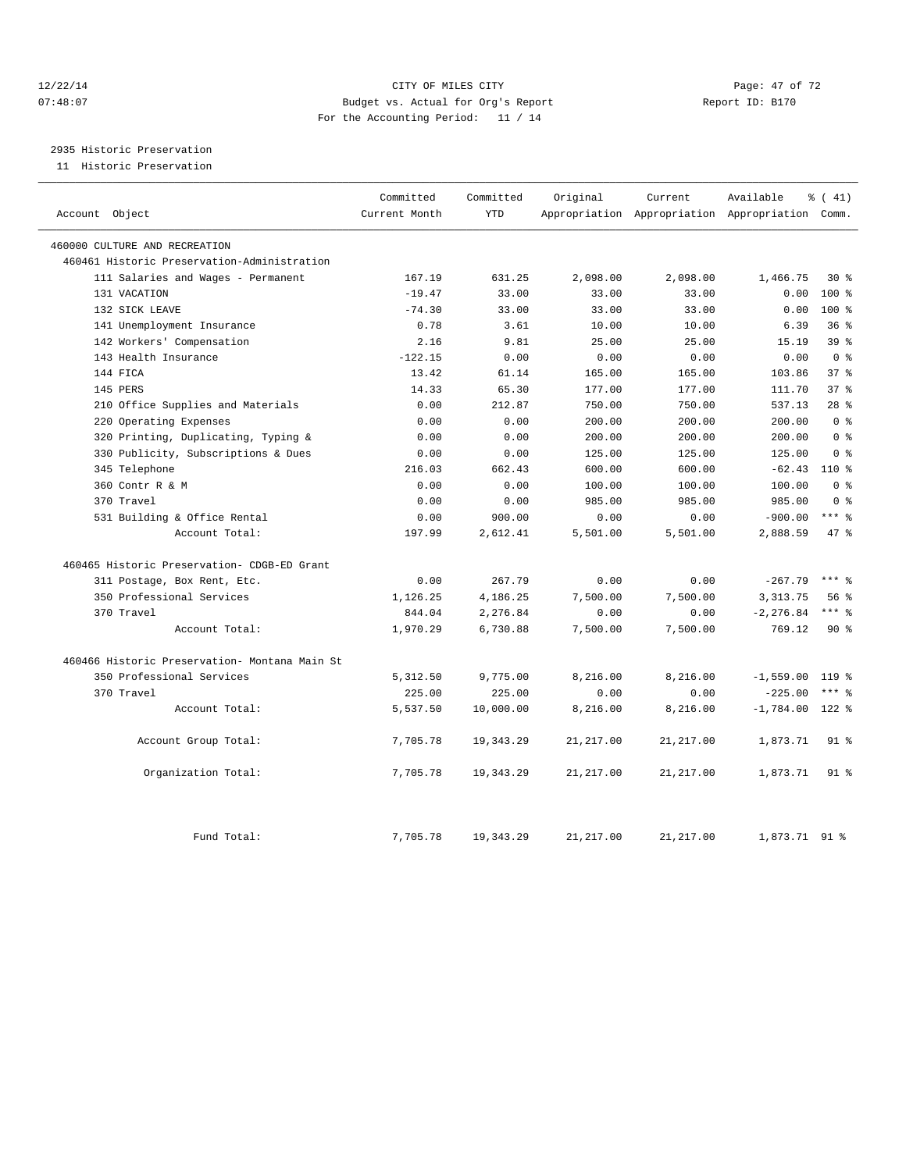#### 12/22/14 Page: 47 of 72 07:48:07 Budget vs. Actual for Org's Report Report ID: B170 For the Accounting Period: 11 / 14

2935 Historic Preservation

11 Historic Preservation

| Account Object                                | Committed<br>Current Month | Committed<br><b>YTD</b> | Original   | Current    | Available<br>Appropriation Appropriation Appropriation Comm. | % (41)          |
|-----------------------------------------------|----------------------------|-------------------------|------------|------------|--------------------------------------------------------------|-----------------|
|                                               |                            |                         |            |            |                                                              |                 |
| 460000 CULTURE AND RECREATION                 |                            |                         |            |            |                                                              |                 |
| 460461 Historic Preservation-Administration   |                            |                         |            |            |                                                              |                 |
| 111 Salaries and Wages - Permanent            | 167.19                     | 631.25                  | 2,098.00   | 2,098.00   | 1,466.75                                                     | $30*$           |
| 131 VACATION                                  | $-19.47$                   | 33.00                   | 33.00      | 33.00      | 0.00                                                         | $100*$          |
| 132 SICK LEAVE                                | $-74.30$                   | 33.00                   | 33.00      | 33.00      | 0.00                                                         | $100*$          |
| 141 Unemployment Insurance                    | 0.78                       | 3.61                    | 10.00      | 10.00      | 6.39                                                         | 36 <sup>8</sup> |
| 142 Workers' Compensation                     | 2.16                       | 9.81                    | 25.00      | 25.00      | 15.19                                                        | 39 <sup>8</sup> |
| 143 Health Insurance                          | $-122.15$                  | 0.00                    | 0.00       | 0.00       | 0.00                                                         | 0 <sup>8</sup>  |
| 144 FICA                                      | 13.42                      | 61.14                   | 165.00     | 165.00     | 103.86                                                       | 37 <sup>8</sup> |
| 145 PERS                                      | 14.33                      | 65.30                   | 177.00     | 177.00     | 111.70                                                       | 37 <sup>8</sup> |
| 210 Office Supplies and Materials             | 0.00                       | 212.87                  | 750.00     | 750.00     | 537.13                                                       | $28$ $%$        |
| 220 Operating Expenses                        | 0.00                       | 0.00                    | 200.00     | 200.00     | 200.00                                                       | 0 <sup>8</sup>  |
| 320 Printing, Duplicating, Typing &           | 0.00                       | 0.00                    | 200.00     | 200.00     | 200.00                                                       | 0 <sup>8</sup>  |
| 330 Publicity, Subscriptions & Dues           | 0.00                       | 0.00                    | 125.00     | 125.00     | 125.00                                                       | 0 <sup>8</sup>  |
| 345 Telephone                                 | 216.03                     | 662.43                  | 600.00     | 600.00     | $-62.43$                                                     | $110*$          |
| 360 Contr R & M                               | 0.00                       | 0.00                    | 100.00     | 100.00     | 100.00                                                       | 0 <sup>8</sup>  |
| 370 Travel                                    | 0.00                       | 0.00                    | 985.00     | 985.00     | 985.00                                                       | 0 <sup>8</sup>  |
| 531 Building & Office Rental                  | 0.00                       | 900.00                  | 0.00       | 0.00       | $-900.00$                                                    | $***$ $-$       |
| Account Total:                                | 197.99                     | 2,612.41                | 5,501.00   | 5,501.00   | 2,888.59                                                     | 47.8            |
| 460465 Historic Preservation- CDGB-ED Grant   |                            |                         |            |            |                                                              |                 |
| 311 Postage, Box Rent, Etc.                   | 0.00                       | 267.79                  | 0.00       | 0.00       | $-267.79$                                                    | $***$ %         |
| 350 Professional Services                     | 1,126.25                   | 4,186.25                | 7,500.00   | 7,500.00   | 3, 313. 75                                                   | 56%             |
| 370 Travel                                    | 844.04                     | 2,276.84                | 0.00       | 0.00       | $-2, 276.84$                                                 | $***$ 8         |
| Account Total:                                | 1,970.29                   | 6,730.88                | 7,500.00   | 7,500.00   | 769.12                                                       | $90*$           |
| 460466 Historic Preservation- Montana Main St |                            |                         |            |            |                                                              |                 |
| 350 Professional Services                     | 5,312.50                   | 9,775.00                | 8,216.00   | 8,216.00   | $-1,559.00$                                                  | 119 %           |
| 370 Travel                                    | 225.00                     | 225.00                  | 0.00       | 0.00       | $-225.00$                                                    | $***$ $_{8}$    |
| Account Total:                                | 5,537.50                   | 10,000.00               | 8,216.00   | 8,216.00   | $-1,784.00$                                                  | 122 %           |
| Account Group Total:                          | 7,705.78                   | 19, 343.29              | 21, 217.00 | 21, 217.00 | 1,873.71                                                     | $91$ %          |
| Organization Total:                           | 7,705.78                   | 19,343.29               | 21, 217.00 | 21, 217.00 | 1,873.71                                                     | 91 %            |
| Fund Total:                                   | 7,705.78                   | 19, 343. 29             | 21, 217.00 | 21, 217.00 | 1,873.71 91 %                                                |                 |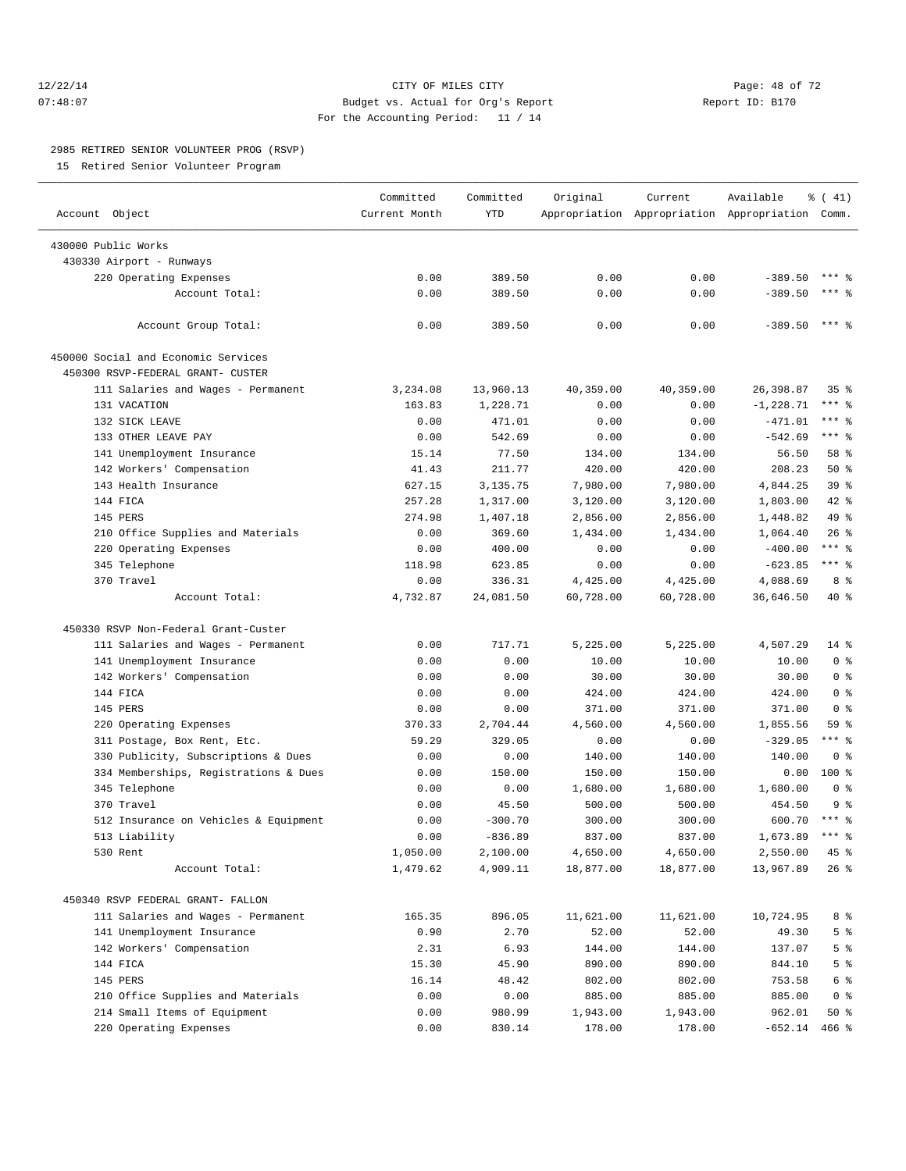### 12/22/14 Page: 48 of 72 07:48:07 Budget vs. Actual for Org's Report Report ID: B170 For the Accounting Period: 11 / 14

#### 2985 RETIRED SENIOR VOLUNTEER PROG (RSVP)

15 Retired Senior Volunteer Program

|                                                     | Committed     | Committed          | Original              | Current          | Available                                       | % (41)                    |
|-----------------------------------------------------|---------------|--------------------|-----------------------|------------------|-------------------------------------------------|---------------------------|
| Account Object                                      | Current Month | <b>YTD</b>         |                       |                  | Appropriation Appropriation Appropriation Comm. |                           |
|                                                     |               |                    |                       |                  |                                                 |                           |
| 430000 Public Works                                 |               |                    |                       |                  |                                                 |                           |
| 430330 Airport - Runways                            |               |                    |                       |                  |                                                 |                           |
| 220 Operating Expenses                              | 0.00          | 389.50             | 0.00                  | 0.00             | $-389.50$                                       |                           |
| Account Total:                                      | 0.00          | 389.50             | 0.00                  | 0.00             | $-389.50$                                       | $***$ %                   |
| Account Group Total:                                | 0.00          | 389.50             | 0.00                  | 0.00             | $-389.50$                                       | $***$ $%$                 |
| 450000 Social and Economic Services                 |               |                    |                       |                  |                                                 |                           |
| 450300 RSVP-FEDERAL GRANT- CUSTER                   |               |                    |                       |                  |                                                 |                           |
| 111 Salaries and Wages - Permanent                  | 3,234.08      | 13,960.13          | 40,359.00             | 40,359.00        | 26,398.87                                       | $35$ $%$                  |
| 131 VACATION                                        | 163.83        | 1,228.71           | 0.00                  | 0.00             | $-1, 228.71$                                    | *** %<br>$***$ $-$        |
| 132 SICK LEAVE                                      | 0.00          | 471.01             | 0.00                  | 0.00             | $-471.01$                                       | $***$ 8                   |
| 133 OTHER LEAVE PAY                                 | 0.00          | 542.69             | 0.00                  | 0.00             | $-542.69$                                       |                           |
| 141 Unemployment Insurance                          | 15.14         | 77.50              | 134.00                | 134.00           | 56.50                                           | 58 %                      |
| 142 Workers' Compensation                           | 41.43         | 211.77             | 420.00                | 420.00           | 208.23                                          | 50%                       |
| 143 Health Insurance<br>144 FTCA                    | 627.15        | 3,135.75           | 7,980.00              | 7,980.00         | 4,844.25                                        | 39 <sup>8</sup>           |
|                                                     | 257.28        | 1,317.00           | 3,120.00              | 3,120.00         | 1,803.00                                        | 42.8                      |
| 145 PERS                                            | 274.98        | 1,407.18           | 2,856.00              | 2,856.00         | 1,448.82                                        | 49 %                      |
| 210 Office Supplies and Materials                   | 0.00          | 369.60             | 1,434.00              | 1,434.00         | 1,064.40                                        | 26%                       |
| 220 Operating Expenses                              | 0.00          | 400.00             | 0.00                  | 0.00             | $-400.00$                                       | $***$ $-$<br>$***$ $_{8}$ |
| 345 Telephone                                       | 118.98        | 623.85             | 0.00                  | 0.00             | $-623.85$                                       |                           |
| 370 Travel                                          | 0.00          | 336.31             | 4,425.00              | 4,425.00         | 4,088.69                                        | 8 %                       |
| Account Total:                                      | 4,732.87      | 24,081.50          | 60,728.00             | 60,728.00        | 36,646.50                                       | 40 %                      |
| 450330 RSVP Non-Federal Grant-Custer                |               |                    |                       |                  |                                                 |                           |
| 111 Salaries and Wages - Permanent                  | 0.00          | 717.71             | 5,225.00              | 5,225.00         | 4,507.29                                        | $14$ %                    |
| 141 Unemployment Insurance                          | 0.00          | 0.00               | 10.00                 | 10.00            | 10.00                                           | 0 <sup>8</sup>            |
| 142 Workers' Compensation                           | 0.00          | 0.00               | 30.00                 | 30.00            | 30.00                                           | 0 <sup>8</sup>            |
| 144 FICA                                            | 0.00          | 0.00               | 424.00                | 424.00           | 424.00                                          | 0 <sup>8</sup>            |
| 145 PERS                                            | 0.00          | 0.00               | 371.00                | 371.00           | 371.00                                          | 0 <sup>8</sup>            |
| 220 Operating Expenses                              | 370.33        | 2,704.44           | 4,560.00              | 4,560.00         | 1,855.56                                        | 59%                       |
| 311 Postage, Box Rent, Etc.                         | 59.29         | 329.05             | 0.00                  | 0.00             | $-329.05$                                       | $***$ $-$                 |
|                                                     | 0.00          | 0.00               |                       |                  |                                                 | 0 <sup>8</sup>            |
| 330 Publicity, Subscriptions & Dues                 |               |                    | 140.00                | 140.00<br>150.00 | 140.00                                          | 100 %                     |
| 334 Memberships, Registrations & Dues               | 0.00          | 150.00             | 150.00                |                  | 0.00                                            | 0 <sup>8</sup>            |
| 345 Telephone                                       | 0.00          | 0.00               | 1,680.00              | 1,680.00         | 1,680.00                                        | 9 <sup>8</sup>            |
| 370 Travel<br>512 Insurance on Vehicles & Equipment | 0.00<br>0.00  | 45.50<br>$-300.70$ | 500.00<br>300.00      | 500.00<br>300.00 | 454.50<br>600.70                                | $***$ %                   |
|                                                     | 0.00          | $-836.89$          | 837.00                | 837.00           | 1,673.89                                        | $***$ %                   |
| 513 Liability                                       |               |                    |                       |                  |                                                 |                           |
| 530 Rent                                            | 1,050.00      | 2,100.00           | 4,650.00<br>18,877.00 | 4,650.00         | 2,550.00<br>13,967.89                           | 45 %                      |
| Account Total:                                      | 1,479.62      | 4,909.11           |                       | 18,877.00        |                                                 | $26$ %                    |
| 450340 RSVP FEDERAL GRANT- FALLON                   |               |                    |                       |                  |                                                 |                           |
| 111 Salaries and Wages - Permanent                  | 165.35        | 896.05             | 11,621.00             | 11,621.00        | 10,724.95                                       | 8 %                       |
| 141 Unemployment Insurance                          | 0.90          | 2.70               | 52.00                 | 52.00            | 49.30                                           | 5 <sup>8</sup>            |
| 142 Workers' Compensation                           | 2.31          | 6.93               | 144.00                | 144.00           | 137.07                                          | 5 <sup>8</sup>            |
| 144 FICA                                            | 15.30         | 45.90              | 890.00                | 890.00           | 844.10                                          | 5 <sup>°</sup>            |
| 145 PERS                                            | 16.14         | 48.42              | 802.00                | 802.00           | 753.58                                          | 6 %                       |
| 210 Office Supplies and Materials                   | 0.00          | 0.00               | 885.00                | 885.00           | 885.00                                          | 0 <sup>8</sup>            |
| 214 Small Items of Equipment                        | 0.00          | 980.99             | 1,943.00              | 1,943.00         | 962.01                                          | 50%                       |
| 220 Operating Expenses                              | 0.00          | 830.14             | 178.00                | 178.00           | $-652.14$ 466 %                                 |                           |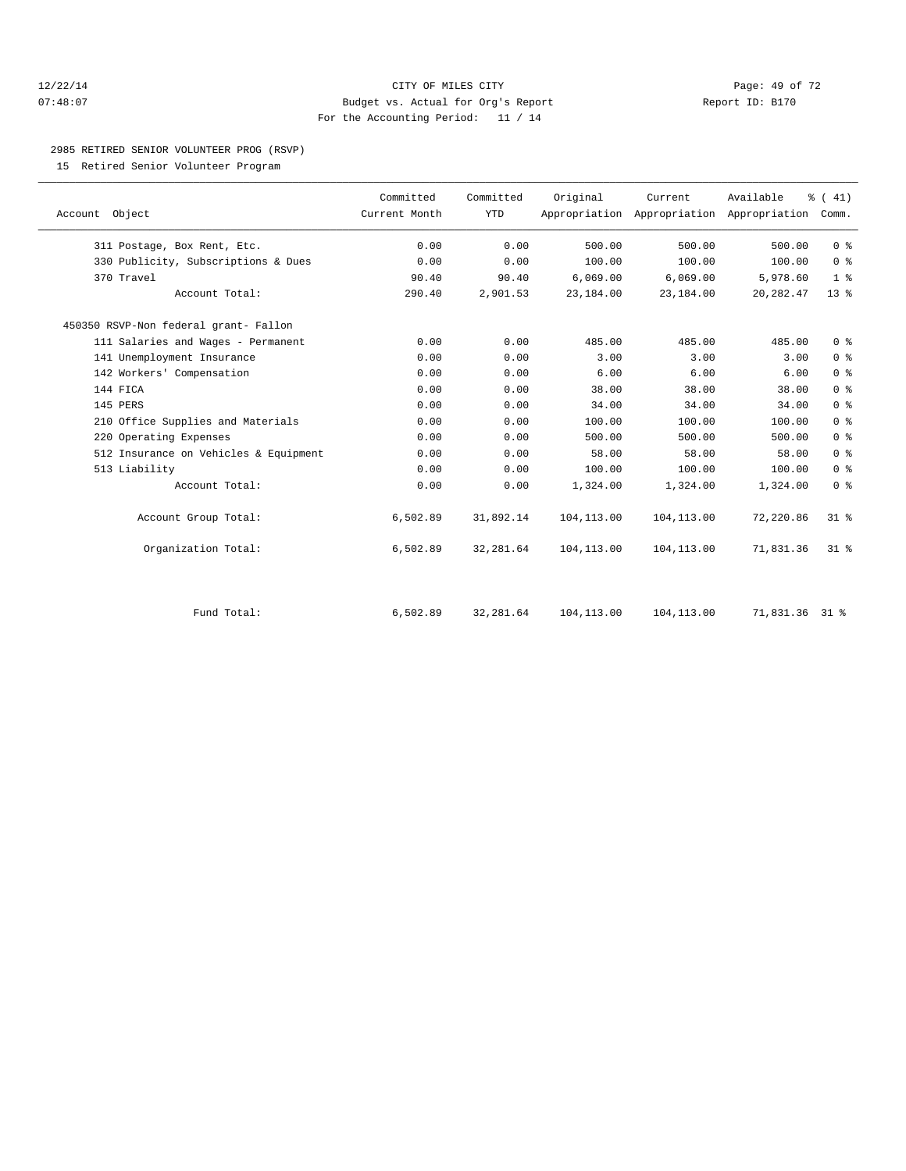#### 12/22/14 Page: 49 of 72 07:48:07 Budget vs. Actual for Org's Report Report ID: B170 For the Accounting Period: 11 / 14

#### 2985 RETIRED SENIOR VOLUNTEER PROG (RSVP)

15 Retired Senior Volunteer Program

|                                       | Committed     |                         |             |                                                      |                |                              |  |
|---------------------------------------|---------------|-------------------------|-------------|------------------------------------------------------|----------------|------------------------------|--|
| Account Object                        | Current Month | Committed<br><b>YTD</b> | Original    | Current<br>Appropriation Appropriation Appropriation | Available      | $\frac{1}{6}$ ( 41)<br>Comm. |  |
| 311 Postage, Box Rent, Etc.           | 0.00          | 0.00                    | 500.00      | 500.00                                               | 500.00         | 0 <sup>8</sup>               |  |
| 330 Publicity, Subscriptions & Dues   | 0.00          | 0.00                    | 100.00      | 100.00                                               | 100.00         | 0 <sup>8</sup>               |  |
| 370 Travel                            | 90.40         | 90.40                   | 6,069.00    | 6,069.00                                             | 5,978.60       | 1 <sup>8</sup>               |  |
| Account Total:                        | 290.40        | 2,901.53                | 23,184.00   | 23,184.00                                            | 20, 282.47     | 13 <sup>°</sup>              |  |
| 450350 RSVP-Non federal grant- Fallon |               |                         |             |                                                      |                |                              |  |
| 111 Salaries and Wages - Permanent    | 0.00          | 0.00                    | 485.00      | 485.00                                               | 485.00         | 0 <sup>8</sup>               |  |
| 141 Unemployment Insurance            | 0.00          | 0.00                    | 3.00        | 3.00                                                 | 3.00           | 0 <sup>°</sup>               |  |
| 142 Workers' Compensation             | 0.00          | 0.00                    | 6.00        | 6.00                                                 | 6.00           | 0 <sup>°</sup>               |  |
| 144 FICA                              | 0.00          | 0.00                    | 38.00       | 38.00                                                | 38.00          | 0 <sup>8</sup>               |  |
| 145 PERS                              | 0.00          | 0.00                    | 34.00       | 34.00                                                | 34.00          | 0 <sup>°</sup>               |  |
| 210 Office Supplies and Materials     | 0.00          | 0.00                    | 100.00      | 100.00                                               | 100.00         | 0 <sup>°</sup>               |  |
| 220 Operating Expenses                | 0.00          | 0.00                    | 500.00      | 500.00                                               | 500.00         | 0 <sup>8</sup>               |  |
| 512 Insurance on Vehicles & Equipment | 0.00          | 0.00                    | 58.00       | 58.00                                                | 58.00          | 0 <sup>8</sup>               |  |
| 513 Liability                         | 0.00          | 0.00                    | 100.00      | 100.00                                               | 100.00         | 0 <sup>8</sup>               |  |
| Account Total:                        | 0.00          | 0.00                    | 1,324.00    | 1,324.00                                             | 1,324.00       | 0 <sup>8</sup>               |  |
| Account Group Total:                  | 6,502.89      | 31,892.14               | 104, 113.00 | 104, 113.00                                          | 72,220.86      | $31$ %                       |  |
| Organization Total:                   | 6,502.89      | 32, 281.64              | 104,113.00  | 104,113.00                                           | 71,831.36      | 31.8                         |  |
| Fund Total:                           | 6,502.89      | 32, 281.64              | 104, 113.00 | 104,113.00                                           | 71,831.36 31 % |                              |  |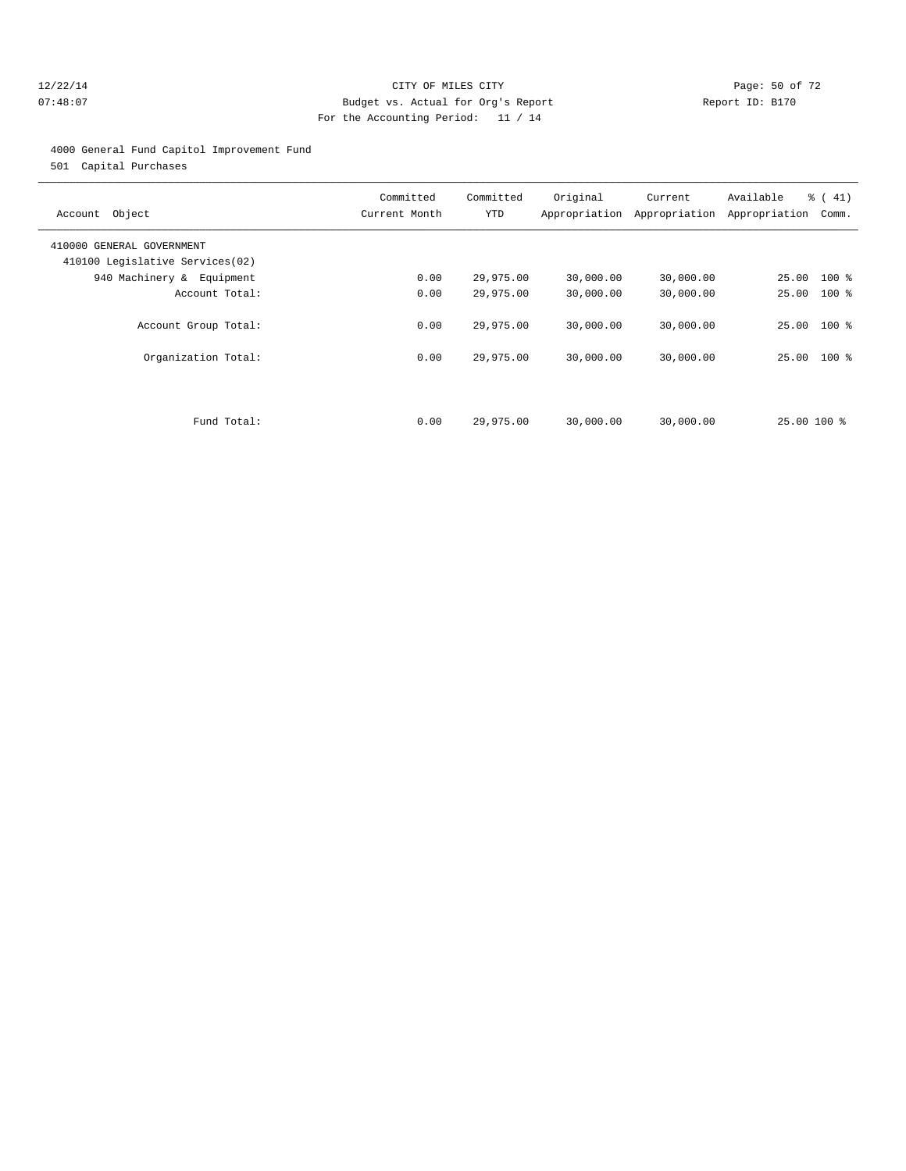#### 12/22/14 Page: 50 of 72 07:48:07 Budget vs. Actual for Org's Report Report ID: B170 For the Accounting Period: 11 / 14

#### 4000 General Fund Capitol Improvement Fund

501 Capital Purchases

| Account Object                                               | Committed<br>Current Month | Committed<br>YTD | Original  | Current<br>Appropriation Appropriation | Available<br>Appropriation | % (41)<br>Comm. |
|--------------------------------------------------------------|----------------------------|------------------|-----------|----------------------------------------|----------------------------|-----------------|
| 410000 GENERAL GOVERNMENT<br>410100 Legislative Services(02) |                            |                  |           |                                        |                            |                 |
| 940 Machinery & Equipment                                    | 0.00                       | 29,975.00        | 30,000.00 | 30,000.00                              | 25.00 100 %                |                 |
| Account Total:                                               | 0.00                       | 29,975.00        | 30,000.00 | 30,000.00                              | 25.00                      | $100*$          |
| Account Group Total:                                         | 0.00                       | 29,975.00        | 30,000.00 | 30,000.00                              | 25.00 100 %                |                 |
| Organization Total:                                          | 0.00                       | 29,975.00        | 30,000.00 | 30,000.00                              | 25.00 100 %                |                 |
|                                                              |                            |                  |           |                                        |                            |                 |
| Fund Total:                                                  | 0.00                       | 29,975.00        | 30,000.00 | 30,000.00                              | 25.00 100 %                |                 |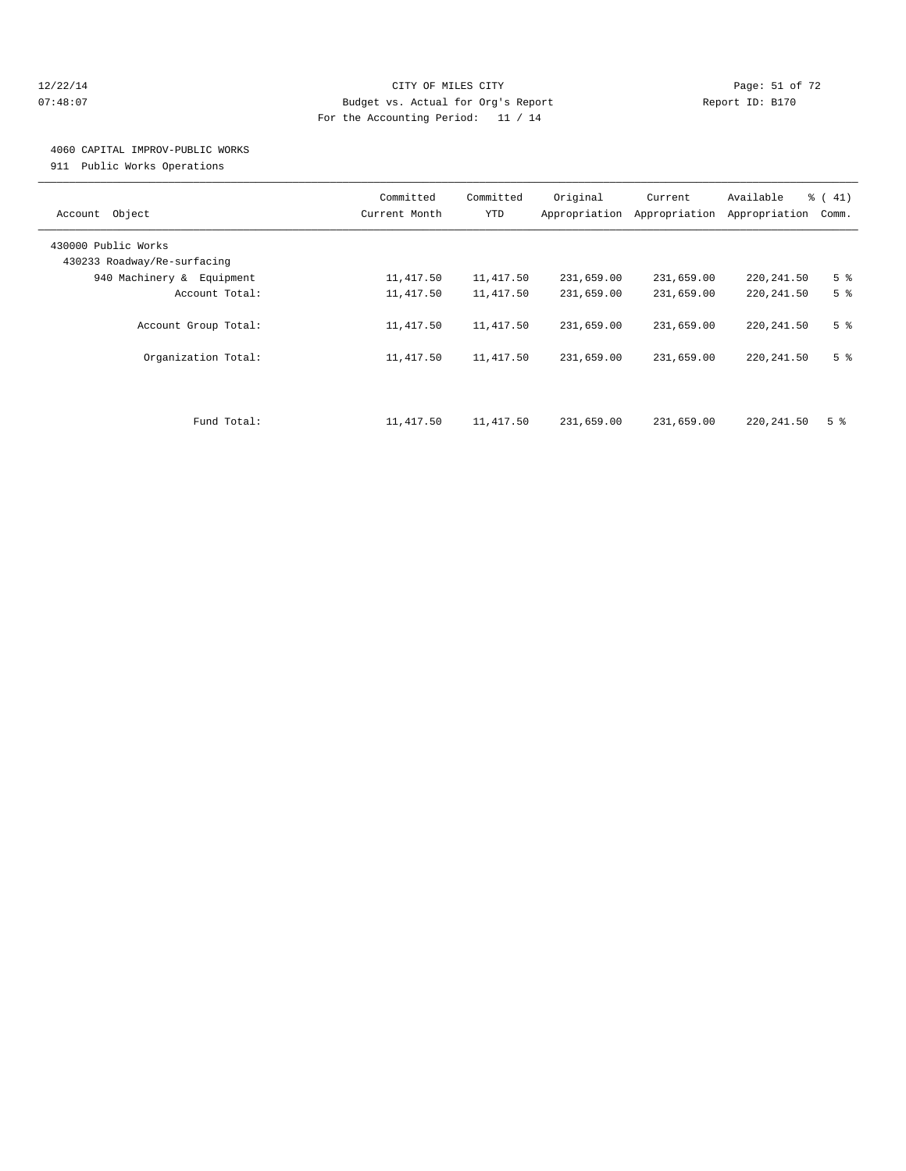#### 12/22/14 Page: 51 of 72 07:48:07 Budget vs. Actual for Org's Report Report ID: B170 For the Accounting Period: 11 / 14

## 4060 CAPITAL IMPROV-PUBLIC WORKS

911 Public Works Operations

| Object<br>Account           | Committed<br>Current Month | Committed<br>YTD | Original<br>Appropriation | Current<br>Appropriation | Available<br>Appropriation | % (41)<br>Comm. |
|-----------------------------|----------------------------|------------------|---------------------------|--------------------------|----------------------------|-----------------|
| 430000 Public Works         |                            |                  |                           |                          |                            |                 |
| 430233 Roadway/Re-surfacing |                            |                  |                           |                          |                            |                 |
| 940 Machinery & Equipment   | 11,417.50                  | 11,417.50        | 231,659.00                | 231,659.00               | 220, 241.50                | 5 <sup>°</sup>  |
| Account Total:              | 11,417.50                  | 11,417.50        | 231,659.00                | 231,659.00               | 220, 241.50                | 5 <sup>8</sup>  |
| Account Group Total:        | 11,417.50                  | 11,417.50        | 231,659.00                | 231,659.00               | 220, 241.50                | 5 <sup>°</sup>  |
| Organization Total:         | 11,417.50                  | 11,417.50        | 231,659.00                | 231,659.00               | 220, 241.50                | 5 <sup>8</sup>  |
| Fund Total:                 | 11,417.50                  | 11,417.50        | 231,659.00                | 231,659.00               | 220, 241.50                | 5 <sup>8</sup>  |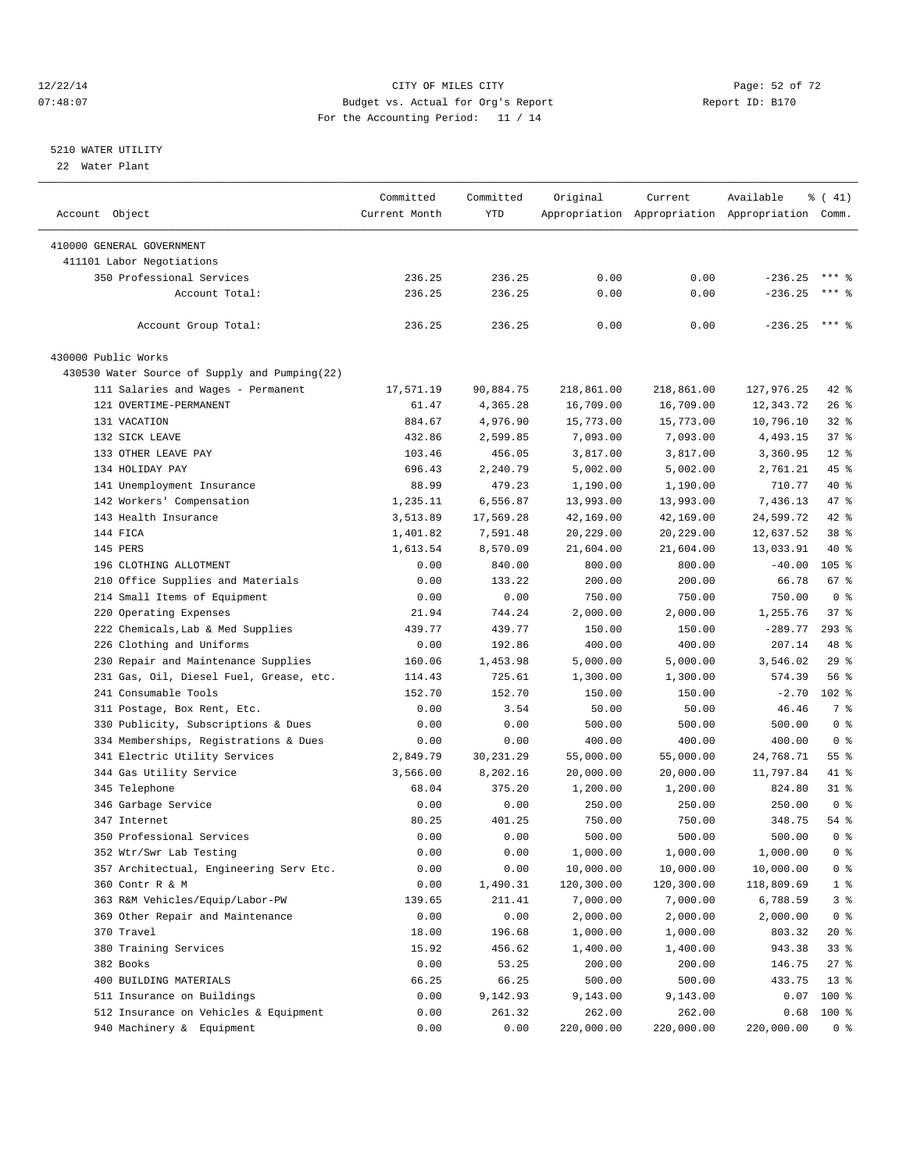#### 12/22/14 Page: 52 of 72 07:48:07 Budget vs. Actual for Org's Report Report ID: B170 For the Accounting Period: 11 / 14

————————————————————————————————————————————————————————————————————————————————————————————————————————————————————————————————————

#### 5210 WATER UTILITY

22 Water Plant

|                                               | Committed         | Committed      | Original         | Current               | Available                                       | $\frac{1}{6}$ ( 41) |
|-----------------------------------------------|-------------------|----------------|------------------|-----------------------|-------------------------------------------------|---------------------|
| Account Object                                | Current Month     | YTD            |                  |                       | Appropriation Appropriation Appropriation Comm. |                     |
| 410000 GENERAL GOVERNMENT                     |                   |                |                  |                       |                                                 |                     |
| 411101 Labor Negotiations                     |                   |                |                  |                       |                                                 |                     |
| 350 Professional Services                     | 236.25            | 236.25         | 0.00             | 0.00                  | $-236.25$                                       | $***$ 8             |
| Account Total:                                | 236.25            | 236.25         | 0.00             | 0.00                  | $-236.25$                                       | $***$ $%$           |
|                                               |                   |                |                  |                       |                                                 |                     |
| Account Group Total:                          | 236.25            | 236.25         | 0.00             | 0.00                  | $-236.25$ *** \$                                |                     |
| 430000 Public Works                           |                   |                |                  |                       |                                                 |                     |
| 430530 Water Source of Supply and Pumping(22) |                   |                |                  |                       |                                                 |                     |
| 111 Salaries and Wages - Permanent            | 17,571.19         | 90,884.75      | 218,861.00       | 218,861.00            | 127,976.25                                      | $42$ %              |
| 121 OVERTIME-PERMANENT                        | 61.47             | 4,365.28       | 16,709.00        | 16,709.00             | 12,343.72                                       | $26$ %              |
| 131 VACATION                                  | 884.67            | 4,976.90       | 15,773.00        | 15,773.00             | 10,796.10                                       | $32$ $%$            |
| 132 SICK LEAVE                                | 432.86            | 2,599.85       | 7,093.00         | 7,093.00              | 4,493.15                                        | 37%                 |
| 133 OTHER LEAVE PAY                           | 103.46            | 456.05         | 3,817.00         | 3,817.00              | 3,360.95                                        | $12*$               |
| 134 HOLIDAY PAY                               | 696.43            | 2,240.79       | 5,002.00         | 5,002.00              | 2,761.21                                        | 45 %                |
| 141 Unemployment Insurance                    | 88.99             | 479.23         | 1,190.00         | 1,190.00              | 710.77                                          | 40 %                |
| 142 Workers' Compensation                     | 1,235.11          | 6,556.87       | 13,993.00        | 13,993.00             | 7,436.13                                        | 47 %                |
| 143 Health Insurance                          | 3,513.89          | 17,569.28      | 42,169.00        | 42,169.00             | 24,599.72                                       | 42 %                |
| 144 FICA                                      | 1,401.82          | 7,591.48       | 20,229.00        | 20,229.00             | 12,637.52                                       | 38 %                |
| 145 PERS                                      | 1,613.54          | 8,570.09       | 21,604.00        | 21,604.00             | 13,033.91                                       | 40 %                |
| 196 CLOTHING ALLOTMENT                        | 0.00              | 840.00         | 800.00           | 800.00                | $-40.00$                                        | 105 <sub>8</sub>    |
| 210 Office Supplies and Materials             | 0.00              | 133.22         | 200.00           | 200.00                | 66.78                                           | 67 %                |
| 214 Small Items of Equipment                  | 0.00              | 0.00           | 750.00           | 750.00                | 750.00                                          | 0 <sup>8</sup>      |
| 220 Operating Expenses                        | 21.94             | 744.24         | 2,000.00         | 2,000.00              | 1,255.76                                        | 37%                 |
| 222 Chemicals, Lab & Med Supplies             | 439.77            | 439.77         | 150.00           | 150.00                | $-289.77$                                       | $293$ $%$           |
| 226 Clothing and Uniforms                     | 0.00              | 192.86         | 400.00           | 400.00                | 207.14                                          | 48 %                |
| 230 Repair and Maintenance Supplies           | 160.06            | 1,453.98       | 5,000.00         | 5,000.00              | 3,546.02                                        | 29%                 |
| 231 Gas, Oil, Diesel Fuel, Grease, etc.       | 114.43            | 725.61         | 1,300.00         | 1,300.00              | 574.39                                          | 56%                 |
| 241 Consumable Tools                          | 152.70            | 152.70         | 150.00           | 150.00                | $-2.70$                                         | $102$ %             |
| 311 Postage, Box Rent, Etc.                   | 0.00              | 3.54           | 50.00            | 50.00                 | 46.46                                           | 7 %                 |
| 330 Publicity, Subscriptions & Dues           | 0.00              | 0.00           | 500.00           | 500.00                | 500.00                                          | 0 <sup>8</sup>      |
| 334 Memberships, Registrations & Dues         | 0.00              | 0.00           | 400.00           | 400.00                | 400.00                                          | 0 <sup>8</sup>      |
| 341 Electric Utility Services                 | 2,849.79          | 30,231.29      | 55,000.00        | 55,000.00             | 24,768.71                                       | 55 <sup>8</sup>     |
| 344 Gas Utility Service                       |                   | 8,202.16       | 20,000.00        |                       | 11,797.84                                       | 41 %                |
| 345 Telephone                                 | 3,566.00<br>68.04 | 375.20         | 1,200.00         | 20,000.00<br>1,200.00 | 824.80                                          | $31$ %              |
|                                               |                   |                |                  |                       |                                                 | 0 <sup>8</sup>      |
| 346 Garbage Service<br>347 Internet           | 0.00<br>80.25     | 0.00<br>401.25 | 250.00<br>750.00 | 250.00<br>750.00      | 250.00<br>348.75                                | 54 %                |
| 350 Professional Services                     | 0.00              | 0.00           | 500.00           | 500.00                | 500.00                                          | 0 <sup>8</sup>      |
|                                               |                   |                |                  | 1,000.00              |                                                 | 0 <sup>8</sup>      |
| 352 Wtr/Swr Lab Testing                       | 0.00              | 0.00           | 1,000.00         |                       | 1,000.00                                        |                     |
| 357 Architectual, Engineering Serv Etc.       | 0.00              | 0.00           | 10,000.00        | 10,000.00             | 10,000.00                                       | $0$ %               |
| 360 Contr R & M                               | 0.00              | 1,490.31       | 120,300.00       | 120,300.00            | 118,809.69                                      | $1$ %               |
| 363 R&M Vehicles/Equip/Labor-PW               | 139.65            | 211.41         | 7,000.00         | 7,000.00              | 6,788.59                                        | 3 <sup>°</sup>      |
| 369 Other Repair and Maintenance              | 0.00              | 0.00           | 2,000.00         | 2,000.00              | 2,000.00                                        | 0 <sup>8</sup>      |
| 370 Travel                                    | 18.00             | 196.68         | 1,000.00         | 1,000.00              | 803.32                                          | 20 %                |
| 380 Training Services                         | 15.92             | 456.62         | 1,400.00         | 1,400.00              | 943.38                                          | 33%                 |
| 382 Books                                     | 0.00              | 53.25          | 200.00           | 200.00                | 146.75                                          | 27 %                |
| 400 BUILDING MATERIALS                        | 66.25             | 66.25          | 500.00           | 500.00                | 433.75                                          | $13*$               |
| 511 Insurance on Buildings                    | 0.00              | 9,142.93       | 9,143.00         | 9,143.00              | 0.07                                            | $100$ %             |
| 512 Insurance on Vehicles & Equipment         | 0.00              | 261.32         | 262.00           | 262.00                | 0.68                                            | 100 %               |
| 940 Machinery & Equipment                     | 0.00              | 0.00           | 220,000.00       | 220,000.00            | 220,000.00                                      | 0 %                 |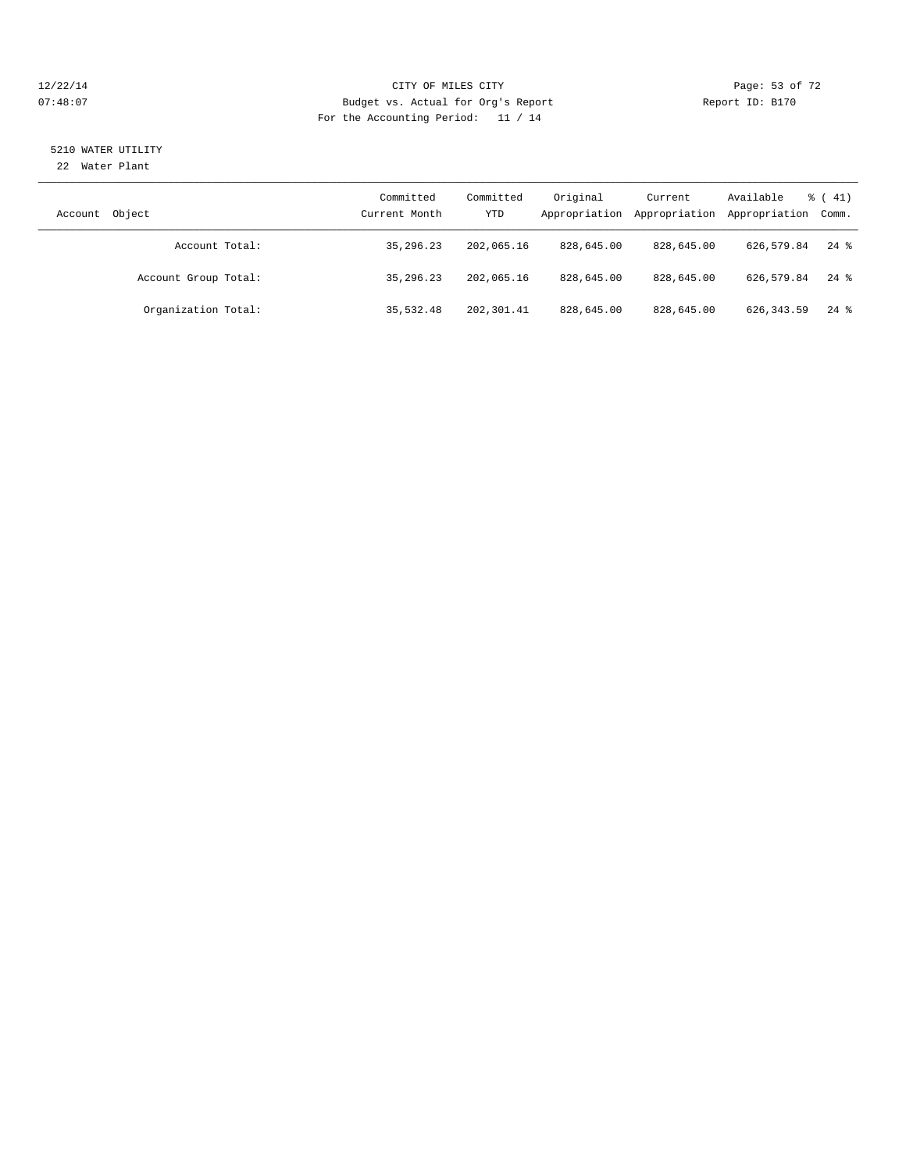#### 12/22/14 Page: 53 of 72 07:48:07 Budget vs. Actual for Org's Report Report ID: B170 For the Accounting Period: 11 / 14

# 5210 WATER UTILITY

22 Water Plant

| Object<br>Account    | Committed<br>Current Month | Committed<br>YTD | Original<br>Appropriation | Current<br>Appropriation | Available<br>Appropriation Comm. | $\frac{1}{6}$ (41) |
|----------------------|----------------------------|------------------|---------------------------|--------------------------|----------------------------------|--------------------|
| Account Total:       | 35, 296, 23                | 202,065.16       | 828,645.00                | 828,645.00               | 626,579.84                       | $24$ $\frac{6}{3}$ |
| Account Group Total: | 35, 296, 23                | 202,065.16       | 828,645.00                | 828,645.00               | 626,579.84                       | $24$ $\frac{6}{3}$ |
| Organization Total:  | 35,532.48                  | 202, 301.41      | 828,645.00                | 828,645.00               | 626, 343.59                      | $24$ $\frac{6}{3}$ |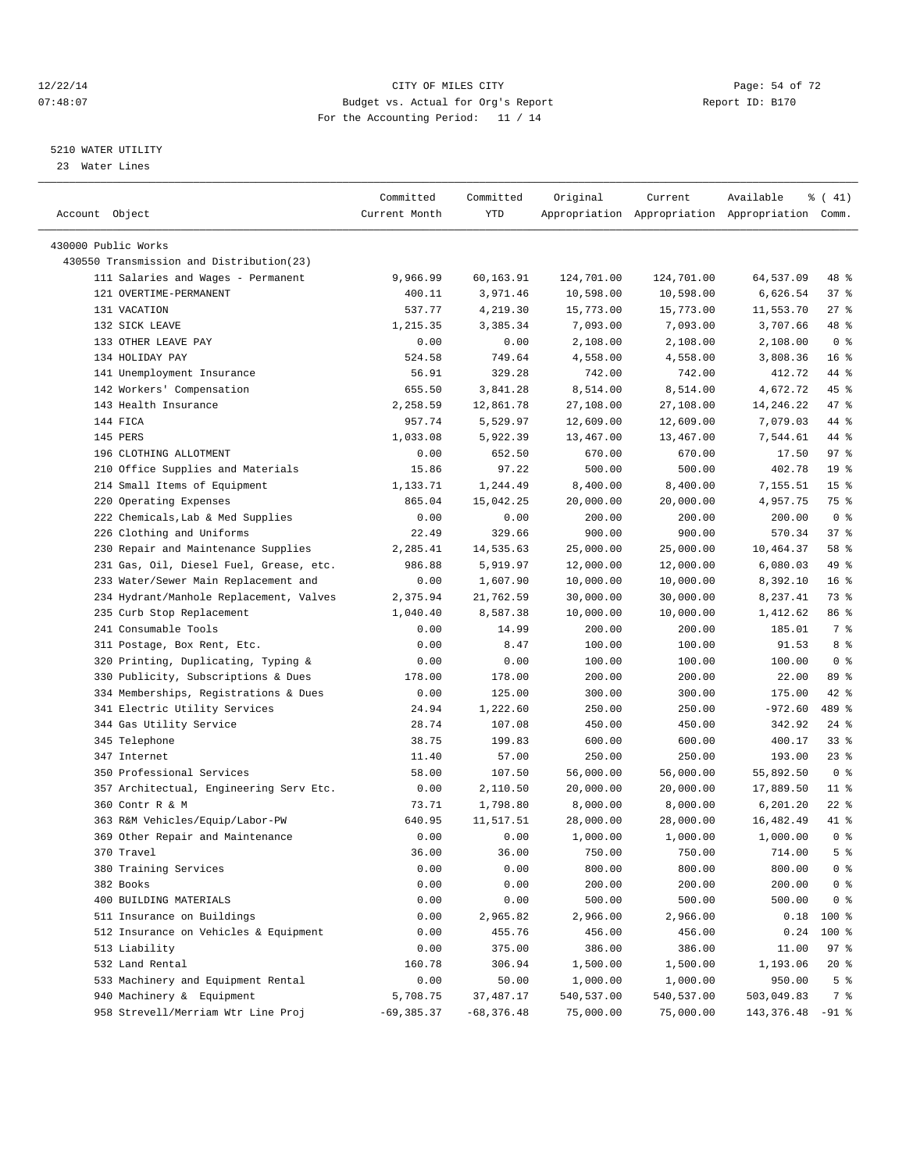#### 12/22/14 Page: 54 of 72 07:48:07 Budget vs. Actual for Org's Report Report ID: B170 For the Accounting Period: 11 / 14

————————————————————————————————————————————————————————————————————————————————————————————————————————————————————————————————————

#### 5210 WATER UTILITY

23 Water Lines

|                                          | Committed     | Committed    | Original   | Current              | Available                                       | $\frac{1}{6}$ ( 41) |
|------------------------------------------|---------------|--------------|------------|----------------------|-------------------------------------------------|---------------------|
| Account Object                           | Current Month | YTD          |            |                      | Appropriation Appropriation Appropriation Comm. |                     |
| 430000 Public Works                      |               |              |            |                      |                                                 |                     |
| 430550 Transmission and Distribution(23) |               |              |            |                      |                                                 |                     |
| 111 Salaries and Wages - Permanent       | 9,966.99      | 60,163.91    | 124,701.00 | 124,701.00           | 64,537.09                                       | 48 %                |
| 121 OVERTIME-PERMANENT                   | 400.11        | 3,971.46     | 10,598.00  | 10,598.00            | 6,626.54                                        | 37%                 |
| 131 VACATION                             | 537.77        |              | 15,773.00  | 15,773.00            |                                                 | $27$ %              |
|                                          |               | 4,219.30     |            |                      | 11,553.70                                       | 48 %                |
| 132 SICK LEAVE<br>133 OTHER LEAVE PAY    | 1,215.35      | 3,385.34     | 7,093.00   | 7,093.00<br>2,108.00 | 3,707.66                                        | 0 <sup>8</sup>      |
|                                          | 0.00          | 0.00         | 2,108.00   |                      | 2,108.00                                        |                     |
| 134 HOLIDAY PAY                          | 524.58        | 749.64       | 4,558.00   | 4,558.00             | 3,808.36                                        | 16 <sup>8</sup>     |
| 141 Unemployment Insurance               | 56.91         | 329.28       | 742.00     | 742.00               | 412.72                                          | 44 %                |
| 142 Workers' Compensation                | 655.50        | 3,841.28     | 8,514.00   | 8,514.00             | 4,672.72                                        | 45 %                |
| 143 Health Insurance                     | 2,258.59      | 12,861.78    | 27,108.00  | 27,108.00            | 14,246.22                                       | 47 %                |
| 144 FICA                                 | 957.74        | 5,529.97     | 12,609.00  | 12,609.00            | 7,079.03                                        | 44 %                |
| 145 PERS                                 | 1,033.08      | 5,922.39     | 13,467.00  | 13,467.00            | 7,544.61                                        | 44 %                |
| 196 CLOTHING ALLOTMENT                   | 0.00          | 652.50       | 670.00     | 670.00               | 17.50                                           | 97%                 |
| 210 Office Supplies and Materials        | 15.86         | 97.22        | 500.00     | 500.00               | 402.78                                          | 19 <sup>°</sup>     |
| 214 Small Items of Equipment             | 1,133.71      | 1,244.49     | 8,400.00   | 8,400.00             | 7,155.51                                        | 15 <sup>°</sup>     |
| 220 Operating Expenses                   | 865.04        | 15,042.25    | 20,000.00  | 20,000.00            | 4,957.75                                        | 75 %                |
| 222 Chemicals, Lab & Med Supplies        | 0.00          | 0.00         | 200.00     | 200.00               | 200.00                                          | 0 <sup>8</sup>      |
| 226 Clothing and Uniforms                | 22.49         | 329.66       | 900.00     | 900.00               | 570.34                                          | 37%                 |
| 230 Repair and Maintenance Supplies      | 2,285.41      | 14,535.63    | 25,000.00  | 25,000.00            | 10,464.37                                       | 58 %                |
| 231 Gas, Oil, Diesel Fuel, Grease, etc.  | 986.88        | 5,919.97     | 12,000.00  | 12,000.00            | 6,080.03                                        | 49 %                |
| 233 Water/Sewer Main Replacement and     | 0.00          | 1,607.90     | 10,000.00  | 10,000.00            | 8,392.10                                        | 16 <sup>°</sup>     |
| 234 Hydrant/Manhole Replacement, Valves  | 2,375.94      | 21,762.59    | 30,000.00  | 30,000.00            | 8,237.41                                        | 73 %                |
| 235 Curb Stop Replacement                | 1,040.40      | 8,587.38     | 10,000.00  | 10,000.00            | 1,412.62                                        | 86 %                |
| 241 Consumable Tools                     | 0.00          | 14.99        | 200.00     | 200.00               | 185.01                                          | 7 %                 |
| 311 Postage, Box Rent, Etc.              | 0.00          | 8.47         | 100.00     | 100.00               | 91.53                                           | 8 %                 |
| 320 Printing, Duplicating, Typing &      | 0.00          | 0.00         | 100.00     | 100.00               | 100.00                                          | 0 <sup>8</sup>      |
| 330 Publicity, Subscriptions & Dues      | 178.00        | 178.00       | 200.00     | 200.00               | 22.00                                           | 89 %                |
| 334 Memberships, Registrations & Dues    | 0.00          | 125.00       | 300.00     | 300.00               | 175.00                                          | 42 %                |
| 341 Electric Utility Services            | 24.94         | 1,222.60     | 250.00     | 250.00               | $-972.60$                                       | 489 %               |
| 344 Gas Utility Service                  | 28.74         | 107.08       | 450.00     | 450.00               | 342.92                                          | $24$ %              |
| 345 Telephone                            | 38.75         | 199.83       | 600.00     | 600.00               | 400.17                                          | 33%                 |
| 347 Internet                             | 11.40         | 57.00        | 250.00     | 250.00               | 193.00                                          | $23$ $%$            |
| 350 Professional Services                | 58.00         | 107.50       | 56,000.00  | 56,000.00            | 55,892.50                                       | 0 <sup>8</sup>      |
| 357 Architectual, Engineering Serv Etc.  | 0.00          | 2,110.50     | 20,000.00  | 20,000.00            | 17,889.50                                       | $11*$               |
| 360 Contr R & M                          | 73.71         | 1,798.80     | 8,000.00   | 8,000.00             | 6,201.20                                        | $22$ %              |
| 363 R&M Vehicles/Equip/Labor-PW          | 640.95        | 11,517.51    | 28,000.00  | 28,000.00            | 16,482.49                                       | 41 %                |
| 369 Other Repair and Maintenance         | 0.00          | 0.00         | 1,000.00   | 1,000.00             | 1,000.00                                        | 0 <sup>8</sup>      |
| 370 Travel                               | 36.00         | 36.00        | 750.00     | 750.00               | 714.00                                          | 5 <sup>8</sup>      |
| 380 Training Services                    | 0.00          | 0.00         | 800.00     | 800.00               | 800.00                                          | 0 <sup>8</sup>      |
| 382 Books                                | 0.00          | 0.00         | 200.00     | 200.00               | 200.00                                          | 0 <sup>8</sup>      |
| 400 BUILDING MATERIALS                   | 0.00          | 0.00         | 500.00     | 500.00               | 500.00                                          | 0 <sup>8</sup>      |
| 511 Insurance on Buildings               | 0.00          | 2,965.82     | 2,966.00   | 2,966.00             | 0.18                                            | 100 %               |
| 512 Insurance on Vehicles & Equipment    | 0.00          | 455.76       | 456.00     | 456.00               | 0.24                                            | 100 %               |
| 513 Liability                            | 0.00          | 375.00       | 386.00     | 386.00               | 11.00                                           | 97%                 |
| 532 Land Rental                          | 160.78        | 306.94       | 1,500.00   | 1,500.00             | 1,193.06                                        | $20*$               |
| 533 Machinery and Equipment Rental       | 0.00          | 50.00        | 1,000.00   | 1,000.00             | 950.00                                          | 5 <sup>°</sup>      |
| 940 Machinery & Equipment                | 5,708.75      | 37, 487.17   | 540,537.00 | 540,537.00           | 503,049.83                                      | 7 %                 |
| 958 Strevell/Merriam Wtr Line Proj       | $-69, 385.37$ | $-68,376.48$ | 75,000.00  | 75,000.00            | 143,376.48                                      | $-91$ %             |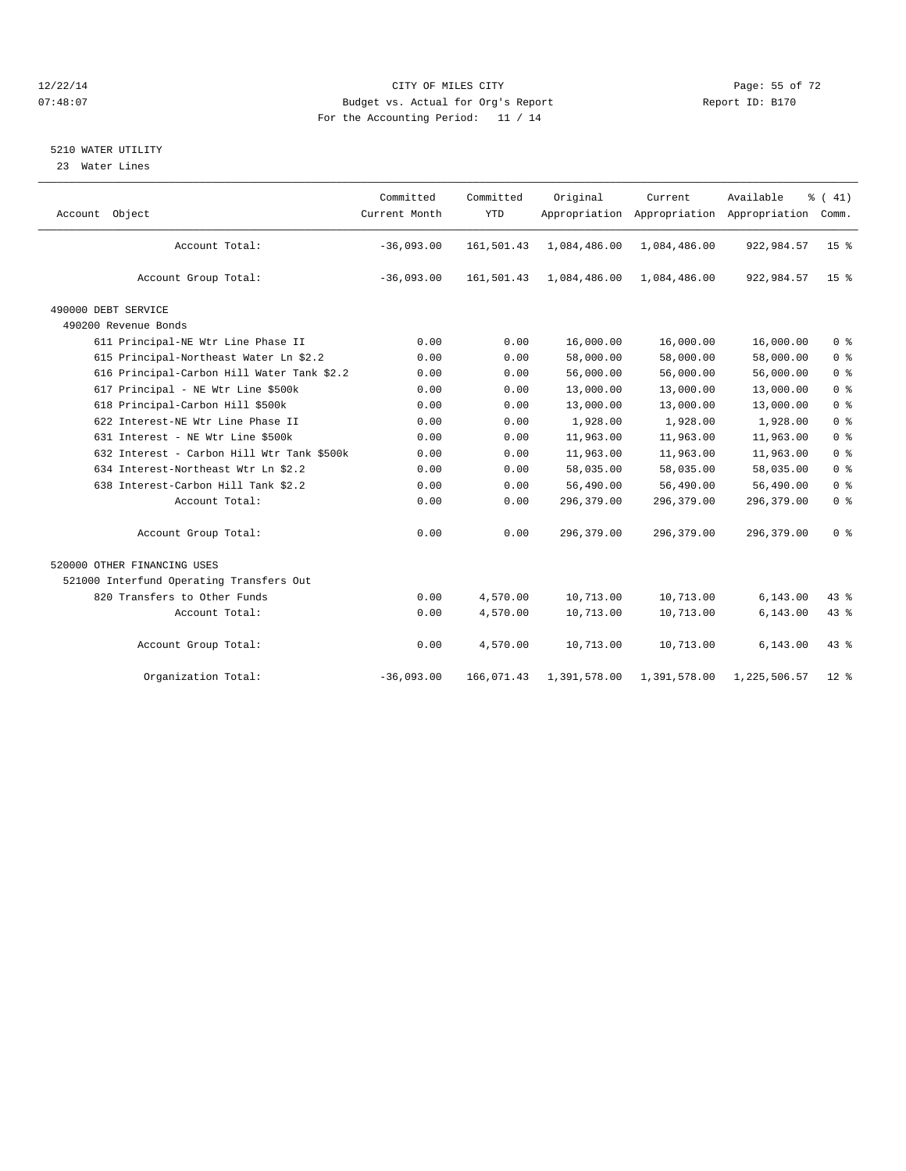#### 12/22/14 Page: 55 of 72 07:48:07 Budget vs. Actual for Org's Report Report ID: B170 For the Accounting Period: 11 / 14

### 5210 WATER UTILITY

23 Water Lines

| Account Object                             | Committed<br>Current Month | Committed<br><b>YTD</b> | Original<br>Appropriation | Current      | Available<br>Appropriation Appropriation | $\frac{1}{6}$ ( 41)<br>Comm. |
|--------------------------------------------|----------------------------|-------------------------|---------------------------|--------------|------------------------------------------|------------------------------|
| Account Total:                             | $-36,093.00$               | 161,501.43              | 1,084,486.00              | 1,084,486.00 | 922,984.57                               | 15 <sup>°</sup>              |
| Account Group Total:                       | $-36,093.00$               | 161,501.43              | 1,084,486.00              | 1,084,486.00 | 922,984.57                               | 15 <sup>8</sup>              |
| 490000 DEBT SERVICE                        |                            |                         |                           |              |                                          |                              |
| 490200 Revenue Bonds                       |                            |                         |                           |              |                                          |                              |
| 611 Principal-NE Wtr Line Phase II         | 0.00                       | 0.00                    | 16,000.00                 | 16,000.00    | 16,000.00                                | 0 <sup>8</sup>               |
| 615 Principal-Northeast Water Ln \$2.2     | 0.00                       | 0.00                    | 58,000.00                 | 58,000.00    | 58,000.00                                | 0 <sup>8</sup>               |
| 616 Principal-Carbon Hill Water Tank \$2.2 | 0.00                       | 0.00                    | 56,000.00                 | 56,000.00    | 56,000.00                                | 0 <sup>°</sup>               |
| 617 Principal - NE Wtr Line \$500k         | 0.00                       | 0.00                    | 13,000.00                 | 13,000.00    | 13,000.00                                | 0 <sup>8</sup>               |
| 618 Principal-Carbon Hill \$500k           | 0.00                       | 0.00                    | 13,000.00                 | 13,000.00    | 13,000.00                                | 0 <sup>8</sup>               |
| 622 Interest-NE Wtr Line Phase II          | 0.00                       | 0.00                    | 1,928.00                  | 1,928.00     | 1,928.00                                 | 0 <sup>8</sup>               |
| 631 Interest - NE Wtr Line \$500k          | 0.00                       | 0.00                    | 11,963.00                 | 11,963.00    | 11,963.00                                | 0 <sup>8</sup>               |
| 632 Interest - Carbon Hill Wtr Tank \$500k | 0.00                       | 0.00                    | 11,963.00                 | 11,963.00    | 11,963.00                                | 0 <sup>8</sup>               |
| 634 Interest-Northeast Wtr Ln \$2.2        | 0.00                       | 0.00                    | 58,035.00                 | 58,035.00    | 58,035.00                                | 0 <sup>8</sup>               |
| 638 Interest-Carbon Hill Tank \$2.2        | 0.00                       | 0.00                    | 56,490.00                 | 56,490.00    | 56,490.00                                | 0 <sup>8</sup>               |
| Account Total:                             | 0.00                       | 0.00                    | 296,379.00                | 296, 379, 00 | 296,379.00                               | 0 <sup>8</sup>               |
| Account Group Total:                       | 0.00                       | 0.00                    | 296,379.00                | 296,379.00   | 296,379.00                               | 0 <sup>8</sup>               |
| 520000 OTHER FINANCING USES                |                            |                         |                           |              |                                          |                              |
| 521000 Interfund Operating Transfers Out   |                            |                         |                           |              |                                          |                              |
| 820 Transfers to Other Funds               | 0.00                       | 4,570.00                | 10,713.00                 | 10,713.00    | 6, 143.00                                | 43 %                         |
| Account Total:                             | 0.00                       | 4,570.00                | 10,713.00                 | 10,713.00    | 6, 143.00                                | 43 %                         |
| Account Group Total:                       | 0.00                       | 4,570.00                | 10,713.00                 | 10,713.00    | 6, 143.00                                | 43.8                         |
| Organization Total:                        | $-36,093.00$               | 166,071.43              | 1,391,578.00              | 1,391,578.00 | 1,225,506.57                             | $12$ $\sqrt[6]{ }$           |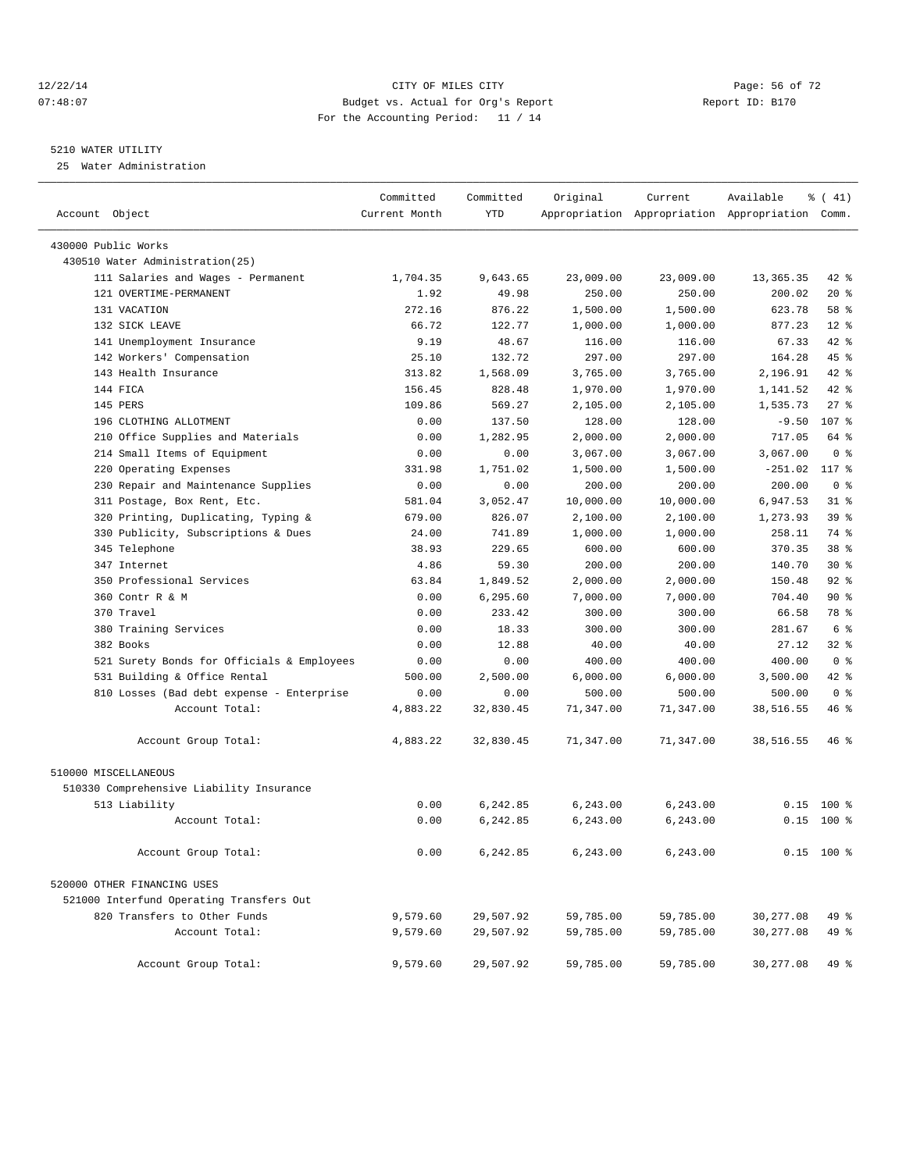#### 12/22/14 Page: 56 of 72 07:48:07 Budget vs. Actual for Org's Report Report ID: B170 For the Accounting Period: 11 / 14

————————————————————————————————————————————————————————————————————————————————————————————————————————————————————————————————————

#### 5210 WATER UTILITY

25 Water Administration

|                                            | Committed     | Committed  | Original  | Current   | Available                                       | $\frac{1}{6}$ ( 41) |
|--------------------------------------------|---------------|------------|-----------|-----------|-------------------------------------------------|---------------------|
| Account Object                             | Current Month | <b>YTD</b> |           |           | Appropriation Appropriation Appropriation Comm. |                     |
| 430000 Public Works                        |               |            |           |           |                                                 |                     |
| 430510 Water Administration(25)            |               |            |           |           |                                                 |                     |
| 111 Salaries and Wages - Permanent         | 1,704.35      | 9,643.65   | 23,009.00 | 23,009.00 | 13, 365. 35                                     | 42 %                |
| 121 OVERTIME-PERMANENT                     | 1.92          | 49.98      | 250.00    | 250.00    | 200.02                                          | $20*$               |
| 131 VACATION                               | 272.16        | 876.22     | 1,500.00  | 1,500.00  | 623.78                                          | 58 %                |
| 132 SICK LEAVE                             | 66.72         | 122.77     | 1,000.00  | 1,000.00  | 877.23                                          | $12*$               |
| 141 Unemployment Insurance                 | 9.19          | 48.67      | 116.00    | 116.00    | 67.33                                           | 42 %                |
| 142 Workers' Compensation                  | 25.10         | 132.72     | 297.00    | 297.00    | 164.28                                          | 45 %                |
| 143 Health Insurance                       | 313.82        | 1,568.09   | 3,765.00  | 3,765.00  | 2,196.91                                        | 42 %                |
| 144 FTCA                                   | 156.45        | 828.48     | 1,970.00  | 1,970.00  | 1,141.52                                        | 42 %                |
| 145 PERS                                   | 109.86        | 569.27     | 2,105.00  | 2,105.00  | 1,535.73                                        | $27$ %              |
| 196 CLOTHING ALLOTMENT                     | 0.00          | 137.50     | 128.00    | 128.00    | $-9.50$                                         | 107 %               |
| 210 Office Supplies and Materials          | 0.00          | 1,282.95   | 2,000.00  | 2,000.00  | 717.05                                          | 64 %                |
| 214 Small Items of Equipment               | 0.00          | 0.00       | 3,067.00  | 3,067.00  | 3,067.00                                        | 0 <sup>8</sup>      |
| 220 Operating Expenses                     | 331.98        | 1,751.02   | 1,500.00  | 1,500.00  | $-251.02$                                       | 117 %               |
| 230 Repair and Maintenance Supplies        | 0.00          | 0.00       | 200.00    | 200.00    | 200.00                                          | 0 <sup>8</sup>      |
| 311 Postage, Box Rent, Etc.                | 581.04        | 3,052.47   | 10,000.00 | 10,000.00 | 6,947.53                                        | $31$ %              |
| 320 Printing, Duplicating, Typing &        | 679.00        | 826.07     | 2,100.00  | 2,100.00  | 1,273.93                                        | 39 %                |
| 330 Publicity, Subscriptions & Dues        | 24.00         | 741.89     | 1,000.00  | 1,000.00  | 258.11                                          | 74 %                |
| 345 Telephone                              | 38.93         | 229.65     | 600.00    | 600.00    | 370.35                                          | 38 %                |
| 347 Internet                               | 4.86          | 59.30      | 200.00    | 200.00    | 140.70                                          | $30*$               |
| 350 Professional Services                  | 63.84         | 1,849.52   | 2,000.00  | 2,000.00  | 150.48                                          | $92$ $%$            |
| 360 Contr R & M                            | 0.00          | 6,295.60   | 7,000.00  | 7,000.00  | 704.40                                          | 90%                 |
| 370 Travel                                 | 0.00          | 233.42     | 300.00    | 300.00    | 66.58                                           | 78 %                |
| 380 Training Services                      | 0.00          | 18.33      | 300.00    | 300.00    | 281.67                                          | 6 %                 |
| 382 Books                                  | 0.00          | 12.88      | 40.00     | 40.00     | 27.12                                           | 32 %                |
| 521 Surety Bonds for Officials & Employees | 0.00          | 0.00       | 400.00    | 400.00    | 400.00                                          | 0 <sup>8</sup>      |
| 531 Building & Office Rental               | 500.00        | 2,500.00   | 6,000.00  | 6,000.00  | 3,500.00                                        | 42 %                |
| 810 Losses (Bad debt expense - Enterprise  | 0.00          | 0.00       | 500.00    | 500.00    | 500.00                                          | 0 <sup>8</sup>      |
| Account Total:                             | 4,883.22      | 32,830.45  | 71,347.00 | 71,347.00 | 38,516.55                                       | 46 %                |
| Account Group Total:                       | 4,883.22      | 32,830.45  | 71,347.00 | 71,347.00 | 38,516.55                                       | 46 %                |
| 510000 MISCELLANEOUS                       |               |            |           |           |                                                 |                     |
| 510330 Comprehensive Liability Insurance   |               |            |           |           |                                                 |                     |
| 513 Liability                              | 0.00          | 6,242.85   | 6,243.00  | 6, 243.00 |                                                 | $0.15$ 100 %        |
| Account Total:                             | 0.00          | 6,242.85   | 6,243.00  | 6,243.00  |                                                 | $0.15$ 100 %        |
| Account Group Total:                       | 0.00          | 6,242.85   | 6,243.00  | 6,243.00  |                                                 | $0.15$ 100 %        |
| 520000 OTHER FINANCING USES                |               |            |           |           |                                                 |                     |
| 521000 Interfund Operating Transfers Out   |               |            |           |           |                                                 |                     |
| 820 Transfers to Other Funds               | 9,579.60      | 29,507.92  | 59,785.00 | 59,785.00 | 30,277.08                                       | 49 %                |
| Account Total:                             | 9,579.60      | 29,507.92  | 59,785.00 | 59,785.00 | 30, 277.08                                      | 49 %                |
| Account Group Total:                       | 9,579.60      | 29,507.92  | 59,785.00 | 59,785.00 | 30,277.08                                       | 49 %                |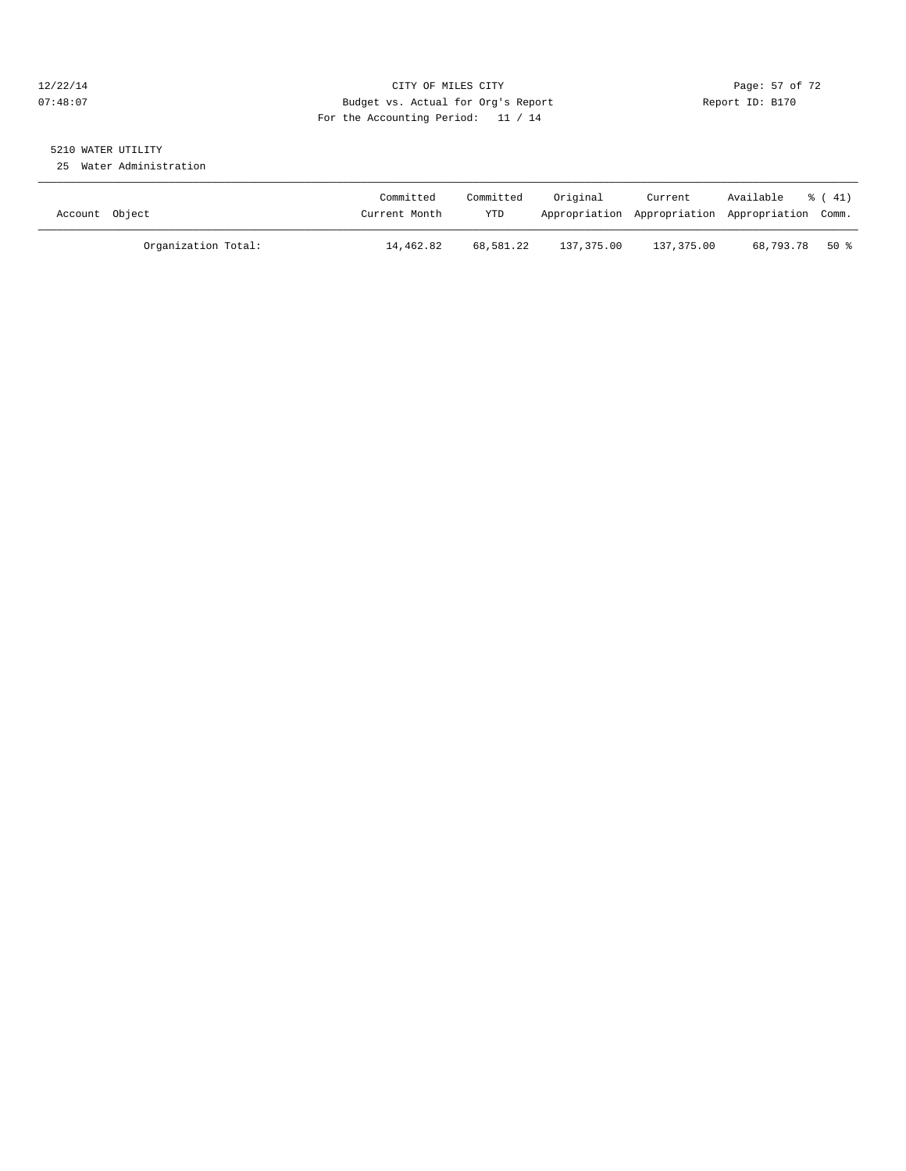### 12/22/14 Page: 57 of 72 07:48:07 Budget vs. Actual for Org's Report Report ID: B170 For the Accounting Period: 11 / 14

# 5210 WATER UTILITY

25 Water Administration

| Account Object |                     | Committed<br>Current Month | Committed<br>YTD | Original   | Current<br>Appropriation Appropriation Appropriation Comm. | Available | $\frac{1}{6}$ (41) |
|----------------|---------------------|----------------------------|------------------|------------|------------------------------------------------------------|-----------|--------------------|
|                | Organization Total: | 14,462.82                  | 68,581.22        | 137,375.00 | 137,375.00                                                 | 68,793.78 | $50*$              |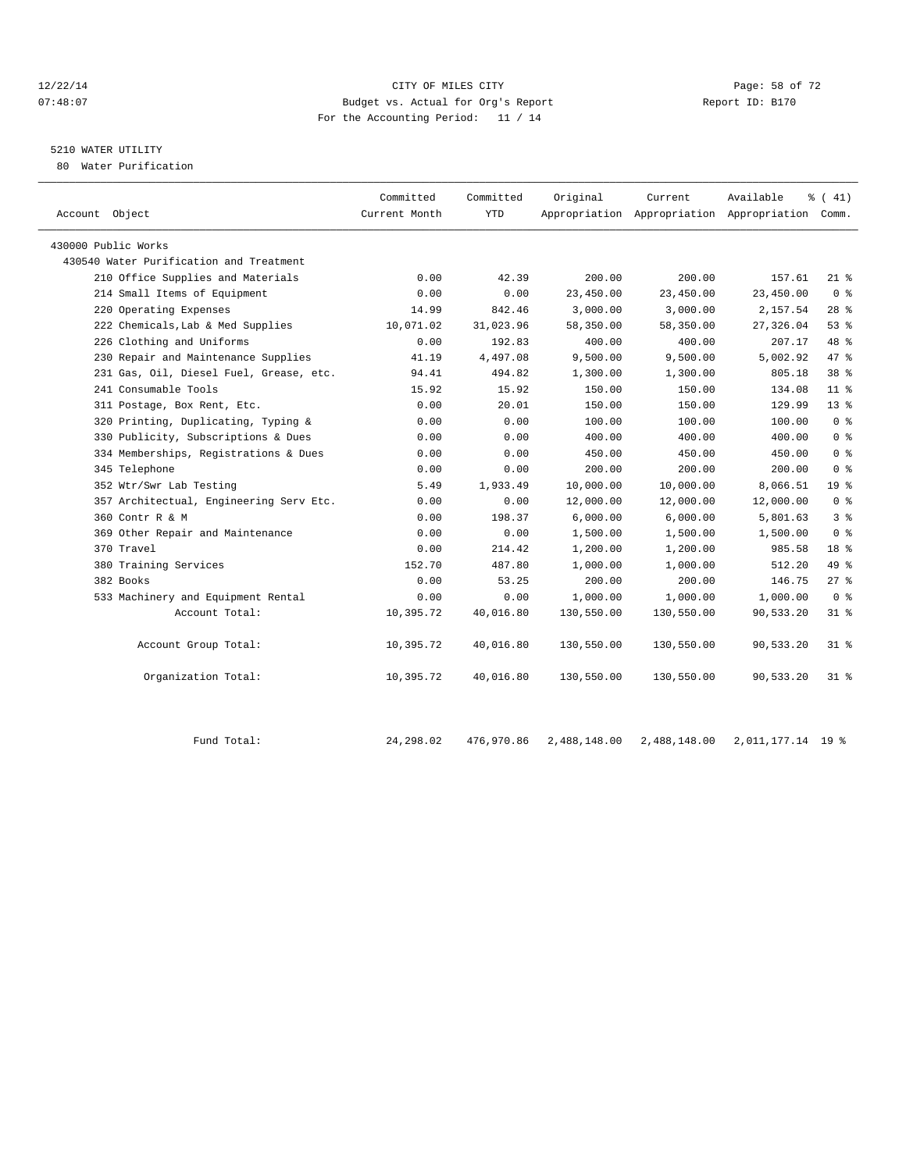#### 12/22/14 Page: 58 of 72 07:48:07 Budget vs. Actual for Org's Report Report ID: B170 For the Accounting Period: 11 / 14

## 5210 WATER UTILITY

80 Water Purification

| Account Object                          | Committed<br>Current Month | Committed<br><b>YTD</b> | Original   | Current    | Available<br>Appropriation Appropriation Appropriation Comm. | $\frac{1}{6}$ ( 41) |
|-----------------------------------------|----------------------------|-------------------------|------------|------------|--------------------------------------------------------------|---------------------|
| 430000 Public Works                     |                            |                         |            |            |                                                              |                     |
| 430540 Water Purification and Treatment |                            |                         |            |            |                                                              |                     |
| 210 Office Supplies and Materials       | 0.00                       | 42.39                   | 200.00     | 200.00     | 157.61                                                       | $21*$               |
| 214 Small Items of Equipment            | 0.00                       | 0.00                    | 23,450.00  | 23,450.00  | 23,450.00                                                    | 0 <sup>8</sup>      |
| 220 Operating Expenses                  | 14.99                      | 842.46                  | 3,000.00   | 3,000.00   | 2,157.54                                                     | $28$ %              |
| 222 Chemicals, Lab & Med Supplies       | 10,071.02                  | 31,023.96               | 58,350.00  | 58,350.00  | 27,326.04                                                    | 53%                 |
| 226 Clothing and Uniforms               | 0.00                       | 192.83                  | 400.00     | 400.00     | 207.17                                                       | 48 %                |
| 230 Repair and Maintenance Supplies     | 41.19                      | 4,497.08                | 9,500.00   | 9,500.00   | 5,002.92                                                     | 47 %                |
| 231 Gas, Oil, Diesel Fuel, Grease, etc. | 94.41                      | 494.82                  | 1,300.00   | 1,300.00   | 805.18                                                       | 38 <sup>8</sup>     |
| 241 Consumable Tools                    | 15.92                      | 15.92                   | 150.00     | 150.00     | 134.08                                                       | $11$ %              |
| 311 Postage, Box Rent, Etc.             | 0.00                       | 20.01                   | 150.00     | 150.00     | 129.99                                                       | $13*$               |
| 320 Printing, Duplicating, Typing &     | 0.00                       | 0.00                    | 100.00     | 100.00     | 100.00                                                       | 0 <sup>8</sup>      |
| 330 Publicity, Subscriptions & Dues     | 0.00                       | 0.00                    | 400.00     | 400.00     | 400.00                                                       | 0 <sup>8</sup>      |
| 334 Memberships, Registrations & Dues   | 0.00                       | 0.00                    | 450.00     | 450.00     | 450.00                                                       | 0 <sup>8</sup>      |
| 345 Telephone                           | 0.00                       | 0.00                    | 200.00     | 200.00     | 200.00                                                       | 0 <sup>8</sup>      |
| 352 Wtr/Swr Lab Testing                 | 5.49                       | 1,933.49                | 10,000.00  | 10,000.00  | 8,066.51                                                     | 19 <sup>°</sup>     |
| 357 Architectual, Engineering Serv Etc. | 0.00                       | 0.00                    | 12,000.00  | 12,000.00  | 12,000.00                                                    | 0 <sup>8</sup>      |
| 360 Contr R & M                         | 0.00                       | 198.37                  | 6,000.00   | 6,000.00   | 5,801.63                                                     | 3 <sup>8</sup>      |
| 369 Other Repair and Maintenance        | 0.00                       | 0.00                    | 1,500.00   | 1,500.00   | 1,500.00                                                     | 0 <sup>8</sup>      |
| 370 Travel                              | 0.00                       | 214.42                  | 1,200.00   | 1,200.00   | 985.58                                                       | 18 <sup>8</sup>     |
| 380 Training Services                   | 152.70                     | 487.80                  | 1,000.00   | 1,000.00   | 512.20                                                       | 49 %                |
| 382 Books                               | 0.00                       | 53.25                   | 200.00     | 200.00     | 146.75                                                       | $27$ %              |
| 533 Machinery and Equipment Rental      | 0.00                       | 0.00                    | 1,000.00   | 1,000.00   | 1,000.00                                                     | 0 <sup>8</sup>      |
| Account Total:                          | 10,395.72                  | 40,016.80               | 130,550.00 | 130,550.00 | 90,533.20                                                    | $31*$               |
| Account Group Total:                    | 10,395.72                  | 40,016.80               | 130,550.00 | 130,550.00 | 90,533.20                                                    | $31*$               |
| Organization Total:                     | 10,395.72                  | 40,016.80               | 130,550.00 | 130,550.00 | 90,533.20                                                    | $31$ %              |
|                                         |                            |                         |            |            |                                                              |                     |

Fund Total: 24,298.02 476,970.86 2,488,148.00 2,488,148.00 2,011,177.14 19 %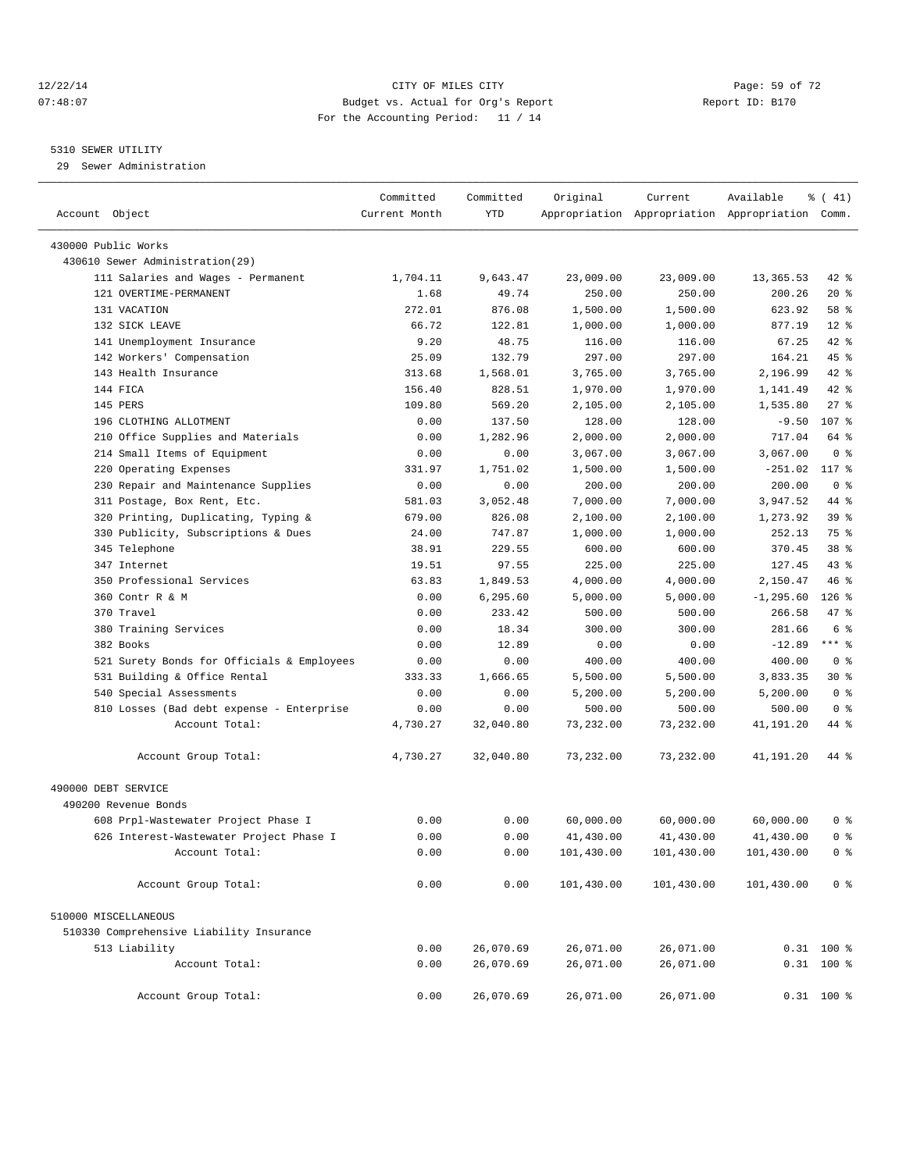#### 12/22/14 Page: 59 of 72 07:48:07 Budget vs. Actual for Org's Report Report ID: B170 For the Accounting Period: 11 / 14

#### 5310 SEWER UTILITY

29 Sewer Administration

| Account Object                                         | Committed<br>Current Month | Committed<br><b>YTD</b> | Original   | Current    | Available<br>Appropriation Appropriation Appropriation Comm. | % (41)          |  |
|--------------------------------------------------------|----------------------------|-------------------------|------------|------------|--------------------------------------------------------------|-----------------|--|
|                                                        |                            |                         |            |            |                                                              |                 |  |
| 430000 Public Works<br>430610 Sewer Administration(29) |                            |                         |            |            |                                                              |                 |  |
| 111 Salaries and Wages - Permanent                     | 1,704.11                   | 9,643.47                | 23,009.00  | 23,009.00  |                                                              | 42 %            |  |
| 121 OVERTIME-PERMANENT                                 | 1.68                       | 49.74                   | 250.00     | 250.00     | 13,365.53<br>200.26                                          | $20*$           |  |
| 131 VACATION                                           | 272.01                     | 876.08                  | 1,500.00   | 1,500.00   | 623.92                                                       | 58 %            |  |
| 132 SICK LEAVE                                         | 66.72                      | 122.81                  | 1,000.00   | 1,000.00   | 877.19                                                       | $12*$           |  |
| 141 Unemployment Insurance                             | 9.20                       | 48.75                   | 116.00     | 116.00     | 67.25                                                        | 42.8            |  |
| 142 Workers' Compensation                              | 25.09                      | 132.79                  | 297.00     | 297.00     | 164.21                                                       | 45 %            |  |
| 143 Health Insurance                                   | 313.68                     | 1,568.01                | 3,765.00   | 3,765.00   | 2,196.99                                                     | 42 %            |  |
| 144 FICA                                               | 156.40                     | 828.51                  | 1,970.00   | 1,970.00   | 1,141.49                                                     | 42 %            |  |
| 145 PERS                                               | 109.80                     | 569.20                  | 2,105.00   | 2,105.00   | 1,535.80                                                     | $27$ %          |  |
| 196 CLOTHING ALLOTMENT                                 | 0.00                       | 137.50                  | 128.00     | 128.00     | $-9.50$                                                      | 107 %           |  |
| 210 Office Supplies and Materials                      | 0.00                       | 1,282.96                | 2,000.00   | 2,000.00   | 717.04                                                       | 64 %            |  |
| 214 Small Items of Equipment                           | 0.00                       | 0.00                    | 3,067.00   | 3,067.00   | 3,067.00                                                     | 0 <sup>8</sup>  |  |
| Operating Expenses<br>220                              | 331.97                     | 1,751.02                | 1,500.00   | 1,500.00   | $-251.02$                                                    | 117 %           |  |
| 230 Repair and Maintenance Supplies                    | 0.00                       | 0.00                    | 200.00     | 200.00     | 200.00                                                       | 0 <sup>8</sup>  |  |
| 311 Postage, Box Rent, Etc.                            | 581.03                     | 3,052.48                | 7,000.00   | 7,000.00   | 3,947.52                                                     | 44 %            |  |
| 320 Printing, Duplicating, Typing &                    | 679.00                     | 826.08                  | 2,100.00   | 2,100.00   | 1,273.92                                                     | 39 <sup>8</sup> |  |
| 330 Publicity, Subscriptions & Dues                    | 24.00                      | 747.87                  | 1,000.00   | 1,000.00   | 252.13                                                       | 75 %            |  |
| 345 Telephone                                          | 38.91                      | 229.55                  | 600.00     | 600.00     | 370.45                                                       | 38 %            |  |
| 347 Internet                                           | 19.51                      | 97.55                   | 225.00     | 225.00     | 127.45                                                       | 43.8            |  |
| 350 Professional Services                              | 63.83                      | 1,849.53                | 4,000.00   | 4,000.00   | 2,150.47                                                     | 46%             |  |
| 360 Contr R & M                                        | 0.00                       | 6,295.60                | 5,000.00   | 5,000.00   | $-1, 295.60$                                                 | $126$ %         |  |
| 370 Travel                                             | 0.00                       | 233.42                  | 500.00     | 500.00     | 266.58                                                       | 47 %            |  |
| 380 Training Services                                  | 0.00                       | 18.34                   | 300.00     | 300.00     | 281.66                                                       | 6 <sup>°</sup>  |  |
| 382 Books                                              | 0.00                       | 12.89                   | 0.00       | 0.00       | $-12.89$                                                     | $***$ $-$       |  |
| 521 Surety Bonds for Officials & Employees             | 0.00                       | 0.00                    | 400.00     | 400.00     | 400.00                                                       | 0 <sup>8</sup>  |  |
| 531 Building & Office Rental                           | 333.33                     | 1,666.65                | 5,500.00   | 5,500.00   | 3,833.35                                                     | $30*$           |  |
| 540 Special Assessments                                | 0.00                       | 0.00                    | 5,200.00   | 5,200.00   | 5,200.00                                                     | 0 <sup>8</sup>  |  |
| 810 Losses (Bad debt expense - Enterprise              | 0.00                       | 0.00                    | 500.00     | 500.00     | 500.00                                                       | 0 <sup>8</sup>  |  |
| Account Total:                                         | 4,730.27                   | 32,040.80               | 73,232.00  | 73,232.00  | 41,191.20                                                    | 44 %            |  |
| Account Group Total:                                   | 4,730.27                   | 32,040.80               | 73,232.00  | 73,232.00  | 41,191.20                                                    | 44 %            |  |
| 490000 DEBT SERVICE                                    |                            |                         |            |            |                                                              |                 |  |
| 490200 Revenue Bonds                                   |                            |                         |            |            |                                                              |                 |  |
| 608 Prpl-Wastewater Project Phase I                    | 0.00                       | 0.00                    | 60,000.00  | 60,000.00  | 60,000.00                                                    | 0 <sup>8</sup>  |  |
| 626 Interest-Wastewater Project Phase I                | 0.00                       | 0.00                    | 41,430.00  | 41,430.00  | 41,430.00                                                    | 0 <sup>8</sup>  |  |
| Account Total:                                         | 0.00                       | 0.00                    | 101,430.00 | 101,430.00 | 101,430.00                                                   | 0 <sup>8</sup>  |  |
|                                                        |                            |                         |            |            |                                                              |                 |  |
| Account Group Total:                                   | 0.00                       | 0.00                    | 101,430.00 | 101,430.00 | 101,430.00                                                   | 0 <sup>8</sup>  |  |
| 510000 MISCELLANEOUS                                   |                            |                         |            |            |                                                              |                 |  |
| 510330 Comprehensive Liability Insurance               |                            |                         |            |            |                                                              |                 |  |
| 513 Liability                                          | 0.00                       | 26,070.69               | 26,071.00  | 26,071.00  |                                                              | $0.31$ 100 %    |  |
| Account Total:                                         | 0.00                       | 26,070.69               | 26,071.00  | 26,071.00  |                                                              | $0.31$ 100 %    |  |
| Account Group Total:                                   | 0.00                       | 26,070.69               | 26,071.00  | 26,071.00  |                                                              | $0.31$ 100 %    |  |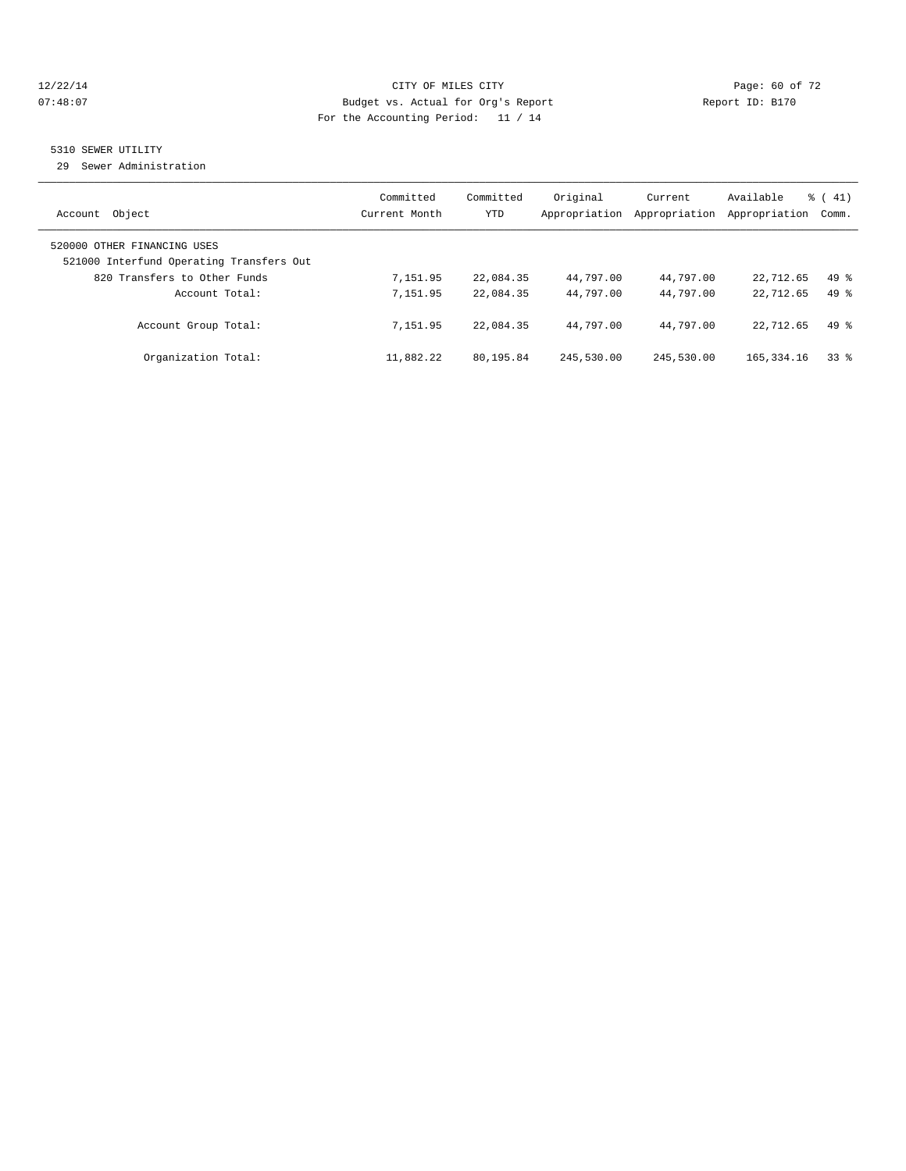#### 12/22/14 Page: 60 of 72 07:48:07 Budget vs. Actual for Org's Report Report ID: B170 For the Accounting Period: 11 / 14

#### 5310 SEWER UTILITY

29 Sewer Administration

|                                                                         | Committed     | Committed  | Original      | Current       | Available     | $\frac{1}{6}$ ( 41) |
|-------------------------------------------------------------------------|---------------|------------|---------------|---------------|---------------|---------------------|
| Object<br>Account                                                       | Current Month | <b>YTD</b> | Appropriation | Appropriation | Appropriation | Comm.               |
| 520000 OTHER FINANCING USES<br>521000 Interfund Operating Transfers Out |               |            |               |               |               |                     |
| 820 Transfers to Other Funds                                            | 7,151.95      | 22,084.35  | 44,797.00     | 44,797.00     | 22,712.65     | $49*$               |
| Account Total:                                                          | 7,151.95      | 22,084.35  | 44,797.00     | 44,797.00     | 22,712.65     | $49*$               |
| Account Group Total:                                                    | 7,151.95      | 22,084.35  | 44,797.00     | 44,797.00     | 22,712.65     | $49*$               |
| Organization Total:                                                     | 11,882.22     | 80,195.84  | 245,530.00    | 245,530.00    | 165, 334, 16  | 338                 |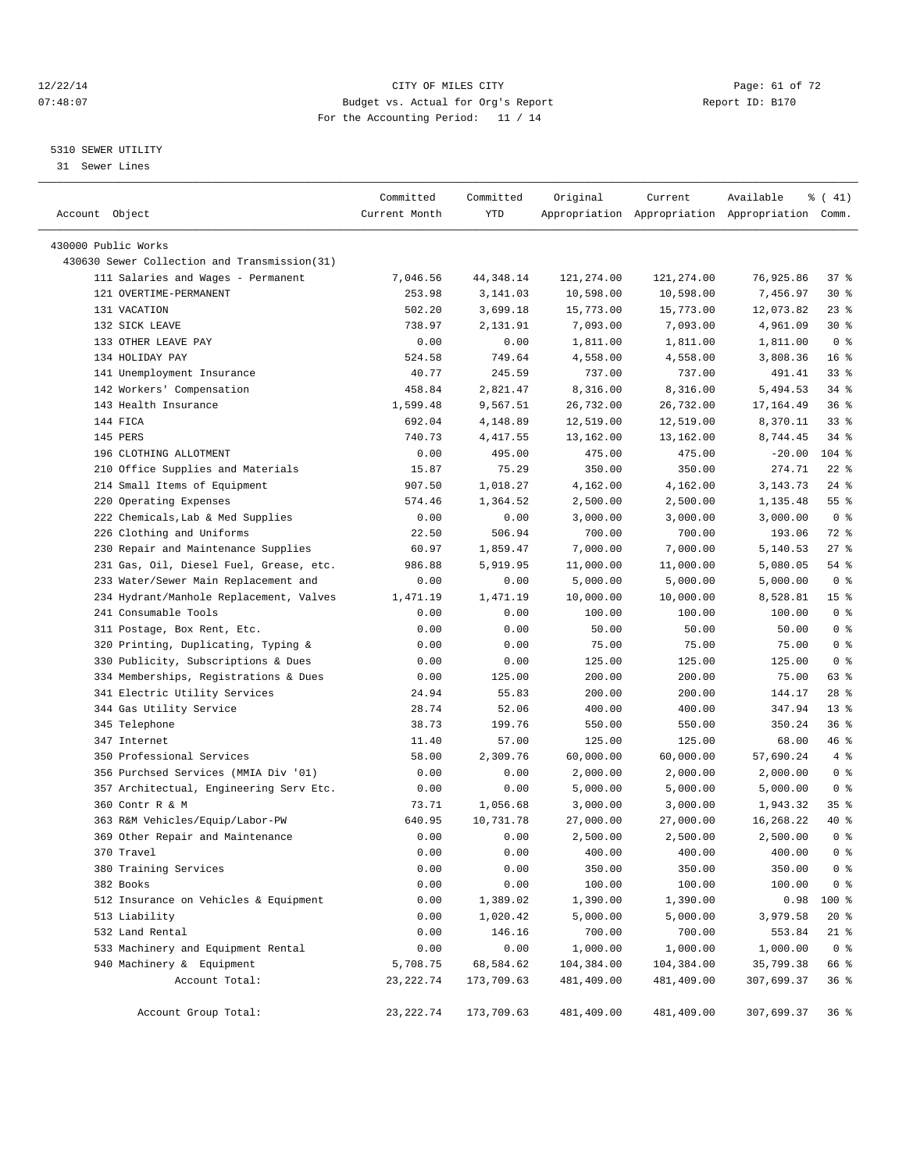#### 12/22/14 Page: 61 of 72 07:48:07 Budget vs. Actual for Org's Report Report ID: B170 For the Accounting Period: 11 / 14

————————————————————————————————————————————————————————————————————————————————————————————————————————————————————————————————————

#### 5310 SEWER UTILITY

31 Sewer Lines

|                                                   | Committed      | Committed            | Original               | Current            | Available                                       | $\frac{1}{6}$ ( 41)     |  |
|---------------------------------------------------|----------------|----------------------|------------------------|--------------------|-------------------------------------------------|-------------------------|--|
| Account Object                                    | Current Month  | YTD                  |                        |                    | Appropriation Appropriation Appropriation Comm. |                         |  |
|                                                   |                |                      |                        |                    |                                                 |                         |  |
| 430000 Public Works                               |                |                      |                        |                    |                                                 |                         |  |
| 430630 Sewer Collection and Transmission(31)      |                |                      |                        |                    |                                                 |                         |  |
| 111 Salaries and Wages - Permanent                | 7,046.56       | 44,348.14            | 121,274.00             | 121,274.00         | 76,925.86                                       | 37 %                    |  |
| 121 OVERTIME-PERMANENT                            | 253.98         | 3,141.03             | 10,598.00              | 10,598.00          | 7,456.97                                        | $30*$                   |  |
| 131 VACATION                                      | 502.20         | 3,699.18             | 15,773.00              | 15,773.00          | 12,073.82                                       | $23$ $%$                |  |
| 132 SICK LEAVE<br>133 OTHER LEAVE PAY             | 738.97<br>0.00 | 2,131.91<br>0.00     | 7,093.00               | 7,093.00           | 4,961.09                                        | $30*$<br>0 <sup>8</sup> |  |
| 134 HOLIDAY PAY                                   | 524.58         | 749.64               | 1,811.00<br>4,558.00   | 1,811.00           | 1,811.00<br>3,808.36                            | 16 <sup>8</sup>         |  |
| 141 Unemployment Insurance                        | 40.77          | 245.59               | 737.00                 | 4,558.00<br>737.00 | 491.41                                          | 33%                     |  |
|                                                   | 458.84         | 2,821.47             | 8,316.00               | 8,316.00           | 5,494.53                                        | $34$ $%$                |  |
| 142 Workers' Compensation<br>143 Health Insurance | 1,599.48       |                      |                        | 26,732.00          |                                                 | 36%                     |  |
| 144 FICA                                          | 692.04         | 9,567.51<br>4,148.89 | 26,732.00<br>12,519.00 | 12,519.00          | 17,164.49<br>8,370.11                           | $33$ $%$                |  |
| 145 PERS                                          | 740.73         | 4,417.55             | 13,162.00              | 13,162.00          | 8,744.45                                        | 34 %                    |  |
| 196 CLOTHING ALLOTMENT                            | 0.00           | 495.00               | 475.00                 | 475.00             | $-20.00$                                        | 104 %                   |  |
| 210 Office Supplies and Materials                 | 15.87          | 75.29                | 350.00                 | 350.00             | 274.71                                          | $22$ %                  |  |
| 214 Small Items of Equipment                      | 907.50         | 1,018.27             | 4,162.00               | 4,162.00           | 3, 143. 73                                      | $24$ %                  |  |
| 220 Operating Expenses                            | 574.46         | 1,364.52             | 2,500.00               | 2,500.00           | 1,135.48                                        | 55%                     |  |
| 222 Chemicals, Lab & Med Supplies                 | 0.00           | 0.00                 | 3,000.00               | 3,000.00           | 3,000.00                                        | 0 <sup>8</sup>          |  |
| 226 Clothing and Uniforms                         | 22.50          | 506.94               | 700.00                 | 700.00             | 193.06                                          | 72 %                    |  |
| 230 Repair and Maintenance Supplies               | 60.97          | 1,859.47             | 7,000.00               | 7,000.00           | 5,140.53                                        | $27$ %                  |  |
| 231 Gas, Oil, Diesel Fuel, Grease, etc.           | 986.88         | 5,919.95             | 11,000.00              | 11,000.00          | 5,080.05                                        | 54 %                    |  |
| 233 Water/Sewer Main Replacement and              | 0.00           | 0.00                 | 5,000.00               | 5,000.00           | 5,000.00                                        | 0 <sup>8</sup>          |  |
| 234 Hydrant/Manhole Replacement, Valves           | 1,471.19       | 1,471.19             | 10,000.00              | 10,000.00          | 8,528.81                                        | 15 <sup>°</sup>         |  |
| 241 Consumable Tools                              | 0.00           | 0.00                 | 100.00                 | 100.00             | 100.00                                          | 0 <sup>8</sup>          |  |
| 311 Postage, Box Rent, Etc.                       | 0.00           | 0.00                 | 50.00                  | 50.00              | 50.00                                           | 0 <sup>8</sup>          |  |
| 320 Printing, Duplicating, Typing &               | 0.00           | 0.00                 | 75.00                  | 75.00              | 75.00                                           | 0 <sup>8</sup>          |  |
| 330 Publicity, Subscriptions & Dues               | 0.00           | 0.00                 | 125.00                 | 125.00             | 125.00                                          | 0 <sup>8</sup>          |  |
| 334 Memberships, Registrations & Dues             | 0.00           | 125.00               | 200.00                 | 200.00             | 75.00                                           | 63 %                    |  |
| 341 Electric Utility Services                     | 24.94          | 55.83                | 200.00                 | 200.00             | 144.17                                          | $28$ %                  |  |
| 344 Gas Utility Service                           | 28.74          | 52.06                | 400.00                 | 400.00             | 347.94                                          | 13 <sup>8</sup>         |  |
| 345 Telephone                                     | 38.73          | 199.76               | 550.00                 | 550.00             | 350.24                                          | 36%                     |  |
| 347 Internet                                      | 11.40          | 57.00                | 125.00                 | 125.00             | 68.00                                           | 46 %                    |  |
| 350 Professional Services                         | 58.00          | 2,309.76             | 60,000.00              | 60,000.00          | 57,690.24                                       | 4%                      |  |
| 356 Purchsed Services (MMIA Div '01)              | 0.00           | 0.00                 | 2,000.00               | 2,000.00           | 2,000.00                                        | 0 <sup>8</sup>          |  |
| 357 Architectual, Engineering Serv Etc.           | 0.00           | 0.00                 | 5,000.00               | 5,000.00           | 5,000.00                                        | 0 <sup>8</sup>          |  |
| 360 Contr R & M                                   | 73.71          | 1,056.68             | 3,000.00               | 3,000.00           | 1,943.32                                        | 35%                     |  |
| 363 R&M Vehicles/Equip/Labor-PW                   | 640.95         | 10,731.78            | 27,000.00              | 27,000.00          | 16,268.22                                       | 40 %                    |  |
| 369 Other Repair and Maintenance                  | 0.00           | 0.00                 | 2,500.00               | 2,500.00           | 2,500.00                                        | 0 <sup>8</sup>          |  |
| 370 Travel                                        | 0.00           | 0.00                 | 400.00                 | 400.00             | 400.00                                          | 0 <sup>8</sup>          |  |
| 380 Training Services                             | 0.00           | 0.00                 | 350.00                 | 350.00             | 350.00                                          | $0$ %                   |  |
| 382 Books                                         | 0.00           | 0.00                 | 100.00                 | 100.00             | 100.00                                          | $0$ %                   |  |
| 512 Insurance on Vehicles & Equipment             | 0.00           | 1,389.02             | 1,390.00               | 1,390.00           | 0.98                                            | 100 %                   |  |
| 513 Liability                                     | 0.00           | 1,020.42             | 5,000.00               | 5,000.00           | 3,979.58                                        | $20*$                   |  |
| 532 Land Rental                                   | 0.00           | 146.16               | 700.00                 | 700.00             | 553.84                                          | $21$ %                  |  |
| 533 Machinery and Equipment Rental                | 0.00           | 0.00                 | 1,000.00               | 1,000.00           | 1,000.00                                        | 0 <sup>8</sup>          |  |
| 940 Machinery & Equipment                         | 5,708.75       | 68,584.62            | 104,384.00             | 104,384.00         | 35,799.38                                       | 66 %                    |  |
| Account Total:                                    | 23, 222.74     | 173,709.63           | 481,409.00             | 481,409.00         | 307,699.37                                      | 36%                     |  |
| Account Group Total:                              | 23, 222.74     | 173,709.63           | 481,409.00             | 481,409.00         | 307,699.37                                      | 36%                     |  |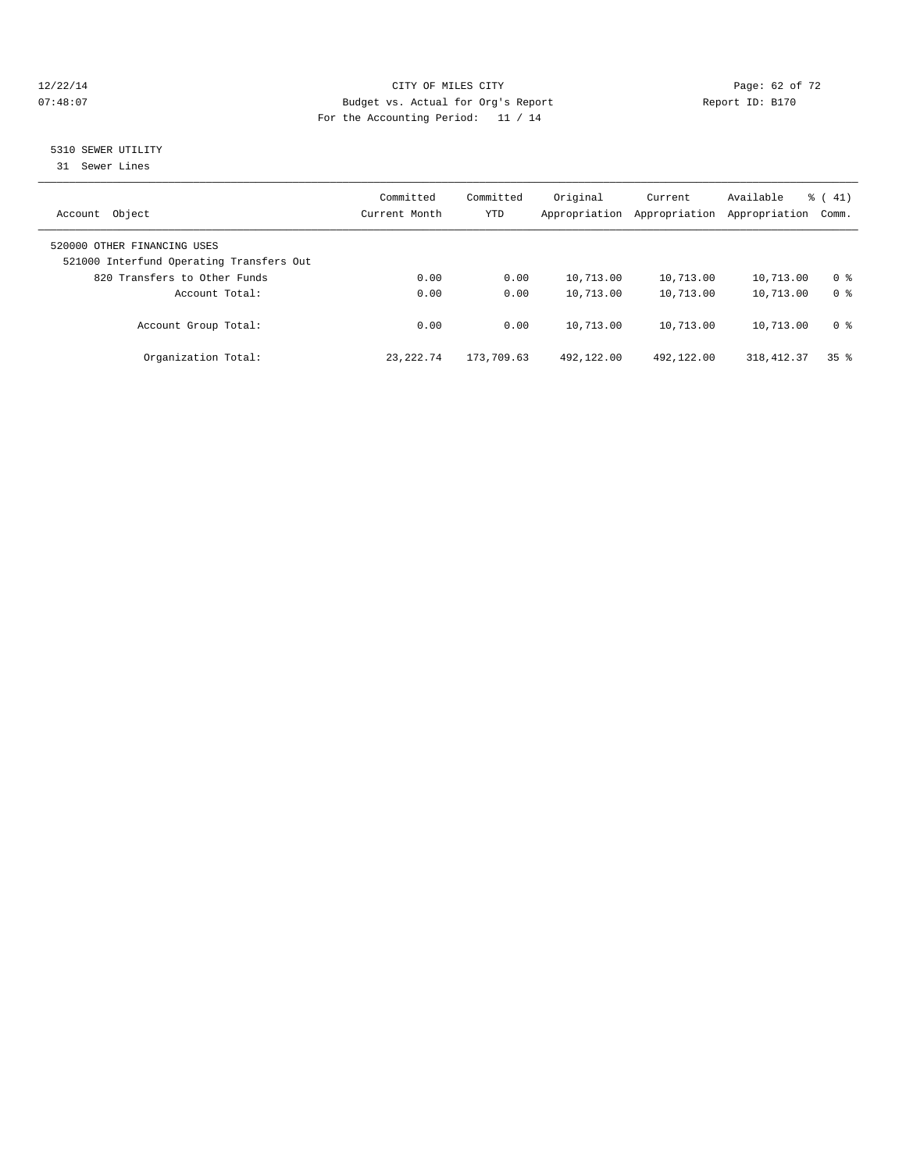#### 12/22/14 Page: 62 of 72 07:48:07 Budget vs. Actual for Org's Report Report ID: B170 For the Accounting Period: 11 / 14

## 5310 SEWER UTILITY

31 Sewer Lines

| Object<br>Account                                                       | Committed<br>Current Month | Committed<br><b>YTD</b> | Original<br>Appropriation | Current<br>Appropriation | Available<br>Appropriation | $\frac{1}{6}$ ( 41)<br>Comm. |
|-------------------------------------------------------------------------|----------------------------|-------------------------|---------------------------|--------------------------|----------------------------|------------------------------|
| 520000 OTHER FINANCING USES<br>521000 Interfund Operating Transfers Out |                            |                         |                           |                          |                            |                              |
| 820 Transfers to Other Funds                                            | 0.00                       | 0.00                    | 10,713.00                 | 10,713.00                | 10,713.00                  | 0 <sup>8</sup>               |
| Account Total:                                                          | 0.00                       | 0.00                    | 10,713.00                 | 10,713.00                | 10,713.00                  | 0 <sup>8</sup>               |
| Account Group Total:                                                    | 0.00                       | 0.00                    | 10,713.00                 | 10,713.00                | 10,713.00                  | 0 <sup>8</sup>               |
| Organization Total:                                                     | 23, 222, 74                | 173,709.63              | 492,122.00                | 492,122.00               | 318, 412.37                | 35 <sup>8</sup>              |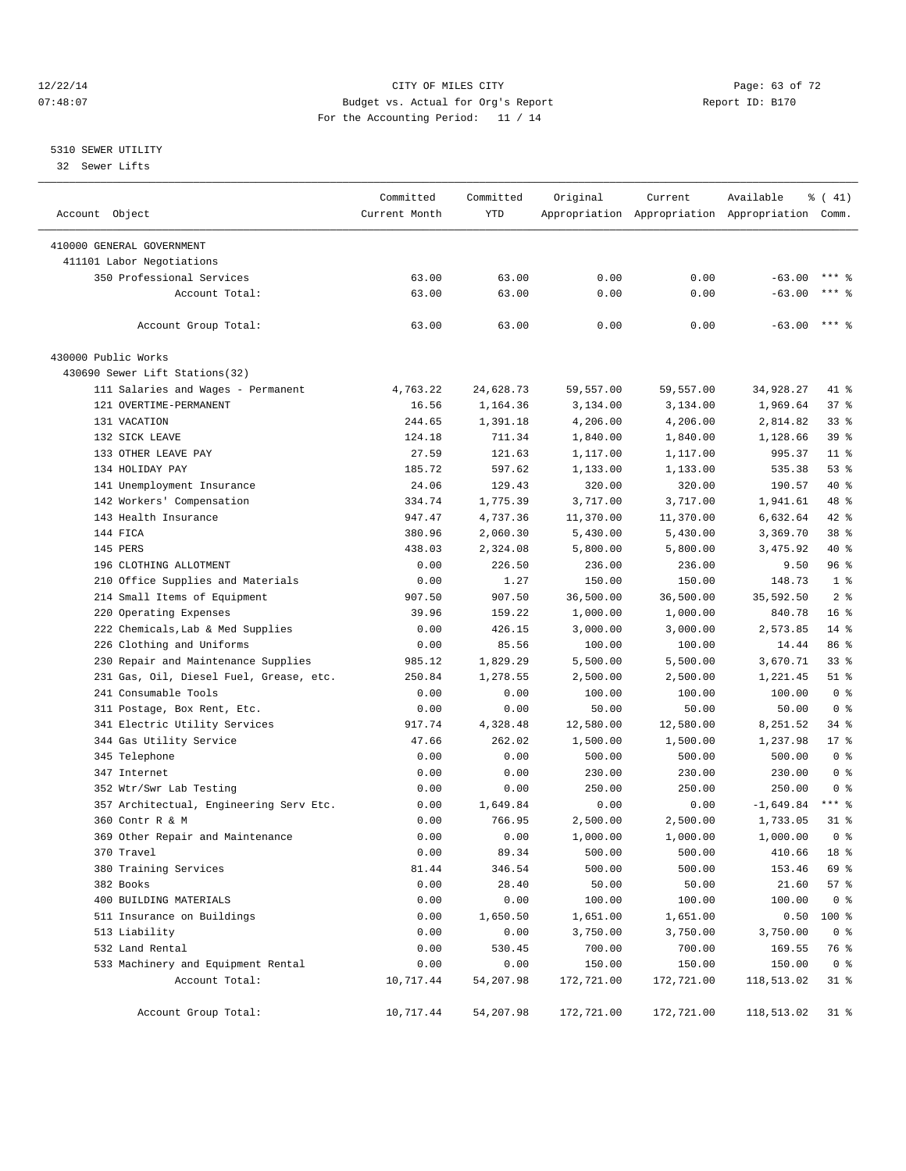#### 12/22/14 Page: 63 of 72 07:48:07 Budget vs. Actual for Org's Report Report ID: B170 For the Accounting Period: 11 / 14

————————————————————————————————————————————————————————————————————————————————————————————————————————————————————————————————————

#### 5310 SEWER UTILITY

32 Sewer Lifts

|                                         | Committed     | Committed  | Original   | Current    | Available                                       | $\frac{1}{6}$ ( 41) |
|-----------------------------------------|---------------|------------|------------|------------|-------------------------------------------------|---------------------|
| Account Object                          | Current Month | <b>YTD</b> |            |            | Appropriation Appropriation Appropriation Comm. |                     |
| 410000 GENERAL GOVERNMENT               |               |            |            |            |                                                 |                     |
| 411101 Labor Negotiations               |               |            |            |            |                                                 |                     |
| 350 Professional Services               | 63.00         | 63.00      | 0.00       | 0.00       | $-63.00$                                        | $***$ %             |
| Account Total:                          | 63.00         | 63.00      | 0.00       | 0.00       | $-63.00$                                        | $***$ $%$           |
|                                         |               |            |            |            |                                                 |                     |
| Account Group Total:                    | 63.00         | 63.00      | 0.00       | 0.00       | $-63.00$                                        | $***$ 8             |
| 430000 Public Works                     |               |            |            |            |                                                 |                     |
| 430690 Sewer Lift Stations(32)          |               |            |            |            |                                                 |                     |
| 111 Salaries and Wages - Permanent      | 4,763.22      | 24,628.73  | 59,557.00  | 59,557.00  | 34,928.27                                       | 41 %                |
| 121 OVERTIME-PERMANENT                  | 16.56         | 1,164.36   | 3,134.00   | 3,134.00   | 1,969.64                                        | 37%                 |
| 131 VACATION                            | 244.65        | 1,391.18   | 4,206.00   | 4,206.00   | 2,814.82                                        | $33*$               |
| 132 SICK LEAVE                          | 124.18        | 711.34     | 1,840.00   | 1,840.00   | 1,128.66                                        | 39 %                |
| 133 OTHER LEAVE PAY                     | 27.59         | 121.63     | 1,117.00   | 1,117.00   | 995.37                                          | $11$ %              |
| 134 HOLIDAY PAY                         | 185.72        | 597.62     | 1,133.00   | 1,133.00   | 535.38                                          | $53$ $%$            |
| 141 Unemployment Insurance              | 24.06         | 129.43     | 320.00     | 320.00     | 190.57                                          | 40 %                |
| 142 Workers' Compensation               | 334.74        | 1,775.39   | 3,717.00   | 3,717.00   | 1,941.61                                        | 48 %                |
| 143 Health Insurance                    | 947.47        | 4,737.36   | 11,370.00  | 11,370.00  | 6,632.64                                        | 42 %                |
| 144 FICA                                | 380.96        | 2,060.30   | 5,430.00   | 5,430.00   | 3,369.70                                        | 38 <sup>8</sup>     |
| 145 PERS                                | 438.03        | 2,324.08   | 5,800.00   | 5,800.00   | 3,475.92                                        | 40 %                |
| 196 CLOTHING ALLOTMENT                  | 0.00          | 226.50     | 236.00     | 236.00     | 9.50                                            | 96%                 |
| 210 Office Supplies and Materials       | 0.00          | 1.27       | 150.00     | 150.00     | 148.73                                          | 1 <sup>8</sup>      |
| 214 Small Items of Equipment            | 907.50        | 907.50     | 36,500.00  | 36,500.00  | 35,592.50                                       | 2 <sup>8</sup>      |
| 220 Operating Expenses                  | 39.96         | 159.22     | 1,000.00   | 1,000.00   | 840.78                                          | 16 <sup>8</sup>     |
| 222 Chemicals, Lab & Med Supplies       | 0.00          | 426.15     | 3,000.00   | 3,000.00   | 2,573.85                                        | $14$ %              |
| 226 Clothing and Uniforms               | 0.00          | 85.56      | 100.00     | 100.00     | 14.44                                           | 86 %                |
| 230 Repair and Maintenance Supplies     | 985.12        | 1,829.29   | 5,500.00   | 5,500.00   | 3,670.71                                        | $33*$               |
| 231 Gas, Oil, Diesel Fuel, Grease, etc. | 250.84        | 1,278.55   | 2,500.00   | 2,500.00   | 1,221.45                                        | $51$ %              |
| 241 Consumable Tools                    | 0.00          | 0.00       | 100.00     | 100.00     | 100.00                                          | 0 <sup>8</sup>      |
| 311 Postage, Box Rent, Etc.             | 0.00          | 0.00       | 50.00      | 50.00      | 50.00                                           | 0 <sup>8</sup>      |
| 341 Electric Utility Services           | 917.74        | 4,328.48   | 12,580.00  | 12,580.00  | 8,251.52                                        | 34 %                |
| 344 Gas Utility Service                 | 47.66         | 262.02     | 1,500.00   | 1,500.00   | 1,237.98                                        | $17$ %              |
| 345 Telephone                           | 0.00          | 0.00       | 500.00     | 500.00     | 500.00                                          | 0 <sup>8</sup>      |
| 347 Internet                            | 0.00          | 0.00       | 230.00     | 230.00     | 230.00                                          | 0 <sup>8</sup>      |
| 352 Wtr/Swr Lab Testing                 | 0.00          | 0.00       | 250.00     | 250.00     | 250.00                                          | 0 <sup>8</sup>      |
| 357 Architectual, Engineering Serv Etc. | 0.00          | 1,649.84   | 0.00       | 0.00       | $-1,649.84$                                     | $***$ $-$           |
| 360 Contr R & M                         | 0.00          | 766.95     | 2,500.00   | 2,500.00   | 1,733.05                                        | 31 %                |
| 369 Other Repair and Maintenance        | 0.00          | 0.00       | 1,000.00   | 1,000.00   | 1,000.00                                        | 0 <sup>8</sup>      |
| 370 Travel                              | 0.00          | 89.34      | 500.00     | 500.00     | 410.66 18 %                                     |                     |
| 380 Training Services                   | 81.44         | 346.54     | 500.00     | 500.00     | 153.46                                          | 69 %                |
| 382 Books                               | 0.00          | 28.40      | 50.00      | 50.00      | 21.60                                           | 57%                 |
| 400 BUILDING MATERIALS                  | 0.00          | 0.00       | 100.00     | 100.00     | 100.00                                          | 0 <sup>8</sup>      |
| 511 Insurance on Buildings              | 0.00          | 1,650.50   | 1,651.00   | 1,651.00   | 0.50                                            | 100 %               |
| 513 Liability                           | 0.00          | 0.00       | 3,750.00   | 3,750.00   | 3,750.00                                        | 0 <sup>8</sup>      |
| 532 Land Rental                         | 0.00          | 530.45     | 700.00     | 700.00     | 169.55                                          | 76 %                |
| 533 Machinery and Equipment Rental      | 0.00          | 0.00       | 150.00     | 150.00     | 150.00                                          | 0 <sup>8</sup>      |
| Account Total:                          | 10,717.44     | 54,207.98  | 172,721.00 | 172,721.00 | 118,513.02                                      | $31$ %              |
|                                         |               |            |            |            |                                                 |                     |
| Account Group Total:                    | 10,717.44     | 54,207.98  | 172,721.00 | 172,721.00 | 118,513.02                                      | $31$ %              |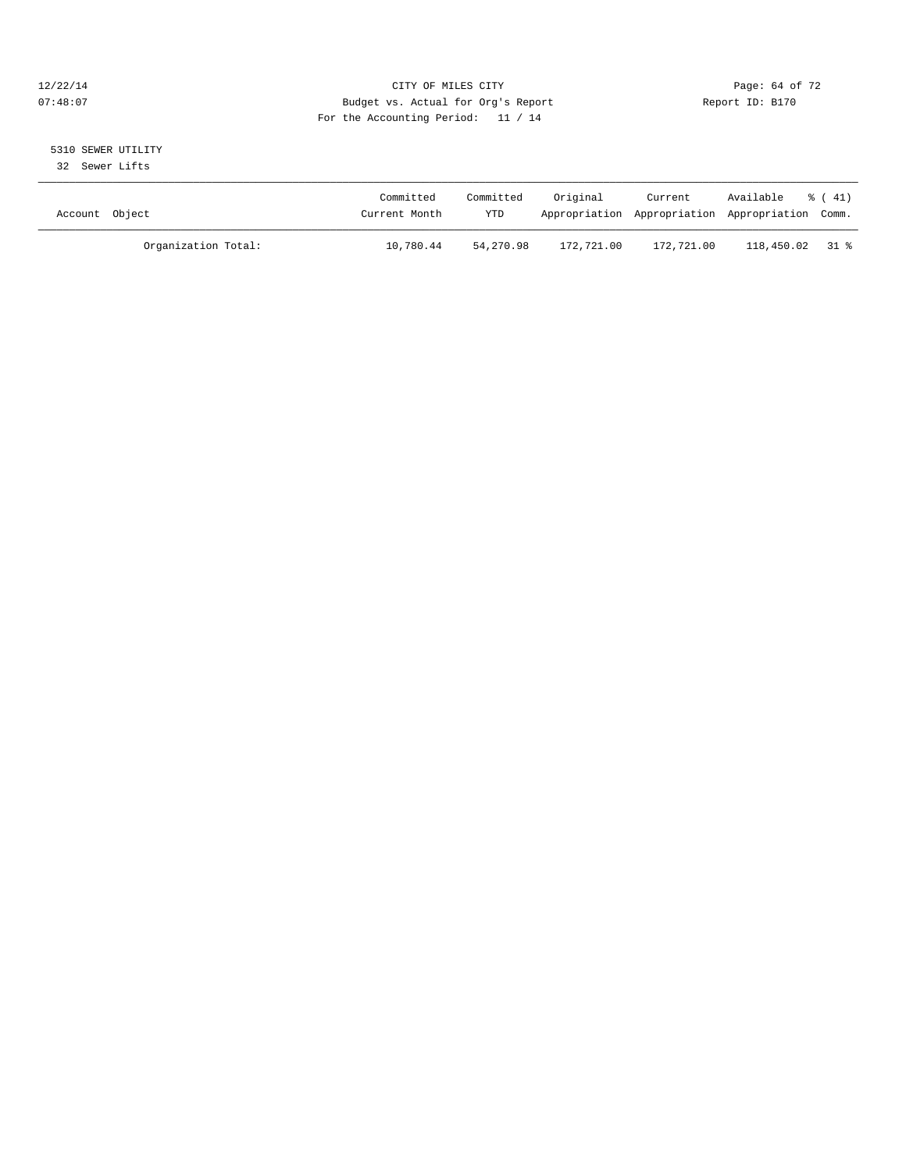#### 12/22/14 Page: 64 of 72 07:48:07 Budget vs. Actual for Org's Report Report ID: B170 For the Accounting Period: 11 / 14

# 5310 SEWER UTILITY

32 Sewer Lifts

| Account Object |                     | Committed<br>Current Month | Committed<br>YTD | Original   | Current    | Available<br>Appropriation Appropriation Appropriation Comm. | $\frac{1}{6}$ ( 41) |
|----------------|---------------------|----------------------------|------------------|------------|------------|--------------------------------------------------------------|---------------------|
|                | Organization Total: | 10,780.44                  | 54,270.98        | 172,721.00 | 172,721.00 | 118,450.02 31 %                                              |                     |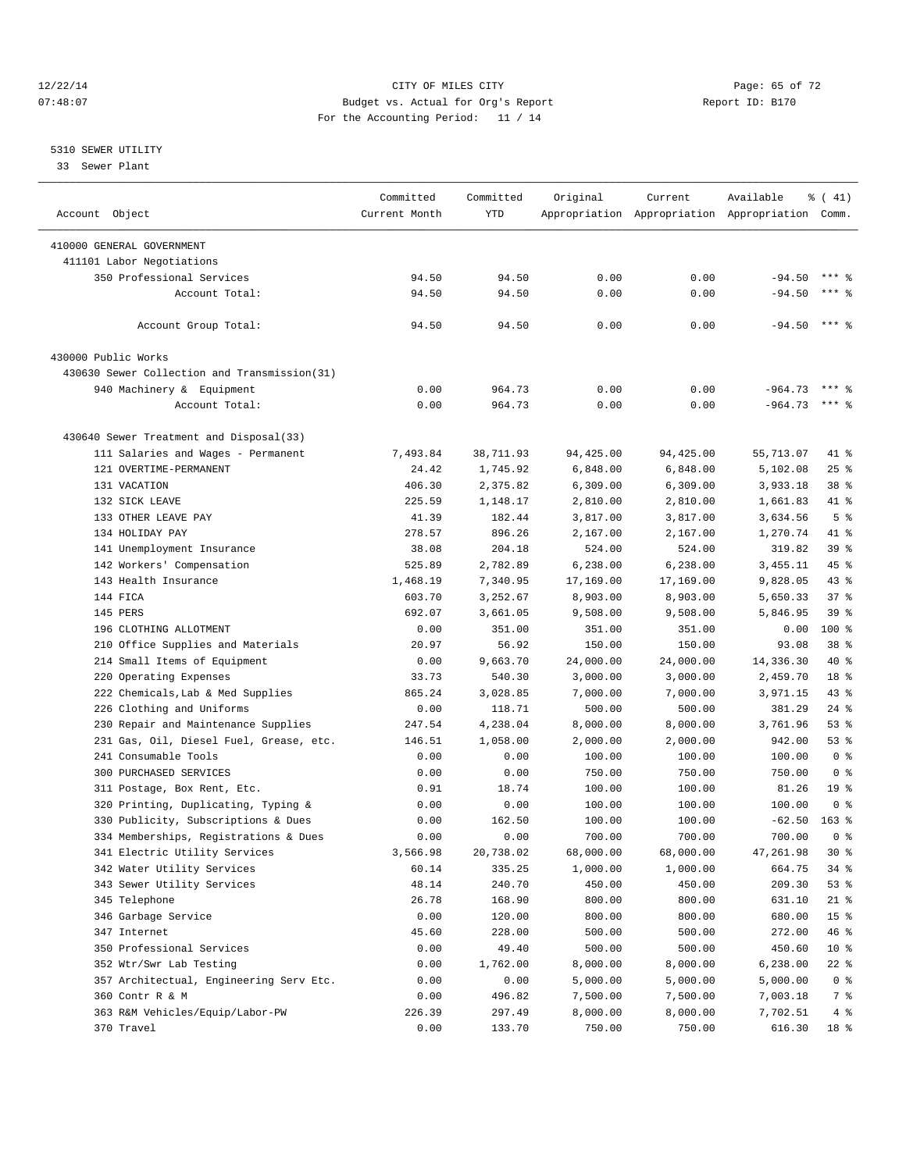#### 12/22/14 Page: 65 of 72 07:48:07 Budget vs. Actual for Org's Report Report ID: B170 For the Accounting Period: 11 / 14

————————————————————————————————————————————————————————————————————————————————————————————————————————————————————————————————————

#### 5310 SEWER UTILITY

33 Sewer Plant

|                                              | Committed     | Committed | Original  | Current   | Available                                       | % (41)          |
|----------------------------------------------|---------------|-----------|-----------|-----------|-------------------------------------------------|-----------------|
| Account Object                               | Current Month | YTD       |           |           | Appropriation Appropriation Appropriation Comm. |                 |
|                                              |               |           |           |           |                                                 |                 |
| 410000 GENERAL GOVERNMENT                    |               |           |           |           |                                                 |                 |
| 411101 Labor Negotiations                    |               |           |           |           |                                                 | $***$ %         |
| 350 Professional Services                    | 94.50         | 94.50     | 0.00      | 0.00      | $-94.50$                                        |                 |
| Account Total:                               | 94.50         | 94.50     | 0.00      | 0.00      | $-94.50$                                        | $***$ %         |
| Account Group Total:                         | 94.50         | 94.50     | 0.00      | 0.00      | $-94.50$ *** %                                  |                 |
| 430000 Public Works                          |               |           |           |           |                                                 |                 |
| 430630 Sewer Collection and Transmission(31) |               |           |           |           |                                                 |                 |
| 940 Machinery & Equipment                    | 0.00          | 964.73    | 0.00      | 0.00      | $-964.73$                                       | $***$ 2         |
| Account Total:                               | 0.00          | 964.73    | 0.00      | 0.00      | $-964.73$ *** \$                                |                 |
|                                              |               |           |           |           |                                                 |                 |
| 430640 Sewer Treatment and Disposal(33)      |               |           |           | 94,425.00 |                                                 | 41 %            |
| 111 Salaries and Wages - Permanent           | 7,493.84      | 38,711.93 | 94,425.00 |           | 55,713.07                                       |                 |
| 121 OVERTIME-PERMANENT                       | 24.42         | 1,745.92  | 6,848.00  | 6,848.00  | 5,102.08                                        | $25$ %          |
| 131 VACATION                                 | 406.30        | 2,375.82  | 6,309.00  | 6,309.00  | 3,933.18                                        | 38 %            |
| 132 SICK LEAVE                               | 225.59        | 1,148.17  | 2,810.00  | 2,810.00  | 1,661.83                                        | 41 %            |
| 133 OTHER LEAVE PAY                          | 41.39         | 182.44    | 3,817.00  | 3,817.00  | 3,634.56                                        | 5 <sup>°</sup>  |
| 134 HOLIDAY PAY                              | 278.57        | 896.26    | 2,167.00  | 2,167.00  | 1,270.74                                        | 41 %            |
| 141 Unemployment Insurance                   | 38.08         | 204.18    | 524.00    | 524.00    | 319.82                                          | 39 %            |
| 142 Workers' Compensation                    | 525.89        | 2,782.89  | 6,238.00  | 6,238.00  | 3, 455.11                                       | 45 %            |
| 143 Health Insurance                         | 1,468.19      | 7,340.95  | 17,169.00 | 17,169.00 | 9,828.05                                        | 43 %            |
| 144 FICA                                     | 603.70        | 3,252.67  | 8,903.00  | 8,903.00  | 5,650.33                                        | 37%             |
| 145 PERS                                     | 692.07        | 3,661.05  | 9,508.00  | 9,508.00  | 5,846.95                                        | 39 %            |
| 196 CLOTHING ALLOTMENT                       | 0.00          | 351.00    | 351.00    | 351.00    | 0.00                                            | $100*$          |
| 210 Office Supplies and Materials            | 20.97         | 56.92     | 150.00    | 150.00    | 93.08                                           | 38 %            |
| 214 Small Items of Equipment                 | 0.00          | 9,663.70  | 24,000.00 | 24,000.00 | 14,336.30                                       | 40 %            |
| 220 Operating Expenses                       | 33.73         | 540.30    | 3,000.00  | 3,000.00  | 2,459.70                                        | 18 <sup>°</sup> |
| 222 Chemicals, Lab & Med Supplies            | 865.24        | 3,028.85  | 7,000.00  | 7,000.00  | 3,971.15                                        | 43 %            |
| 226 Clothing and Uniforms                    | 0.00          | 118.71    | 500.00    | 500.00    | 381.29                                          | $24$ %          |
| 230 Repair and Maintenance Supplies          | 247.54        | 4,238.04  | 8,000.00  | 8,000.00  | 3,761.96                                        | 53%             |
| 231 Gas, Oil, Diesel Fuel, Grease, etc.      | 146.51        | 1,058.00  | 2,000.00  | 2,000.00  | 942.00                                          | 53%             |
| 241 Consumable Tools                         | 0.00          | 0.00      | 100.00    | 100.00    | 100.00                                          | 0 <sup>8</sup>  |
| 300 PURCHASED SERVICES                       | 0.00          | 0.00      | 750.00    | 750.00    | 750.00                                          | 0 <sup>8</sup>  |
| 311 Postage, Box Rent, Etc.                  | 0.91          | 18.74     | 100.00    | 100.00    | 81.26                                           | 19 <sup>°</sup> |
| 320 Printing, Duplicating, Typing &          | 0.00          | 0.00      | 100.00    | 100.00    | 100.00                                          | 0 <sup>8</sup>  |
| 330 Publicity, Subscriptions & Dues          | 0.00          | 162.50    | 100.00    | 100.00    | $-62.50$                                        | $163$ %         |
| 334 Memberships, Registrations & Dues        | 0.00          | 0.00      | 700.00    | 700.00    | 700.00                                          | 0 <sup>8</sup>  |
| 341 Electric Utility Services                | 3,566.98      | 20,738.02 | 68,000.00 | 68,000.00 | 47,261.98                                       | $30*$           |
| 342 Water Utility Services                   | 60.14         | 335.25    | 1,000.00  | 1,000.00  | 664.75                                          | 34 %            |
| 343 Sewer Utility Services                   | 48.14         | 240.70    | 450.00    | 450.00    | 209.30                                          | 53 %            |
| 345 Telephone                                | 26.78         | 168.90    | 800.00    | 800.00    | 631.10                                          | $21$ %          |
| 346 Garbage Service                          | 0.00          | 120.00    | 800.00    | 800.00    | 680.00                                          | 15 <sup>8</sup> |
| 347 Internet                                 | 45.60         | 228.00    | 500.00    | 500.00    | 272.00                                          | 46 %            |
| 350 Professional Services                    | 0.00          | 49.40     | 500.00    | 500.00    | 450.60                                          | 10 <sup>°</sup> |
| 352 Wtr/Swr Lab Testing                      | 0.00          | 1,762.00  | 8,000.00  | 8,000.00  | 6,238.00                                        | 22 %            |
| 357 Architectual, Engineering Serv Etc.      | 0.00          | 0.00      | 5,000.00  | 5,000.00  | 5,000.00                                        | $0$ %           |
| 360 Contr R & M                              | 0.00          | 496.82    | 7,500.00  | 7,500.00  | 7,003.18                                        | 7 %             |
| 363 R&M Vehicles/Equip/Labor-PW              | 226.39        | 297.49    | 8,000.00  | 8,000.00  | 7,702.51                                        | 4%              |
| 370 Travel                                   | 0.00          | 133.70    | 750.00    | 750.00    | 616.30                                          | 18 %            |
|                                              |               |           |           |           |                                                 |                 |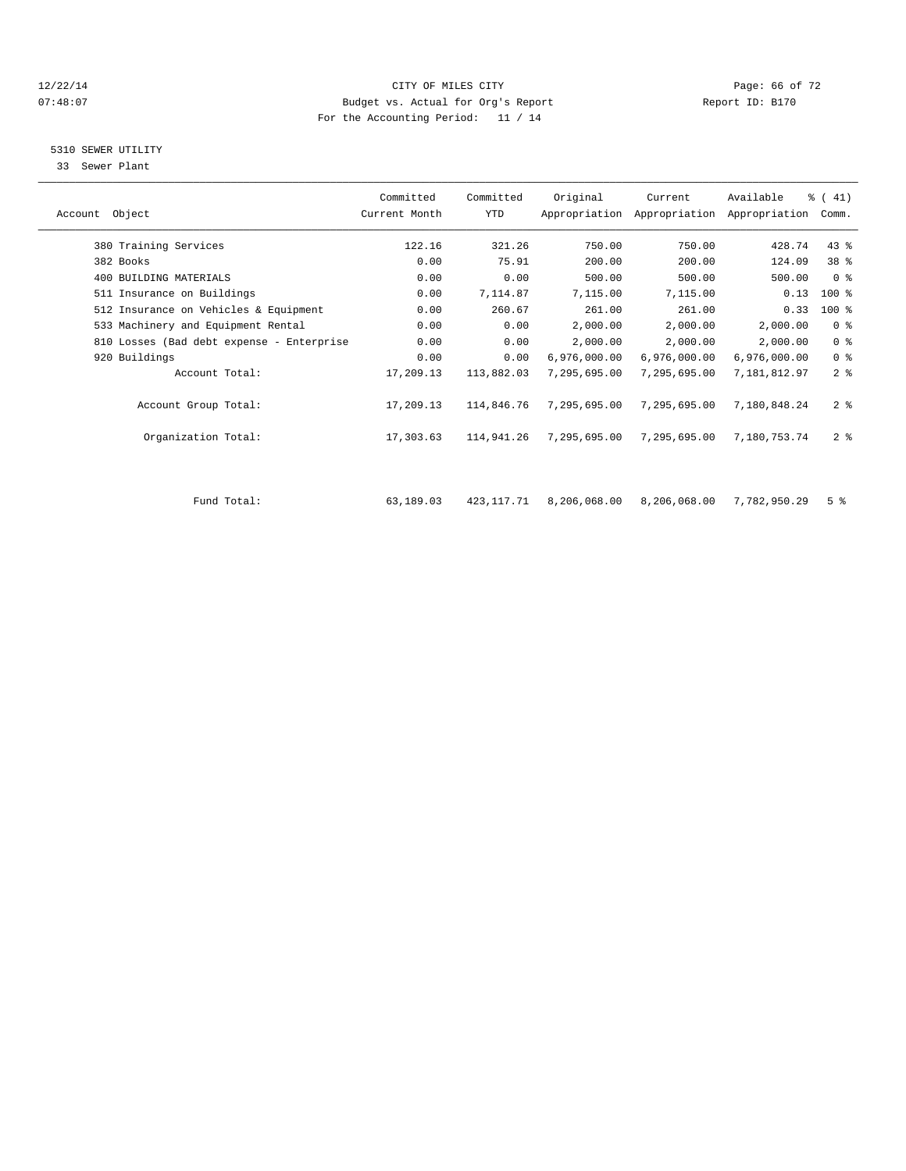#### 12/22/14 Page: 66 of 72 07:48:07 Budget vs. Actual for Org's Report Report ID: B170 For the Accounting Period: 11 / 14

#### 5310 SEWER UTILITY

33 Sewer Plant

|                                           | Committed     | Committed   | Original     | Current      | Available                                 | $\frac{1}{6}$ ( 41) |  |
|-------------------------------------------|---------------|-------------|--------------|--------------|-------------------------------------------|---------------------|--|
| Account Object                            | Current Month | YTD         |              |              | Appropriation Appropriation Appropriation | Comm.               |  |
| 380 Training Services                     | 122.16        | 321.26      | 750.00       | 750.00       | 428.74                                    | $43$ $%$            |  |
| 382 Books                                 | 0.00          | 75.91       | 200.00       | 200.00       | 124.09                                    | 38 %                |  |
| 400 BUILDING MATERIALS                    | 0.00          | 0.00        | 500.00       | 500.00       | 500.00                                    | 0 <sup>8</sup>      |  |
| 511 Insurance on Buildings                | 0.00          | 7,114.87    | 7,115.00     | 7,115.00     | 0.13                                      | $100$ %             |  |
| 512 Insurance on Vehicles & Equipment     | 0.00          | 260.67      | 261.00       | 261.00       | 0.33                                      | $100$ %             |  |
| 533 Machinery and Equipment Rental        | 0.00          | 0.00        | 2,000.00     | 2,000.00     | 2,000.00                                  | 0 <sup>8</sup>      |  |
| 810 Losses (Bad debt expense - Enterprise | 0.00          | 0.00        | 2,000.00     | 2,000.00     | 2,000.00                                  | 0 <sup>8</sup>      |  |
| 920 Buildings                             | 0.00          | 0.00        | 6,976,000.00 | 6,976,000.00 | 6,976,000.00                              | 0 <sup>8</sup>      |  |
| Account Total:                            | 17,209.13     | 113,882.03  | 7,295,695.00 | 7,295,695.00 | 7.181.812.97                              | 2 <sup>8</sup>      |  |
| Account Group Total:                      | 17,209.13     | 114,846.76  | 7,295,695.00 | 7,295,695.00 | 7,180,848.24                              | 2 <sup>8</sup>      |  |
| Organization Total:                       | 17,303.63     | 114,941.26  | 7,295,695.00 | 7,295,695.00 | 7,180,753.74                              | 2 <sup>8</sup>      |  |
|                                           |               |             |              |              |                                           |                     |  |
| Fund Total:                               | 63,189.03     | 423, 117.71 | 8,206,068.00 | 8,206,068.00 | 7,782,950.29                              | 5 <sup>8</sup>      |  |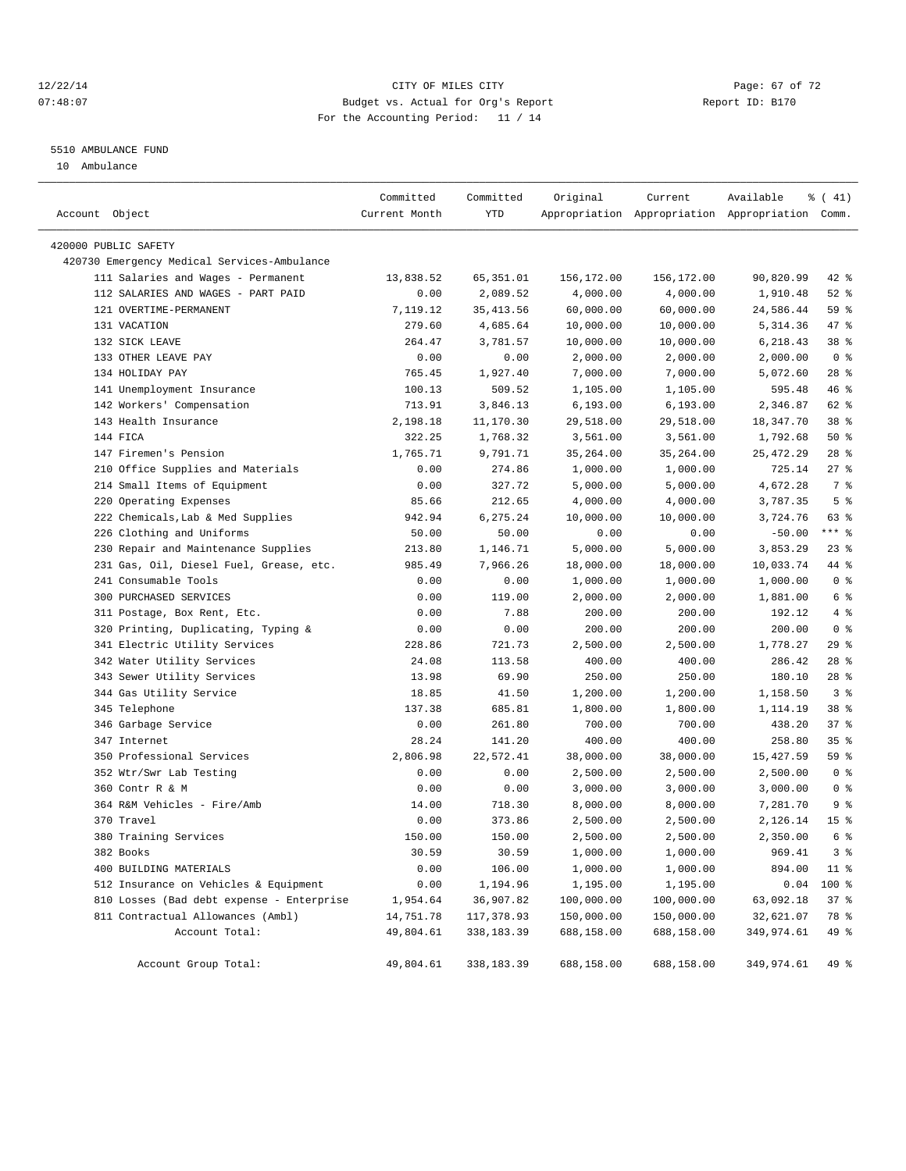#### 12/22/14 Page: 67 of 72 07:48:07 Budget vs. Actual for Org's Report Report ID: B170 For the Accounting Period: 11 / 14

#### 5510 AMBULANCE FUND

10 Ambulance

| Account Object |                                             | Committed<br>Current Month | Committed<br>YTD | Original   | Current    | Available<br>Appropriation Appropriation Appropriation Comm. | $\frac{1}{6}$ ( 41) |
|----------------|---------------------------------------------|----------------------------|------------------|------------|------------|--------------------------------------------------------------|---------------------|
|                | 420000 PUBLIC SAFETY                        |                            |                  |            |            |                                                              |                     |
|                | 420730 Emergency Medical Services-Ambulance |                            |                  |            |            |                                                              |                     |
|                | 111 Salaries and Wages - Permanent          | 13,838.52                  | 65, 351.01       | 156,172.00 | 156,172.00 | 90,820.99                                                    | 42 %                |
|                | 112 SALARIES AND WAGES - PART PAID          | 0.00                       | 2,089.52         | 4,000.00   | 4,000.00   | 1,910.48                                                     | $52$ $%$            |
|                | 121 OVERTIME-PERMANENT                      | 7,119.12                   | 35, 413.56       | 60,000.00  | 60,000.00  | 24,586.44                                                    | 59 %                |
|                | 131 VACATION                                | 279.60                     | 4,685.64         | 10,000.00  | 10,000.00  | 5,314.36                                                     | 47 %                |
|                | 132 SICK LEAVE                              | 264.47                     | 3,781.57         | 10,000.00  | 10,000.00  | 6,218.43                                                     | 38 %                |
|                | 133 OTHER LEAVE PAY                         | 0.00                       | 0.00             | 2,000.00   | 2,000.00   | 2,000.00                                                     | 0 <sup>8</sup>      |
|                | 134 HOLIDAY PAY                             | 765.45                     | 1,927.40         | 7,000.00   | 7,000.00   | 5,072.60                                                     | $28$ %              |
|                | 141 Unemployment Insurance                  | 100.13                     | 509.52           | 1,105.00   | 1,105.00   | 595.48                                                       | 46 %                |
|                | 142 Workers' Compensation                   | 713.91                     | 3,846.13         | 6, 193.00  | 6, 193.00  | 2,346.87                                                     | 62 %                |
|                | 143 Health Insurance                        | 2,198.18                   | 11,170.30        | 29,518.00  | 29,518.00  | 18,347.70                                                    | 38 %                |
|                | 144 FICA                                    | 322.25                     | 1,768.32         | 3,561.00   | 3,561.00   | 1,792.68                                                     | 50%                 |
|                | 147 Firemen's Pension                       | 1,765.71                   | 9,791.71         | 35, 264.00 | 35,264.00  | 25, 472.29                                                   | $28$ %              |
|                | 210 Office Supplies and Materials           | 0.00                       | 274.86           | 1,000.00   | 1,000.00   | 725.14                                                       | 27%                 |
|                | 214 Small Items of Equipment                | 0.00                       | 327.72           | 5,000.00   | 5,000.00   | 4,672.28                                                     | 7 %                 |
|                | 220 Operating Expenses                      | 85.66                      | 212.65           | 4,000.00   | 4,000.00   | 3,787.35                                                     | 5 <sup>8</sup>      |
|                | 222 Chemicals, Lab & Med Supplies           | 942.94                     | 6,275.24         | 10,000.00  | 10,000.00  | 3,724.76                                                     | 63 %                |
|                | 226 Clothing and Uniforms                   | 50.00                      | 50.00            | 0.00       | 0.00       | $-50.00$                                                     | $***$ $_{8}$        |
|                | 230 Repair and Maintenance Supplies         | 213.80                     | 1,146.71         | 5,000.00   | 5,000.00   | 3,853.29                                                     | 23%                 |
|                | 231 Gas, Oil, Diesel Fuel, Grease, etc.     | 985.49                     | 7,966.26         | 18,000.00  | 18,000.00  | 10,033.74                                                    | 44 %                |
|                | 241 Consumable Tools                        | 0.00                       | 0.00             | 1,000.00   | 1,000.00   | 1,000.00                                                     | 0 <sup>8</sup>      |
|                | 300 PURCHASED SERVICES                      | 0.00                       | 119.00           | 2,000.00   | 2,000.00   | 1,881.00                                                     | 6 %                 |
|                | 311 Postage, Box Rent, Etc.                 | 0.00                       | 7.88             | 200.00     | 200.00     | 192.12                                                       | 4%                  |
|                | 320 Printing, Duplicating, Typing &         | 0.00                       | 0.00             | 200.00     | 200.00     | 200.00                                                       | 0 <sup>8</sup>      |
|                | 341 Electric Utility Services               | 228.86                     | 721.73           | 2,500.00   | 2,500.00   | 1,778.27                                                     | 29%                 |
|                | 342 Water Utility Services                  | 24.08                      | 113.58           | 400.00     | 400.00     | 286.42                                                       | $28$ %              |
|                | 343 Sewer Utility Services                  | 13.98                      | 69.90            | 250.00     | 250.00     | 180.10                                                       | 28%                 |
|                | 344 Gas Utility Service                     | 18.85                      | 41.50            | 1,200.00   | 1,200.00   | 1,158.50                                                     | 3 <sup>8</sup>      |
|                | 345 Telephone                               | 137.38                     | 685.81           | 1,800.00   | 1,800.00   | 1,114.19                                                     | 38 %                |
|                | 346 Garbage Service                         | 0.00                       | 261.80           | 700.00     | 700.00     | 438.20                                                       | 37%                 |
|                | 347 Internet                                | 28.24                      | 141.20           | 400.00     | 400.00     | 258.80                                                       | 35%                 |
|                | 350 Professional Services                   | 2,806.98                   | 22,572.41        | 38,000.00  | 38,000.00  | 15,427.59                                                    | 59 %                |
|                | 352 Wtr/Swr Lab Testing                     | 0.00                       | 0.00             | 2,500.00   | 2,500.00   | 2,500.00                                                     | 0 <sup>8</sup>      |
|                | 360 Contr R & M                             | 0.00                       | 0.00             | 3,000.00   | 3,000.00   | 3,000.00                                                     | 0 <sup>8</sup>      |
|                | 364 R&M Vehicles - Fire/Amb                 | 14.00                      | 718.30           | 8,000.00   | 8,000.00   | 7,281.70                                                     | 9 <sup>°</sup>      |
|                | 370 Travel                                  | 0.00                       | 373.86           | 2,500.00   | 2,500.00   | 2,126.14                                                     | 15 <sup>°</sup>     |
|                | 380 Training Services                       | 150.00                     | 150.00           | 2,500.00   | 2,500.00   | 2,350.00                                                     | 6 %                 |
|                | 382 Books                                   | 30.59                      | 30.59            | 1,000.00   | 1,000.00   | 969.41                                                       | 3 <sup>8</sup>      |
|                | 400 BUILDING MATERIALS                      | 0.00                       | 106.00           | 1,000.00   | 1,000.00   | 894.00                                                       | $11$ %              |
|                | 512 Insurance on Vehicles & Equipment       | 0.00                       | 1,194.96         | 1,195.00   | 1,195.00   | 0.04                                                         | 100 %               |
|                | 810 Losses (Bad debt expense - Enterprise   | 1,954.64                   | 36,907.82        | 100,000.00 | 100,000.00 | 63,092.18                                                    | 37 %                |
|                | 811 Contractual Allowances (Ambl)           | 14,751.78                  | 117,378.93       | 150,000.00 | 150,000.00 | 32,621.07                                                    | 78 %                |
|                | Account Total:                              | 49,804.61                  | 338,183.39       | 688,158.00 | 688,158.00 | 349,974.61                                                   | 49 %                |
|                |                                             |                            |                  |            |            |                                                              |                     |
|                | Account Group Total:                        | 49,804.61                  | 338, 183.39      | 688,158.00 | 688,158.00 | 349,974.61                                                   | 49 %                |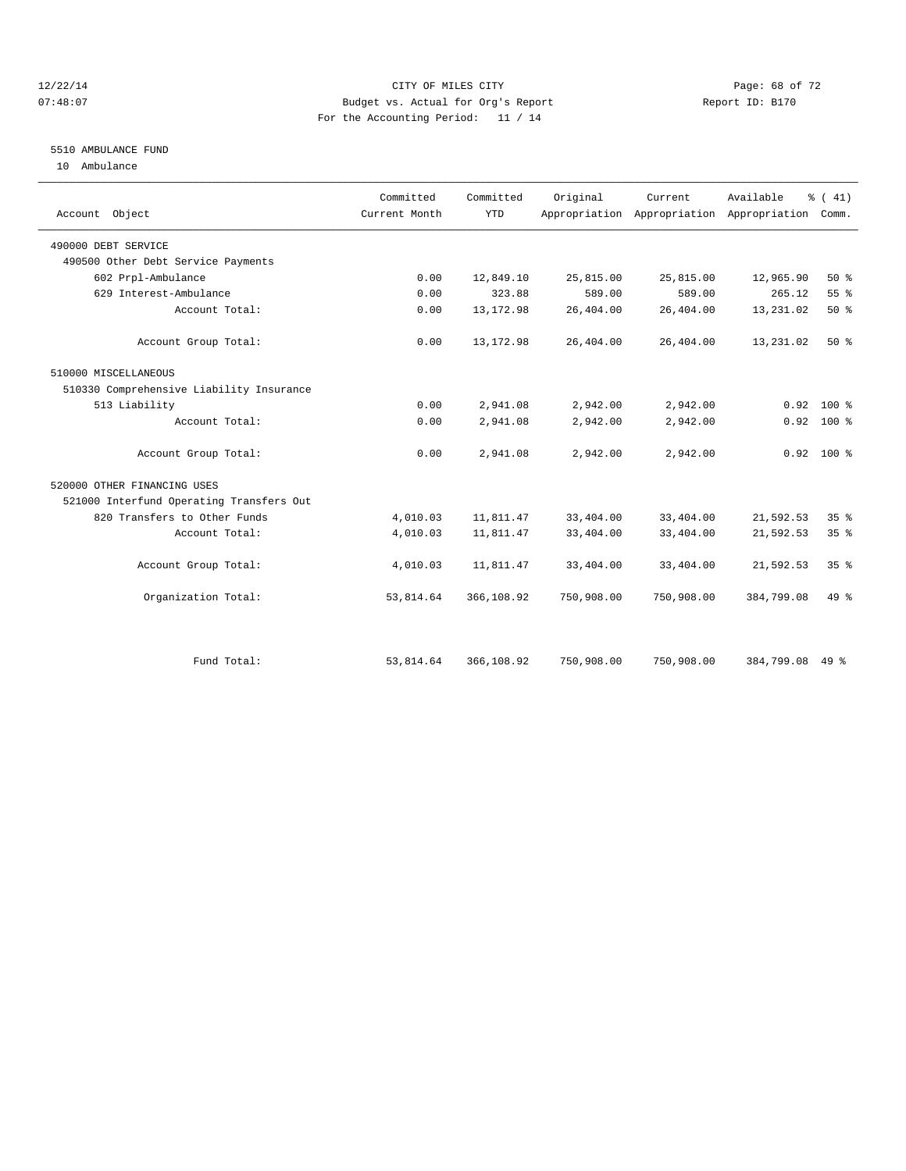#### 12/22/14 Page: 68 of 72 07:48:07 Budget vs. Actual for Org's Report Report ID: B170 For the Accounting Period: 11 / 14

#### 5510 AMBULANCE FUND

10 Ambulance

| Account Object                           | Committed<br>Current Month | Committed<br><b>YTD</b> | Original   | Current.   | Available<br>Appropriation Appropriation Appropriation | $\frac{1}{6}$ ( 41)<br>Comm. |
|------------------------------------------|----------------------------|-------------------------|------------|------------|--------------------------------------------------------|------------------------------|
| 490000 DEBT SERVICE                      |                            |                         |            |            |                                                        |                              |
| 490500 Other Debt Service Payments       |                            |                         |            |            |                                                        |                              |
| 602 Prpl-Ambulance                       | 0.00                       | 12,849.10               | 25,815.00  | 25,815.00  | 12,965.90                                              | $50*$                        |
| 629 Interest-Ambulance                   | 0.00                       | 323.88                  | 589.00     | 589.00     | 265.12                                                 | 55%                          |
| Account Total:                           | 0.00                       | 13, 172.98              | 26,404.00  | 26,404.00  | 13,231.02                                              | $50*$                        |
| Account Group Total:                     | 0.00                       | 13, 172.98              | 26,404.00  | 26,404.00  | 13,231.02                                              | $50*$                        |
| 510000 MISCELLANEOUS                     |                            |                         |            |            |                                                        |                              |
| 510330 Comprehensive Liability Insurance |                            |                         |            |            |                                                        |                              |
| 513 Liability                            | 0.00                       | 2,941.08                | 2,942.00   | 2,942.00   | 0.92                                                   | $100*$                       |
| Account Total:                           | 0.00                       | 2,941.08                | 2,942.00   | 2,942.00   |                                                        | $0.92$ 100 %                 |
| Account Group Total:                     | 0.00                       | 2,941.08                | 2,942.00   | 2,942.00   |                                                        | $0.92$ 100 %                 |
| 520000 OTHER FINANCING USES              |                            |                         |            |            |                                                        |                              |
| 521000 Interfund Operating Transfers Out |                            |                         |            |            |                                                        |                              |
| 820 Transfers to Other Funds             | 4,010.03                   | 11,811.47               | 33,404.00  | 33,404.00  | 21,592.53                                              | 35%                          |
| Account Total:                           | 4,010.03                   | 11,811.47               | 33,404.00  | 33,404.00  | 21,592.53                                              | 35 <sup>8</sup>              |
| Account Group Total:                     | 4,010.03                   | 11,811.47               | 33,404.00  | 33,404.00  | 21,592.53                                              | 35 <sup>8</sup>              |
| Organization Total:                      | 53,814.64                  | 366,108.92              | 750,908.00 | 750,908.00 | 384,799.08                                             | $49*$                        |
|                                          |                            |                         |            |            |                                                        |                              |
| Fund Total:                              | 53,814.64                  | 366,108.92              | 750,908.00 | 750,908.00 | 384,799.08                                             | 49 %                         |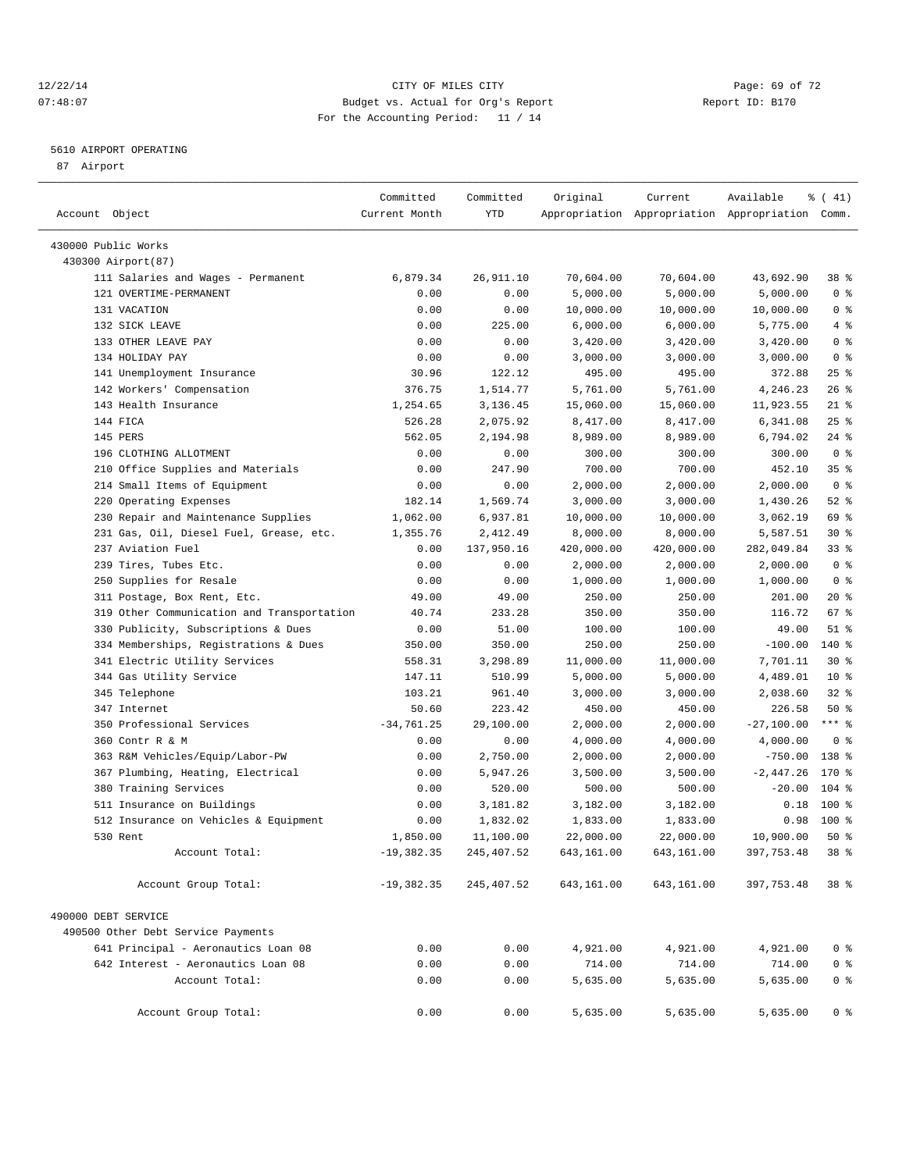### 12/22/14 Page: 69 of 72 07:48:07 Budget vs. Actual for Org's Report Report ID: B170 For the Accounting Period: 11 / 14

————————————————————————————————————————————————————————————————————————————————————————————————————————————————————————————————————

## 5610 AIRPORT OPERATING

87 Airport

|                                            | Committed     | Committed  | Original   | Current    | Available                                       | % (41)          |  |
|--------------------------------------------|---------------|------------|------------|------------|-------------------------------------------------|-----------------|--|
| Account Object                             | Current Month | YTD        |            |            | Appropriation Appropriation Appropriation Comm. |                 |  |
| 430000 Public Works                        |               |            |            |            |                                                 |                 |  |
| 430300 Airport (87)                        |               |            |            |            |                                                 |                 |  |
| 111 Salaries and Wages - Permanent         | 6,879.34      | 26,911.10  | 70,604.00  | 70,604.00  | 43,692.90                                       | 38 %            |  |
| 121 OVERTIME-PERMANENT                     | 0.00          | 0.00       | 5,000.00   | 5,000.00   | 5,000.00                                        | 0 <sup>8</sup>  |  |
| 131 VACATION                               | 0.00          | 0.00       | 10,000.00  | 10,000.00  | 10,000.00                                       | 0 <sup>8</sup>  |  |
| 132 SICK LEAVE                             | 0.00          | 225.00     | 6,000.00   | 6,000.00   | 5,775.00                                        | 4%              |  |
| 133 OTHER LEAVE PAY                        | 0.00          | 0.00       | 3,420.00   | 3,420.00   | 3,420.00                                        | 0 <sup>8</sup>  |  |
| 134 HOLIDAY PAY                            | 0.00          | 0.00       | 3,000.00   | 3,000.00   | 3,000.00                                        | 0 <sup>8</sup>  |  |
| 141 Unemployment Insurance                 | 30.96         | 122.12     | 495.00     | 495.00     | 372.88                                          | $25$ %          |  |
| 142 Workers' Compensation                  | 376.75        | 1,514.77   | 5,761.00   | 5,761.00   | 4,246.23                                        | $26$ %          |  |
| 143 Health Insurance                       | 1,254.65      | 3,136.45   | 15,060.00  | 15,060.00  | 11,923.55                                       | $21$ %          |  |
| 144 FICA                                   | 526.28        | 2,075.92   | 8,417.00   | 8,417.00   | 6,341.08                                        | $25$ $%$        |  |
| 145 PERS                                   | 562.05        | 2,194.98   | 8,989.00   | 8,989.00   | 6,794.02                                        | $24$ %          |  |
| 196 CLOTHING ALLOTMENT                     | 0.00          | 0.00       | 300.00     | 300.00     | 300.00                                          | 0 <sup>8</sup>  |  |
| 210 Office Supplies and Materials          | 0.00          | 247.90     | 700.00     | 700.00     | 452.10                                          | 35 <sup>8</sup> |  |
| 214 Small Items of Equipment               | 0.00          | 0.00       | 2,000.00   | 2,000.00   | 2,000.00                                        | 0 <sup>8</sup>  |  |
| 220 Operating Expenses                     | 182.14        | 1,569.74   | 3,000.00   | 3,000.00   | 1,430.26                                        | $52$ %          |  |
| 230 Repair and Maintenance Supplies        | 1,062.00      | 6,937.81   | 10,000.00  | 10,000.00  | 3,062.19                                        | 69 %            |  |
| 231 Gas, Oil, Diesel Fuel, Grease, etc.    | 1,355.76      | 2,412.49   | 8,000.00   | 8,000.00   | 5,587.51                                        | $30*$           |  |
| 237 Aviation Fuel                          | 0.00          | 137,950.16 | 420,000.00 | 420,000.00 | 282,049.84                                      | 33%             |  |
| 239 Tires, Tubes Etc.                      | 0.00          | 0.00       | 2,000.00   | 2,000.00   | 2,000.00                                        | 0 <sup>8</sup>  |  |
| 250 Supplies for Resale                    | 0.00          | 0.00       | 1,000.00   | 1,000.00   | 1,000.00                                        | 0 <sup>8</sup>  |  |
| 311 Postage, Box Rent, Etc.                | 49.00         | 49.00      | 250.00     | 250.00     | 201.00                                          | $20*$           |  |
| 319 Other Communication and Transportation | 40.74         | 233.28     | 350.00     | 350.00     | 116.72                                          | 67 %            |  |
| 330 Publicity, Subscriptions & Dues        | 0.00          | 51.00      | 100.00     | 100.00     | 49.00                                           | $51$ %          |  |
| 334 Memberships, Registrations & Dues      | 350.00        | 350.00     | 250.00     | 250.00     | $-100.00$                                       | $140*$          |  |
| 341 Electric Utility Services              | 558.31        | 3,298.89   | 11,000.00  | 11,000.00  | 7,701.11                                        | $30*$           |  |
| 344 Gas Utility Service                    | 147.11        | 510.99     | 5,000.00   | 5,000.00   | 4,489.01                                        | $10*$           |  |
| 345 Telephone                              | 103.21        | 961.40     | 3,000.00   | 3,000.00   | 2,038.60                                        | $32$ $%$        |  |
| 347 Internet                               | 50.60         | 223.42     | 450.00     | 450.00     | 226.58                                          | 50%             |  |
| 350 Professional Services                  | $-34,761.25$  | 29,100.00  | 2,000.00   | 2,000.00   | $-27,100.00$                                    | $***$ $-$       |  |
| 360 Contr R & M                            | 0.00          | 0.00       | 4,000.00   | 4,000.00   | 4,000.00                                        | 0 <sup>8</sup>  |  |
| 363 R&M Vehicles/Equip/Labor-PW            | 0.00          | 2,750.00   | 2,000.00   | 2,000.00   | $-750.00$                                       | 138 %           |  |
| 367 Plumbing, Heating, Electrical          | 0.00          | 5,947.26   | 3,500.00   | 3,500.00   | $-2,447.26$                                     | 170 %           |  |
| 380 Training Services                      | 0.00          | 520.00     | 500.00     | 500.00     | $-20.00$                                        | $104$ %         |  |
| 511 Insurance on Buildings                 | 0.00          | 3,181.82   | 3,182.00   | 3,182.00   | 0.18                                            | $100*$          |  |
| 512 Insurance on Vehicles & Equipment      | 0.00          | 1,832.02   | 1,833.00   | 1,833.00   | 0.98                                            | $100*$          |  |
| 530 Rent                                   | 1,850.00      | 11,100.00  | 22,000.00  | 22,000.00  | 10,900.00                                       | 50%             |  |
| Account Total:                             | $-19,382.35$  | 245,407.52 | 643,161.00 | 643,161.00 | 397, 753.48                                     | 38 %            |  |
| Account Group Total:                       | $-19,382.35$  | 245,407.52 | 643,161.00 | 643,161.00 | 397,753.48                                      | $38*$           |  |
|                                            |               |            |            |            |                                                 |                 |  |
| 490000 DEBT SERVICE                        |               |            |            |            |                                                 |                 |  |
| 490500 Other Debt Service Payments         |               |            |            |            |                                                 |                 |  |
| 641 Principal - Aeronautics Loan 08        | 0.00          | 0.00       | 4,921.00   | 4,921.00   | 4,921.00                                        | 0 <sup>8</sup>  |  |
| 642 Interest - Aeronautics Loan 08         | 0.00          | 0.00       | 714.00     | 714.00     | 714.00                                          | 0 <sup>8</sup>  |  |
| Account Total:                             | 0.00          | 0.00       | 5,635.00   | 5,635.00   | 5,635.00                                        | 0 <sup>8</sup>  |  |
| Account Group Total:                       | 0.00          | 0.00       | 5,635.00   | 5,635.00   | 5,635.00                                        | 0 <sup>8</sup>  |  |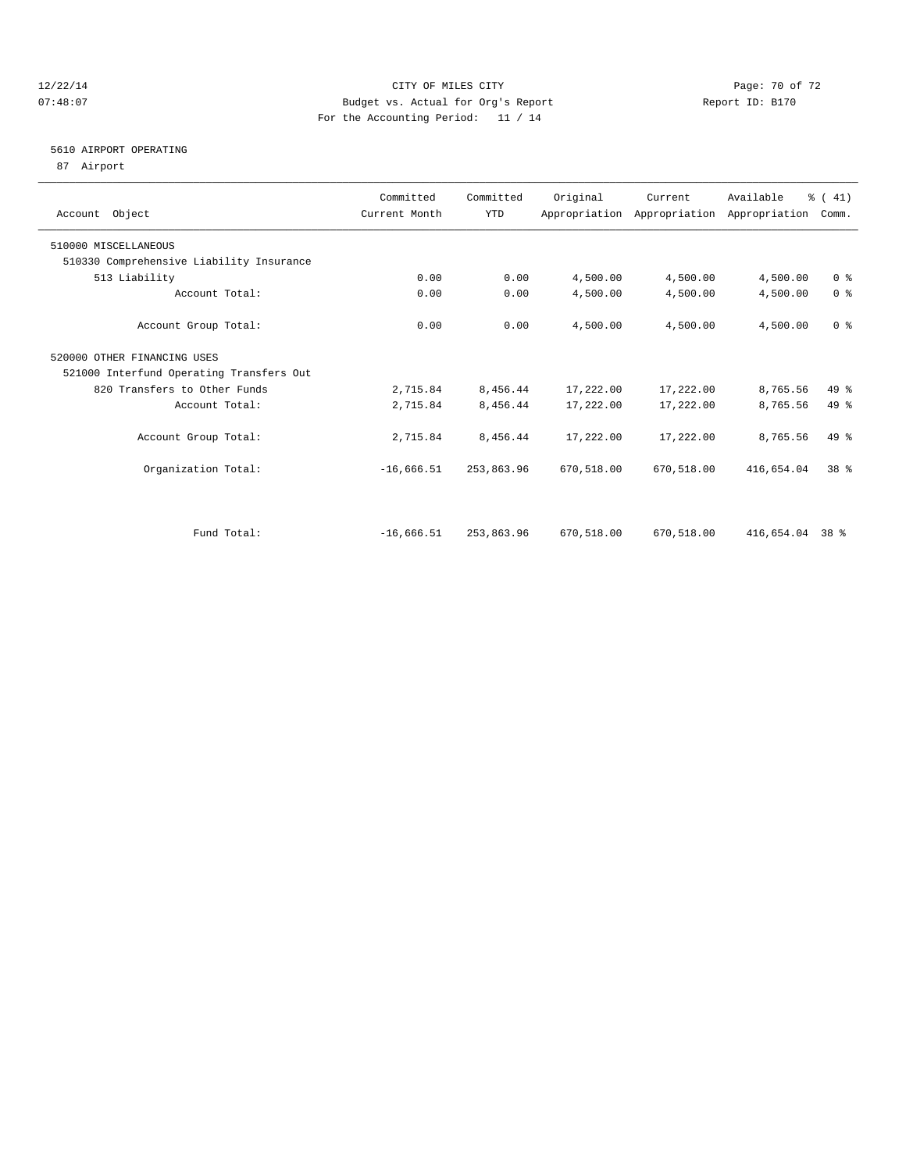### 12/22/14 Page: 70 of 72 07:48:07 Budget vs. Actual for Org's Report Report ID: B170 For the Accounting Period: 11 / 14

## 5610 AIRPORT OPERATING

87 Airport

| Account Object                           | Committed<br>Current Month | Committed<br><b>YTD</b> | Original   | Current    | Available<br>Appropriation Appropriation Appropriation | % (41)<br>Comm. |  |
|------------------------------------------|----------------------------|-------------------------|------------|------------|--------------------------------------------------------|-----------------|--|
| 510000 MISCELLANEOUS                     |                            |                         |            |            |                                                        |                 |  |
| 510330 Comprehensive Liability Insurance |                            |                         |            |            |                                                        |                 |  |
| 513 Liability                            | 0.00                       | 0.00                    | 4,500.00   | 4,500.00   | 4,500.00                                               | 0 <sup>8</sup>  |  |
| Account Total:                           | 0.00                       | 0.00                    | 4,500.00   | 4,500.00   | 4,500.00                                               | 0 <sup>8</sup>  |  |
| Account Group Total:                     | 0.00                       | 0.00                    | 4,500.00   | 4,500.00   | 4,500.00                                               | 0 <sup>8</sup>  |  |
| 520000 OTHER FINANCING USES              |                            |                         |            |            |                                                        |                 |  |
| 521000 Interfund Operating Transfers Out |                            |                         |            |            |                                                        |                 |  |
| 820 Transfers to Other Funds             | 2,715.84                   | 8,456.44                | 17,222.00  | 17,222.00  | 8,765.56                                               | $49*$           |  |
| Account Total:                           | 2,715.84                   | 8,456.44                | 17,222.00  | 17,222.00  | 8,765.56                                               | 49 %            |  |
| Account Group Total:                     | 2,715.84                   | 8,456.44                | 17,222.00  | 17,222.00  | 8,765.56                                               | $49*$           |  |
| Organization Total:                      | $-16,666.51$               | 253,863.96              | 670,518.00 | 670,518.00 | 416,654.04                                             | 38 <sup>8</sup> |  |
|                                          |                            |                         |            |            |                                                        |                 |  |
| Fund Total:                              | $-16,666.51$               | 253,863.96              | 670,518.00 | 670,518.00 | 416,654.04 38 %                                        |                 |  |